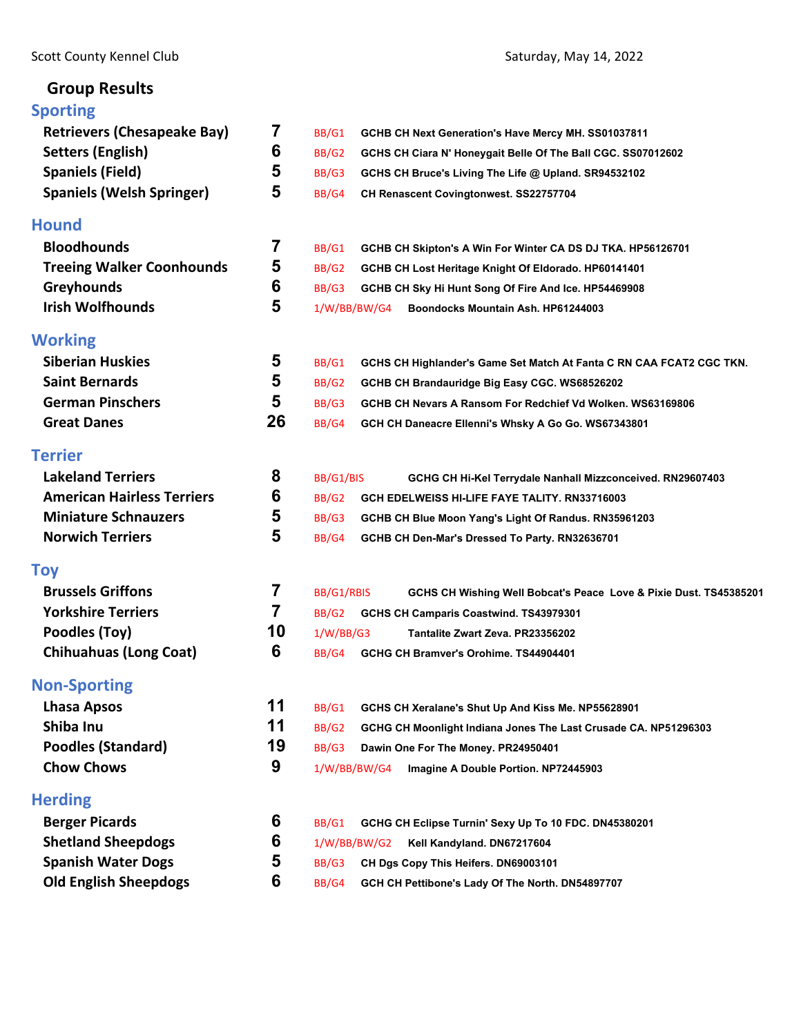# **Group Results**

| <b>Sporting</b>                    |    |                                                                                 |
|------------------------------------|----|---------------------------------------------------------------------------------|
| <b>Retrievers (Chesapeake Bay)</b> | 7  | BB/G1<br>GCHB CH Next Generation's Have Mercy MH. SS01037811                    |
| <b>Setters (English)</b>           | 6  | BB/G2<br>GCHS CH Ciara N' Honeygait Belle Of The Ball CGC. SS07012602           |
| <b>Spaniels (Field)</b>            | 5  | BB/G3<br>GCHS CH Bruce's Living The Life @ Upland. SR94532102                   |
| <b>Spaniels (Welsh Springer)</b>   | 5  | BB/G4<br>CH Renascent Covingtonwest. SS22757704                                 |
| <b>Hound</b>                       |    |                                                                                 |
| <b>Bloodhounds</b>                 | 7  | BB/G1<br>GCHB CH Skipton's A Win For Winter CA DS DJ TKA. HP56126701            |
| <b>Treeing Walker Coonhounds</b>   | 5  | BB/G2<br>GCHB CH Lost Heritage Knight Of Eldorado. HP60141401                   |
| <b>Greyhounds</b>                  | 6  | BB/G3<br>GCHB CH Sky Hi Hunt Song Of Fire And Ice. HP54469908                   |
| <b>Irish Wolfhounds</b>            | 5  | 1/W/BB/BW/G4<br>Boondocks Mountain Ash. HP61244003                              |
| <b>Working</b>                     |    |                                                                                 |
| <b>Siberian Huskies</b>            | 5  | BB/G1<br>GCHS CH Highlander's Game Set Match At Fanta C RN CAA FCAT2 CGC TKN.   |
| <b>Saint Bernards</b>              | 5  | <b>BB/G2</b><br>GCHB CH Brandauridge Big Easy CGC. WS68526202                   |
| <b>German Pinschers</b>            | 5  | BB/G3<br>GCHB CH Nevars A Ransom For Redchief Vd Wolken, WS63169806             |
| <b>Great Danes</b>                 | 26 | BB/G4<br>GCH CH Daneacre Ellenni's Whsky A Go Go. WS67343801                    |
| <b>Terrier</b>                     |    |                                                                                 |
| <b>Lakeland Terriers</b>           | 8  | BB/G1/BIS<br>GCHG CH Hi-Kel Terrydale Nanhall Mizzconceived. RN29607403         |
| <b>American Hairless Terriers</b>  | 6  | BB/G2<br>GCH EDELWEISS HI-LIFE FAYE TALITY. RN33716003                          |
| <b>Miniature Schnauzers</b>        | 5  | BB/G3<br>GCHB CH Blue Moon Yang's Light Of Randus. RN35961203                   |
| <b>Norwich Terriers</b>            | 5  | BB/G4<br>GCHB CH Den-Mar's Dressed To Party. RN32636701                         |
| Toy                                |    |                                                                                 |
| <b>Brussels Griffons</b>           | 7  | BB/G1/RBIS<br>GCHS CH Wishing Well Bobcat's Peace Love & Pixie Dust. TS45385201 |
| <b>Yorkshire Terriers</b>          | 7  | BB/G <sub>2</sub><br>GCHS CH Camparis Coastwind. TS43979301                     |
| Poodles (Toy)                      | 10 | 1/W/BB/G3<br>Tantalite Zwart Zeva, PR23356202                                   |
| <b>Chihuahuas (Long Coat)</b>      | 6  | BB/G4<br>GCHG CH Bramver's Orohime. TS44904401                                  |
| <b>Non-Sporting</b>                |    |                                                                                 |
| <b>Lhasa Apsos</b>                 | 11 | BB/G1<br>GCHS CH Xeralane's Shut Up And Kiss Me. NP55628901                     |
| Shiba Inu                          | 11 | BB/G2<br>GCHG CH Moonlight Indiana Jones The Last Crusade CA. NP51296303        |
| <b>Poodles (Standard)</b>          | 19 | BB/G3<br>Dawin One For The Money. PR24950401                                    |
| <b>Chow Chows</b>                  | 9  | 1/W/BB/BW/G4<br>Imagine A Double Portion. NP72445903                            |
| <b>Herding</b>                     |    |                                                                                 |
| <b>Berger Picards</b>              | 6  | BB/G1<br>GCHG CH Eclipse Turnin' Sexy Up To 10 FDC. DN45380201                  |
| <b>Shetland Sheepdogs</b>          | 6  | 1/W/BB/BW/G2<br>Kell Kandyland. DN67217604                                      |
| <b>Spanish Water Dogs</b>          | 5  | BB/G3<br>CH Dgs Copy This Heifers. DN69003101                                   |
| <b>Old English Sheepdogs</b>       | 6  | BB/G4<br>GCH CH Pettibone's Lady Of The North. DN54897707                       |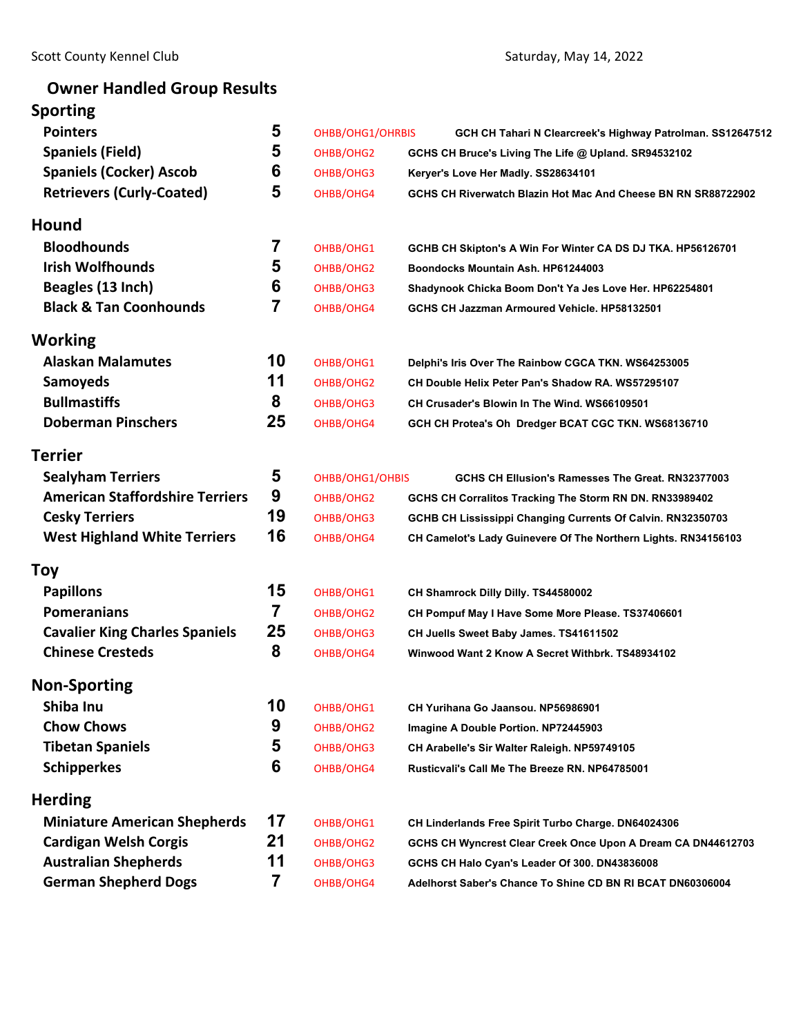# **Owner Handled Group Results**

# **Sporting**

| <b>Pointers</b>                        | 5  | OHBB/OHG1/OHRBIS | GCH CH Tahari N Clearcreek's Highway Patrolman. SS12647512     |
|----------------------------------------|----|------------------|----------------------------------------------------------------|
| <b>Spaniels (Field)</b>                | 5  | OHBB/OHG2        | GCHS CH Bruce's Living The Life @ Upland. SR94532102           |
| <b>Spaniels (Cocker) Ascob</b>         | 6  | OHBB/OHG3        | Keryer's Love Her Madly. SS28634101                            |
| <b>Retrievers (Curly-Coated)</b>       | 5  | OHBB/OHG4        | GCHS CH Riverwatch Blazin Hot Mac And Cheese BN RN SR88722902  |
| <b>Hound</b>                           |    |                  |                                                                |
| <b>Bloodhounds</b>                     | 7  | OHBB/OHG1        | GCHB CH Skipton's A Win For Winter CA DS DJ TKA. HP56126701    |
| <b>Irish Wolfhounds</b>                | 5  | OHBB/OHG2        | Boondocks Mountain Ash. HP61244003                             |
| Beagles (13 Inch)                      | 6  | OHBB/OHG3        | Shadynook Chicka Boom Don't Ya Jes Love Her. HP62254801        |
| <b>Black &amp; Tan Coonhounds</b>      | 7  | OHBB/OHG4        | GCHS CH Jazzman Armoured Vehicle. HP58132501                   |
| Working                                |    |                  |                                                                |
| <b>Alaskan Malamutes</b>               | 10 | OHBB/OHG1        | Delphi's Iris Over The Rainbow CGCA TKN. WS64253005            |
| <b>Samoyeds</b>                        | 11 | OHBB/OHG2        | CH Double Helix Peter Pan's Shadow RA. WS57295107              |
| <b>Bullmastiffs</b>                    | 8  | OHBB/OHG3        | CH Crusader's Blowin In The Wind. WS66109501                   |
| <b>Doberman Pinschers</b>              | 25 | OHBB/OHG4        | GCH CH Protea's Oh Dredger BCAT CGC TKN. WS68136710            |
| <b>Terrier</b>                         |    |                  |                                                                |
| <b>Sealyham Terriers</b>               | 5  | OHBB/OHG1/OHBIS  | GCHS CH Ellusion's Ramesses The Great. RN32377003              |
| <b>American Staffordshire Terriers</b> | 9  | OHBB/OHG2        | GCHS CH Corralitos Tracking The Storm RN DN. RN33989402        |
| <b>Cesky Terriers</b>                  | 19 | OHBB/OHG3        | GCHB CH Lississippi Changing Currents Of Calvin. RN32350703    |
| <b>West Highland White Terriers</b>    | 16 | OHBB/OHG4        | CH Camelot's Lady Guinevere Of The Northern Lights. RN34156103 |
| Toy                                    |    |                  |                                                                |
| <b>Papillons</b>                       | 15 | OHBB/OHG1        | CH Shamrock Dilly Dilly. TS44580002                            |
| <b>Pomeranians</b>                     | 7  | OHBB/OHG2        | CH Pompuf May I Have Some More Please. TS37406601              |
| <b>Cavalier King Charles Spaniels</b>  | 25 | OHBB/OHG3        | CH Juells Sweet Baby James. TS41611502                         |
| <b>Chinese Cresteds</b>                | 8  | OHBB/OHG4        | Winwood Want 2 Know A Secret Withbrk. TS48934102               |
| <b>Non-Sporting</b>                    |    |                  |                                                                |
| Shiba Inu                              | 10 | OHBB/OHG1        | CH Yurihana Go Jaansou. NP56986901                             |
| <b>Chow Chows</b>                      | 9  | OHBB/OHG2        | Imagine A Double Portion. NP72445903                           |
| <b>Tibetan Spaniels</b>                | 5  | OHBB/OHG3        | CH Arabelle's Sir Walter Raleigh. NP59749105                   |
| <b>Schipperkes</b>                     | 6  | OHBB/OHG4        | Rusticvali's Call Me The Breeze RN. NP64785001                 |
| <b>Herding</b>                         |    |                  |                                                                |
| <b>Miniature American Shepherds</b>    | 17 | OHBB/OHG1        | CH Linderlands Free Spirit Turbo Charge. DN64024306            |
| <b>Cardigan Welsh Corgis</b>           | 21 | OHBB/OHG2        | GCHS CH Wyncrest Clear Creek Once Upon A Dream CA DN44612703   |
| <b>Australian Shepherds</b>            | 11 | OHBB/OHG3        | GCHS CH Halo Cyan's Leader Of 300. DN43836008                  |
| <b>German Shepherd Dogs</b>            | 7  | OHBB/OHG4        | Adelhorst Saber's Chance To Shine CD BN RI BCAT DN60306004     |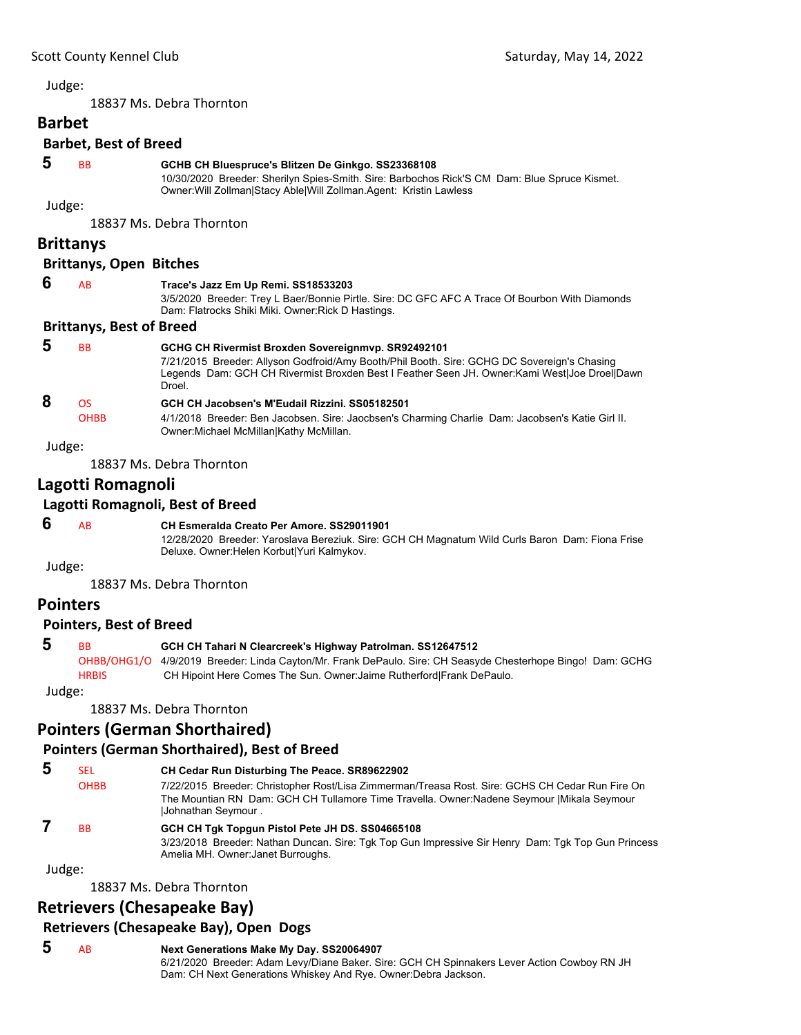<span id="page-2-0"></span>18837 Ms. Debra Thornton

# **Barbet**

# **Barbet, Best of Breed**

#### **5** BB **GCHB CH Bluespruce's Blitzen De Ginkgo. SS23368108**

10/30/2020 Breeder: Sherilyn Spies-Smith. Sire: Barbochos Rick'S CM Dam: Blue Spruce Kismet. Owner:Will Zollman|Stacy Able|Will Zollman.Agent: Kristin Lawless

Judge:

18837 Ms. Debra Thornton

### **Brittanys**

#### **Brittanys, Open Bitches**

| 6 | AB                              | Trace's Jazz Em Up Remi. SS18533203<br>3/5/2020 Breeder: Trey L Baer/Bonnie Pirtle. Sire: DC GFC AFC A Trace Of Bourbon With Diamonds<br>Dam: Flatrocks Shiki Miki. Owner: Rick D Hastings.                                                       |
|---|---------------------------------|---------------------------------------------------------------------------------------------------------------------------------------------------------------------------------------------------------------------------------------------------|
|   | <b>Brittanys, Best of Breed</b> |                                                                                                                                                                                                                                                   |
| 5 | <b>BB</b>                       | GCHG CH Rivermist Broxden Sovereignmyp. SR92492101<br>7/21/2015 Breeder: Allyson Godfroid/Amy Booth/Phil Booth. Sire: GCHG DC Sovereign's Chasing<br>Legends Dam: GCH CH Rivermist Broxden Best I Feather Seen JH. Owner:Kami West Joe Droel Dawn |

### Droel.  **8** OS **GCH CH Jacobsen's M'Eudail Rizzini. SS05182501** OHBB 4/1/2018 Breeder: Ben Jacobsen. Sire: Jaocbsen's Charming Charlie Dam: Jacobsen's Katie Girl II. Owner:Michael McMillan|Kathy McMillan.

Judge:

18837 Ms. Debra Thornton

### **Lagotti Romagnoli**

### **Lagotti Romagnoli, Best of Breed**

### **6** AB **CH Esmeralda Creato Per Amore. SS29011901**

12/28/2020 Breeder: Yaroslava Bereziuk. Sire: GCH CH Magnatum Wild Curls Baron Dam: Fiona Frise Deluxe. Owner:Helen Korbut|Yuri Kalmykov.

Judge:

18837 Ms. Debra Thornton

### **Pointers**

#### **Pointers, Best of Breed**

### **5** BB **GCH CH Tahari N Clearcreek's Highway Patrolman. SS12647512**

OHBB/OHG1/O 4/9/2019 Breeder: Linda Cayton/Mr. Frank DePaulo. Sire: CH Seasyde Chesterhope Bingo! Dam: GCHG HRBIS CH Hipoint Here Comes The Sun. Owner:Jaime Rutherford|Frank DePaulo.

Judge:

18837 Ms. Debra Thornton

### **Pointers (German Shorthaired)**

### **Pointers (German Shorthaired), Best of Breed**

| -5 | <b>SEL</b>  | CH Cedar Run Disturbing The Peace. SR89622902                                                                            |
|----|-------------|--------------------------------------------------------------------------------------------------------------------------|
|    | <b>OHBB</b> | 7/22/2015 Breeder: Christopher Rost/Lisa Zimmerman/Treasa Rost. Sire: GCHS CH Cedar Run Fire On                          |
|    |             | The Mountian RN Dam: GCH CH Tullamore Time Travella. Owner: Nadene Seymour   Mikala Seymour<br><b>Johnathan Seymour.</b> |
|    |             |                                                                                                                          |

## **7** BB **GCH CH Tgk Topgun Pistol Pete JH DS. SS04665108**

3/23/2018 Breeder: Nathan Duncan. Sire: Tgk Top Gun Impressive Sir Henry Dam: Tgk Top Gun Princess Amelia MH. Owner:Janet Burroughs.

Judge:

18837 Ms. Debra Thornton

### **Retrievers (Chesapeake Bay)**

### **Retrievers (Chesapeake Bay), Open Dogs**

### **5** AB **Next Generations Make My Day. SS20064907**

6/21/2020 Breeder: Adam Levy/Diane Baker. Sire: GCH CH Spinnakers Lever Action Cowboy RN JH Dam: CH Next Generations Whiskey And Rye. Owner:Debra Jackson.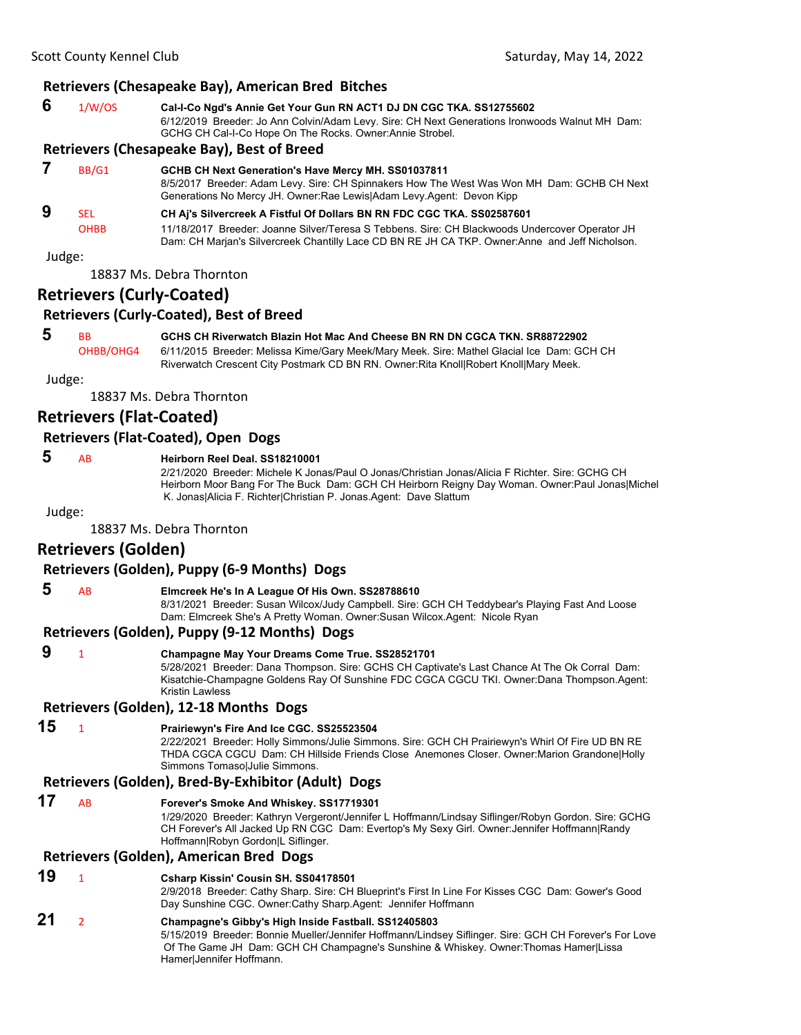### **Retrievers (Chesapeake Bay), American Bred Bitches**

| 6 | 1/W/OS | Cal-I-Co Ngd's Annie Get Your Gun RN ACT1 DJ DN CGC TKA. SS12755602                                                                                         |
|---|--------|-------------------------------------------------------------------------------------------------------------------------------------------------------------|
|   |        | 6/12/2019 Breeder: Jo Ann Colvin/Adam Levy. Sire: CH Next Generations Ironwoods Walnut MH Dam:<br>GCHG CH Cal-I-Co Hope On The Rocks. Owner: Annie Strobel. |

#### **Retrievers (Chesapeake Bay), Best of Breed**

| BB/G1       | GCHB CH Next Generation's Have Mercy MH. SS01037811<br>8/5/2017 Breeder: Adam Levy. Sire: CH Spinnakers How The West Was Won MH Dam: GCHB CH Next<br>Generations No Mercy JH. Owner: Rae Lewis Adam Levy Agent: Devon Kipp |
|-------------|----------------------------------------------------------------------------------------------------------------------------------------------------------------------------------------------------------------------------|
| <b>SEL</b>  | CH Aj's Silvercreek A Fistful Of Dollars BN RN FDC CGC TKA. SS02587601                                                                                                                                                     |
| <b>OHBB</b> | 11/18/2017 Breeder: Joanne Silver/Teresa S Tebbens. Sire: CH Blackwoods Undercover Operator JH<br>Dam: CH Marjan's Silvercreek Chantilly Lace CD BN RE JH CA TKP. Owner: Anne and Jeff Nicholson.                          |

Judge:

18837 Ms. Debra Thornton

### **Retrievers (Curly‐Coated)**

### **Retrievers (Curly‐Coated), Best of Breed**

 **5** BB **GCHS CH Riverwatch Blazin Hot Mac And Cheese BN RN DN CGCA TKN. SR88722902**

OHBB/OHG4 6/11/2015 Breeder: Melissa Kime/Gary Meek/Mary Meek. Sire: Mathel Glacial Ice Dam: GCH CH Riverwatch Crescent City Postmark CD BN RN. Owner:Rita Knoll|Robert Knoll|Mary Meek.

Judge:

18837 Ms. Debra Thornton

### **Retrievers (Flat‐Coated)**

### **Retrievers (Flat‐Coated), Open Dogs**

### **5** AB **Heirborn Reel Deal. SS18210001**

2/21/2020 Breeder: Michele K Jonas/Paul O Jonas/Christian Jonas/Alicia F Richter. Sire: GCHG CH Heirborn Moor Bang For The Buck Dam: GCH CH Heirborn Reigny Day Woman. Owner:Paul Jonas|Michel K. Jonas|Alicia F. Richter|Christian P. Jonas.Agent: Dave Slattum

Judge:

18837 Ms. Debra Thornton

### **Retrievers (Golden)**

### **Retrievers (Golden), Puppy (6‐9 Months) Dogs**

 **5** AB **Elmcreek He's In A League Of His Own. SS28788610**

8/31/2021 Breeder: Susan Wilcox/Judy Campbell. Sire: GCH CH Teddybear's Playing Fast And Loose Dam: Elmcreek She's A Pretty Woman. Owner:Susan Wilcox.Agent: Nicole Ryan

#### **Retrievers (Golden), Puppy (9‐12 Months) Dogs**

### **9** <sup>1</sup> **Champagne May Your Dreams Come True. SS28521701**

5/28/2021 Breeder: Dana Thompson. Sire: GCHS CH Captivate's Last Chance At The Ok Corral Dam: Kisatchie-Champagne Goldens Ray Of Sunshine FDC CGCA CGCU TKI. Owner:Dana Thompson.Agent: Kristin Lawless

**Retrievers (Golden), 12‐18 Months Dogs**

### **15** <sup>1</sup> **Prairiewyn's Fire And Ice CGC. SS25523504**

2/22/2021 Breeder: Holly Simmons/Julie Simmons. Sire: GCH CH Prairiewyn's Whirl Of Fire UD BN RE THDA CGCA CGCU Dam: CH Hillside Friends Close Anemones Closer. Owner:Marion Grandone|Holly Simmons Tomaso|Julie Simmons.

#### **Retrievers (Golden), Bred‐By‐Exhibitor (Adult) Dogs**

**17** AB **Forever's Smoke And Whiskey. SS17719301**

1/29/2020 Breeder: Kathryn Vergeront/Jennifer L Hoffmann/Lindsay Siflinger/Robyn Gordon. Sire: GCHG CH Forever's All Jacked Up RN CGC Dam: Evertop's My Sexy Girl. Owner:Jennifer Hoffmann|Randy Hoffmann|Robyn Gordon|L Siflinger.

#### **Retrievers (Golden), American Bred Dogs**

**19** <sup>1</sup> **Csharp Kissin' Cousin SH. SS04178501**

2/9/2018 Breeder: Cathy Sharp. Sire: CH Blueprint's First In Line For Kisses CGC Dam: Gower's Good Day Sunshine CGC. Owner:Cathy Sharp.Agent: Jennifer Hoffmann

### **21** <sup>2</sup> **Champagne's Gibby's High Inside Fastball. SS12405803**

5/15/2019 Breeder: Bonnie Mueller/Jennifer Hoffmann/Lindsey Siflinger. Sire: GCH CH Forever's For Love Of The Game JH Dam: GCH CH Champagne's Sunshine & Whiskey. Owner:Thomas Hamer|Lissa Hamer|Jennifer Hoffmann.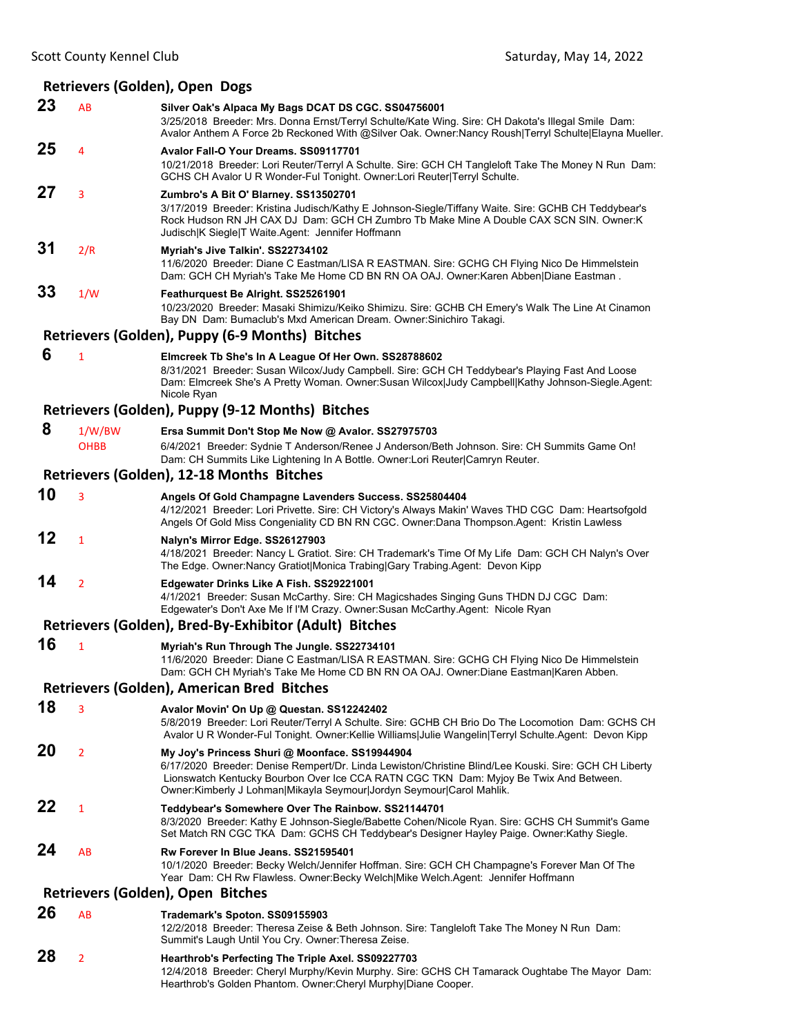### **Retrievers (Golden), Open Dogs**

| 23 | AB             | Silver Oak's Alpaca My Bags DCAT DS CGC. SS04756001<br>3/25/2018 Breeder: Mrs. Donna Ernst/Terryl Schulte/Kate Wing. Sire: CH Dakota's Illegal Smile Dam:<br>Avalor Anthem A Force 2b Reckoned With @Silver Oak. Owner:Nancy Roush Terryl Schulte Elayna Mueller.                                                         |
|----|----------------|---------------------------------------------------------------------------------------------------------------------------------------------------------------------------------------------------------------------------------------------------------------------------------------------------------------------------|
| 25 | 4              | Avalor Fall-O Your Dreams, SS09117701<br>10/21/2018 Breeder: Lori Reuter/Terryl A Schulte. Sire: GCH CH Tangleloft Take The Money N Run Dam:<br>GCHS CH Avalor U R Wonder-Ful Tonight. Owner:Lori Reuter Terryl Schulte.                                                                                                  |
| 27 | 3              | Zumbro's A Bit O' Blarney. SS13502701<br>3/17/2019 Breeder: Kristina Judisch/Kathy E Johnson-Siegle/Tiffany Waite. Sire: GCHB CH Teddybear's<br>Rock Hudson RN JH CAX DJ Dam: GCH CH Zumbro Tb Make Mine A Double CAX SCN SIN. Owner:K<br>Judisch K Siegle T Waite Agent: Jennifer Hoffmann                               |
| 31 | 2/R            | Myriah's Jive Talkin'. SS22734102<br>11/6/2020 Breeder: Diane C Eastman/LISA R EASTMAN. Sire: GCHG CH Flying Nico De Himmelstein<br>Dam: GCH CH Myriah's Take Me Home CD BN RN OA OAJ. Owner: Karen Abben Diane Eastman.                                                                                                  |
| 33 | 1/W            | Feathurquest Be Alright. SS25261901<br>10/23/2020 Breeder: Masaki Shimizu/Keiko Shimizu. Sire: GCHB CH Emery's Walk The Line At Cinamon<br>Bay DN Dam: Bumaclub's Mxd American Dream. Owner: Sinichiro Takagi.                                                                                                            |
|    |                | Retrievers (Golden), Puppy (6-9 Months) Bitches                                                                                                                                                                                                                                                                           |
| 6  | 1              | Elmcreek Tb She's In A League Of Her Own. SS28788602<br>8/31/2021 Breeder: Susan Wilcox/Judy Campbell. Sire: GCH CH Teddybear's Playing Fast And Loose<br>Dam: Elmcreek She's A Pretty Woman. Owner:Susan Wilcox Judy Campbell Kathy Johnson-Siegle.Agent:<br>Nicole Ryan                                                 |
|    |                | Retrievers (Golden), Puppy (9-12 Months) Bitches                                                                                                                                                                                                                                                                          |
| 8  | 1/W/BW         | Ersa Summit Don't Stop Me Now @ Avalor. SS27975703                                                                                                                                                                                                                                                                        |
|    | <b>OHBB</b>    | 6/4/2021 Breeder: Sydnie T Anderson/Renee J Anderson/Beth Johnson. Sire: CH Summits Game On!<br>Dam: CH Summits Like Lightening In A Bottle. Owner: Lori Reuter Camryn Reuter.                                                                                                                                            |
|    |                | Retrievers (Golden), 12-18 Months Bitches                                                                                                                                                                                                                                                                                 |
| 10 | 3              | Angels Of Gold Champagne Lavenders Success. SS25804404<br>4/12/2021 Breeder: Lori Privette. Sire: CH Victory's Always Makin' Waves THD CGC Dam: Heartsofgold<br>Angels Of Gold Miss Congeniality CD BN RN CGC. Owner:Dana Thompson.Agent: Kristin Lawless                                                                 |
| 12 | 1              | Nalyn's Mirror Edge. SS26127903<br>4/18/2021 Breeder: Nancy L Gratiot. Sire: CH Trademark's Time Of My Life Dam: GCH CH Nalyn's Over<br>The Edge. Owner: Nancy Gratiot Monica Trabing Gary Trabing. Agent: Devon Kipp                                                                                                     |
| 14 | 2              | Edgewater Drinks Like A Fish. SS29221001<br>4/1/2021 Breeder: Susan McCarthy. Sire: CH Magicshades Singing Guns THDN DJ CGC Dam:<br>Edgewater's Don't Axe Me If I'M Crazy. Owner:Susan McCarthy.Agent: Nicole Ryan                                                                                                        |
|    |                | Retrievers (Golden), Bred-By-Exhibitor (Adult) Bitches                                                                                                                                                                                                                                                                    |
| 16 | 1              | Myriah's Run Through The Jungle. SS22734101<br>11/6/2020 Breeder: Diane C Eastman/LISA R EASTMAN. Sire: GCHG CH Flying Nico De Himmelstein<br>Dam: GCH CH Myriah's Take Me Home CD BN RN OA OAJ. Owner:Diane Eastman Karen Abben.                                                                                         |
|    |                | <b>Retrievers (Golden), American Bred Bitches</b>                                                                                                                                                                                                                                                                         |
| 18 | 3              | Avalor Movin' On Up @ Questan. SS12242402<br>5/8/2019 Breeder: Lori Reuter/Terryl A Schulte. Sire: GCHB CH Brio Do The Locomotion Dam: GCHS CH<br>Avalor U R Wonder-Ful Tonight. Owner: Kellie Williams Julie Wangelin Terryl Schulte. Agent: Devon Kipp                                                                  |
| 20 | $\overline{2}$ | My Joy's Princess Shuri @ Moonface. SS19944904<br>6/17/2020 Breeder: Denise Rempert/Dr. Linda Lewiston/Christine Blind/Lee Kouski. Sire: GCH CH Liberty<br>Lionswatch Kentucky Bourbon Over Ice CCA RATN CGC TKN Dam: Myjoy Be Twix And Between.<br>Owner: Kimberly J Lohman Mikayla Seymour Jordyn Seymour Carol Mahlik. |
| 22 | 1              | Teddybear's Somewhere Over The Rainbow. SS21144701<br>8/3/2020 Breeder: Kathy E Johnson-Siegle/Babette Cohen/Nicole Ryan. Sire: GCHS CH Summit's Game<br>Set Match RN CGC TKA Dam: GCHS CH Teddybear's Designer Hayley Paige. Owner:Kathy Siegle.                                                                         |
| 24 | AB             | Rw Forever In Blue Jeans, SS21595401<br>10/1/2020 Breeder: Becky Welch/Jennifer Hoffman. Sire: GCH CH Champagne's Forever Man Of The<br>Year Dam: CH Rw Flawless. Owner: Becky Welch Mike Welch. Agent: Jennifer Hoffmann                                                                                                 |
|    |                | Retrievers (Golden), Open Bitches                                                                                                                                                                                                                                                                                         |
| 26 | AB             | Trademark's Spoton. SS09155903<br>12/2/2018 Breeder: Theresa Zeise & Beth Johnson. Sire: Tangleloft Take The Money N Run Dam:<br>Summit's Laugh Until You Cry. Owner: Theresa Zeise.                                                                                                                                      |
| 28 | 2              | Hearthrob's Perfecting The Triple Axel. SS09227703<br>12/4/2018 Breeder: Cheryl Murphy/Kevin Murphy. Sire: GCHS CH Tamarack Oughtabe The Mayor Dam:<br>Hearthrob's Golden Phantom. Owner: Cheryl Murphy Diane Cooper.                                                                                                     |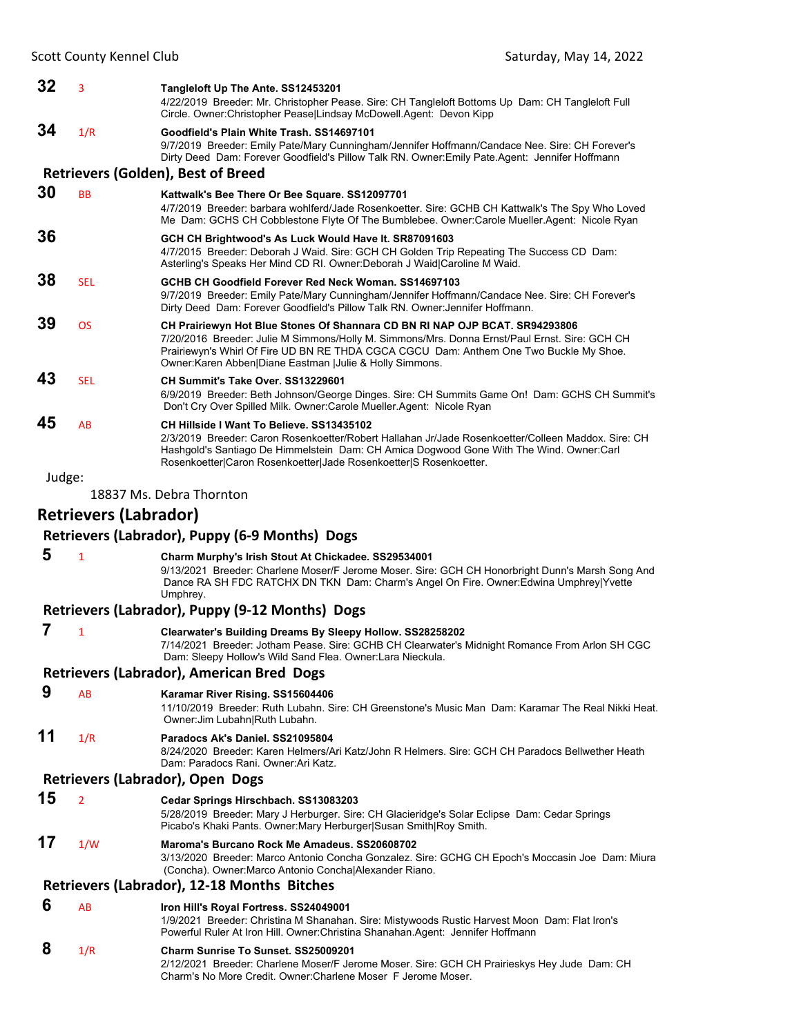| 32     | 3                            | Tangleloft Up The Ante. SS12453201<br>4/22/2019 Breeder: Mr. Christopher Pease. Sire: CH Tangleloft Bottoms Up Dam: CH Tangleloft Full<br>Circle. Owner: Christopher Pease   Lindsay McDowell. Agent: Devon Kipp                                                                                                                   |
|--------|------------------------------|------------------------------------------------------------------------------------------------------------------------------------------------------------------------------------------------------------------------------------------------------------------------------------------------------------------------------------|
| 34     | 1/R                          | Goodfield's Plain White Trash. SS14697101<br>9/7/2019 Breeder: Emily Pate/Mary Cunningham/Jennifer Hoffmann/Candace Nee. Sire: CH Forever's<br>Dirty Deed Dam: Forever Goodfield's Pillow Talk RN. Owner: Emily Pate Agent: Jennifer Hoffmann                                                                                      |
|        |                              | <b>Retrievers (Golden), Best of Breed</b>                                                                                                                                                                                                                                                                                          |
| 30     | <b>BB</b>                    | Kattwalk's Bee There Or Bee Square. SS12097701<br>4/7/2019 Breeder: barbara wohlferd/Jade Rosenkoetter. Sire: GCHB CH Kattwalk's The Spy Who Loved<br>Me Dam: GCHS CH Cobblestone Flyte Of The Bumblebee. Owner:Carole Mueller.Agent: Nicole Ryan                                                                                  |
| 36     |                              | GCH CH Brightwood's As Luck Would Have It. SR87091603<br>4/7/2015 Breeder: Deborah J Waid. Sire: GCH CH Golden Trip Repeating The Success CD Dam:<br>Asterling's Speaks Her Mind CD RI. Owner: Deborah J Waid Caroline M Waid.                                                                                                     |
| 38     | <b>SEL</b>                   | GCHB CH Goodfield Forever Red Neck Woman. SS14697103<br>9/7/2019 Breeder: Emily Pate/Mary Cunningham/Jennifer Hoffmann/Candace Nee. Sire: CH Forever's<br>Dirty Deed Dam: Forever Goodfield's Pillow Talk RN. Owner: Jennifer Hoffmann.                                                                                            |
| 39     | <b>OS</b>                    | CH Prairiewyn Hot Blue Stones Of Shannara CD BN RI NAP OJP BCAT. SR94293806<br>7/20/2016 Breeder: Julie M Simmons/Holly M. Simmons/Mrs. Donna Ernst/Paul Ernst. Sire: GCH CH<br>Prairiewyn's Whirl Of Fire UD BN RE THDA CGCA CGCU Dam: Anthem One Two Buckle My Shoe.<br>Owner: Karen Abben Diane Eastman  Julie & Holly Simmons. |
| 43     | <b>SEL</b>                   | CH Summit's Take Over, SS13229601<br>6/9/2019 Breeder: Beth Johnson/George Dinges. Sire: CH Summits Game On! Dam: GCHS CH Summit's<br>Don't Cry Over Spilled Milk. Owner:Carole Mueller.Agent: Nicole Ryan                                                                                                                         |
| 45     | AB                           | CH Hillside I Want To Believe, SS13435102<br>2/3/2019 Breeder: Caron Rosenkoetter/Robert Hallahan Jr/Jade Rosenkoetter/Colleen Maddox. Sire: CH<br>Hashgold's Santiago De Himmelstein Dam: CH Amica Dogwood Gone With The Wind. Owner:Carl<br>Rosenkoetter Caron Rosenkoetter Jade Rosenkoetter S Rosenkoetter.                    |
| Judge: |                              |                                                                                                                                                                                                                                                                                                                                    |
|        |                              | 18837 Ms. Debra Thornton                                                                                                                                                                                                                                                                                                           |
|        | <b>Retrievers (Labrador)</b> |                                                                                                                                                                                                                                                                                                                                    |
|        |                              | Retrievers (Labrador), Puppy (6-9 Months) Dogs                                                                                                                                                                                                                                                                                     |
| 5      | $\mathbf{1}$                 | Charm Murphy's Irish Stout At Chickadee. SS29534001<br>9/13/2021 Breeder: Charlene Moser/F Jerome Moser. Sire: GCH CH Honorbright Dunn's Marsh Song And<br>Dance RA SH FDC RATCHX DN TKN Dam: Charm's Angel On Fire. Owner:Edwina Umphrey Yvette<br>Umphrey.                                                                       |
|        |                              | Retrievers (Labrador), Puppy (9-12 Months) Dogs                                                                                                                                                                                                                                                                                    |
| 7      | 1                            | Clearwater's Building Dreams By Sleepy Hollow. SS28258202<br>7/14/2021 Breeder: Jotham Pease. Sire: GCHB CH Clearwater's Midnight Romance From Arlon SH CGC<br>Dam: Sleepy Hollow's Wild Sand Flea. Owner:Lara Nieckula.                                                                                                           |
|        |                              | Retrievers (Labrador), American Bred Dogs                                                                                                                                                                                                                                                                                          |
| 9      | AB                           | Karamar River Rising. SS15604406<br>11/10/2019 Breeder: Ruth Lubahn. Sire: CH Greenstone's Music Man Dam: Karamar The Real Nikki Heat.                                                                                                                                                                                             |
| 11     |                              | Owner: Jim Lubahn Ruth Lubahn.                                                                                                                                                                                                                                                                                                     |
|        | 1/R                          | Paradocs Ak's Daniel. SS21095804<br>8/24/2020 Breeder: Karen Helmers/Ari Katz/John R Helmers, Sire: GCH CH Paradocs Bellwether Heath<br>Dam: Paradocs Rani, Owner: Ari Katz.                                                                                                                                                       |
|        |                              | Retrievers (Labrador), Open Dogs                                                                                                                                                                                                                                                                                                   |
| 15     | $\overline{2}$               | Cedar Springs Hirschbach. SS13083203<br>5/28/2019 Breeder: Mary J Herburger. Sire: CH Glacieridge's Solar Eclipse Dam: Cedar Springs<br>Picabo's Khaki Pants. Owner: Mary Herburger Susan Smith Roy Smith.                                                                                                                         |
| 17     | 1/W                          | Maroma's Burcano Rock Me Amadeus. SS20608702<br>3/13/2020 Breeder: Marco Antonio Concha Gonzalez. Sire: GCHG CH Epoch's Moccasin Joe Dam: Miura<br>(Concha). Owner: Marco Antonio Concha Alexander Riano.                                                                                                                          |
|        |                              | Retrievers (Labrador), 12-18 Months Bitches                                                                                                                                                                                                                                                                                        |
| 6      | AB                           | Iron Hill's Royal Fortress. SS24049001<br>1/9/2021 Breeder: Christina M Shanahan. Sire: Mistywoods Rustic Harvest Moon Dam: Flat Iron's<br>Powerful Ruler At Iron Hill. Owner: Christina Shanahan. Agent: Jennifer Hoffmann                                                                                                        |

Charm's No More Credit. Owner:Charlene Moser F Jerome Moser.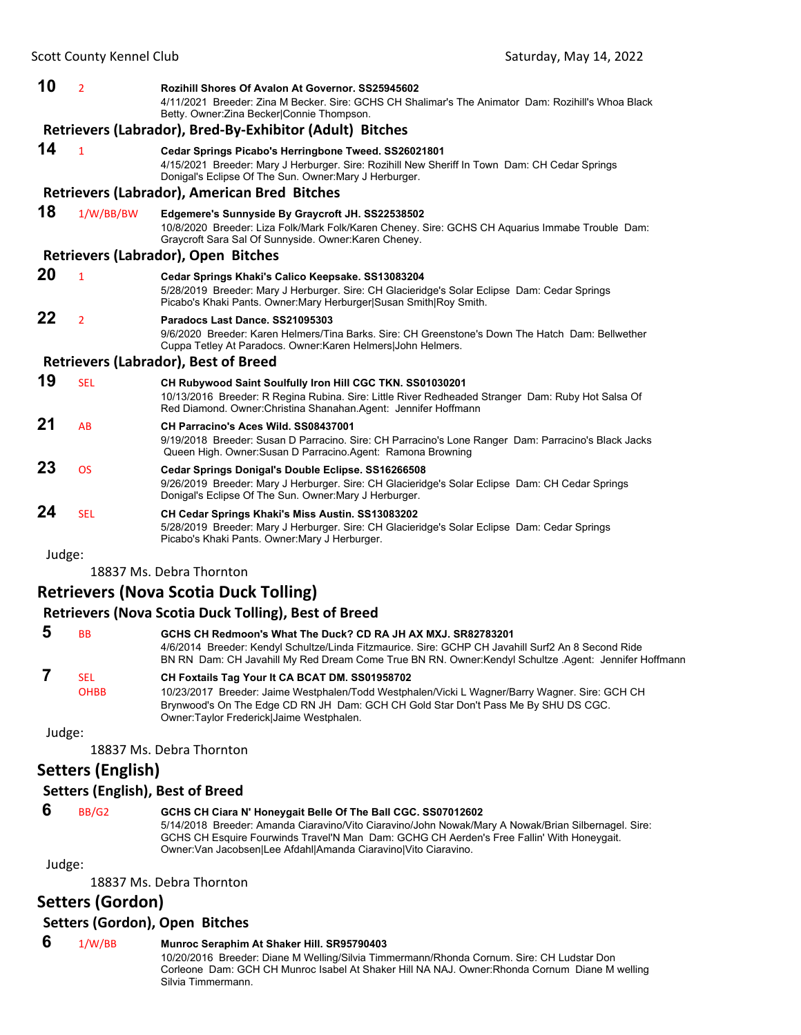| 10     | $\overline{2}$ | Rozihill Shores Of Avalon At Governor, SS25945602<br>4/11/2021 Breeder: Zina M Becker, Sire: GCHS CH Shalimar's The Animator Dam: Rozihill's Whoa Black<br>Betty. Owner: Zina Becker Connie Thompson.                              |
|--------|----------------|------------------------------------------------------------------------------------------------------------------------------------------------------------------------------------------------------------------------------------|
|        |                | Retrievers (Labrador), Bred-By-Exhibitor (Adult) Bitches                                                                                                                                                                           |
| 14     | $\mathbf{1}$   | Cedar Springs Picabo's Herringbone Tweed. SS26021801<br>4/15/2021 Breeder: Mary J Herburger. Sire: Rozihill New Sheriff In Town Dam: CH Cedar Springs<br>Donigal's Eclipse Of The Sun. Owner: Mary J Herburger.                    |
|        |                | <b>Retrievers (Labrador), American Bred Bitches</b>                                                                                                                                                                                |
| 18     | 1/W/BB/BW      | Edgemere's Sunnyside By Graycroft JH. SS22538502<br>10/8/2020 Breeder: Liza Folk/Mark Folk/Karen Cheney. Sire: GCHS CH Aquarius Immabe Trouble Dam:<br>Graycroft Sara Sal Of Sunnyside. Owner: Karen Cheney.                       |
|        |                | Retrievers (Labrador), Open Bitches                                                                                                                                                                                                |
| 20     | $\mathbf{1}$   | Cedar Springs Khaki's Calico Keepsake. SS13083204<br>5/28/2019 Breeder: Mary J Herburger. Sire: CH Glacieridge's Solar Eclipse Dam: Cedar Springs<br>Picabo's Khaki Pants. Owner: Mary Herburger Susan Smith Roy Smith.            |
| 22     | $\overline{2}$ | Paradocs Last Dance, SS21095303<br>9/6/2020 Breeder: Karen Helmers/Tina Barks, Sire: CH Greenstone's Down The Hatch Dam: Bellwether<br>Cuppa Tetley At Paradocs. Owner: Karen Helmers John Helmers.                                |
|        |                | <b>Retrievers (Labrador), Best of Breed</b>                                                                                                                                                                                        |
| 19     | <b>SEL</b>     | CH Rubywood Saint Soulfully Iron Hill CGC TKN. SS01030201<br>10/13/2016 Breeder: R Regina Rubina. Sire: Little River Redheaded Stranger Dam: Ruby Hot Salsa Of<br>Red Diamond. Owner: Christina Shanahan. Agent: Jennifer Hoffmann |
| 21     | AB             | CH Parracino's Aces Wild. SS08437001<br>9/19/2018 Breeder: Susan D Parracino. Sire: CH Parracino's Lone Ranger Dam: Parracino's Black Jacks<br>Queen High. Owner: Susan D Parracino. Agent: Ramona Browning                        |
| 23     | <b>OS</b>      | Cedar Springs Donigal's Double Eclipse. SS16266508<br>9/26/2019 Breeder: Mary J Herburger. Sire: CH Glacieridge's Solar Eclipse Dam: CH Cedar Springs<br>Donigal's Eclipse Of The Sun. Owner: Mary J Herburger.                    |
| 24     | <b>SEL</b>     | CH Cedar Springs Khaki's Miss Austin. SS13083202<br>5/28/2019 Breeder: Mary J Herburger. Sire: CH Glacieridge's Solar Eclipse Dam: Cedar Springs<br>Picabo's Khaki Pants. Owner: Mary J Herburger.                                 |
| Judge: |                |                                                                                                                                                                                                                                    |

18837 Ms. Debra Thornton

### **Retrievers (Nova Scotia Duck Tolling)**

### **Retrievers (Nova Scotia Duck Tolling), Best of Breed**

| 5      | ВB          | GCHS CH Redmoon's What The Duck? CD RA JH AX MXJ. SR82783201<br>4/6/2014 Breeder: Kendyl Schultze/Linda Fitzmaurice. Sire: GCHP CH Javahill Surf2 An 8 Second Ride<br>BN RN Dam: CH Javahill My Red Dream Come True BN RN. Owner: Kendyl Schultze Agent: Jennifer Hoffmann |
|--------|-------------|----------------------------------------------------------------------------------------------------------------------------------------------------------------------------------------------------------------------------------------------------------------------------|
|        | SEL         | CH Foxtails Tag Your It CA BCAT DM. SS01958702                                                                                                                                                                                                                             |
|        | <b>OHBB</b> | 10/23/2017 Breeder: Jaime Westphalen/Todd Westphalen/Vicki L Wagner/Barry Wagner. Sire: GCH CH                                                                                                                                                                             |
|        |             | Brynwood's On The Edge CD RN JH Dam: GCH CH Gold Star Don't Pass Me By SHU DS CGC.<br>Owner:Taylor Frederick Jaime Westphalen.                                                                                                                                             |
| Judge: |             |                                                                                                                                                                                                                                                                            |
|        |             |                                                                                                                                                                                                                                                                            |

18837 Ms. Debra Thornton

## **Setters (English)**

### **Setters (English), Best of Breed**

### **6** BB/G2 **GCHS CH Ciara N' Honeygait Belle Of The Ball CGC. SS07012602**

5/14/2018 Breeder: Amanda Ciaravino/Vito Ciaravino/John Nowak/Mary A Nowak/Brian Silbernagel. Sire: GCHS CH Esquire Fourwinds Travel'N Man Dam: GCHG CH Aerden's Free Fallin' With Honeygait. Owner:Van Jacobsen|Lee Afdahl|Amanda Ciaravino|Vito Ciaravino.

Judge:

18837 Ms. Debra Thornton

### **Setters (Gordon)**

### **Setters (Gordon), Open Bitches**

### **6** 1/W/BB **Munroc Seraphim At Shaker Hill. SR95790403**

10/20/2016 Breeder: Diane M Welling/Silvia Timmermann/Rhonda Cornum. Sire: CH Ludstar Don Corleone Dam: GCH CH Munroc Isabel At Shaker Hill NA NAJ. Owner:Rhonda Cornum Diane M welling Silvia Timmermann.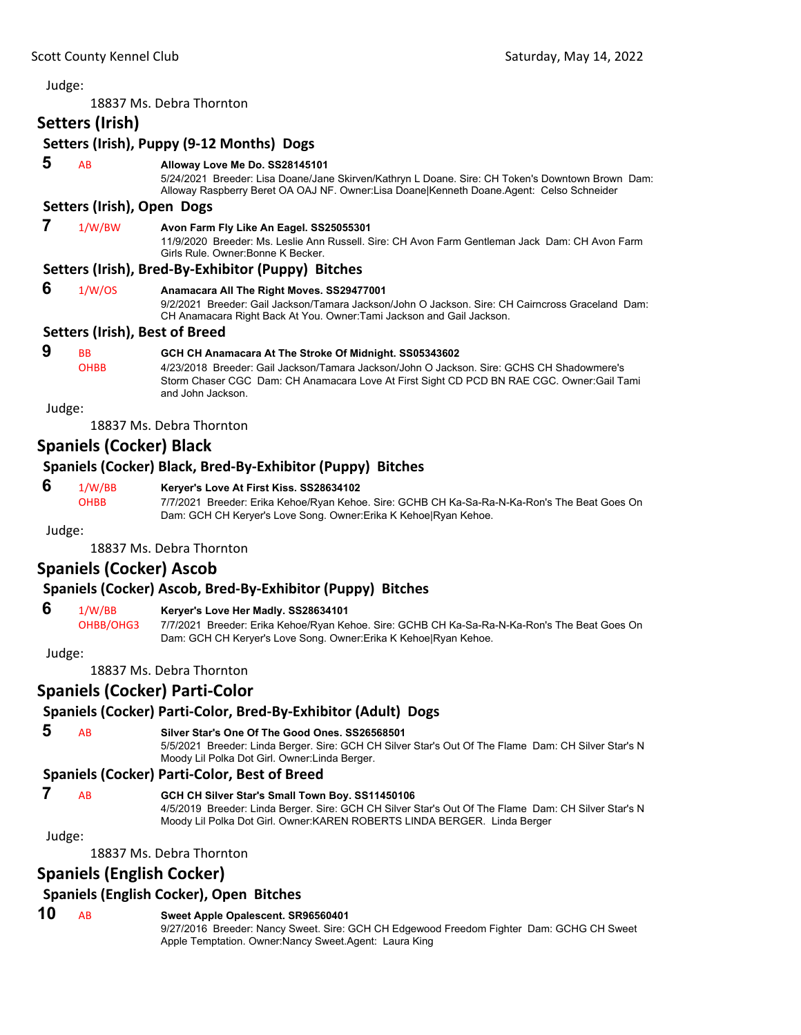18837 Ms. Debra Thornton

### **Setters (Irish)**

### **Setters (Irish), Puppy (9‐12 Months) Dogs**

 **5** AB **Alloway Love Me Do. SS28145101**

5/24/2021 Breeder: Lisa Doane/Jane Skirven/Kathryn L Doane. Sire: CH Token's Downtown Brown Dam: Alloway Raspberry Beret OA OAJ NF. Owner:Lisa Doane|Kenneth Doane.Agent: Celso Schneider

### **Setters (Irish), Open Dogs**

### **7** 1/W/BW **Avon Farm Fly Like An Eagel. SS25055301**

11/9/2020 Breeder: Ms. Leslie Ann Russell. Sire: CH Avon Farm Gentleman Jack Dam: CH Avon Farm Girls Rule. Owner:Bonne K Becker.

### **Setters (Irish), Bred‐By‐Exhibitor (Puppy) Bitches**

| 6 | 1/W/OS | Anamacara All The Right Moves. SS29477001                                                        |
|---|--------|--------------------------------------------------------------------------------------------------|
|   |        | 9/2/2021 Breeder: Gail Jackson/Tamara Jackson/John O Jackson. Sire: CH Cairncross Graceland Dam: |
|   |        | CH Anamacara Right Back At You. Owner: Tami Jackson and Gail Jackson.                            |

#### **Setters (Irish), Best of Breed**

#### **9** BB **GCH CH Anamacara At The Stroke Of Midnight. SS05343602** OHBB 4/23/2018 Breeder: Gail Jackson/Tamara Jackson/John O Jackson. Sire: GCHS CH Shadowmere's Storm Chaser CGC Dam: CH Anamacara Love At First Sight CD PCD BN RAE CGC. Owner:Gail Tami and John Jackson.

Judge:

18837 Ms. Debra Thornton

### **Spaniels (Cocker) Black**

### **Spaniels (Cocker) Black, Bred‐By‐Exhibitor (Puppy) Bitches**

#### **6** 1/W/BB **Keryer's Love At First Kiss. SS28634102**

OHBB 7/7/2021 Breeder: Erika Kehoe/Ryan Kehoe. Sire: GCHB CH Ka-Sa-Ra-N-Ka-Ron's The Beat Goes On Dam: GCH CH Keryer's Love Song. Owner:Erika K Kehoe|Ryan Kehoe.

#### Judge:

18837 Ms. Debra Thornton

### **Spaniels (Cocker) Ascob**

### **Spaniels (Cocker) Ascob, Bred‐By‐Exhibitor (Puppy) Bitches**

#### **6** 1/W/BB **Keryer's Love Her Madly. SS28634101**

OHBB/OHG3 7/7/2021 Breeder: Erika Kehoe/Ryan Kehoe. Sire: GCHB CH Ka-Sa-Ra-N-Ka-Ron's The Beat Goes On Dam: GCH CH Keryer's Love Song. Owner:Erika K Kehoe|Ryan Kehoe.

Judge:

18837 Ms. Debra Thornton

### **Spaniels (Cocker) Parti‐Color**

### **Spaniels (Cocker) Parti‐Color, Bred‐By‐Exhibitor (Adult) Dogs**

### **5** AB **Silver Star's One Of The Good Ones. SS26568501**

5/5/2021 Breeder: Linda Berger. Sire: GCH CH Silver Star's Out Of The Flame Dam: CH Silver Star's N Moody Lil Polka Dot Girl. Owner:Linda Berger.

### **Spaniels (Cocker) Parti‐Color, Best of Breed**

### **7** AB **GCH CH Silver Star's Small Town Boy. SS11450106**

4/5/2019 Breeder: Linda Berger. Sire: GCH CH Silver Star's Out Of The Flame Dam: CH Silver Star's N Moody Lil Polka Dot Girl. Owner:KAREN ROBERTS LINDA BERGER. Linda Berger

#### Judge:

18837 Ms. Debra Thornton

### **Spaniels (English Cocker)**

## **Spaniels (English Cocker), Open Bitches**

### **10** AB **Sweet Apple Opalescent. SR96560401**

9/27/2016 Breeder: Nancy Sweet. Sire: GCH CH Edgewood Freedom Fighter Dam: GCHG CH Sweet Apple Temptation. Owner:Nancy Sweet.Agent: Laura King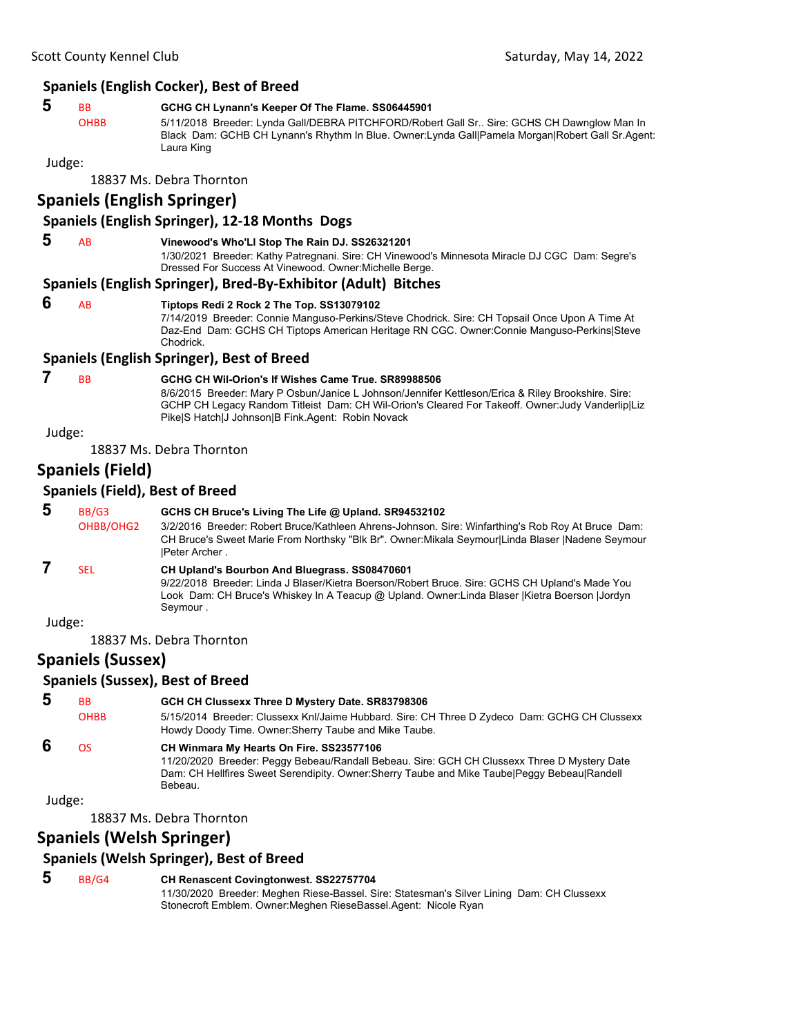### **Spaniels (English Cocker), Best of Breed**

### **5** BB **GCHG CH Lynann's Keeper Of The Flame. SS06445901**

OHBB 5/11/2018 Breeder: Lynda Gall/DEBRA PITCHFORD/Robert Gall Sr.. Sire: GCHS CH Dawnglow Man In Black Dam: GCHB CH Lynann's Rhythm In Blue. Owner:Lynda Gall|Pamela Morgan|Robert Gall Sr.Agent: Laura King

Judge:

18837 Ms. Debra Thornton

### **Spaniels (English Springer)**

#### **Spaniels (English Springer), 12‐18 Months Dogs**

#### **5** AB **Vinewood's Who'Ll Stop The Rain DJ. SS26321201**

1/30/2021 Breeder: Kathy Patregnani. Sire: CH Vinewood's Minnesota Miracle DJ CGC Dam: Segre's Dressed For Success At Vinewood. Owner:Michelle Berge.

#### **Spaniels (English Springer), Bred‐By‐Exhibitor (Adult) Bitches**

#### **6** AB **Tiptops Redi 2 Rock 2 The Top. SS13079102**

7/14/2019 Breeder: Connie Manguso-Perkins/Steve Chodrick. Sire: CH Topsail Once Upon A Time At Daz-End Dam: GCHS CH Tiptops American Heritage RN CGC. Owner:Connie Manguso-Perkins|Steve Chodrick.

#### **Spaniels (English Springer), Best of Breed**

### **7** BB **GCHG CH Wil-Orion's If Wishes Came True. SR89988506**

8/6/2015 Breeder: Mary P Osbun/Janice L Johnson/Jennifer Kettleson/Erica & Riley Brookshire. Sire: GCHP CH Legacy Random Titleist Dam: CH Wil-Orion's Cleared For Takeoff. Owner:Judy Vanderlip|Liz Pike|S Hatch|J Johnson|B Fink.Agent: Robin Novack

Judge:

18837 Ms. Debra Thornton

### **Spaniels (Field)**

#### **Spaniels (Field), Best of Breed**

 **5** BB/G3 **GCHS CH Bruce's Living The Life @ Upland. SR94532102** OHBB/OHG2 3/2/2016 Breeder: Robert Bruce/Kathleen Ahrens-Johnson. Sire: Winfarthing's Rob Roy At Bruce Dam: CH Bruce's Sweet Marie From Northsky "Blk Br". Owner:Mikala Seymour|Linda Blaser |Nadene Seymour |Peter Archer .

## **7** SEL **CH Upland's Bourbon And Bluegrass. SS08470601**

9/22/2018 Breeder: Linda J Blaser/Kietra Boerson/Robert Bruce. Sire: GCHS CH Upland's Made You Look Dam: CH Bruce's Whiskey In A Teacup @ Upland. Owner:Linda Blaser |Kietra Boerson |Jordyn Seymour .

Judge:

18837 Ms. Debra Thornton

### **Spaniels (Sussex)**

### **Spaniels (Sussex), Best of Breed**

 **5** BB **GCH CH Clussexx Three D Mystery Date. SR83798306** OHBB 5/15/2014 Breeder: Clussexx Knl/Jaime Hubbard. Sire: CH Three D Zydeco Dam: GCHG CH Clussexx Howdy Doody Time. Owner:Sherry Taube and Mike Taube.

### **6** OS **CH Winmara My Hearts On Fire. SS23577106**

11/20/2020 Breeder: Peggy Bebeau/Randall Bebeau. Sire: GCH CH Clussexx Three D Mystery Date Dam: CH Hellfires Sweet Serendipity. Owner:Sherry Taube and Mike Taube|Peggy Bebeau|Randell Bebeau.

Judge:

18837 Ms. Debra Thornton

### **Spaniels (Welsh Springer)**

### **Spaniels (Welsh Springer), Best of Breed**

 **5** BB/G4 **CH Renascent Covingtonwest. SS22757704**

11/30/2020 Breeder: Meghen Riese-Bassel. Sire: Statesman's Silver Lining Dam: CH Clussexx Stonecroft Emblem. Owner:Meghen RieseBassel.Agent: Nicole Ryan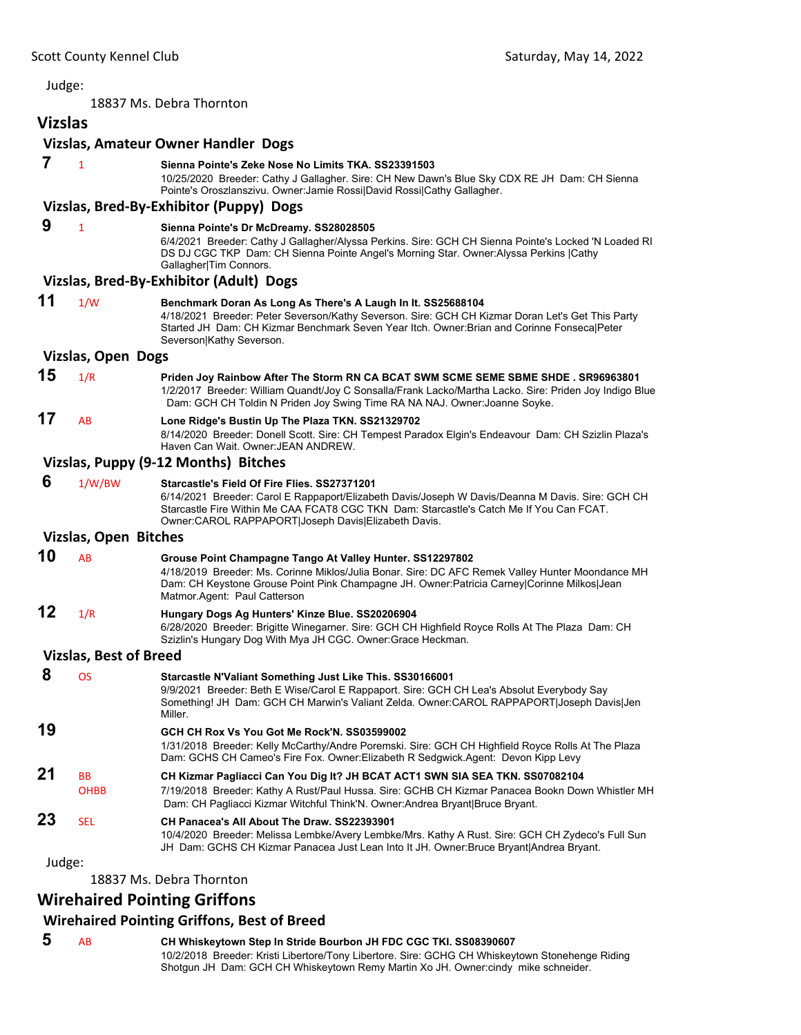18837 Ms. Debra Thornton

## **Vizslas**

#### **Vizslas, Amateur Owner Handler Dogs**

 **7** <sup>1</sup> **Sienna Pointe's Zeke Nose No Limits TKA. SS23391503** 10/25/2020 Breeder: Cathy J Gallagher. Sire: CH New Dawn's Blue Sky CDX RE JH Dam: CH Sienna Pointe's Oroszlanszivu. Owner:Jamie Rossi|David Rossi|Cathy Gallagher. **Vizslas, Bred‐By‐Exhibitor (Puppy) Dogs 9** <sup>1</sup> **Sienna Pointe's Dr McDreamy. SS28028505** 6/4/2021 Breeder: Cathy J Gallagher/Alyssa Perkins. Sire: GCH CH Sienna Pointe's Locked 'N Loaded RI DS DJ CGC TKP Dam: CH Sienna Pointe Angel's Morning Star. Owner:Alyssa Perkins |Cathy Gallagher|Tim Connors. **Vizslas, Bred‐By‐Exhibitor (Adult) Dogs 11** 1/W **Benchmark Doran As Long As There's A Laugh In It. SS25688104** 4/18/2021 Breeder: Peter Severson/Kathy Severson. Sire: GCH CH Kizmar Doran Let's Get This Party Started JH Dam: CH Kizmar Benchmark Seven Year Itch. Owner:Brian and Corinne Fonseca|Peter Severson|Kathy Severson. **Vizslas, Open Dogs 15** 1/R **Priden Joy Rainbow After The Storm RN CA BCAT SWM SCME SEME SBME SHDE . SR96963801** 1/2/2017 Breeder: William Quandt/Joy C Sonsalla/Frank Lacko/Martha Lacko. Sire: Priden Joy Indigo Blue Dam: GCH CH Toldin N Priden Joy Swing Time RA NA NAJ. Owner:Joanne Soyke. **17** AB **Lone Ridge's Bustin Up The Plaza TKN. SS21329702** 8/14/2020 Breeder: Donell Scott. Sire: CH Tempest Paradox Elgin's Endeavour Dam: CH Szizlin Plaza's Haven Can Wait. Owner:JEAN ANDREW. **Vizslas, Puppy (9‐12 Months) Bitches 6** 1/W/BW **Starcastle's Field Of Fire Flies. SS27371201** 6/14/2021 Breeder: Carol E Rappaport/Elizabeth Davis/Joseph W Davis/Deanna M Davis. Sire: GCH CH Starcastle Fire Within Me CAA FCAT8 CGC TKN Dam: Starcastle's Catch Me If You Can FCAT. Owner:CAROL RAPPAPORT|Joseph Davis|Elizabeth Davis. **Vizslas, Open Bitches 10** AB **Grouse Point Champagne Tango At Valley Hunter. SS12297802** 4/18/2019 Breeder: Ms. Corinne Miklos/Julia Bonar. Sire: DC AFC Remek Valley Hunter Moondance MH Dam: CH Keystone Grouse Point Pink Champagne JH. Owner:Patricia Carney|Corinne Milkos|Jean Matmor.Agent: Paul Catterson **12** 1/R **Hungary Dogs Ag Hunters' Kinze Blue. SS20206904** 6/28/2020 Breeder: Brigitte Winegarner. Sire: GCH CH Highfield Royce Rolls At The Plaza Dam: CH Szizlin's Hungary Dog With Mya JH CGC. Owner:Grace Heckman. **Vizslas, Best of Breed 8** OS **Starcastle N'Valiant Something Just Like This. SS30166001** 9/9/2021 Breeder: Beth E Wise/Carol E Rappaport. Sire: GCH CH Lea's Absolut Everybody Say Something! JH Dam: GCH CH Marwin's Valiant Zelda. Owner:CAROL RAPPAPORT|Joseph Davis|Jen Miller. **19 GCH CH Rox Vs You Got Me Rock'N. SS03599002** 1/31/2018 Breeder: Kelly McCarthy/Andre Poremski. Sire: GCH CH Highfield Royce Rolls At The Plaza Dam: GCHS CH Cameo's Fire Fox. Owner:Elizabeth R Sedgwick.Agent: Devon Kipp Levy **21** BB **CH Kizmar Pagliacci Can You Dig It? JH BCAT ACT1 SWN SIA SEA TKN. SS07082104** OHBB 7/19/2018 Breeder: Kathy A Rust/Paul Hussa. Sire: GCHB CH Kizmar Panacea Bookn Down Whistler MH Dam: CH Pagliacci Kizmar Witchful Think'N. Owner:Andrea Bryant|Bruce Bryant. **23** SEL **CH Panacea's All About The Draw. SS22393901** 10/4/2020 Breeder: Melissa Lembke/Avery Lembke/Mrs. Kathy A Rust. Sire: GCH CH Zydeco's Full Sun JH Dam: GCHS CH Kizmar Panacea Just Lean Into It JH. Owner:Bruce Bryant|Andrea Bryant.

Judge:

18837 Ms. Debra Thornton

### **Wirehaired Pointing Griffons**

### **Wirehaired Pointing Griffons, Best of Breed**

 **5** AB **CH Whiskeytown Step In Stride Bourbon JH FDC CGC TKI. SS08390607** 10/2/2018 Breeder: Kristi Libertore/Tony Libertore. Sire: GCHG CH Whiskeytown Stonehenge Riding Shotgun JH Dam: GCH CH Whiskeytown Remy Martin Xo JH. Owner:cindy mike schneider.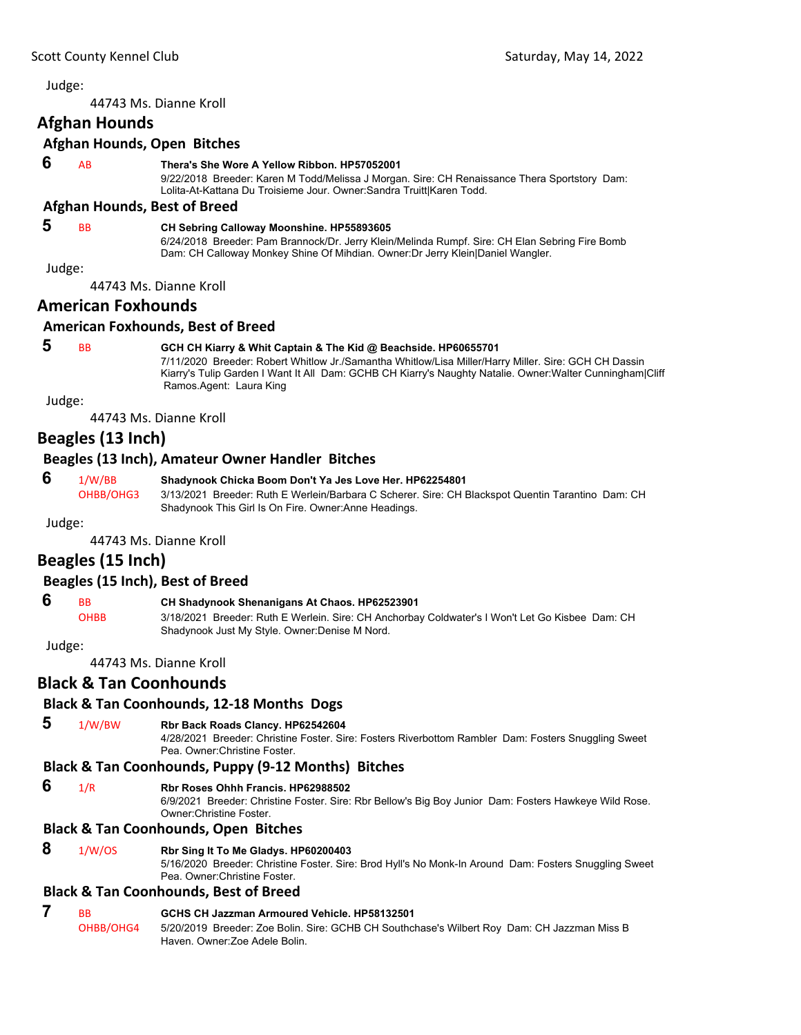<span id="page-10-0"></span>44743 Ms. Dianne Kroll

### **Afghan Hounds**

#### **Afghan Hounds, Open Bitches**

#### **6** AB **Thera's She Wore A Yellow Ribbon. HP57052001**

9/22/2018 Breeder: Karen M Todd/Melissa J Morgan. Sire: CH Renaissance Thera Sportstory Dam: Lolita-At-Kattana Du Troisieme Jour. Owner:Sandra Truitt|Karen Todd.

#### **Afghan Hounds, Best of Breed**

### **5** BB **CH Sebring Calloway Moonshine. HP55893605**

6/24/2018 Breeder: Pam Brannock/Dr. Jerry Klein/Melinda Rumpf. Sire: CH Elan Sebring Fire Bomb Dam: CH Calloway Monkey Shine Of Mihdian. Owner:Dr Jerry Klein|Daniel Wangler.

Judge:

44743 Ms. Dianne Kroll

### **American Foxhounds**

### **American Foxhounds, Best of Breed**

### **5** BB **GCH CH Kiarry & Whit Captain & The Kid @ Beachside. HP60655701**

7/11/2020 Breeder: Robert Whitlow Jr./Samantha Whitlow/Lisa Miller/Harry Miller. Sire: GCH CH Dassin Kiarry's Tulip Garden I Want It All Dam: GCHB CH Kiarry's Naughty Natalie. Owner:Walter Cunningham|Cliff Ramos.Agent: Laura King

Judge:

44743 Ms. Dianne Kroll

### **Beagles (13 Inch)**

### **Beagles (13 Inch), Amateur Owner Handler Bitches**

#### **6** 1/W/BB **Shadynook Chicka Boom Don't Ya Jes Love Her. HP62254801**

OHBB/OHG3 3/13/2021 Breeder: Ruth E Werlein/Barbara C Scherer. Sire: CH Blackspot Quentin Tarantino Dam: CH Shadynook This Girl Is On Fire. Owner:Anne Headings.

Judge:

44743 Ms. Dianne Kroll

### **Beagles (15 Inch)**

### **Beagles (15 Inch), Best of Breed**

 **6** BB **CH Shadynook Shenanigans At Chaos. HP62523901**

OHBB 3/18/2021 Breeder: Ruth E Werlein. Sire: CH Anchorbay Coldwater's I Won't Let Go Kisbee Dam: CH Shadynook Just My Style. Owner:Denise M Nord.

Judge:

44743 Ms. Dianne Kroll

### **Black & Tan Coonhounds**

### **Black & Tan Coonhounds, 12‐18 Months Dogs**

### **5** 1/W/BW **Rbr Back Roads Clancy. HP62542604**

4/28/2021 Breeder: Christine Foster. Sire: Fosters Riverbottom Rambler Dam: Fosters Snuggling Sweet Pea. Owner:Christine Foster.

### **Black & Tan Coonhounds, Puppy (9‐12 Months) Bitches**

 **6** 1/R **Rbr Roses Ohhh Francis. HP62988502**

6/9/2021 Breeder: Christine Foster. Sire: Rbr Bellow's Big Boy Junior Dam: Fosters Hawkeye Wild Rose. Owner:Christine Foster.

### **Black & Tan Coonhounds, Open Bitches**

#### **8** 1/W/OS **Rbr Sing It To Me Gladys. HP60200403** 5/16/2020 Breeder: Christine Foster. Sire: Brod Hyll's No Monk-In Around Dam: Fosters Snuggling Sweet Pea. Owner:Christine Foster.

### **Black & Tan Coonhounds, Best of Breed**

### **7** BB **GCHS CH Jazzman Armoured Vehicle. HP58132501**

OHBB/OHG4 5/20/2019 Breeder: Zoe Bolin. Sire: GCHB CH Southchase's Wilbert Roy Dam: CH Jazzman Miss B Haven. Owner:Zoe Adele Bolin.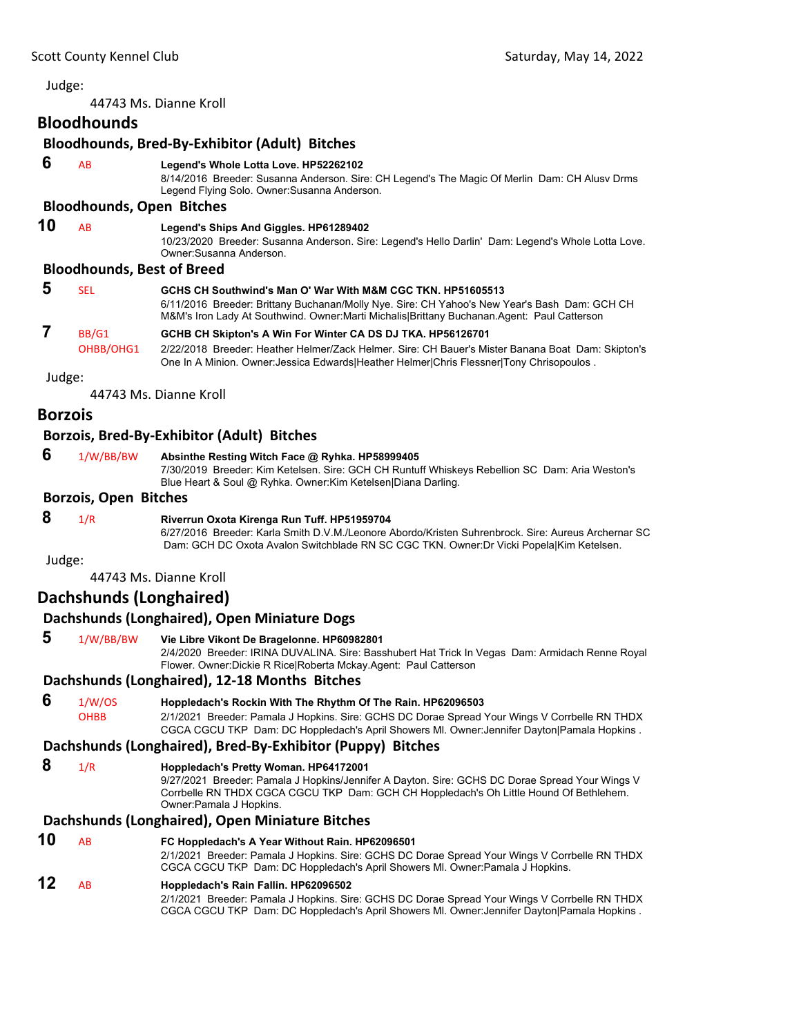44743 Ms. Dianne Kroll

### **Bloodhounds**

### **Bloodhounds, Bred‐By‐Exhibitor (Adult) Bitches**

 **6** AB **Legend's Whole Lotta Love. HP52262102**

8/14/2016 Breeder: Susanna Anderson. Sire: CH Legend's The Magic Of Merlin Dam: CH Alusv Drms Legend Flying Solo. Owner:Susanna Anderson.

#### **Bloodhounds, Open Bitches**

### **10** AB **Legend's Ships And Giggles. HP61289402**

10/23/2020 Breeder: Susanna Anderson. Sire: Legend's Hello Darlin' Dam: Legend's Whole Lotta Love. Owner:Susanna Anderson.

#### **Bloodhounds, Best of Breed**

| đ | SEL       | GCHS CH Southwind's Man O' War With M&M CGC TKN, HP51605513<br>6/11/2016 Breeder: Brittany Buchanan/Molly Nye. Sire: CH Yahoo's New Year's Bash Dam: GCH CH<br>M&M's Iron Lady At Southwind. Owner: Marti Michalis Brittany Buchanan. Agent: Paul Catterson |
|---|-----------|-------------------------------------------------------------------------------------------------------------------------------------------------------------------------------------------------------------------------------------------------------------|
|   | BB/G1     | GCHB CH Skipton's A Win For Winter CA DS DJ TKA. HP56126701                                                                                                                                                                                                 |
|   | OHBB/OHG1 | 2/22/2018 Breeder: Heather Helmer/Zack Helmer. Sire: CH Bauer's Mister Banana Boat Dam: Skipton's<br>One In A Minion. Owner: Jessica Edwards Heather Helmer Chris Flessner Tony Chrisopoulos.                                                               |

Judge:

44743 Ms. Dianne Kroll

### **Borzois**

### **Borzois, Bred‐By‐Exhibitor (Adult) Bitches**

| 6 | 1/W/BB/BW | Absinthe Resting Witch Face @ Ryhka. HP58999405 |
|---|-----------|-------------------------------------------------|
|---|-----------|-------------------------------------------------|

7/30/2019 Breeder: Kim Ketelsen. Sire: GCH CH Runtuff Whiskeys Rebellion SC Dam: Aria Weston's Blue Heart & Soul @ Ryhka. Owner:Kim Ketelsen|Diana Darling.

#### **Borzois, Open Bitches**

 **8** 1/R **Riverrun Oxota Kirenga Run Tuff. HP51959704** 6/27/2016 Breeder: Karla Smith D.V.M./Leonore Abordo/Kristen Suhrenbrock. Sire: Aureus Archernar SC

Dam: GCH DC Oxota Avalon Switchblade RN SC CGC TKN. Owner:Dr Vicki Popela|Kim Ketelsen.

Judge:

44743 Ms. Dianne Kroll

### **Dachshunds (Longhaired)**

#### **Dachshunds (Longhaired), Open Miniature Dogs**

 **5** 1/W/BB/BW **Vie Libre Vikont De Bragelonne. HP60982801** 2/4/2020 Breeder: IRINA DUVALINA. Sire: Basshubert Hat Trick In Vegas Dam: Armidach Renne Royal

Flower. Owner:Dickie R Rice|Roberta Mckay.Agent: Paul Catterson

### **Dachshunds (Longhaired), 12‐18 Months Bitches**

### **6** 1/W/OS **Hoppledach's Rockin With The Rhythm Of The Rain. HP62096503**

OHBB 2/1/2021 Breeder: Pamala J Hopkins. Sire: GCHS DC Dorae Spread Your Wings V Corrbelle RN THDX CGCA CGCU TKP Dam: DC Hoppledach's April Showers Ml. Owner:Jennifer Dayton|Pamala Hopkins .

#### **Dachshunds (Longhaired), Bred‐By‐Exhibitor (Puppy) Bitches**

 **8** 1/R **Hoppledach's Pretty Woman. HP64172001**

9/27/2021 Breeder: Pamala J Hopkins/Jennifer A Dayton. Sire: GCHS DC Dorae Spread Your Wings V Corrbelle RN THDX CGCA CGCU TKP Dam: GCH CH Hoppledach's Oh Little Hound Of Bethlehem. Owner:Pamala J Hopkins.

#### **Dachshunds (Longhaired), Open Miniature Bitches**

**10** AB **FC Hoppledach's A Year Without Rain. HP62096501** 2/1/2021 Breeder: Pamala J Hopkins. Sire: GCHS DC Dorae Spread Your Wings V Corrbelle RN THDX CGCA CGCU TKP Dam: DC Hoppledach's April Showers Ml. Owner:Pamala J Hopkins.

### **12** AB **Hoppledach's Rain Fallin. HP62096502**

2/1/2021 Breeder: Pamala J Hopkins. Sire: GCHS DC Dorae Spread Your Wings V Corrbelle RN THDX CGCA CGCU TKP Dam: DC Hoppledach's April Showers Ml. Owner:Jennifer Dayton|Pamala Hopkins .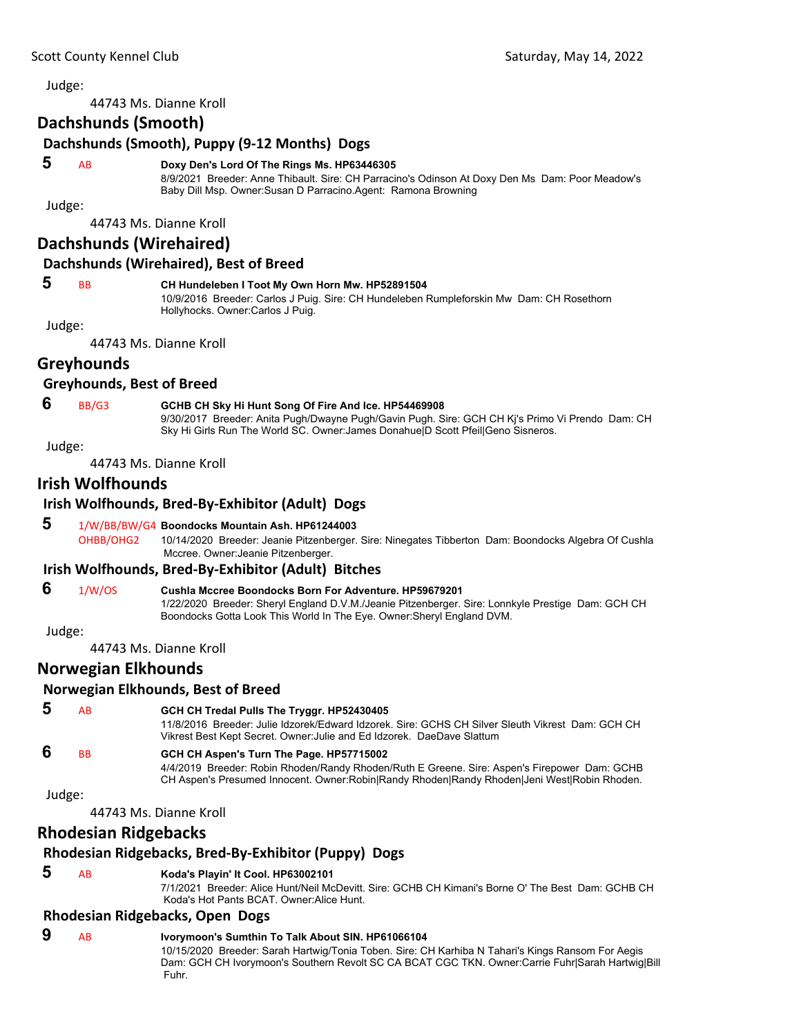44743 Ms. Dianne Kroll

### **Dachshunds (Smooth)**

### **Dachshunds (Smooth), Puppy (9‐12 Months) Dogs**

#### **5** AB **Doxy Den's Lord Of The Rings Ms. HP63446305**

8/9/2021 Breeder: Anne Thibault. Sire: CH Parracino's Odinson At Doxy Den Ms Dam: Poor Meadow's Baby Dill Msp. Owner:Susan D Parracino.Agent: Ramona Browning

Judge:

44743 Ms. Dianne Kroll

### **Dachshunds (Wirehaired)**

#### **Dachshunds (Wirehaired), Best of Breed**

#### **5** BB **CH Hundeleben I Toot My Own Horn Mw. HP52891504**

10/9/2016 Breeder: Carlos J Puig. Sire: CH Hundeleben Rumpleforskin Mw Dam: CH Rosethorn Hollyhocks. Owner:Carlos J Puig.

Judge:

44743 Ms. Dianne Kroll

### **Greyhounds**

#### **Greyhounds, Best of Breed**

### **6** BB/G3 **GCHB CH Sky Hi Hunt Song Of Fire And Ice. HP54469908**

9/30/2017 Breeder: Anita Pugh/Dwayne Pugh/Gavin Pugh. Sire: GCH CH Kj's Primo Vi Prendo Dam: CH Sky Hi Girls Run The World SC. Owner:James Donahue|D Scott Pfeil|Geno Sisneros.

Judge:

44743 Ms. Dianne Kroll

### **Irish Wolfhounds**

### **Irish Wolfhounds, Bred‐By‐Exhibitor (Adult) Dogs**

### **5** 1/W/BB/BW/G4 **Boondocks Mountain Ash. HP61244003**

OHBB/OHG2 10/14/2020 Breeder: Jeanie Pitzenberger. Sire: Ninegates Tibberton Dam: Boondocks Algebra Of Cushla Mccree. Owner:Jeanie Pitzenberger.

#### **Irish Wolfhounds, Bred‐By‐Exhibitor (Adult) Bitches**

 **6** 1/W/OS **Cushla Mccree Boondocks Born For Adventure. HP59679201** 1/22/2020 Breeder: Sheryl England D.V.M./Jeanie Pitzenberger. Sire: Lonnkyle Prestige Dam: GCH CH Boondocks Gotta Look This World In The Eye. Owner:Sheryl England DVM.

Judge:

44743 Ms. Dianne Kroll

### **Norwegian Elkhounds**

#### **Norwegian Elkhounds, Best of Breed**

 **5** AB **GCH CH Tredal Pulls The Tryggr. HP52430405**

11/8/2016 Breeder: Julie Idzorek/Edward Idzorek. Sire: GCHS CH Silver Sleuth Vikrest Dam: GCH CH Vikrest Best Kept Secret. Owner:Julie and Ed Idzorek. DaeDave Slattum

### **6** BB **GCH CH Aspen's Turn The Page. HP57715002**

4/4/2019 Breeder: Robin Rhoden/Randy Rhoden/Ruth E Greene. Sire: Aspen's Firepower Dam: GCHB CH Aspen's Presumed Innocent. Owner:Robin|Randy Rhoden|Randy Rhoden|Jeni West|Robin Rhoden.

Judge:

44743 Ms. Dianne Kroll

### **Rhodesian Ridgebacks**

### **Rhodesian Ridgebacks, Bred‐By‐Exhibitor (Puppy) Dogs**

### **5** AB **Koda's Playin' It Cool. HP63002101**

7/1/2021 Breeder: Alice Hunt/Neil McDevitt. Sire: GCHB CH Kimani's Borne O' The Best Dam: GCHB CH Koda's Hot Pants BCAT. Owner:Alice Hunt.

#### **Rhodesian Ridgebacks, Open Dogs**

 **9** AB **Ivorymoon's Sumthin To Talk About SIN. HP61066104** 10/15/2020 Breeder: Sarah Hartwig/Tonia Toben. Sire: CH Karhiba N Tahari's Kings Ransom For Aegis Dam: GCH CH Ivorymoon's Southern Revolt SC CA BCAT CGC TKN. Owner:Carrie Fuhr|Sarah Hartwig|Bill Fuhr.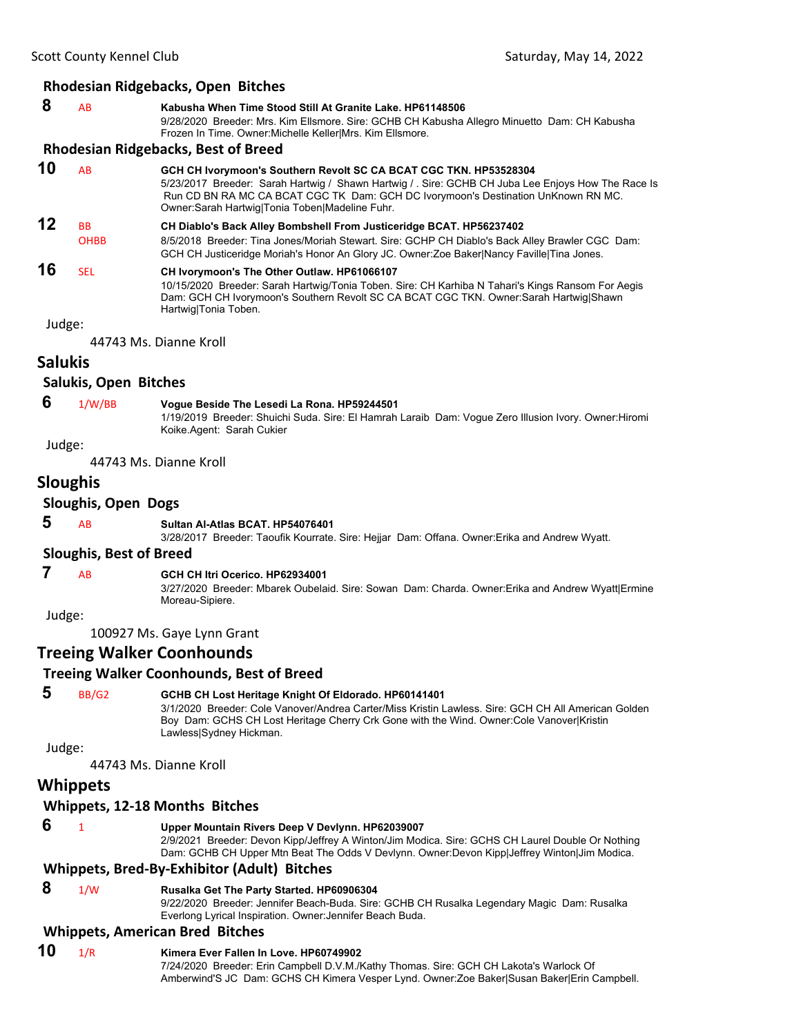#### **Rhodesian Ridgebacks, Open Bitches**

| 8 | <b>AB</b> | Kabusha When Time Stood Still At Granite Lake, HP61148506                                    |
|---|-----------|----------------------------------------------------------------------------------------------|
|   |           | 9/28/2020 Breeder: Mrs. Kim Ellsmore. Sire: GCHB CH Kabusha Allegro Minuetto Dam: CH Kabusha |
|   |           | Frozen In Time. Owner: Michelle Keller Mrs. Kim Ellsmore.                                    |
|   |           |                                                                                              |

#### **Rhodesian Ridgebacks, Best of Breed**

| 10 | AB                       | GCH CH Ivorymoon's Southern Revolt SC CA BCAT CGC TKN. HP53528304<br>5/23/2017 Breeder: Sarah Hartwig / Shawn Hartwig / . Sire: GCHB CH Juba Lee Enjoys How The Race Is<br>Run CD BN RA MC CA BCAT CGC TK Dam: GCH DC Ivorymoon's Destination UnKnown RN MC.<br>Owner: Sarah Hartwig Tonia Toben Madeline Fuhr. |
|----|--------------------------|-----------------------------------------------------------------------------------------------------------------------------------------------------------------------------------------------------------------------------------------------------------------------------------------------------------------|
| 12 | <b>BB</b><br><b>OHBB</b> | CH Diablo's Back Alley Bombshell From Justiceridge BCAT. HP56237402<br>8/5/2018 Breeder: Tina Jones/Moriah Stewart. Sire: GCHP CH Diablo's Back Alley Brawler CGC Dam:<br>GCH CH Justiceridge Moriah's Honor An Glory JC. Owner: Zoe Baker Nancy Faville Tina Jones.                                            |
| 16 | <b>SEL</b>               | CH Ivorymoon's The Other Outlaw. HP61066107<br>10/15/2020 Breeder: Sarah Hartwig/Tonia Toben. Sire: CH Karhiba N Tahari's Kings Ransom For Aegis<br>Dam: GCH CH Ivorymoon's Southern Revolt SC CA BCAT CGC TKN. Owner:Sarah Hartwig Shawn<br>Hartwig Tonia Toben.                                               |

Judge:

44743 Ms. Dianne Kroll

### **Salukis**

#### **Salukis, Open Bitches**

### **6** 1/W/BB **Vogue Beside The Lesedi La Rona. HP59244501**

1/19/2019 Breeder: Shuichi Suda. Sire: El Hamrah Laraib Dam: Vogue Zero Illusion Ivory. Owner:Hiromi Koike.Agent: Sarah Cukier

#### Judge:

44743 Ms. Dianne Kroll

### **Sloughis**

### **Sloughis, Open Dogs**

 **5** AB **Sultan Al-Atlas BCAT. HP54076401**

3/28/2017 Breeder: Taoufik Kourrate. Sire: Hejjar Dam: Offana. Owner:Erika and Andrew Wyatt.

#### **Sloughis, Best of Breed**

#### **7** AB **GCH CH Itri Ocerico. HP62934001**

3/27/2020 Breeder: Mbarek Oubelaid. Sire: Sowan Dam: Charda. Owner:Erika and Andrew Wyatt|Ermine Moreau-Sipiere.

Judge:

100927 Ms. Gaye Lynn Grant

### **Treeing Walker Coonhounds**

#### **Treeing Walker Coonhounds, Best of Breed**

#### **5** BB/G2 **GCHB CH Lost Heritage Knight Of Eldorado. HP60141401**

3/1/2020 Breeder: Cole Vanover/Andrea Carter/Miss Kristin Lawless. Sire: GCH CH All American Golden Boy Dam: GCHS CH Lost Heritage Cherry Crk Gone with the Wind. Owner:Cole Vanover|Kristin Lawless|Sydney Hickman.

Judge:

44743 Ms. Dianne Kroll

### **Whippets**

#### **Whippets, 12‐18 Months Bitches**

#### **6** <sup>1</sup> **Upper Mountain Rivers Deep V Devlynn. HP62039007**

2/9/2021 Breeder: Devon Kipp/Jeffrey A Winton/Jim Modica. Sire: GCHS CH Laurel Double Or Nothing Dam: GCHB CH Upper Mtn Beat The Odds V Devlynn. Owner:Devon Kipp|Jeffrey Winton|Jim Modica.

#### **Whippets, Bred‐By‐Exhibitor (Adult) Bitches**

#### **8** 1/W **Rusalka Get The Party Started. HP60906304**

9/22/2020 Breeder: Jennifer Beach-Buda. Sire: GCHB CH Rusalka Legendary Magic Dam: Rusalka Everlong Lyrical Inspiration. Owner:Jennifer Beach Buda.

### **Whippets, American Bred Bitches**

### **10** 1/R **Kimera Ever Fallen In Love. HP60749902**

7/24/2020 Breeder: Erin Campbell D.V.M./Kathy Thomas. Sire: GCH CH Lakota's Warlock Of Amberwind'S JC Dam: GCHS CH Kimera Vesper Lynd. Owner:Zoe Baker|Susan Baker|Erin Campbell.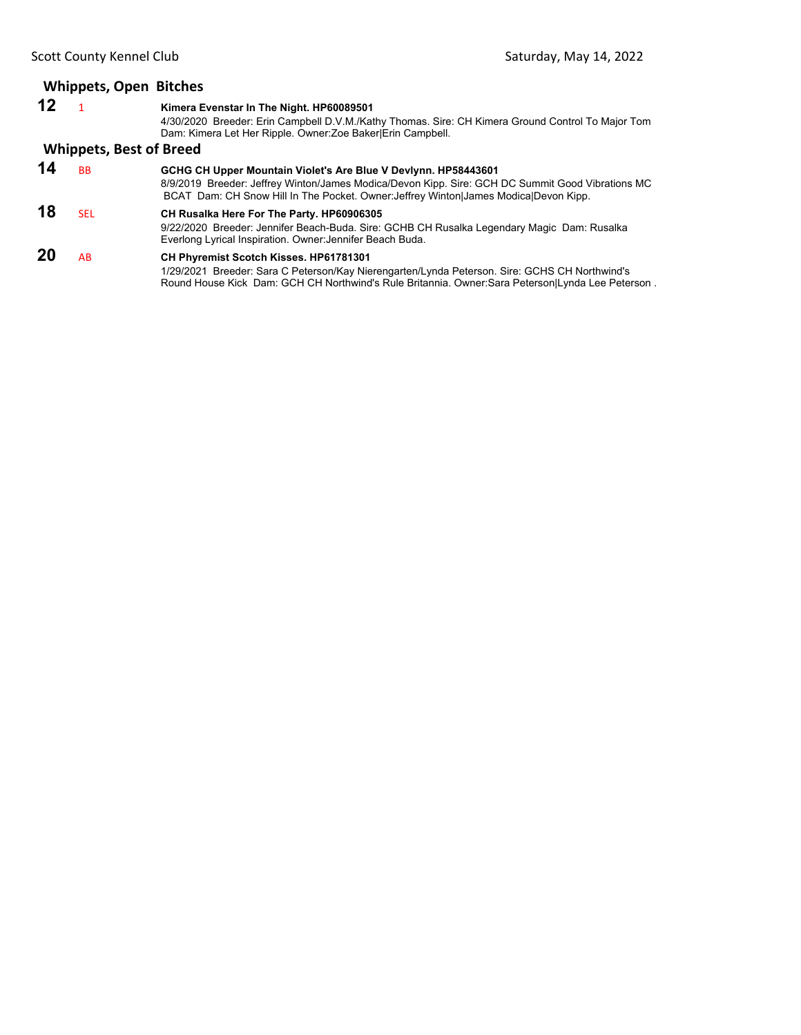|         | <b>Whippets, Open Bitches</b>  |                                                                                                                                                                                                                                                            |  |  |
|---------|--------------------------------|------------------------------------------------------------------------------------------------------------------------------------------------------------------------------------------------------------------------------------------------------------|--|--|
| $12 \,$ |                                | Kimera Evenstar In The Night. HP60089501<br>4/30/2020 Breeder: Erin Campbell D.V.M./Kathy Thomas. Sire: CH Kimera Ground Control To Major Tom<br>Dam: Kimera Let Her Ripple. Owner: Zoe Baker Erin Campbell.                                               |  |  |
|         | <b>Whippets, Best of Breed</b> |                                                                                                                                                                                                                                                            |  |  |
| 14      | <b>BB</b>                      | GCHG CH Upper Mountain Violet's Are Blue V Devlynn. HP58443601<br>8/9/2019 Breeder: Jeffrey Winton/James Modica/Devon Kipp. Sire: GCH DC Summit Good Vibrations MC<br>BCAT Dam: CH Snow Hill In The Pocket. Owner: Jeffrey Winton James Modica Devon Kipp. |  |  |
| 18      | <b>SEL</b>                     | CH Rusalka Here For The Party. HP60906305<br>9/22/2020 Breeder: Jennifer Beach-Buda. Sire: GCHB CH Rusalka Legendary Magic Dam: Rusalka<br>Everlong Lyrical Inspiration. Owner: Jennifer Beach Buda.                                                       |  |  |
| 20      | AB                             | CH Phyremist Scotch Kisses. HP61781301<br>1/29/2021 Breeder: Sara C Peterson/Kay Nierengarten/Lynda Peterson. Sire: GCHS CH Northwind's<br>Round House Kick Dam: GCH CH Northwind's Rule Britannia. Owner: Sara Peterson Lynda Lee Peterson.               |  |  |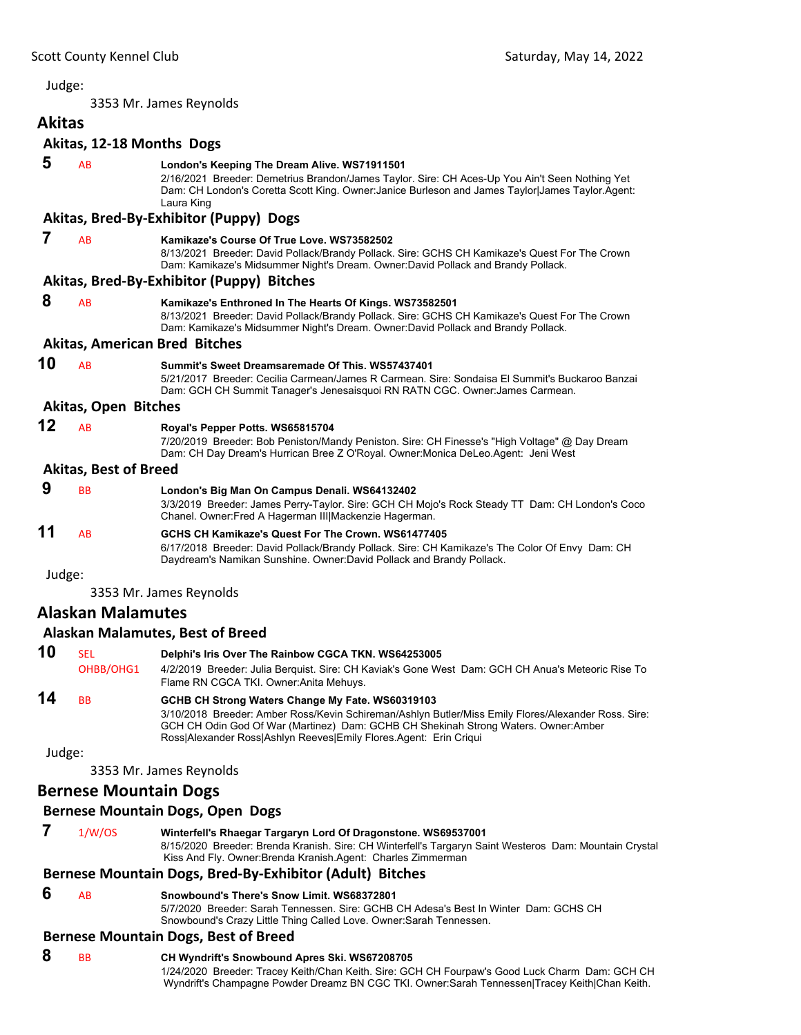<span id="page-15-0"></span>3353 Mr. James Reynolds

| <b>Akitas</b> |                              |                                                                                                                                                                                                                                                                   |
|---------------|------------------------------|-------------------------------------------------------------------------------------------------------------------------------------------------------------------------------------------------------------------------------------------------------------------|
|               | Akitas, 12-18 Months Dogs    |                                                                                                                                                                                                                                                                   |
| 5             | AB                           | London's Keeping The Dream Alive. WS71911501<br>2/16/2021 Breeder: Demetrius Brandon/James Taylor. Sire: CH Aces-Up You Ain't Seen Nothing Yet<br>Dam: CH London's Coretta Scott King. Owner: Janice Burleson and James Taylor James Taylor. Agent:<br>Laura King |
|               |                              | Akitas, Bred-By-Exhibitor (Puppy) Dogs                                                                                                                                                                                                                            |
| 7             | AB                           | Kamikaze's Course Of True Love, WS73582502<br>8/13/2021 Breeder: David Pollack/Brandy Pollack. Sire: GCHS CH Kamikaze's Quest For The Crown<br>Dam: Kamikaze's Midsummer Night's Dream. Owner:David Pollack and Brandy Pollack.                                   |
|               |                              | Akitas, Bred-By-Exhibitor (Puppy) Bitches                                                                                                                                                                                                                         |
| 8             | AB                           | Kamikaze's Enthroned In The Hearts Of Kings. WS73582501<br>8/13/2021 Breeder: David Pollack/Brandy Pollack. Sire: GCHS CH Kamikaze's Quest For The Crown<br>Dam: Kamikaze's Midsummer Night's Dream. Owner:David Pollack and Brandy Pollack.                      |
|               |                              | <b>Akitas, American Bred Bitches</b>                                                                                                                                                                                                                              |
| 10            | AB                           | Summit's Sweet Dreamsaremade Of This, WS57437401<br>5/21/2017 Breeder: Cecilia Carmean/James R Carmean, Sire: Sondaisa El Summit's Buckaroo Banzai<br>Dam: GCH CH Summit Tanager's Jenesaisquoi RN RATN CGC. Owner: James Carmean.                                |
|               | <b>Akitas, Open Bitches</b>  |                                                                                                                                                                                                                                                                   |
| 12            | AB                           | Royal's Pepper Potts. WS65815704<br>7/20/2019 Breeder: Bob Peniston/Mandy Peniston. Sire: CH Finesse's "High Voltage" @ Day Dream<br>Dam: CH Day Dream's Hurrican Bree Z O'Royal. Owner: Monica DeLeo. Agent: Jeni West                                           |
|               | <b>Akitas, Best of Breed</b> |                                                                                                                                                                                                                                                                   |
| 9             | <b>BB</b>                    | London's Big Man On Campus Denali. WS64132402<br>3/3/2019 Breeder: James Perry-Taylor. Sire: GCH CH Mojo's Rock Steady TT Dam: CH London's Coco<br>Chanel. Owner: Fred A Hagerman III  Mackenzie Hagerman.                                                        |
| 11            | AB                           | GCHS CH Kamikaze's Quest For The Crown, WS61477405<br>6/17/2018 Breeder: David Pollack/Brandy Pollack. Sire: CH Kamikaze's The Color Of Envy Dam: CH<br>Daydream's Namikan Sunshine. Owner: David Pollack and Brandy Pollack.                                     |
| Judge:        |                              |                                                                                                                                                                                                                                                                   |
|               |                              | 3353 Mr. James Reynolds                                                                                                                                                                                                                                           |
|               | <b>Alaskan Malamutes</b>     |                                                                                                                                                                                                                                                                   |

# **Alaskan Malamutes, Best of Breed**

| 10 | SEL<br>OHBB/OHG1 | Delphi's Iris Over The Rainbow CGCA TKN. WS64253005<br>4/2/2019 Breeder: Julia Berquist. Sire: CH Kaviak's Gone West Dam: GCH CH Anua's Meteoric Rise To<br>Flame RN CGCA TKI. Owner: Anita Mehuys.                                                                                                                |
|----|------------------|--------------------------------------------------------------------------------------------------------------------------------------------------------------------------------------------------------------------------------------------------------------------------------------------------------------------|
| 14 | ВB               | GCHB CH Strong Waters Change My Fate. WS60319103<br>3/10/2018 Breeder: Amber Ross/Kevin Schireman/Ashlyn Butler/Miss Emily Flores/Alexander Ross. Sire:<br>GCH CH Odin God Of War (Martinez) Dam: GCHB CH Shekinah Strong Waters. Owner:Amber<br>Ross Alexander Ross Ashlyn Reeves Emily Flores Agent: Erin Criqui |

Judge:

3353 Mr. James Reynolds

### **Bernese Mountain Dogs**

### **Bernese Mountain Dogs, Open Dogs**

| 1/W/OS | Winterfell's Rhaegar Targaryn Lord Of Dragonstone. WS69537001                                          |
|--------|--------------------------------------------------------------------------------------------------------|
|        | 8/15/2020 Breeder: Brenda Kranish. Sire: CH Winterfell's Targaryn Saint Westeros Dam: Mountain Crystal |
|        | Kiss And Fly. Owner:Brenda Kranish.Agent: Charles Zimmerman                                            |

### **Bernese Mountain Dogs, Bred‐By‐Exhibitor (Adult) Bitches**

### **6** AB **Snowbound's There's Snow Limit. WS68372801**

5/7/2020 Breeder: Sarah Tennessen. Sire: GCHB CH Adesa's Best In Winter Dam: GCHS CH Snowbound's Crazy Little Thing Called Love. Owner:Sarah Tennessen.

### **Bernese Mountain Dogs, Best of Breed**

 **8** BB **CH Wyndrift's Snowbound Apres Ski. WS67208705** 1/24/2020 Breeder: Tracey Keith/Chan Keith. Sire: GCH CH Fourpaw's Good Luck Charm Dam: GCH CH Wyndrift's Champagne Powder Dreamz BN CGC TKI. Owner:Sarah Tennessen|Tracey Keith|Chan Keith.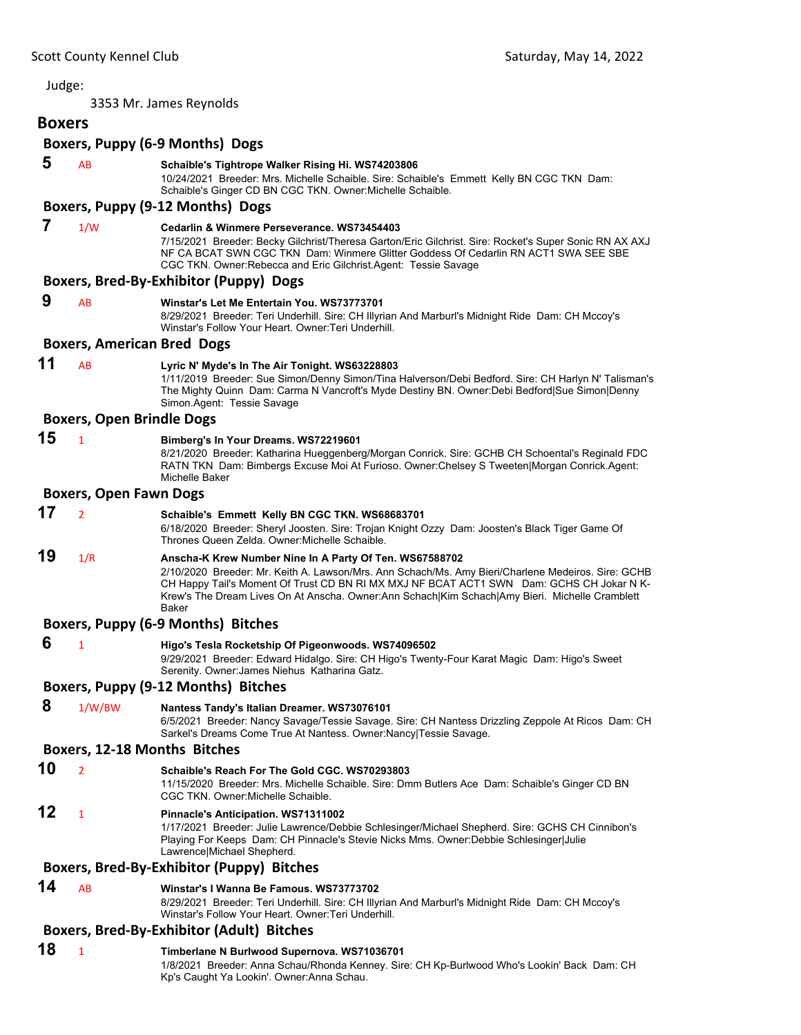#### 3353 Mr. James Reynolds **Boxers Boxers, Puppy (6‐9 Months) Dogs 5** AB **Schaible's Tightrope Walker Rising Hi. WS74203806** 10/24/2021 Breeder: Mrs. Michelle Schaible. Sire: Schaible's Emmett Kelly BN CGC TKN Dam: Schaible's Ginger CD BN CGC TKN. Owner:Michelle Schaible. **Boxers, Puppy (9‐12 Months) Dogs 7** 1/W **Cedarlin & Winmere Perseverance. WS73454403** 7/15/2021 Breeder: Becky Gilchrist/Theresa Garton/Eric Gilchrist. Sire: Rocket's Super Sonic RN AX AXJ NF CA BCAT SWN CGC TKN Dam: Winmere Glitter Goddess Of Cedarlin RN ACT1 SWA SEE SBE CGC TKN. Owner:Rebecca and Eric Gilchrist.Agent: Tessie Savage **Boxers, Bred‐By‐Exhibitor (Puppy) Dogs 9** AB **Winstar's Let Me Entertain You. WS73773701** 8/29/2021 Breeder: Teri Underhill. Sire: CH Illyrian And Marburl's Midnight Ride Dam: CH Mccoy's Winstar's Follow Your Heart. Owner:Teri Underhill. **Boxers, American Bred Dogs 11** AB **Lyric N' Myde's In The Air Tonight. WS63228803** 1/11/2019 Breeder: Sue Simon/Denny Simon/Tina Halverson/Debi Bedford. Sire: CH Harlyn N' Talisman's The Mighty Quinn Dam: Carma N Vancroft's Myde Destiny BN. Owner:Debi Bedford|Sue Simon|Denny Simon.Agent: Tessie Savage **Boxers, Open Brindle Dogs 15** <sup>1</sup> **Bimberg's In Your Dreams. WS72219601** 8/21/2020 Breeder: Katharina Hueggenberg/Morgan Conrick. Sire: GCHB CH Schoental's Reginald FDC RATN TKN Dam: Bimbergs Excuse Moi At Furioso. Owner:Chelsey S Tweeten|Morgan Conrick.Agent: Michelle Baker **Boxers, Open Fawn Dogs 17** <sup>2</sup> **Schaible's Emmett Kelly BN CGC TKN. WS68683701** 6/18/2020 Breeder: Sheryl Joosten. Sire: Trojan Knight Ozzy Dam: Joosten's Black Tiger Game Of Thrones Queen Zelda. Owner:Michelle Schaible. **19** 1/R **Anscha-K Krew Number Nine In A Party Of Ten. WS67588702** 2/10/2020 Breeder: Mr. Keith A. Lawson/Mrs. Ann Schach/Ms. Amy Bieri/Charlene Medeiros. Sire: GCHB CH Happy Tail's Moment Of Trust CD BN RI MX MXJ NF BCAT ACT1 SWN Dam: GCHS CH Jokar N K-Krew's The Dream Lives On At Anscha. Owner:Ann Schach|Kim Schach|Amy Bieri. Michelle Cramblett Baker **Boxers, Puppy (6‐9 Months) Bitches 6** <sup>1</sup> **Higo's Tesla Rocketship Of Pigeonwoods. WS74096502** 9/29/2021 Breeder: Edward Hidalgo. Sire: CH Higo's Twenty-Four Karat Magic Dam: Higo's Sweet Serenity. Owner:James Niehus Katharina Gatz. **Boxers, Puppy (9‐12 Months) Bitches 8** 1/W/BW **Nantess Tandy's Italian Dreamer. WS73076101** 6/5/2021 Breeder: Nancy Savage/Tessie Savage. Sire: CH Nantess Drizzling Zeppole At Ricos Dam: CH Sarkel's Dreams Come True At Nantess. Owner:Nancy|Tessie Savage. **Boxers, 12‐18 Months Bitches 10** <sup>2</sup> **Schaible's Reach For The Gold CGC. WS70293803** 11/15/2020 Breeder: Mrs. Michelle Schaible. Sire: Dmm Butlers Ace Dam: Schaible's Ginger CD BN CGC TKN. Owner:Michelle Schaible. **12** <sup>1</sup> **Pinnacle's Anticipation. WS71311002** 1/17/2021 Breeder: Julie Lawrence/Debbie Schlesinger/Michael Shepherd. Sire: GCHS CH Cinnibon's Playing For Keeps Dam: CH Pinnacle's Stevie Nicks Mms. Owner:Debbie Schlesinger|Julie Lawrence|Michael Shepherd. **Boxers, Bred‐By‐Exhibitor (Puppy) Bitches 14** AB **Winstar's I Wanna Be Famous. WS73773702** 8/29/2021 Breeder: Teri Underhill. Sire: CH Illyrian And Marburl's Midnight Ride Dam: CH Mccoy's Winstar's Follow Your Heart. Owner:Teri Underhill. **Boxers, Bred‐By‐Exhibitor (Adult) Bitches 18** <sup>1</sup> **Timberlane N Burlwood Supernova. WS71036701** 1/8/2021 Breeder: Anna Schau/Rhonda Kenney. Sire: CH Kp-Burlwood Who's Lookin' Back Dam: CH

Kp's Caught Ya Lookin'. Owner:Anna Schau.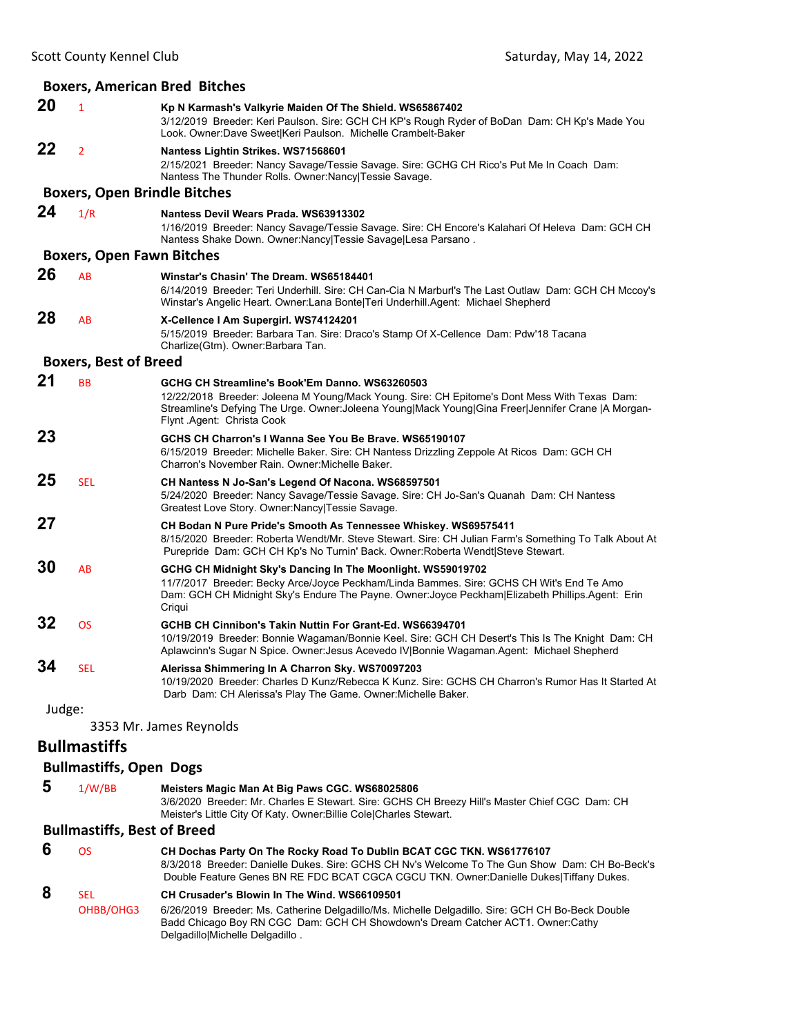|        |                                     | <b>Boxers, American Bred Bitches</b>                                                                                                                                                                                                                                              |
|--------|-------------------------------------|-----------------------------------------------------------------------------------------------------------------------------------------------------------------------------------------------------------------------------------------------------------------------------------|
| 20     | $\mathbf{1}$                        | Kp N Karmash's Valkyrie Maiden Of The Shield. WS65867402<br>3/12/2019 Breeder: Keri Paulson. Sire: GCH CH KP's Rough Ryder of BoDan Dam: CH Kp's Made You<br>Look. Owner: Dave Sweet Keri Paulson. Michelle Crambelt-Baker                                                        |
| 22     | $\overline{2}$                      | Nantess Lightin Strikes. WS71568601<br>2/15/2021 Breeder: Nancy Savage/Tessie Savage. Sire: GCHG CH Rico's Put Me In Coach Dam:<br>Nantess The Thunder Rolls. Owner: Nancy Tessie Savage.                                                                                         |
|        | <b>Boxers, Open Brindle Bitches</b> |                                                                                                                                                                                                                                                                                   |
| 24     | 1/R                                 | Nantess Devil Wears Prada. WS63913302<br>1/16/2019 Breeder: Nancy Savage/Tessie Savage. Sire: CH Encore's Kalahari Of Heleva Dam: GCH CH<br>Nantess Shake Down. Owner: Nancy Tessie Savage Lesa Parsano.                                                                          |
|        | <b>Boxers, Open Fawn Bitches</b>    |                                                                                                                                                                                                                                                                                   |
| 26     | AB                                  | Winstar's Chasin' The Dream. WS65184401<br>6/14/2019 Breeder: Teri Underhill. Sire: CH Can-Cia N Marburl's The Last Outlaw Dam: GCH CH Mccoy's<br>Winstar's Angelic Heart. Owner:Lana Bonte Teri Underhill.Agent: Michael Shepherd                                                |
| 28     | AB                                  | X-Cellence I Am Supergirl. WS74124201<br>5/15/2019 Breeder: Barbara Tan. Sire: Draco's Stamp Of X-Cellence Dam: Pdw'18 Tacana<br>Charlize(Gtm). Owner: Barbara Tan.                                                                                                               |
|        | <b>Boxers, Best of Breed</b>        |                                                                                                                                                                                                                                                                                   |
| 21     | <b>BB</b>                           | GCHG CH Streamline's Book'Em Danno. WS63260503<br>12/22/2018 Breeder: Joleena M Young/Mack Young. Sire: CH Epitome's Dont Mess With Texas Dam:<br>Streamline's Defying The Urge. Owner:Joleena Young Mack Young Gina Freer Jennifer Crane  A Morgan-<br>Flynt Agent: Christa Cook |
| 23     |                                     | GCHS CH Charron's I Wanna See You Be Brave, WS65190107<br>6/15/2019 Breeder: Michelle Baker. Sire: CH Nantess Drizzling Zeppole At Ricos Dam: GCH CH<br>Charron's November Rain. Owner: Michelle Baker.                                                                           |
| 25     | <b>SEL</b>                          | CH Nantess N Jo-San's Legend Of Nacona. WS68597501<br>5/24/2020 Breeder: Nancy Savage/Tessie Savage. Sire: CH Jo-San's Quanah Dam: CH Nantess<br>Greatest Love Story. Owner: Nancy Tessie Savage.                                                                                 |
| 27     |                                     | CH Bodan N Pure Pride's Smooth As Tennessee Whiskey. WS69575411<br>8/15/2020 Breeder: Roberta Wendt/Mr. Steve Stewart. Sire: CH Julian Farm's Something To Talk About At<br>Purepride Dam: GCH CH Kp's No Turnin' Back. Owner: Roberta Wendt Steve Stewart.                       |
| 30     | AB                                  | GCHG CH Midnight Sky's Dancing In The Moonlight. WS59019702<br>11/7/2017 Breeder: Becky Arce/Joyce Peckham/Linda Bammes. Sire: GCHS CH Wit's End Te Amo<br>Dam: GCH CH Midnight Sky's Endure The Payne. Owner: Joyce Peckham Elizabeth Phillips. Agent: Erin<br>Criqui            |
| 32     | <b>OS</b>                           | GCHB CH Cinnibon's Takin Nuttin For Grant-Ed. WS66394701<br>10/19/2019 Breeder: Bonnie Wagaman/Bonnie Keel. Sire: GCH CH Desert's This Is The Knight Dam: CH<br>Aplawcinn's Sugar N Spice. Owner: Jesus Acevedo IV Bonnie Wagaman.Agent: Michael Shepherd                         |
| 34     | <b>SEL</b>                          | Alerissa Shimmering In A Charron Sky. WS70097203<br>10/19/2020 Breeder: Charles D Kunz/Rebecca K Kunz. Sire: GCHS CH Charron's Rumor Has It Started At<br>Darb Dam: CH Alerissa's Play The Game. Owner: Michelle Baker.                                                           |
| Judge: |                                     |                                                                                                                                                                                                                                                                                   |
|        |                                     | 3353 Mr. James Reynolds                                                                                                                                                                                                                                                           |
|        | <b>Bullmastiffs</b>                 |                                                                                                                                                                                                                                                                                   |
|        | <b>Bullmastiffs, Open Dogs</b>      |                                                                                                                                                                                                                                                                                   |
| 5      | 1/W/BB                              | Meisters Magic Man At Big Paws CGC. WS68025806<br>3/6/2020 Breeder: Mr. Charles E Stewart. Sire: GCHS CH Breezy Hill's Master Chief CGC Dam: CH<br>Meister's Little City Of Katy. Owner: Billie Cole Charles Stewart.                                                             |

# **Bullmastiffs, Best of Breed**

| 6 | ΩS                      | CH Dochas Party On The Rocky Road To Dublin BCAT CGC TKN. WS61776107<br>8/3/2018 Breeder: Danielle Dukes. Sire: GCHS CH Nv's Welcome To The Gun Show Dam: CH Bo-Beck's<br>Double Feature Genes BN RE FDC BCAT CGCA CGCU TKN. Owner:Danielle Dukes Tiffany Dukes.      |
|---|-------------------------|-----------------------------------------------------------------------------------------------------------------------------------------------------------------------------------------------------------------------------------------------------------------------|
| 8 | <b>SFI</b><br>OHBB/OHG3 | CH Crusader's Blowin In The Wind. WS66109501<br>6/26/2019 Breeder: Ms. Catherine Delgadillo/Ms. Michelle Delgadillo. Sire: GCH CH Bo-Beck Double<br>Badd Chicago Boy RN CGC Dam: GCH CH Showdown's Dream Catcher ACT1. Owner:Cathy<br>Delgadillo Michelle Delgadillo. |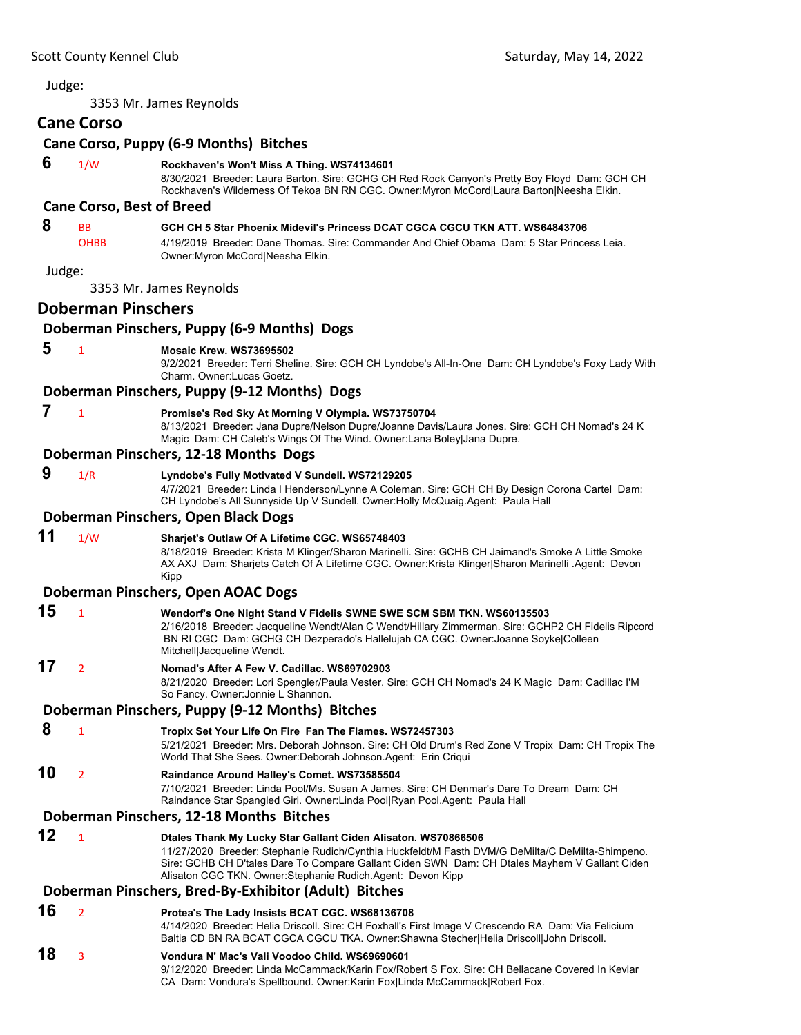3353 Mr. James Reynolds **Cane Corso Cane Corso, Puppy (6‐9 Months) Bitches 6** 1/W **Rockhaven's Won't Miss A Thing. WS74134601** 8/30/2021 Breeder: Laura Barton. Sire: GCHG CH Red Rock Canyon's Pretty Boy Floyd Dam: GCH CH Rockhaven's Wilderness Of Tekoa BN RN CGC. Owner:Myron McCord|Laura Barton|Neesha Elkin. **Cane Corso, Best of Breed 8** BB **GCH CH 5 Star Phoenix Midevil's Princess DCAT CGCA CGCU TKN ATT. WS64843706** OHBB 4/19/2019 Breeder: Dane Thomas. Sire: Commander And Chief Obama Dam: 5 Star Princess Leia. Owner:Myron McCord|Neesha Elkin. Judge: 3353 Mr. James Reynolds **Doberman Pinschers Doberman Pinschers, Puppy (6‐9 Months) Dogs 5** <sup>1</sup> **Mosaic Krew. WS73695502** 9/2/2021 Breeder: Terri Sheline. Sire: GCH CH Lyndobe's All-In-One Dam: CH Lyndobe's Foxy Lady With Charm. Owner:Lucas Goetz. **Doberman Pinschers, Puppy (9‐12 Months) Dogs 7** <sup>1</sup> **Promise's Red Sky At Morning V Olympia. WS73750704** 8/13/2021 Breeder: Jana Dupre/Nelson Dupre/Joanne Davis/Laura Jones. Sire: GCH CH Nomad's 24 K Magic Dam: CH Caleb's Wings Of The Wind. Owner:Lana Boley|Jana Dupre. **Doberman Pinschers, 12‐18 Months Dogs 9** 1/R **Lyndobe's Fully Motivated V Sundell. WS72129205** 4/7/2021 Breeder: Linda I Henderson/Lynne A Coleman. Sire: GCH CH By Design Corona Cartel Dam: CH Lyndobe's All Sunnyside Up V Sundell. Owner:Holly McQuaig.Agent: Paula Hall **Doberman Pinschers, Open Black Dogs 11** 1/W **Sharjet's Outlaw Of A Lifetime CGC. WS65748403** 8/18/2019 Breeder: Krista M Klinger/Sharon Marinelli. Sire: GCHB CH Jaimand's Smoke A Little Smoke AX AXJ Dam: Sharjets Catch Of A Lifetime CGC. Owner:Krista Klinger|Sharon Marinelli .Agent: Devon Kipp **Doberman Pinschers, Open AOAC Dogs 15** <sup>1</sup> **Wendorf's One Night Stand V Fidelis SWNE SWE SCM SBM TKN. WS60135503** 2/16/2018 Breeder: Jacqueline Wendt/Alan C Wendt/Hillary Zimmerman. Sire: GCHP2 CH Fidelis Ripcord BN RI CGC Dam: GCHG CH Dezperado's Hallelujah CA CGC. Owner:Joanne Soyke|Colleen Mitchell|Jacqueline Wendt. **17** <sup>2</sup> **Nomad's After A Few V. Cadillac. WS69702903** 8/21/2020 Breeder: Lori Spengler/Paula Vester. Sire: GCH CH Nomad's 24 K Magic Dam: Cadillac I'M So Fancy. Owner:Jonnie L Shannon. **Doberman Pinschers, Puppy (9‐12 Months) Bitches 8** <sup>1</sup> **Tropix Set Your Life On Fire Fan The Flames. WS72457303** 5/21/2021 Breeder: Mrs. Deborah Johnson. Sire: CH Old Drum's Red Zone V Tropix Dam: CH Tropix The World That She Sees. Owner:Deborah Johnson.Agent: Erin Criqui **10** <sup>2</sup> **Raindance Around Halley's Comet. WS73585504** 7/10/2021 Breeder: Linda Pool/Ms. Susan A James. Sire: CH Denmar's Dare To Dream Dam: CH Raindance Star Spangled Girl. Owner:Linda Pool|Ryan Pool.Agent: Paula Hall **Doberman Pinschers, 12‐18 Months Bitches 12** <sup>1</sup> **Dtales Thank My Lucky Star Gallant Ciden Alisaton. WS70866506** 11/27/2020 Breeder: Stephanie Rudich/Cynthia Huckfeldt/M Fasth DVM/G DeMilta/C DeMilta-Shimpeno. Sire: GCHB CH D'tales Dare To Compare Gallant Ciden SWN Dam: CH Dtales Mayhem V Gallant Ciden Alisaton CGC TKN. Owner:Stephanie Rudich.Agent: Devon Kipp **Doberman Pinschers, Bred‐By‐Exhibitor (Adult) Bitches 16** <sup>2</sup> **Protea's The Lady Insists BCAT CGC. WS68136708** 4/14/2020 Breeder: Helia Driscoll. Sire: CH Foxhall's First Image V Crescendo RA Dam: Via Felicium Baltia CD BN RA BCAT CGCA CGCU TKA. Owner:Shawna Stecher|Helia Driscoll|John Driscoll. **18** <sup>3</sup> **Vondura N' Mac's Vali Voodoo Child. WS69690601** 9/12/2020 Breeder: Linda McCammack/Karin Fox/Robert S Fox. Sire: CH Bellacane Covered In Kevlar CA Dam: Vondura's Spellbound. Owner:Karin Fox|Linda McCammack|Robert Fox.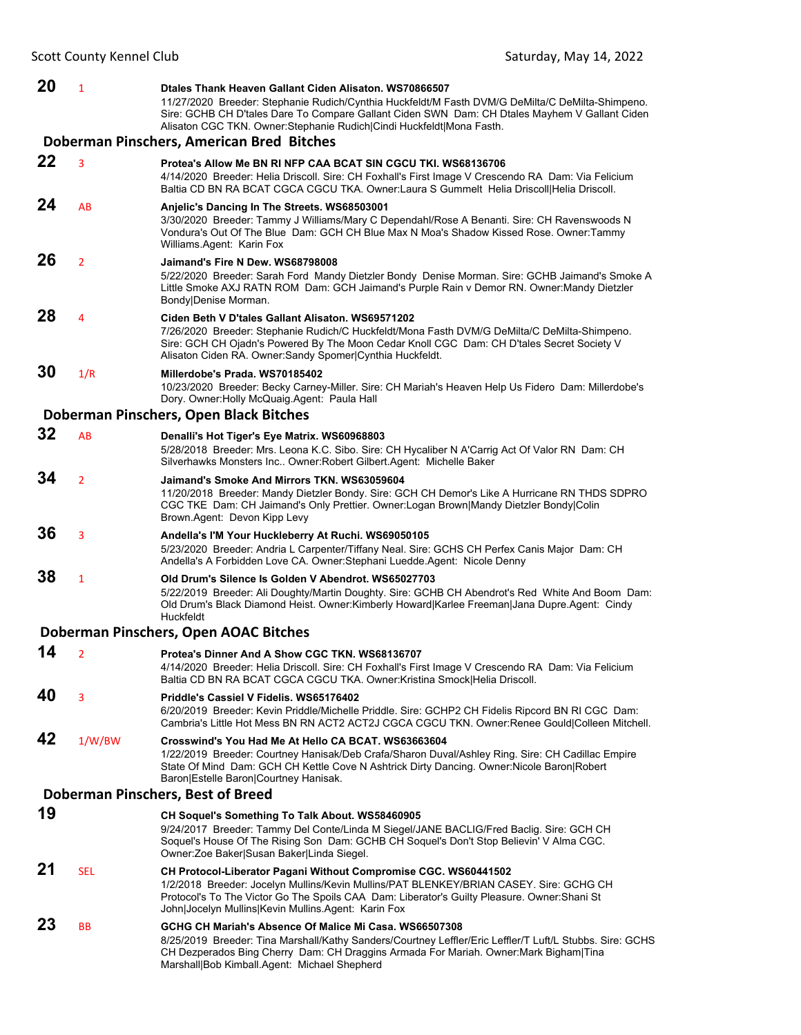**20** <sup>1</sup> **Dtales Thank Heaven Gallant Ciden Alisaton. WS70866507** 11/27/2020 Breeder: Stephanie Rudich/Cynthia Huckfeldt/M Fasth DVM/G DeMilta/C DeMilta-Shimpeno. Sire: GCHB CH D'tales Dare To Compare Gallant Ciden SWN Dam: CH Dtales Mayhem V Gallant Ciden Alisaton CGC TKN. Owner:Stephanie Rudich|Cindi Huckfeldt|Mona Fasth. **Doberman Pinschers, American Bred Bitches 22** <sup>3</sup> **Protea's Allow Me BN RI NFP CAA BCAT SIN CGCU TKI. WS68136706** 4/14/2020 Breeder: Helia Driscoll. Sire: CH Foxhall's First Image V Crescendo RA Dam: Via Felicium Baltia CD BN RA BCAT CGCA CGCU TKA. Owner:Laura S Gummelt Helia Driscoll|Helia Driscoll. **24** AB **Anjelic's Dancing In The Streets. WS68503001** 3/30/2020 Breeder: Tammy J Williams/Mary C Dependahl/Rose A Benanti. Sire: CH Ravenswoods N Vondura's Out Of The Blue Dam: GCH CH Blue Max N Moa's Shadow Kissed Rose. Owner:Tammy Williams.Agent: Karin Fox **26** <sup>2</sup> **Jaimand's Fire N Dew. WS68798008** 5/22/2020 Breeder: Sarah Ford Mandy Dietzler Bondy Denise Morman. Sire: GCHB Jaimand's Smoke A Little Smoke AXJ RATN ROM Dam: GCH Jaimand's Purple Rain v Demor RN. Owner:Mandy Dietzler Bondy|Denise Morman. **28** <sup>4</sup> **Ciden Beth V D'tales Gallant Alisaton. WS69571202** 7/26/2020 Breeder: Stephanie Rudich/C Huckfeldt/Mona Fasth DVM/G DeMilta/C DeMilta-Shimpeno. Sire: GCH CH Ojadn's Powered By The Moon Cedar Knoll CGC Dam: CH D'tales Secret Society V Alisaton Ciden RA. Owner:Sandy Spomer|Cynthia Huckfeldt. **30** 1/R **Millerdobe's Prada. WS70185402** 10/23/2020 Breeder: Becky Carney-Miller. Sire: CH Mariah's Heaven Help Us Fidero Dam: Millerdobe's Dory. Owner:Holly McQuaig.Agent: Paula Hall **Doberman Pinschers, Open Black Bitches 32** AB **Denalli's Hot Tiger's Eye Matrix. WS60968803** 5/28/2018 Breeder: Mrs. Leona K.C. Sibo. Sire: CH Hycaliber N A'Carrig Act Of Valor RN Dam: CH Silverhawks Monsters Inc.. Owner:Robert Gilbert.Agent: Michelle Baker **34** <sup>2</sup> **Jaimand's Smoke And Mirrors TKN. WS63059604** 11/20/2018 Breeder: Mandy Dietzler Bondy. Sire: GCH CH Demor's Like A Hurricane RN THDS SDPRO CGC TKE Dam: CH Jaimand's Only Prettier. Owner:Logan Brown|Mandy Dietzler Bondy|Colin Brown.Agent: Devon Kipp Levy **36** <sup>3</sup> **Andella's I'M Your Huckleberry At Ruchi. WS69050105** 5/23/2020 Breeder: Andria L Carpenter/Tiffany Neal. Sire: GCHS CH Perfex Canis Major Dam: CH Andella's A Forbidden Love CA. Owner:Stephani Luedde.Agent: Nicole Denny **38** <sup>1</sup> **Old Drum's Silence Is Golden V Abendrot. WS65027703** 5/22/2019 Breeder: Ali Doughty/Martin Doughty. Sire: GCHB CH Abendrot's Red White And Boom Dam: Old Drum's Black Diamond Heist. Owner:Kimberly Howard|Karlee Freeman|Jana Dupre.Agent: Cindy Huckfeldt **Doberman Pinschers, Open AOAC Bitches 14** <sup>2</sup> **Protea's Dinner And A Show CGC TKN. WS68136707** 4/14/2020 Breeder: Helia Driscoll. Sire: CH Foxhall's First Image V Crescendo RA Dam: Via Felicium Baltia CD BN RA BCAT CGCA CGCU TKA. Owner:Kristina Smock|Helia Driscoll. **40** <sup>3</sup> **Priddle's Cassiel V Fidelis. WS65176402** 6/20/2019 Breeder: Kevin Priddle/Michelle Priddle. Sire: GCHP2 CH Fidelis Ripcord BN RI CGC Dam: Cambria's Little Hot Mess BN RN ACT2 ACT2J CGCA CGCU TKN. Owner:Renee Gould|Colleen Mitchell. **42** 1/W/BW **Crosswind's You Had Me At Hello CA BCAT. WS63663604** 1/22/2019 Breeder: Courtney Hanisak/Deb Crafa/Sharon Duval/Ashley Ring. Sire: CH Cadillac Empire State Of Mind Dam: GCH CH Kettle Cove N Ashtrick Dirty Dancing. Owner:Nicole Baron|Robert Baron|Estelle Baron|Courtney Hanisak. **Doberman Pinschers, Best of Breed 19 CH Soquel's Something To Talk About. WS58460905** 9/24/2017 Breeder: Tammy Del Conte/Linda M Siegel/JANE BACLIG/Fred Baclig. Sire: GCH CH Soquel's House Of The Rising Son Dam: GCHB CH Soquel's Don't Stop Believin' V Alma CGC. Owner:Zoe Baker|Susan Baker|Linda Siegel. **21** SEL **CH Protocol-Liberator Pagani Without Compromise CGC. WS60441502** 1/2/2018 Breeder: Jocelyn Mullins/Kevin Mullins/PAT BLENKEY/BRIAN CASEY. Sire: GCHG CH Protocol's To The Victor Go The Spoils CAA Dam: Liberator's Guilty Pleasure. Owner:Shani St John|Jocelyn Mullins|Kevin Mullins.Agent: Karin Fox **23** BB **GCHG CH Mariah's Absence Of Malice Mi Casa. WS66507308** 8/25/2019 Breeder: Tina Marshall/Kathy Sanders/Courtney Leffler/Eric Leffler/T Luft/L Stubbs. Sire: GCHS CH Dezperados Bing Cherry Dam: CH Draggins Armada For Mariah. Owner:Mark Bigham|Tina Marshall|Bob Kimball.Agent: Michael Shepherd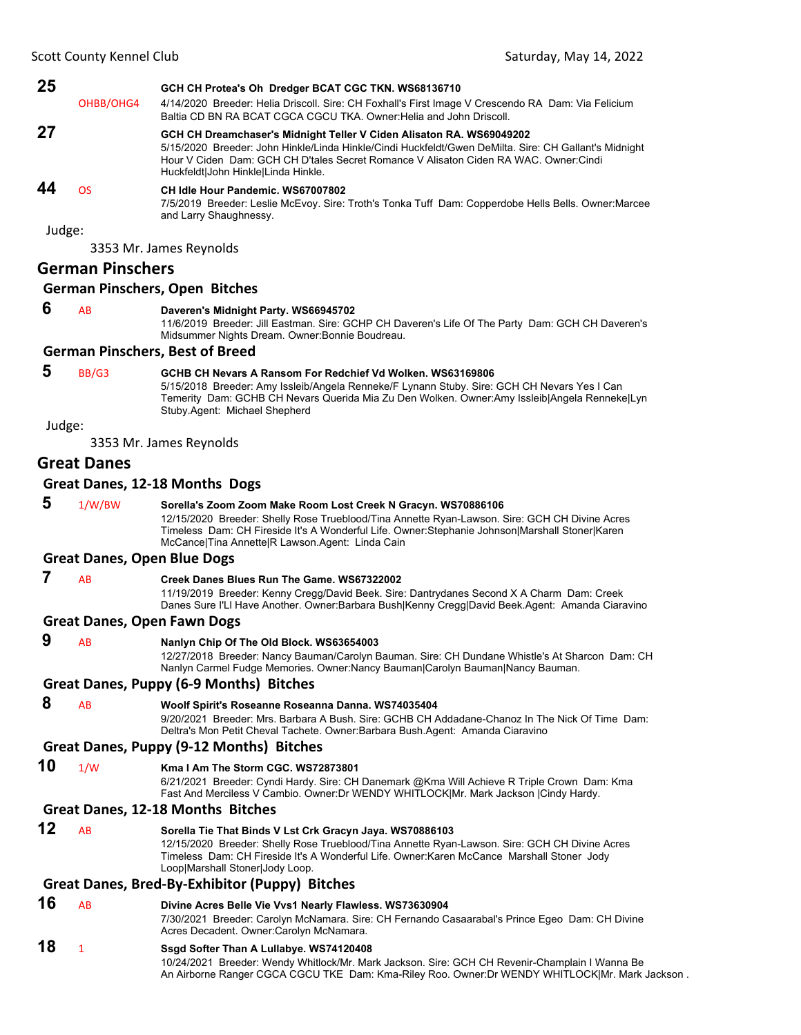| 25     |           | GCH CH Protea's Oh Dredger BCAT CGC TKN. WS68136710                                                                                                                                                                                                                                                          |
|--------|-----------|--------------------------------------------------------------------------------------------------------------------------------------------------------------------------------------------------------------------------------------------------------------------------------------------------------------|
|        | OHBB/OHG4 | 4/14/2020 Breeder: Helia Driscoll. Sire: CH Foxhall's First Image V Crescendo RA Dam: Via Felicium<br>Baltia CD BN RA BCAT CGCA CGCU TKA, Owner Helia and John Driscoll.                                                                                                                                     |
| 27     |           | GCH CH Dreamchaser's Midnight Teller V Ciden Alisaton RA. WS69049202<br>5/15/2020 Breeder: John Hinkle/Linda Hinkle/Cindi Huckfeldt/Gwen DeMilta. Sire: CH Gallant's Midnight<br>Hour V Ciden Dam: GCH CH D'tales Secret Romance V Alisaton Ciden RA WAC, Owner Cindi<br>Huckfeldt John Hinkle Linda Hinkle. |
| 44     | OS.       | CH Idle Hour Pandemic, WS67007802<br>7/5/2019 Breeder: Leslie McEvoy. Sire: Troth's Tonka Tuff Dam: Copperdobe Hells Bells. Owner: Marcee<br>and Larry Shaughnessy.                                                                                                                                          |
| Judge: |           |                                                                                                                                                                                                                                                                                                              |
|        |           | 3353 Mr. James Reynolds                                                                                                                                                                                                                                                                                      |

### **German Pinschers**

#### **German Pinschers, Open Bitches**

#### **6** AB **Daveren's Midnight Party. WS66945702**

11/6/2019 Breeder: Jill Eastman. Sire: GCHP CH Daveren's Life Of The Party Dam: GCH CH Daveren's Midsummer Nights Dream. Owner:Bonnie Boudreau.

#### **German Pinschers, Best of Breed**

### **5** BB/G3 **GCHB CH Nevars A Ransom For Redchief Vd Wolken. WS63169806**

5/15/2018 Breeder: Amy Issleib/Angela Renneke/F Lynann Stuby. Sire: GCH CH Nevars Yes I Can Temerity Dam: GCHB CH Nevars Querida Mia Zu Den Wolken. Owner:Amy Issleib|Angela Renneke|Lyn Stuby.Agent: Michael Shepherd

Judge:

3353 Mr. James Reynolds

### **Great Danes**

#### **Great Danes, 12‐18 Months Dogs**

 **5** 1/W/BW **Sorella's Zoom Zoom Make Room Lost Creek N Gracyn. WS70886106** 12/15/2020 Breeder: Shelly Rose Trueblood/Tina Annette Ryan-Lawson. Sire: GCH CH Divine Acres Timeless Dam: CH Fireside It's A Wonderful Life. Owner:Stephanie Johnson|Marshall Stoner|Karen McCance|Tina Annette|R Lawson.Agent: Linda Cain

#### **Great Danes, Open Blue Dogs**

#### **7** AB **Creek Danes Blues Run The Game. WS67322002**

11/19/2019 Breeder: Kenny Cregg/David Beek. Sire: Dantrydanes Second X A Charm Dam: Creek Danes Sure I'Ll Have Another. Owner:Barbara Bush|Kenny Cregg|David Beek.Agent: Amanda Ciaravino

#### **Great Danes, Open Fawn Dogs**

### **9** AB **Nanlyn Chip Of The Old Block. WS63654003**

12/27/2018 Breeder: Nancy Bauman/Carolyn Bauman. Sire: CH Dundane Whistle's At Sharcon Dam: CH Nanlyn Carmel Fudge Memories. Owner:Nancy Bauman|Carolyn Bauman|Nancy Bauman.

#### **Great Danes, Puppy (6‐9 Months) Bitches**

 **8** AB **Woolf Spirit's Roseanne Roseanna Danna. WS74035404** 9/20/2021 Breeder: Mrs. Barbara A Bush. Sire: GCHB CH Addadane-Chanoz In The Nick Of Time Dam: Deltra's Mon Petit Cheval Tachete. Owner:Barbara Bush.Agent: Amanda Ciaravino

#### **Great Danes, Puppy (9‐12 Months) Bitches**

**10** 1/W **Kma I Am The Storm CGC. WS72873801**

6/21/2021 Breeder: Cyndi Hardy. Sire: CH Danemark @Kma Will Achieve R Triple Crown Dam: Kma Fast And Merciless V Cambio. Owner:Dr WENDY WHITLOCK|Mr. Mark Jackson |Cindy Hardy.

#### **Great Danes, 12‐18 Months Bitches**

**12** AB **Sorella Tie That Binds V Lst Crk Gracyn Jaya. WS70886103** 12/15/2020 Breeder: Shelly Rose Trueblood/Tina Annette Ryan-Lawson. Sire: GCH CH Divine Acres Timeless Dam: CH Fireside It's A Wonderful Life. Owner:Karen McCance Marshall Stoner Jody Loop|Marshall Stoner|Jody Loop.

### **Great Danes, Bred‐By‐Exhibitor (Puppy) Bitches**

#### **16** AB **Divine Acres Belle Vie Vvs1 Nearly Flawless. WS73630904**

7/30/2021 Breeder: Carolyn McNamara. Sire: CH Fernando Casaarabal's Prince Egeo Dam: CH Divine Acres Decadent. Owner:Carolyn McNamara.

### **18** <sup>1</sup> **Ssgd Softer Than A Lullabye. WS74120408**

10/24/2021 Breeder: Wendy Whitlock/Mr. Mark Jackson. Sire: GCH CH Revenir-Champlain I Wanna Be An Airborne Ranger CGCA CGCU TKE Dam: Kma-Riley Roo. Owner:Dr WENDY WHITLOCK|Mr. Mark Jackson .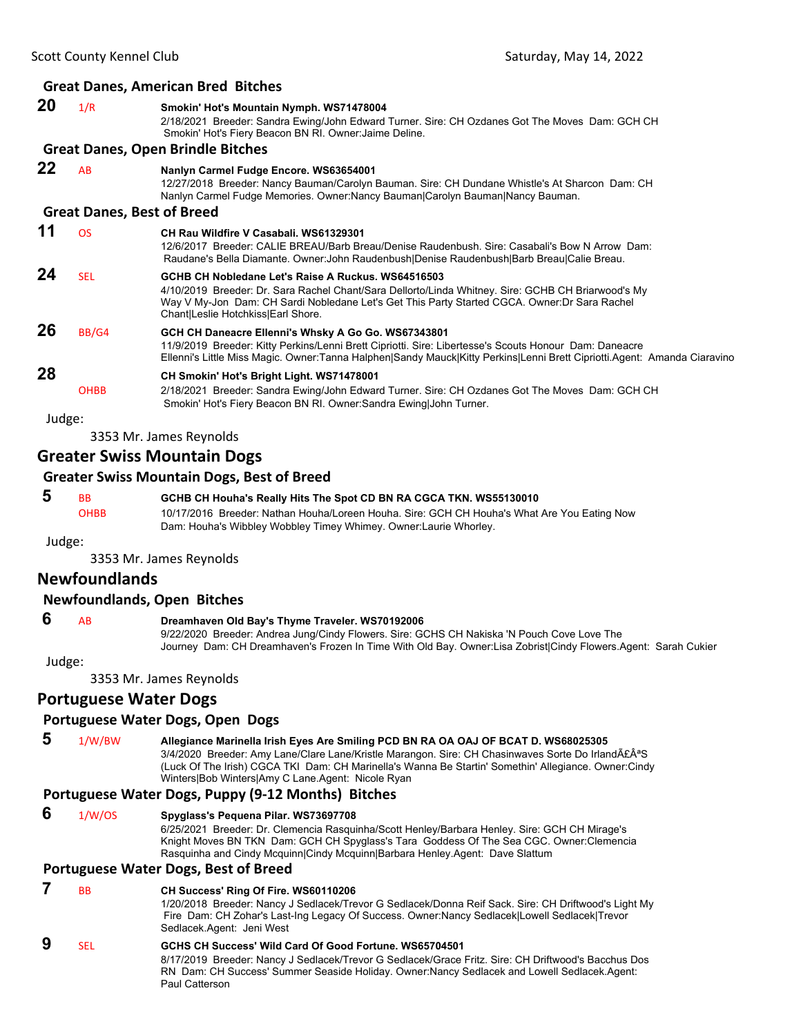### **Great Danes, American Bred Bitches 20** 1/R **Smokin' Hot's Mountain Nymph. WS71478004** 2/18/2021 Breeder: Sandra Ewing/John Edward Turner. Sire: CH Ozdanes Got The Moves Dam: GCH CH Smokin' Hot's Fiery Beacon BN RI. Owner:Jaime Deline.

#### **Great Danes, Open Brindle Bitches**

# **22** AB **Nanlyn Carmel Fudge Encore. WS63654001**

12/27/2018 Breeder: Nancy Bauman/Carolyn Bauman. Sire: CH Dundane Whistle's At Sharcon Dam: CH Nanlyn Carmel Fudge Memories. Owner:Nancy Bauman|Carolyn Bauman|Nancy Bauman.

### **Great Danes, Best of Breed**

| 11 | OS          | CH Rau Wildfire V Casabali, WS61329301<br>12/6/2017 Breeder: CALIE BREAU/Barb Breau/Denise Raudenbush, Sire: Casabali's Bow N Arrow, Dam:<br>Raudane's Bella Diamante. Owner: John Raudenbush Denise Raudenbush Barb Breau Calie Breau.                                                         |
|----|-------------|-------------------------------------------------------------------------------------------------------------------------------------------------------------------------------------------------------------------------------------------------------------------------------------------------|
| 24 | <b>SEL</b>  | GCHB CH Nobledane Let's Raise A Ruckus, WS64516503<br>4/10/2019 Breeder: Dr. Sara Rachel Chant/Sara Dellorto/Linda Whitney. Sire: GCHB CH Briarwood's My<br>Way V My-Jon Dam: CH Sardi Nobledane Let's Get This Party Started CGCA. Owner: Dr Sara Rachel<br>Chant Leslie Hotchkiss Earl Shore. |
| 26 | BB/G4       | GCH CH Daneacre Ellenni's Whsky A Go Go. WS67343801<br>11/9/2019 Breeder: Kitty Perkins/Lenni Brett Cipriotti. Sire: Libertesse's Scouts Honour Dam: Daneacre<br>Ellenni's Little Miss Magic. Owner:Tanna Halphen Sandy Mauck Kitty Perkins Lenni Brett Cipriotti.Agent: Amanda Ciaravino       |
| 28 | <b>OHBB</b> | CH Smokin' Hot's Bright Light. WS71478001<br>2/18/2021 Breeder: Sandra Ewing/John Edward Turner. Sire: CH Ozdanes Got The Moves Dam: GCH CH<br>Smokin' Hot's Fiery Beacon BN RI. Owner: Sandra Ewing John Turner.                                                                               |

Judge:

3353 Mr. James Reynolds

### **Greater Swiss Mountain Dogs**

### **Greater Swiss Mountain Dogs, Best of Breed**

| 5      | <b>BB</b>               | GCHB CH Houha's Really Hits The Spot CD BN RA CGCA TKN. WS55130010                          |
|--------|-------------------------|---------------------------------------------------------------------------------------------|
|        | <b>OHBB</b>             | 10/17/2016 Breeder: Nathan Houha/Loreen Houha. Sire: GCH CH Houha's What Are You Eating Now |
|        |                         | Dam: Houha's Wibbley Wobbley Timey Whimey. Owner Laurie Whorley.                            |
| Judge: |                         |                                                                                             |
|        | 3353 Mr. James Reynolds |                                                                                             |

### **Newfoundlands**

### **Newfoundlands, Open Bitches**

#### **6** AB **Dreamhaven Old Bay's Thyme Traveler. WS70192006**

9/22/2020 Breeder: Andrea Jung/Cindy Flowers. Sire: GCHS CH Nakiska 'N Pouch Cove Love The Journey Dam: CH Dreamhaven's Frozen In Time With Old Bay. Owner:Lisa Zobrist|Cindy Flowers.Agent: Sarah Cukier

Judge:

3353 Mr. James Reynolds

### **Portuguese Water Dogs**

#### **Portuguese Water Dogs, Open Dogs**

### **5** 1/W/BW **Allegiance Marinella Irish Eyes Are Smiling PCD BN RA OA OAJ OF BCAT D. WS68025305**

3/4/2020 Breeder: Amy Lane/Clare Lane/Kristle Marangon. Sire: CH Chasinwaves Sorte Do IrlandãªS (Luck Of The Irish) CGCA TKI Dam: CH Marinella's Wanna Be Startin' Somethin' Allegiance. Owner:Cindy Winters|Bob Winters|Amy C Lane.Agent: Nicole Ryan

#### **Portuguese Water Dogs, Puppy (9‐12 Months) Bitches**

#### **6** 1/W/OS **Spyglass's Pequena Pilar. WS73697708**

6/25/2021 Breeder: Dr. Clemencia Rasquinha/Scott Henley/Barbara Henley. Sire: GCH CH Mirage's Knight Moves BN TKN Dam: GCH CH Spyglass's Tara Goddess Of The Sea CGC. Owner:Clemencia Rasquinha and Cindy Mcquinn|Cindy Mcquinn|Barbara Henley.Agent: Dave Slattum

#### **Portuguese Water Dogs, Best of Breed**

 **7** BB **CH Success' Ring Of Fire. WS60110206**

1/20/2018 Breeder: Nancy J Sedlacek/Trevor G Sedlacek/Donna Reif Sack. Sire: CH Driftwood's Light My Fire Dam: CH Zohar's Last-Ing Legacy Of Success. Owner:Nancy Sedlacek|Lowell Sedlacek|Trevor Sedlacek.Agent: Jeni West

### **9** SEL **GCHS CH Success' Wild Card Of Good Fortune. WS65704501**

8/17/2019 Breeder: Nancy J Sedlacek/Trevor G Sedlacek/Grace Fritz. Sire: CH Driftwood's Bacchus Dos RN Dam: CH Success' Summer Seaside Holiday. Owner:Nancy Sedlacek and Lowell Sedlacek.Agent: Paul Catterson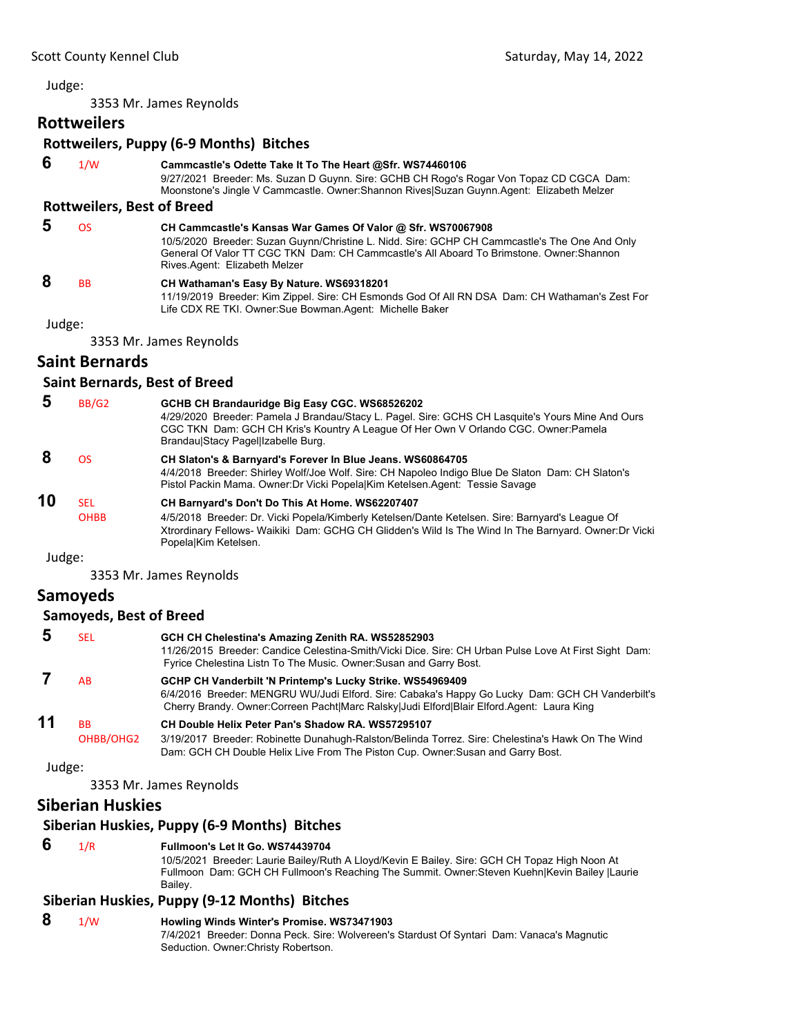3353 Mr. James Reynolds

### **Rottweilers**

### **Rottweilers, Puppy (6‐9 Months) Bitches**

 **6** 1/W **Cammcastle's Odette Take It To The Heart @Sfr. WS74460106** 9/27/2021 Breeder: Ms. Suzan D Guynn. Sire: GCHB CH Rogo's Rogar Von Topaz CD CGCA Dam: Moonstone's Jingle V Cammcastle. Owner:Shannon Rives|Suzan Guynn.Agent: Elizabeth Melzer

### **Rottweilers, Best of Breed**

 **5** OS **CH Cammcastle's Kansas War Games Of Valor @ Sfr. WS70067908** 10/5/2020 Breeder: Suzan Guynn/Christine L. Nidd. Sire: GCHP CH Cammcastle's The One And Only General Of Valor TT CGC TKN Dam: CH Cammcastle's All Aboard To Brimstone. Owner:Shannon Rives.Agent: Elizabeth Melzer  **8** BB **CH Wathaman's Easy By Nature. WS69318201**

11/19/2019 Breeder: Kim Zippel. Sire: CH Esmonds God Of All RN DSA Dam: CH Wathaman's Zest For Life CDX RE TKI. Owner:Sue Bowman.Agent: Michelle Baker

#### Judge:

3353 Mr. James Reynolds

### **Saint Bernards**

### **Saint Bernards, Best of Breed**

| 5  | BB/G <sub>2</sub>   | GCHB CH Brandauridge Big Easy CGC. WS68526202<br>4/29/2020 Breeder: Pamela J Brandau/Stacy L. Pagel. Sire: GCHS CH Lasquite's Yours Mine And Ours<br>CGC TKN Dam: GCH CH Kris's Kountry A League Of Her Own V Orlando CGC. Owner: Pamela<br>Brandau Stacy Page  Izabelle Burg.      |
|----|---------------------|-------------------------------------------------------------------------------------------------------------------------------------------------------------------------------------------------------------------------------------------------------------------------------------|
|    | <b>OS</b>           | CH Slaton's & Barnyard's Forever In Blue Jeans. WS60864705<br>4/4/2018 Breeder: Shirley Wolf/Joe Wolf. Sire: CH Napoleo Indigo Blue De Slaton Dam: CH Slaton's<br>Pistol Packin Mama. Owner: Dr Vicki Popela Kim Ketelsen Agent: Tessie Savage                                      |
| 10 | SFI.<br><b>OHBB</b> | CH Barnyard's Don't Do This At Home. WS62207407<br>4/5/2018 Breeder: Dr. Vicki Popela/Kimberly Ketelsen/Dante Ketelsen. Sire: Barnyard's League Of<br>Xtrordinary Fellows- Waikiki Dam: GCHG CH Glidden's Wild Is The Wind In The Barnyard. Owner: Dr Vicki<br>PopelalKim Ketelsen. |

#### Judge:

3353 Mr. James Reynolds

### **Samoyeds**

#### **Samoyeds, Best of Breed**

| 5  | SEL                    | GCH CH Chelestina's Amazing Zenith RA. WS52852903<br>11/26/2015 Breeder: Candice Celestina-Smith/Vicki Dice. Sire: CH Urban Pulse Love At First Sight Dam:<br>Fyrice Chelestina Listn To The Music. Owner: Susan and Garry Bost.                          |
|----|------------------------|-----------------------------------------------------------------------------------------------------------------------------------------------------------------------------------------------------------------------------------------------------------|
|    | <b>AB</b>              | GCHP CH Vanderbilt 'N Printemp's Lucky Strike. WS54969409<br>6/4/2016 Breeder: MENGRU WU/Judi Elford. Sire: Cabaka's Happy Go Lucky Dam: GCH CH Vanderbilt's<br>Cherry Brandy. Owner:Correen Pacht Marc Ralsky Judi Elford Blair Elford.Agent: Laura King |
| 11 | <b>RR</b><br>OHBB/OHG2 | CH Double Helix Peter Pan's Shadow RA, WS57295107<br>3/19/2017 Breeder: Robinette Dunahugh-Ralston/Belinda Torrez. Sire: Chelestina's Hawk On The Wind<br>Dam: GCH CH Double Helix Live From The Piston Cup. Owner: Susan and Garry Bost.                 |

Judge:

3353 Mr. James Reynolds

### **Siberian Huskies**

#### **Siberian Huskies, Puppy (6‐9 Months) Bitches**

#### **6** 1/R **Fullmoon's Let It Go. WS74439704**

10/5/2021 Breeder: Laurie Bailey/Ruth A Lloyd/Kevin E Bailey. Sire: GCH CH Topaz High Noon At Fullmoon Dam: GCH CH Fullmoon's Reaching The Summit. Owner:Steven Kuehn|Kevin Bailey |Laurie Bailey.

### **Siberian Huskies, Puppy (9‐12 Months) Bitches**

### **8** 1/W **Howling Winds Winter's Promise. WS73471903**

7/4/2021 Breeder: Donna Peck. Sire: Wolvereen's Stardust Of Syntari Dam: Vanaca's Magnutic Seduction. Owner:Christy Robertson.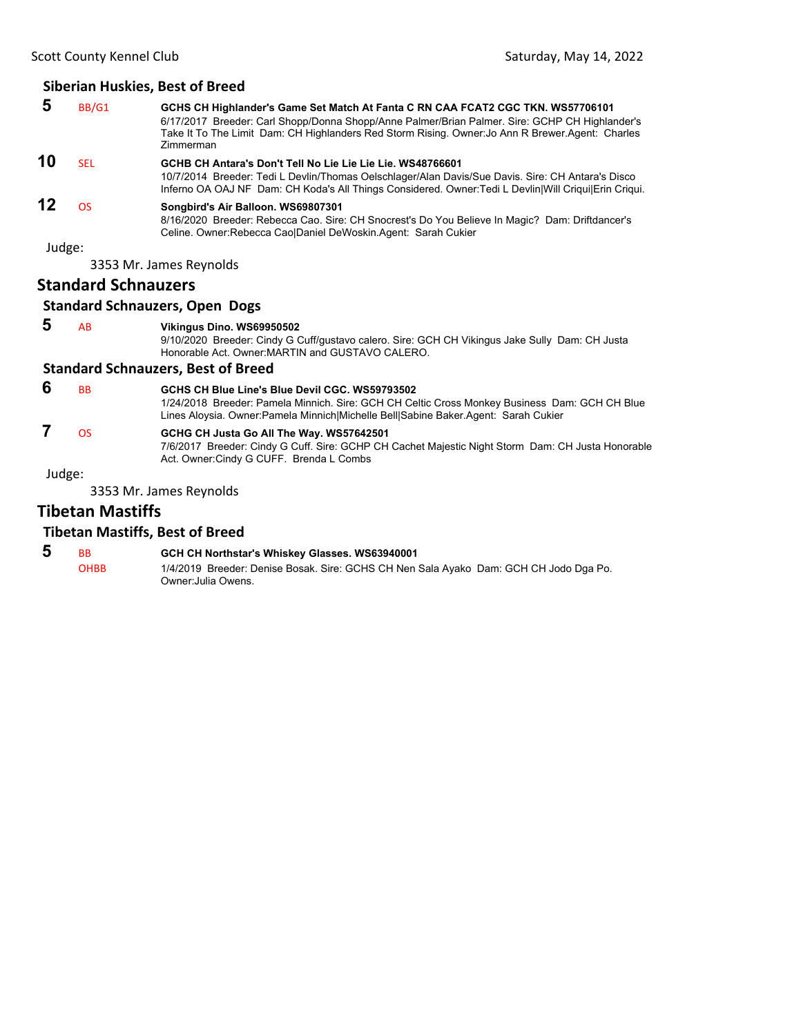#### **Siberian Huskies, Best of Breed**

| 5      | BB/G1                      | GCHS CH Highlander's Game Set Match At Fanta C RN CAA FCAT2 CGC TKN. WS57706101<br>6/17/2017 Breeder: Carl Shopp/Donna Shopp/Anne Palmer/Brian Palmer. Sire: GCHP CH Highlander's<br>Take It To The Limit Dam: CH Highlanders Red Storm Rising. Owner: Jo Ann R Brewer.Agent: Charles<br>Zimmerman |
|--------|----------------------------|----------------------------------------------------------------------------------------------------------------------------------------------------------------------------------------------------------------------------------------------------------------------------------------------------|
| 10     | <b>SEL</b>                 | GCHB CH Antara's Don't Tell No Lie Lie Lie Lie. WS48766601                                                                                                                                                                                                                                         |
|        |                            | 10/7/2014 Breeder: Tedi L Devlin/Thomas Oelschlager/Alan Davis/Sue Davis. Sire: CH Antara's Disco<br>Inferno OA OAJ NF Dam: CH Koda's All Things Considered. Owner: Tedi L Devlin Will Criqui Erin Criqui.                                                                                         |
| 12     | OS                         | Songbird's Air Balloon. WS69807301                                                                                                                                                                                                                                                                 |
|        |                            | 8/16/2020 Breeder: Rebecca Cao. Sire: CH Snocrest's Do You Believe In Magic? Dam: Driftdancer's<br>Celine. Owner: Rebecca CaolDaniel DeWoskin. Agent: Sarah Cukier                                                                                                                                 |
| Judge: |                            |                                                                                                                                                                                                                                                                                                    |
|        |                            | 3353 Mr. James Reynolds                                                                                                                                                                                                                                                                            |
|        | <b>Standard Schnauzers</b> |                                                                                                                                                                                                                                                                                                    |

### **Standard Schnauzers, Open Dogs**

#### **5** AB **Vikingus Dino. WS69950502**

9/10/2020 Breeder: Cindy G Cuff/gustavo calero. Sire: GCH CH Vikingus Jake Sully Dam: CH Justa Honorable Act. Owner:MARTIN and GUSTAVO CALERO.

#### **Standard Schnauzers, Best of Breed**

**6** BB **GCHS CH Blue Line's Blue Devil CGC. WS59793502** 1/24/2018 Breeder: Pamela Minnich. Sire: GCH CH Celtic Cross Monkey Business Dam: GCH CH Blue Lines Aloysia. Owner:Pamela Minnich|Michelle Bell|Sabine Baker.Agent: Sarah Cukier

## **7** OS **GCHG CH Justa Go All The Way. WS57642501**

7/6/2017 Breeder: Cindy G Cuff. Sire: GCHP CH Cachet Majestic Night Storm Dam: CH Justa Honorable Act. Owner:Cindy G CUFF. Brenda L Combs

Judge:

3353 Mr. James Reynolds

### **Tibetan Mastiffs**

### **Tibetan Mastiffs, Best of Breed**

| -5 | <b>RR</b> | GCH CH Northstar's Whiskey Glasses. WS63940001                                        |
|----|-----------|---------------------------------------------------------------------------------------|
|    | ОНВВ      | 1/4/2019 Breeder: Denise Bosak. Sire: GCHS CH Nen Sala Ayako Dam: GCH CH Jodo Dga Po. |
|    |           | Owner:Julia Owens.                                                                    |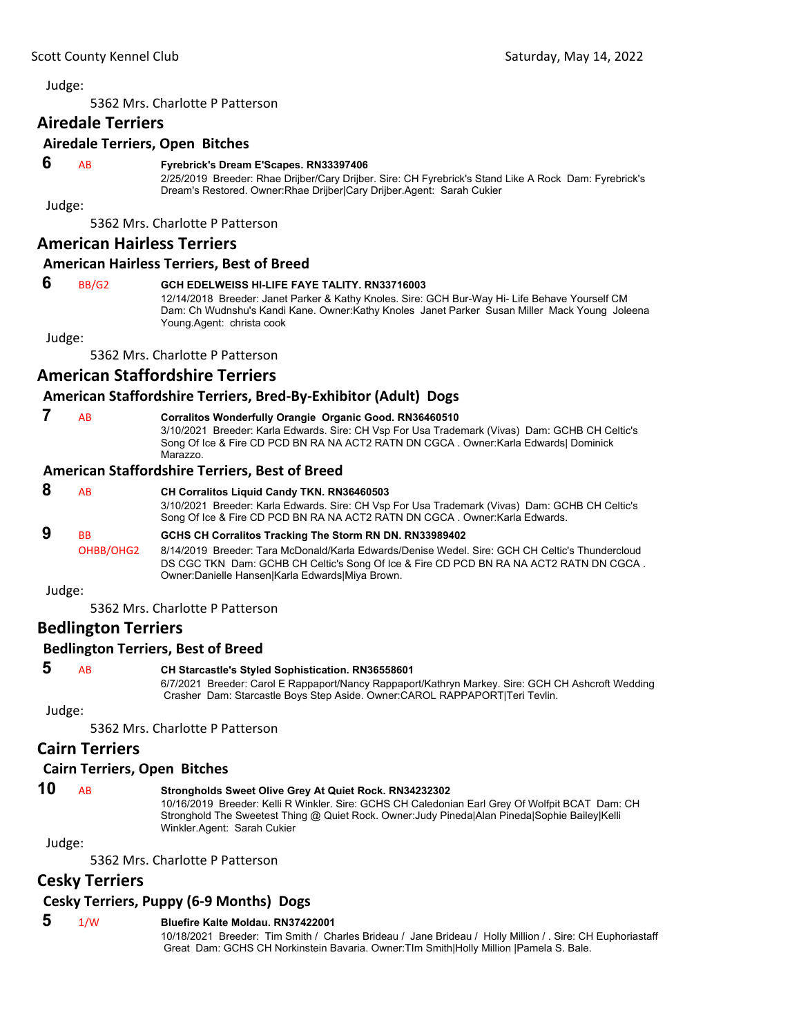<span id="page-24-0"></span>5362 Mrs. Charlotte P Patterson

### **Airedale Terriers**

### **Airedale Terriers, Open Bitches**

### **6** AB **Fyrebrick's Dream E'Scapes. RN33397406**

2/25/2019 Breeder: Rhae Drijber/Cary Drijber. Sire: CH Fyrebrick's Stand Like A Rock Dam: Fyrebrick's Dream's Restored. Owner:Rhae Drijber|Cary Drijber.Agent: Sarah Cukier

Judge:

5362 Mrs. Charlotte P Patterson

### **American Hairless Terriers**

### **American Hairless Terriers, Best of Breed**

### **6** BB/G2 **GCH EDELWEISS HI-LIFE FAYE TALITY. RN33716003**

12/14/2018 Breeder: Janet Parker & Kathy Knoles. Sire: GCH Bur-Way Hi- Life Behave Yourself CM Dam: Ch Wudnshu's Kandi Kane. Owner:Kathy Knoles Janet Parker Susan Miller Mack Young Joleena Young.Agent: christa cook

Judge:

5362 Mrs. Charlotte P Patterson

### **American Staffordshire Terriers**

### **American Staffordshire Terriers, Bred‐By‐Exhibitor (Adult) Dogs**

| AR. | <b>Corralitos Wonderfully Orangie Or</b>                                                                                                                 |
|-----|----------------------------------------------------------------------------------------------------------------------------------------------------------|
|     | 3/10/2021 Breeder: Karla Edwards. \$                                                                                                                     |
|     | $C_{2}$ $\sim$ $C_{1}$ $\sim$ $R$ $\Gamma_{1}$ $\sim$ $C_{2}$ $\Gamma_{1}$ $\Gamma_{2}$ $\Gamma_{3}$ $\Gamma_{4}$ $\Gamma_{5}$ $\Gamma_{6}$ $\Gamma_{7}$ |

### **7** AB **Corralitos Wonderfully Orangie Organic Good. RN36460510**

Sire: CH Vsp For Usa Trademark (Vivas) Dam: GCHB CH Celtic's Song Of Ice & Fire CD PCD BN RA NA ACT2 RATN DN CGCA . Owner:Karla Edwards| Dominick Marazzo.

### **American Staffordshire Terriers, Best of Breed**

#### **8** AB **CH Corralitos Liquid Candy TKN. RN36460503** 3/10/2021 Breeder: Karla Edwards. Sire: CH Vsp For Usa Trademark (Vivas) Dam: GCHB CH Celtic's Song Of Ice & Fire CD PCD BN RA NA ACT2 RATN DN CGCA . Owner:Karla Edwards.  **9** BB **GCHS CH Corralitos Tracking The Storm RN DN. RN33989402** OHBB/OHG2 8/14/2019 Breeder: Tara McDonald/Karla Edwards/Denise Wedel. Sire: GCH CH Celtic's Thundercloud DS CGC TKN Dam: GCHB CH Celtic's Song Of Ice & Fire CD PCD BN RA NA ACT2 RATN DN CGCA . Owner:Danielle Hansen|Karla Edwards|Miya Brown.

Judge:

5362 Mrs. Charlotte P Patterson

### **Bedlington Terriers**

### **Bedlington Terriers, Best of Breed**

### **5** AB **CH Starcastle's Styled Sophistication. RN36558601**

6/7/2021 Breeder: Carol E Rappaport/Nancy Rappaport/Kathryn Markey. Sire: GCH CH Ashcroft Wedding Crasher Dam: Starcastle Boys Step Aside. Owner:CAROL RAPPAPORT|Teri Tevlin.

Judge:

5362 Mrs. Charlotte P Patterson

### **Cairn Terriers**

### **Cairn Terriers, Open Bitches**

### **10** AB **Strongholds Sweet Olive Grey At Quiet Rock. RN34232302**

10/16/2019 Breeder: Kelli R Winkler. Sire: GCHS CH Caledonian Earl Grey Of Wolfpit BCAT Dam: CH Stronghold The Sweetest Thing @ Quiet Rock. Owner:Judy Pineda|Alan Pineda|Sophie Bailey|Kelli Winkler.Agent: Sarah Cukier

Judge:

5362 Mrs. Charlotte P Patterson

### **Cesky Terriers**

### **Cesky Terriers, Puppy (6‐9 Months) Dogs**

### **5** 1/W **Bluefire Kalte Moldau. RN37422001**

10/18/2021 Breeder: Tim Smith / Charles Brideau / Jane Brideau / Holly Million / . Sire: CH Euphoriastaff Great Dam: GCHS CH Norkinstein Bavaria. Owner:TIm Smith|Holly Million |Pamela S. Bale.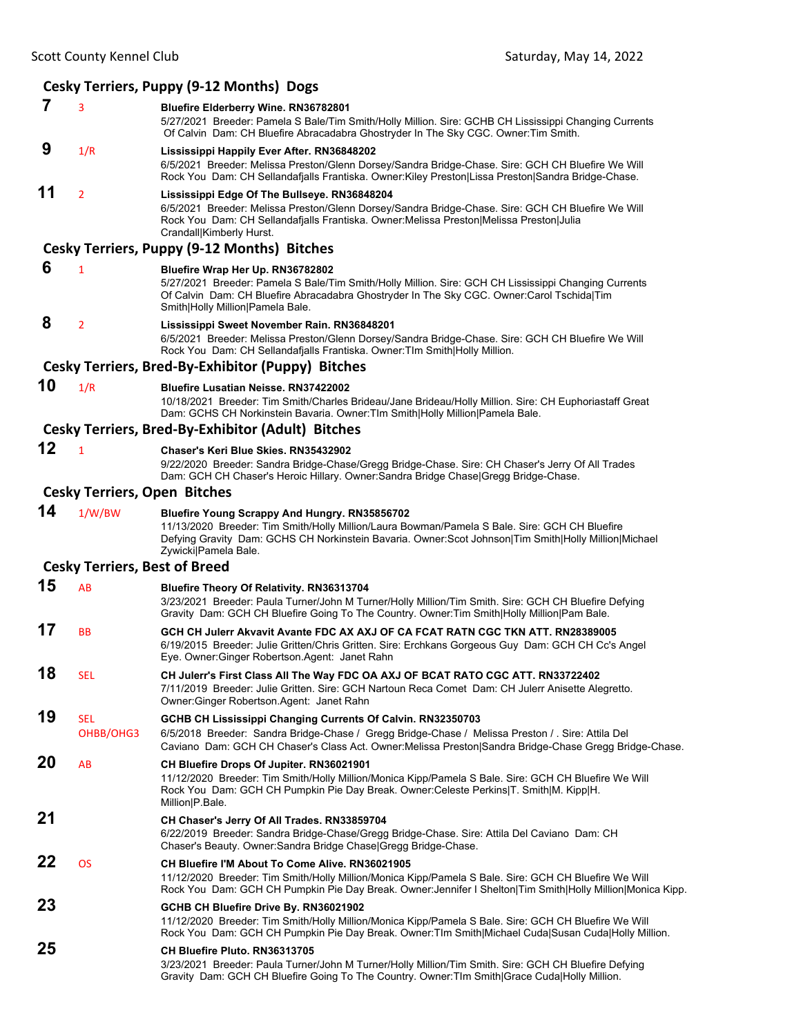#### **Cesky Terriers, Puppy (9‐12 Months) Dogs 7** <sup>3</sup> **Bluefire Elderberry Wine. RN36782801** 5/27/2021 Breeder: Pamela S Bale/Tim Smith/Holly Million. Sire: GCHB CH Lississippi Changing Currents Of Calvin Dam: CH Bluefire Abracadabra Ghostryder In The Sky CGC. Owner:Tim Smith.  **9** 1/R **Lississippi Happily Ever After. RN36848202** 6/5/2021 Breeder: Melissa Preston/Glenn Dorsey/Sandra Bridge-Chase. Sire: GCH CH Bluefire We Will Rock You Dam: CH Sellandafjalls Frantiska. Owner:Kiley Preston|Lissa Preston|Sandra Bridge-Chase. **11** <sup>2</sup> **Lississippi Edge Of The Bullseye. RN36848204** 6/5/2021 Breeder: Melissa Preston/Glenn Dorsey/Sandra Bridge-Chase. Sire: GCH CH Bluefire We Will Rock You Dam: CH Sellandafjalls Frantiska. Owner:Melissa Preston|Melissa Preston|Julia Crandall|Kimberly Hurst. **Cesky Terriers, Puppy (9‐12 Months) Bitches 6** <sup>1</sup> **Bluefire Wrap Her Up. RN36782802** 5/27/2021 Breeder: Pamela S Bale/Tim Smith/Holly Million. Sire: GCH CH Lississippi Changing Currents Of Calvin Dam: CH Bluefire Abracadabra Ghostryder In The Sky CGC. Owner:Carol Tschida|Tim Smith|Holly Million|Pamela Bale.  **8** <sup>2</sup> **Lississippi Sweet November Rain. RN36848201** 6/5/2021 Breeder: Melissa Preston/Glenn Dorsey/Sandra Bridge-Chase. Sire: GCH CH Bluefire We Will Rock You Dam: CH Sellandafjalls Frantiska. Owner:TIm Smith|Holly Million. **Cesky Terriers, Bred‐By‐Exhibitor (Puppy) Bitches 10** 1/R **Bluefire Lusatian Neisse. RN37422002** 10/18/2021 Breeder: Tim Smith/Charles Brideau/Jane Brideau/Holly Million. Sire: CH Euphoriastaff Great Dam: GCHS CH Norkinstein Bavaria. Owner:TIm Smith|Holly Million|Pamela Bale. **Cesky Terriers, Bred‐By‐Exhibitor (Adult) Bitches 12** <sup>1</sup> **Chaser's Keri Blue Skies. RN35432902** 9/22/2020 Breeder: Sandra Bridge-Chase/Gregg Bridge-Chase. Sire: CH Chaser's Jerry Of All Trades Dam: GCH CH Chaser's Heroic Hillary. Owner:Sandra Bridge Chase|Gregg Bridge-Chase. **Cesky Terriers, Open Bitches 14** 1/W/BW **Bluefire Young Scrappy And Hungry. RN35856702** 11/13/2020 Breeder: Tim Smith/Holly Million/Laura Bowman/Pamela S Bale. Sire: GCH CH Bluefire Defying Gravity Dam: GCHS CH Norkinstein Bavaria. Owner:Scot Johnson|Tim Smith|Holly Million|Michael Zywicki|Pamela Bale. **Cesky Terriers, Best of Breed 15** AB **Bluefire Theory Of Relativity. RN36313704** 3/23/2021 Breeder: Paula Turner/John M Turner/Holly Million/Tim Smith. Sire: GCH CH Bluefire Defying Gravity Dam: GCH CH Bluefire Going To The Country. Owner:Tim Smith|Holly Million|Pam Bale. **17** BB **GCH CH Julerr Akvavit Avante FDC AX AXJ OF CA FCAT RATN CGC TKN ATT. RN28389005** 6/19/2015 Breeder: Julie Gritten/Chris Gritten. Sire: Erchkans Gorgeous Guy Dam: GCH CH Cc's Angel Eye. Owner:Ginger Robertson.Agent: Janet Rahn **18** SEL **CH Julerr's First Class All The Way FDC OA AXJ OF BCAT RATO CGC ATT. RN33722402** 7/11/2019 Breeder: Julie Gritten. Sire: GCH Nartoun Reca Comet Dam: CH Julerr Anisette Alegretto. Owner:Ginger Robertson.Agent: Janet Rahn **19** SEL **GCHB CH Lississippi Changing Currents Of Calvin. RN32350703** OHBB/OHG3 6/5/2018 Breeder: Sandra Bridge-Chase / Gregg Bridge-Chase / Melissa Preston / . Sire: Attila Del Caviano Dam: GCH CH Chaser's Class Act. Owner:Melissa Preston|Sandra Bridge-Chase Gregg Bridge-Chase. **20** AB **CH Bluefire Drops Of Jupiter. RN36021901** 11/12/2020 Breeder: Tim Smith/Holly Million/Monica Kipp/Pamela S Bale. Sire: GCH CH Bluefire We Will Rock You Dam: GCH CH Pumpkin Pie Day Break. Owner:Celeste Perkins|T. Smith|M. Kipp|H. Million|P.Bale. **21 CH Chaser's Jerry Of All Trades. RN33859704** 6/22/2019 Breeder: Sandra Bridge-Chase/Gregg Bridge-Chase. Sire: Attila Del Caviano Dam: CH Chaser's Beauty. Owner:Sandra Bridge Chase|Gregg Bridge-Chase. **22** OS **CH Bluefire I'M About To Come Alive. RN36021905** 11/12/2020 Breeder: Tim Smith/Holly Million/Monica Kipp/Pamela S Bale. Sire: GCH CH Bluefire We Will Rock You Dam: GCH CH Pumpkin Pie Day Break. Owner:Jennifer I Shelton|Tim Smith|Holly Million|Monica Kipp. **23 GCHB CH Bluefire Drive By. RN36021902** 11/12/2020 Breeder: Tim Smith/Holly Million/Monica Kipp/Pamela S Bale. Sire: GCH CH Bluefire We Will Rock You Dam: GCH CH Pumpkin Pie Day Break. Owner:TIm Smith|Michael Cuda|Susan Cuda|Holly Million. **25 CH Bluefire Pluto. RN36313705** 3/23/2021 Breeder: Paula Turner/John M Turner/Holly Million/Tim Smith. Sire: GCH CH Bluefire Defying Gravity Dam: GCH CH Bluefire Going To The Country. Owner:TIm Smith|Grace Cuda|Holly Million.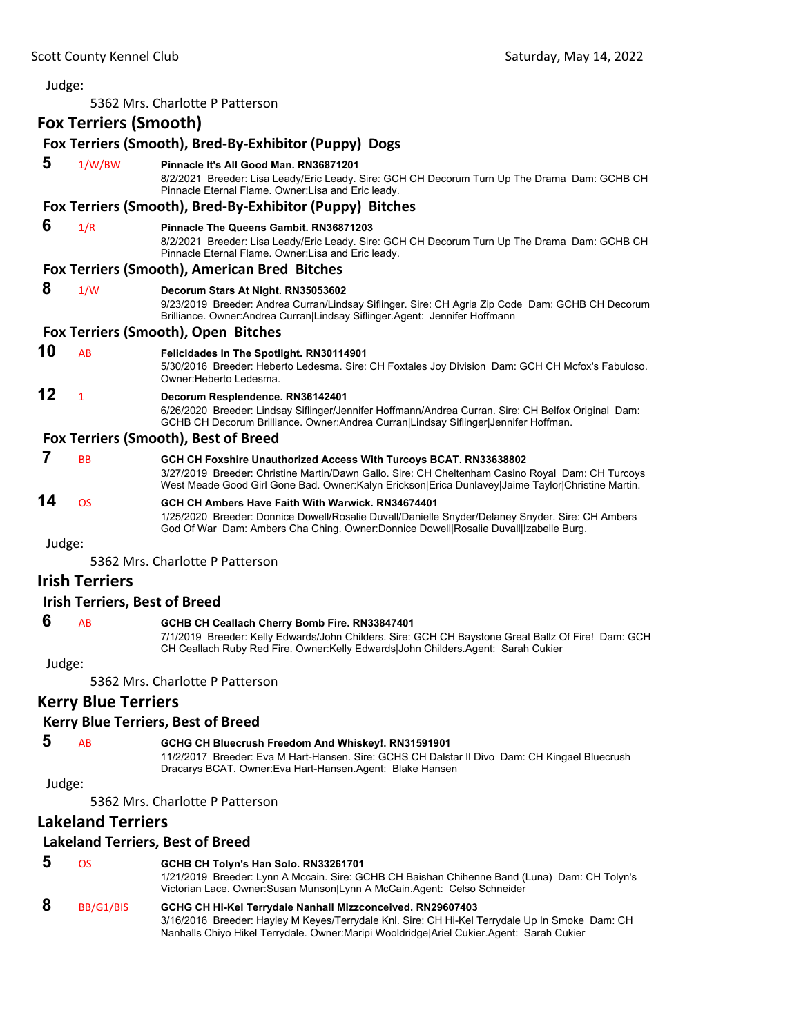Judge: 5362 Mrs. Charlotte P Patterson **Fox Terriers (Smooth) Fox Terriers (Smooth), Bred‐By‐Exhibitor (Puppy) Dogs 5** 1/W/BW **Pinnacle It's All Good Man. RN36871201** 8/2/2021 Breeder: Lisa Leady/Eric Leady. Sire: GCH CH Decorum Turn Up The Drama Dam: GCHB CH Pinnacle Eternal Flame. Owner:Lisa and Eric leady. **Fox Terriers (Smooth), Bred‐By‐Exhibitor (Puppy) Bitches 6** 1/R **Pinnacle The Queens Gambit. RN36871203** 8/2/2021 Breeder: Lisa Leady/Eric Leady. Sire: GCH CH Decorum Turn Up The Drama Dam: GCHB CH Pinnacle Eternal Flame. Owner:Lisa and Eric leady. **Fox Terriers (Smooth), American Bred Bitches 8** 1/W **Decorum Stars At Night. RN35053602** 9/23/2019 Breeder: Andrea Curran/Lindsay Siflinger. Sire: CH Agria Zip Code Dam: GCHB CH Decorum Brilliance. Owner:Andrea Curran|Lindsay Siflinger.Agent: Jennifer Hoffmann **Fox Terriers (Smooth), Open Bitches 10** AB **Felicidades In The Spotlight. RN30114901** 5/30/2016 Breeder: Heberto Ledesma. Sire: CH Foxtales Joy Division Dam: GCH CH Mcfox's Fabuloso. Owner:Heberto Ledesma. **12** <sup>1</sup> **Decorum Resplendence. RN36142401** 6/26/2020 Breeder: Lindsay Siflinger/Jennifer Hoffmann/Andrea Curran. Sire: CH Belfox Original Dam: GCHB CH Decorum Brilliance. Owner:Andrea Curran|Lindsay Siflinger|Jennifer Hoffman. **Fox Terriers (Smooth), Best of Breed 7** BB **GCH CH Foxshire Unauthorized Access With Turcoys BCAT. RN33638802** 3/27/2019 Breeder: Christine Martin/Dawn Gallo. Sire: CH Cheltenham Casino Royal Dam: CH Turcoys West Meade Good Girl Gone Bad. Owner:Kalyn Erickson|Erica Dunlavey|Jaime Taylor|Christine Martin. **14** OS **GCH CH Ambers Have Faith With Warwick. RN34674401** 1/25/2020 Breeder: Donnice Dowell/Rosalie Duvall/Danielle Snyder/Delaney Snyder. Sire: CH Ambers God Of War Dam: Ambers Cha Ching. Owner:Donnice Dowell|Rosalie Duvall|Izabelle Burg. Judge: 5362 Mrs. Charlotte P Patterson **Irish Terriers Irish Terriers, Best of Breed** 

#### **6** AB **GCHB CH Ceallach Cherry Bomb Fire. RN33847401**

7/1/2019 Breeder: Kelly Edwards/John Childers. Sire: GCH CH Baystone Great Ballz Of Fire! Dam: GCH CH Ceallach Ruby Red Fire. Owner:Kelly Edwards|John Childers.Agent: Sarah Cukier

Judge:

5362 Mrs. Charlotte P Patterson

### **Kerry Blue Terriers**

#### **Kerry Blue Terriers, Best of Breed**

### **5** AB **GCHG CH Bluecrush Freedom And Whiskey!. RN31591901**

11/2/2017 Breeder: Eva M Hart-Hansen. Sire: GCHS CH Dalstar Il Divo Dam: CH Kingael Bluecrush Dracarys BCAT. Owner:Eva Hart-Hansen.Agent: Blake Hansen

Judge:

5362 Mrs. Charlotte P Patterson

### **Lakeland Terriers**

#### **Lakeland Terriers, Best of Breed**

| 5 | OS.       | GCHB CH Tolyn's Han Solo. RN33261701<br>1/21/2019 Breeder: Lynn A Mccain. Sire: GCHB CH Baishan Chihenne Band (Luna) Dam: CH Tolyn's<br>Victorian Lace. Owner: Susan Munson Lynn A McCain. Agent: Celso Schneider |
|---|-----------|-------------------------------------------------------------------------------------------------------------------------------------------------------------------------------------------------------------------|
| 8 | BB/G1/BIS | GCHG CH Hi-Kel Terrydale Nanhall Mizzconceived. RN29607403<br>3/16/2016 Breeder: Hayley M Keyes/Terrydale Knl. Sire: CH Hi-Kel Terrydale Up In Smoke Dam: CH                                                      |
|   |           | Nanhalls Chiyo Hikel Terrydale. Owner: Maripi Wooldridge Ariel Cukier Agent: Sarah Cukier                                                                                                                         |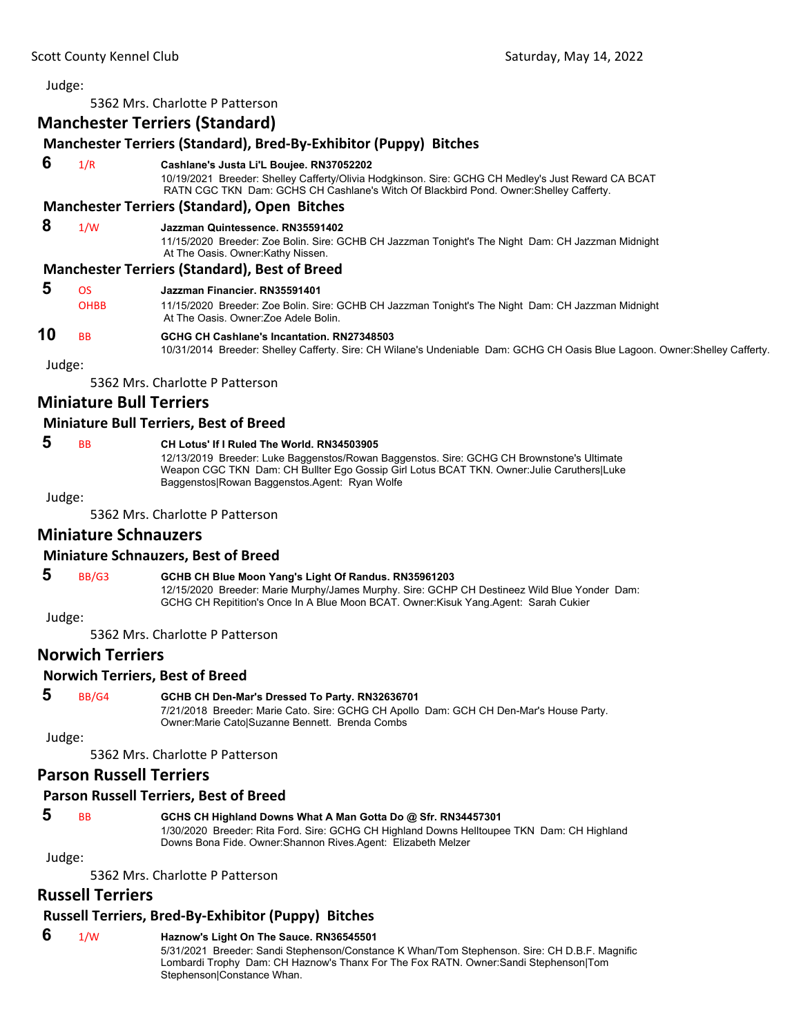5362 Mrs. Charlotte P Patterson

### **Manchester Terriers (Standard)**

### **Manchester Terriers (Standard), Bred‐By‐Exhibitor (Puppy) Bitches**

 **6** 1/R **Cashlane's Justa Li'L Boujee. RN37052202**

10/19/2021 Breeder: Shelley Cafferty/Olivia Hodgkinson. Sire: GCHG CH Medley's Just Reward CA BCAT RATN CGC TKN Dam: GCHS CH Cashlane's Witch Of Blackbird Pond. Owner:Shelley Cafferty.

#### **Manchester Terriers (Standard), Open Bitches**

#### **8** 1/W **Jazzman Quintessence. RN35591402**

11/15/2020 Breeder: Zoe Bolin. Sire: GCHB CH Jazzman Tonight's The Night Dam: CH Jazzman Midnight At The Oasis. Owner:Kathy Nissen.

#### **Manchester Terriers (Standard), Best of Breed**

### **5** OS **Jazzman Financier. RN35591401**

| <b>OHBB</b> | 11/15/2020 Breeder: Zoe Bolin. Sire: GCHB CH Jazzman Tonight's The Night Dam: CH Jazzman Midnight |
|-------------|---------------------------------------------------------------------------------------------------|
|             | At The Oasis, Owner: Zoe Adele Bolin,                                                             |

### **10** BB **GCHG CH Cashlane's Incantation. RN27348503**

10/31/2014 Breeder: Shelley Cafferty. Sire: CH Wilane's Undeniable Dam: GCHG CH Oasis Blue Lagoon. Owner:Shelley Cafferty.

Judge:

5362 Mrs. Charlotte P Patterson

### **Miniature Bull Terriers**

### **Miniature Bull Terriers, Best of Breed**

### **5** BB **CH Lotus' If I Ruled The World. RN34503905**

12/13/2019 Breeder: Luke Baggenstos/Rowan Baggenstos. Sire: GCHG CH Brownstone's Ultimate Weapon CGC TKN Dam: CH Bullter Ego Gossip Girl Lotus BCAT TKN. Owner:Julie Caruthers|Luke Baggenstos|Rowan Baggenstos.Agent: Ryan Wolfe

Judge:

5362 Mrs. Charlotte P Patterson

#### **Miniature Schnauzers**

#### **Miniature Schnauzers, Best of Breed**

### **5** BB/G3 **GCHB CH Blue Moon Yang's Light Of Randus. RN35961203**

12/15/2020 Breeder: Marie Murphy/James Murphy. Sire: GCHP CH Destineez Wild Blue Yonder Dam: GCHG CH Repitition's Once In A Blue Moon BCAT. Owner:Kisuk Yang.Agent: Sarah Cukier

Judge:

5362 Mrs. Charlotte P Patterson

### **Norwich Terriers**

#### **Norwich Terriers, Best of Breed**

#### **5** BB/G4 **GCHB CH Den-Mar's Dressed To Party. RN32636701**

7/21/2018 Breeder: Marie Cato. Sire: GCHG CH Apollo Dam: GCH CH Den-Mar's House Party. Owner:Marie Cato|Suzanne Bennett. Brenda Combs

Judge:

5362 Mrs. Charlotte P Patterson

### **Parson Russell Terriers**

#### **Parson Russell Terriers, Best of Breed**

 **5** BB **GCHS CH Highland Downs What A Man Gotta Do @ Sfr. RN34457301** 1/30/2020 Breeder: Rita Ford. Sire: GCHG CH Highland Downs Helltoupee TKN Dam: CH Highland

Downs Bona Fide. Owner:Shannon Rives.Agent: Elizabeth Melzer

Judge:

5362 Mrs. Charlotte P Patterson

### **Russell Terriers**

### **Russell Terriers, Bred‐By‐Exhibitor (Puppy) Bitches**

 **6** 1/W **Haznow's Light On The Sauce. RN36545501**

5/31/2021 Breeder: Sandi Stephenson/Constance K Whan/Tom Stephenson. Sire: CH D.B.F. Magnific Lombardi Trophy Dam: CH Haznow's Thanx For The Fox RATN. Owner:Sandi Stephenson|Tom Stephenson|Constance Whan.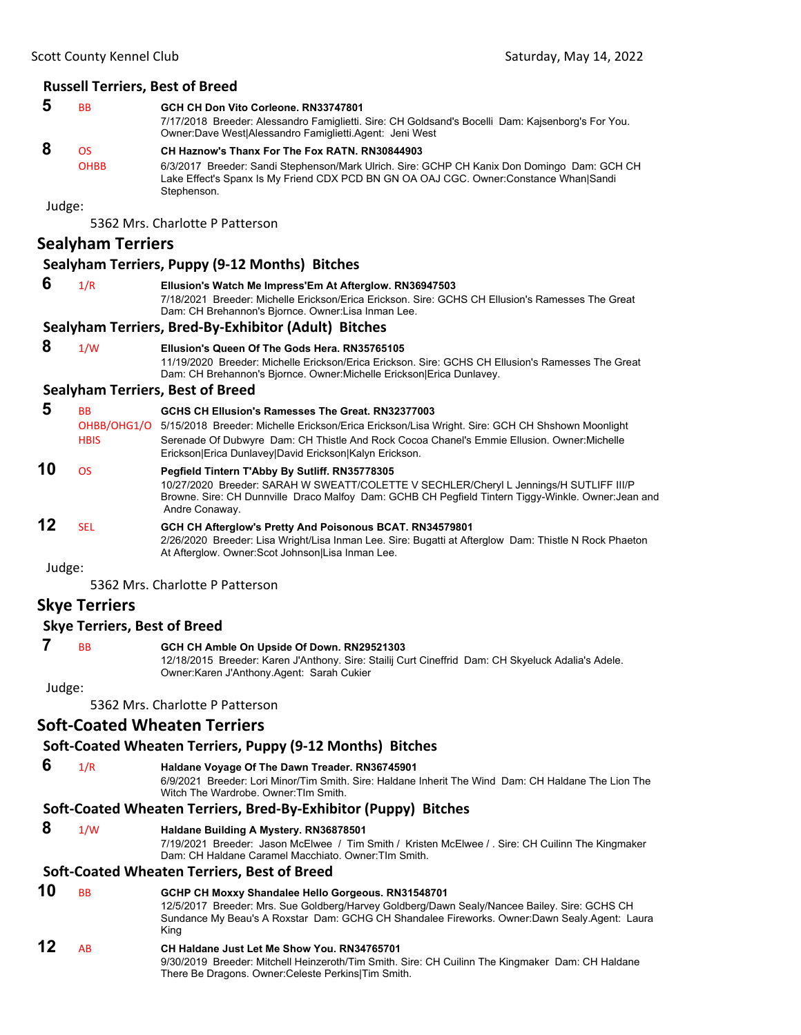### **Russell Terriers, Best of Breed**

| 5 | <b>BB</b>   | GCH CH Don Vito Corleone. RN33747801<br>7/17/2018 Breeder: Alessandro Famiglietti. Sire: CH Goldsand's Bocelli Dam: Kajsenborg's For You.<br>Owner: Dave West Alessandro Famiglietti. Agent: Jeni West |
|---|-------------|--------------------------------------------------------------------------------------------------------------------------------------------------------------------------------------------------------|
| 8 | OS.         | CH Haznow's Thanx For The Fox RATN, RN30844903                                                                                                                                                         |
|   | <b>OHBB</b> | 6/3/2017 Breeder: Sandi Stephenson/Mark Ulrich. Sire: GCHP CH Kanix Don Domingo Dam: GCH CH<br>Lake Effect's Spanx Is My Friend CDX PCD BN GN OA OAJ CGC. Owner:Constance Whan Sandi<br>Stephenson.    |

Judge:

5362 Mrs. Charlotte P Patterson

### **Sealyham Terriers**

### **Sealyham Terriers, Puppy (9‐12 Months) Bitches**

 **6** 1/R **Ellusion's Watch Me Impress'Em At Afterglow. RN36947503** 7/18/2021 Breeder: Michelle Erickson/Erica Erickson. Sire: GCHS CH Ellusion's Ramesses The Great Dam: CH Brehannon's Bjornce. Owner:Lisa Inman Lee.

#### **Sealyham Terriers, Bred‐By‐Exhibitor (Adult) Bitches**

 **8** 1/W **Ellusion's Queen Of The Gods Hera. RN35765105**

11/19/2020 Breeder: Michelle Erickson/Erica Erickson. Sire: GCHS CH Ellusion's Ramesses The Great Dam: CH Brehannon's Bjornce. Owner:Michelle Erickson|Erica Dunlavey.

#### **Sealyham Terriers, Best of Breed**

| 5  | BB<br>OHBB/OHG1/O<br><b>HBIS</b> | GCHS CH Ellusion's Ramesses The Great, RN32377003<br>5/15/2018 Breeder: Michelle Erickson/Erica Erickson/Lisa Wright. Sire: GCH CH Shshown Moonlight<br>Serenade Of Dubwyre Dam: CH Thistle And Rock Cocoa Chanel's Emmie Ellusion. Owner: Michelle<br>Erickson Erica Dunlavey David Erickson Kalyn Erickson. |
|----|----------------------------------|---------------------------------------------------------------------------------------------------------------------------------------------------------------------------------------------------------------------------------------------------------------------------------------------------------------|
| 10 | ΩS                               | Pegfield Tintern T'Abby By Sutliff. RN35778305<br>10/27/2020 Breeder: SARAH W SWEATT/COLETTE V SECHLER/Cheryl L Jennings/H SUTLIFF III/P<br>Browne. Sire: CH Dunnville Draco Malfoy Dam: GCHB CH Pegfield Tintern Tiggy-Winkle. Owner: Jean and<br>Andre Conaway.                                             |
| 12 | SFI.                             | GCH CH Afterglow's Pretty And Poisonous BCAT. RN34579801<br>2/26/2020 Breeder: Lisa Wright/Lisa Inman Lee. Sire: Bugatti at Afterglow Dam: Thistle N Rock Phaeton<br>At Afterglow. Owner: Scot Johnson Lisa Inman Lee.                                                                                        |

Judge:

5362 Mrs. Charlotte P Patterson

### **Skye Terriers**

#### **Skye Terriers, Best of Breed**

 **7** BB **GCH CH Amble On Upside Of Down. RN29521303**

12/18/2015 Breeder: Karen J'Anthony. Sire: Stailij Curt Cineffrid Dam: CH Skyeluck Adalia's Adele. Owner:Karen J'Anthony.Agent: Sarah Cukier

Judge:

5362 Mrs. Charlotte P Patterson

### **Soft‐Coated Wheaten Terriers**

#### **Soft‐Coated Wheaten Terriers, Puppy (9‐12 Months) Bitches**

 **6** 1/R **Haldane Voyage Of The Dawn Treader. RN36745901**

6/9/2021 Breeder: Lori Minor/Tim Smith. Sire: Haldane Inherit The Wind Dam: CH Haldane The Lion The Witch The Wardrobe. Owner:TIm Smith.

### **Soft‐Coated Wheaten Terriers, Bred‐By‐Exhibitor (Puppy) Bitches**

#### **8** 1/W **Haldane Building A Mystery. RN36878501**

7/19/2021 Breeder: Jason McElwee / Tim Smith / Kristen McElwee / . Sire: CH Cuilinn The Kingmaker Dam: CH Haldane Caramel Macchiato. Owner:TIm Smith.

#### **Soft‐Coated Wheaten Terriers, Best of Breed**

- **10** BB **GCHP CH Moxxy Shandalee Hello Gorgeous. RN31548701** 12/5/2017 Breeder: Mrs. Sue Goldberg/Harvey Goldberg/Dawn Sealy/Nancee Bailey. Sire: GCHS CH Sundance My Beau's A Roxstar Dam: GCHG CH Shandalee Fireworks. Owner:Dawn Sealy.Agent: Laura King **12** AB **CH Haldane Just Let Me Show You. RN34765701**
	- 9/30/2019 Breeder: Mitchell Heinzeroth/Tim Smith. Sire: CH Cuilinn The Kingmaker Dam: CH Haldane There Be Dragons. Owner:Celeste Perkins|Tim Smith.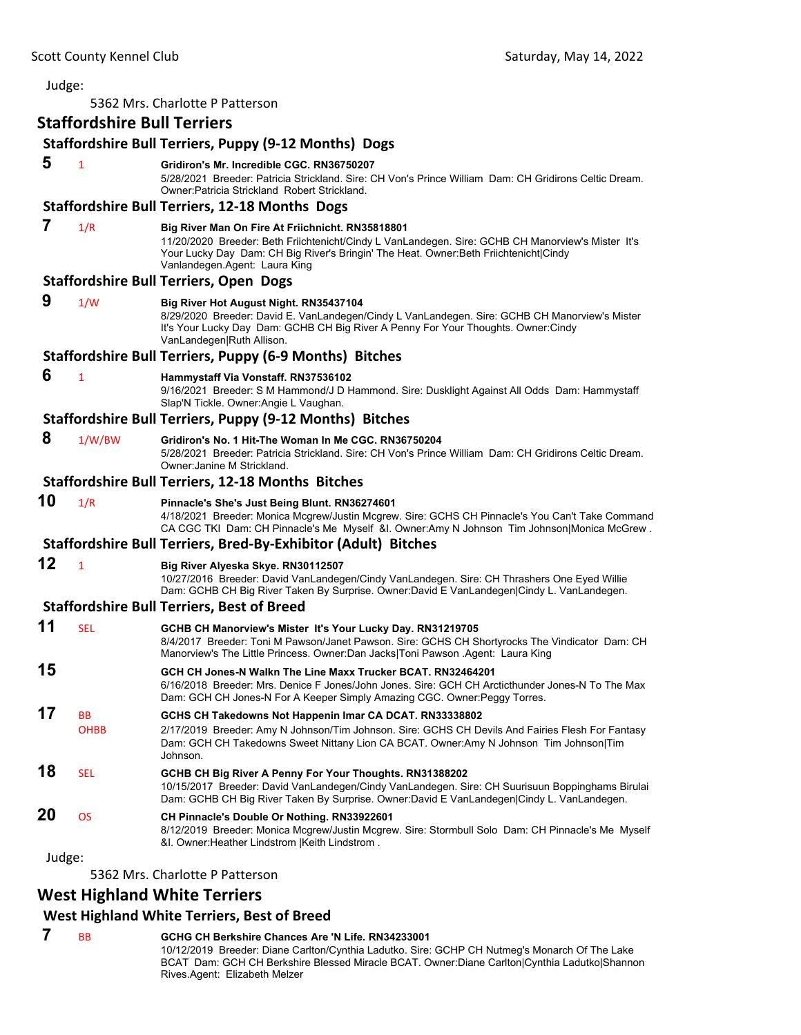| Judge: |                                    |                                                                                                                                                                                                                                                                                 |
|--------|------------------------------------|---------------------------------------------------------------------------------------------------------------------------------------------------------------------------------------------------------------------------------------------------------------------------------|
|        |                                    | 5362 Mrs. Charlotte P Patterson                                                                                                                                                                                                                                                 |
|        | <b>Staffordshire Bull Terriers</b> |                                                                                                                                                                                                                                                                                 |
|        |                                    | <b>Staffordshire Bull Terriers, Puppy (9-12 Months) Dogs</b>                                                                                                                                                                                                                    |
| 5      | $\mathbf{1}$                       | Gridiron's Mr. Incredible CGC, RN36750207<br>5/28/2021 Breeder: Patricia Strickland. Sire: CH Von's Prince William Dam: CH Gridirons Celtic Dream.<br>Owner: Patricia Strickland Robert Strickland.                                                                             |
|        |                                    | <b>Staffordshire Bull Terriers, 12-18 Months Dogs</b>                                                                                                                                                                                                                           |
| 7      | 1/R                                | Big River Man On Fire At Friichnicht. RN35818801<br>11/20/2020 Breeder: Beth Friichtenicht/Cindy L VanLandegen. Sire: GCHB CH Manorview's Mister It's<br>Your Lucky Day Dam: CH Big River's Bringin' The Heat. Owner: Beth Friichtenicht Cindy<br>Vanlandegen.Agent: Laura King |
|        |                                    | <b>Staffordshire Bull Terriers, Open Dogs</b>                                                                                                                                                                                                                                   |
| 9      | 1/W                                | Big River Hot August Night. RN35437104<br>8/29/2020 Breeder: David E. VanLandegen/Cindy L VanLandegen. Sire: GCHB CH Manorview's Mister<br>It's Your Lucky Day Dam: GCHB CH Big River A Penny For Your Thoughts. Owner:Cindy<br>VanLandegen Ruth Allison.                       |
|        |                                    | Staffordshire Bull Terriers, Puppy (6-9 Months) Bitches                                                                                                                                                                                                                         |
| 6      | $\mathbf{1}$                       | Hammystaff Via Vonstaff. RN37536102<br>9/16/2021 Breeder: S M Hammond/J D Hammond. Sire: Dusklight Against All Odds Dam: Hammystaff<br>Slap'N Tickle. Owner: Angie L Vaughan.                                                                                                   |
|        |                                    | Staffordshire Bull Terriers, Puppy (9-12 Months) Bitches                                                                                                                                                                                                                        |
| 8      | 1/W/BW                             | Gridiron's No. 1 Hit-The Woman In Me CGC, RN36750204<br>5/28/2021 Breeder: Patricia Strickland, Sire: CH Von's Prince William Dam: CH Gridirons Celtic Dream,<br>Owner: Janine M Strickland.                                                                                    |
|        |                                    | <b>Staffordshire Bull Terriers, 12-18 Months Bitches</b>                                                                                                                                                                                                                        |
| 10     | 1/R                                | Pinnacle's She's Just Being Blunt. RN36274601<br>4/18/2021 Breeder: Monica Mcgrew/Justin Mcgrew. Sire: GCHS CH Pinnacle's You Can't Take Command<br>CA CGC TKI Dam: CH Pinnacle's Me Myself &I. Owner:Amy N Johnson Tim Johnson Monica McGrew.                                  |
|        |                                    | Staffordshire Bull Terriers, Bred-By-Exhibitor (Adult) Bitches                                                                                                                                                                                                                  |
| 12     | $\mathbf{1}$                       | Big River Alyeska Skye. RN30112507<br>10/27/2016 Breeder: David VanLandegen/Cindy VanLandegen. Sire: CH Thrashers One Eyed Willie<br>Dam: GCHB CH Big River Taken By Surprise. Owner:David E VanLandegen Cindy L. VanLandegen.                                                  |
|        |                                    | <b>Staffordshire Bull Terriers, Best of Breed</b>                                                                                                                                                                                                                               |
| 11     | <b>SEL</b>                         | GCHB CH Manorview's Mister It's Your Lucky Day. RN31219705<br>8/4/2017 Breeder: Toni M Pawson/Janet Pawson. Sire: GCHS CH Shortyrocks The Vindicator Dam: CH<br>Manorview's The Little Princess. Owner:Dan Jacks Toni Pawson .Agent: Laura King                                 |
| 15     |                                    | GCH CH Jones-N Walkn The Line Maxx Trucker BCAT, RN32464201<br>6/16/2018 Breeder: Mrs. Denice F Jones/John Jones. Sire: GCH CH Arcticthunder Jones-N To The Max<br>Dam: GCH CH Jones-N For A Keeper Simply Amazing CGC. Owner: Peggy Torres.                                    |
| 17     | BB<br>OHBB                         | GCHS CH Takedowns Not Happenin Imar CA DCAT. RN33338802<br>2/17/2019 Breeder: Amy N Johnson/Tim Johnson. Sire: GCHS CH Devils And Fairies Flesh For Fantasy<br>Dam: GCH CH Takedowns Sweet Nittany Lion CA BCAT. Owner:Amy N Johnson Tim Johnson Tim<br>Johnson.                |
| 18     | SEL                                | GCHB CH Big River A Penny For Your Thoughts. RN31388202<br>10/15/2017 Breeder: David VanLandegen/Cindy VanLandegen. Sire: CH Suurisuun Boppinghams Birulai<br>Dam: GCHB CH Big River Taken By Surprise. Owner:David E VanLandegen Cindy L. VanLandegen.                         |
| 20     | <b>OS</b>                          | CH Pinnacle's Double Or Nothing. RN33922601<br>8/12/2019 Breeder: Monica Mcgrew/Justin Mcgrew. Sire: Stormbull Solo Dam: CH Pinnacle's Me Myself<br>&I. Owner: Heather Lindstrom   Keith Lindstrom.                                                                             |
| Judge: |                                    |                                                                                                                                                                                                                                                                                 |

5362 Mrs. Charlotte P Patterson

# **West Highland White Terriers**

# **West Highland White Terriers, Best of Breed**

 **7** BB **GCHG CH Berkshire Chances Are 'N Life. RN34233001** 10/12/2019 Breeder: Diane Carlton/Cynthia Ladutko. Sire: GCHP CH Nutmeg's Monarch Of The Lake BCAT Dam: GCH CH Berkshire Blessed Miracle BCAT. Owner:Diane Carlton|Cynthia Ladutko|Shannon Rives.Agent: Elizabeth Melzer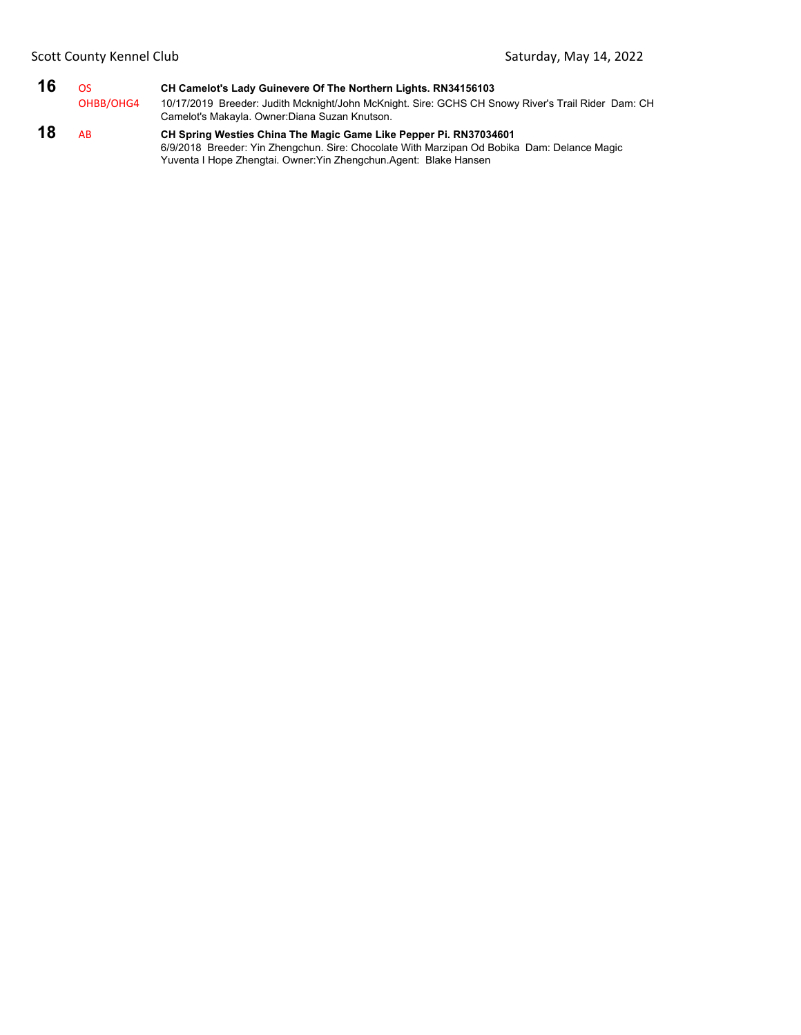| 16 | OS.       | CH Camelot's Lady Guinevere Of The Northern Lights. RN34156103                                     |
|----|-----------|----------------------------------------------------------------------------------------------------|
|    | OHBB/OHG4 | 10/17/2019 Breeder: Judith Mcknight/John McKnight. Sire: GCHS CH Snowy River's Trail Rider Dam: CH |
|    |           | Camelot's Makayla. Owner: Diana Suzan Knutson.                                                     |
| 18 | AB        | CH Spring Westies China The Magic Game Like Pepper Pi. RN37034601<br>$\alpha$                      |

6/9/2018 Breeder: Yin Zhengchun. Sire: Chocolate With Marzipan Od Bobika Dam: Delance Magic Yuventa I Hope Zhengtai. Owner:Yin Zhengchun.Agent: Blake Hansen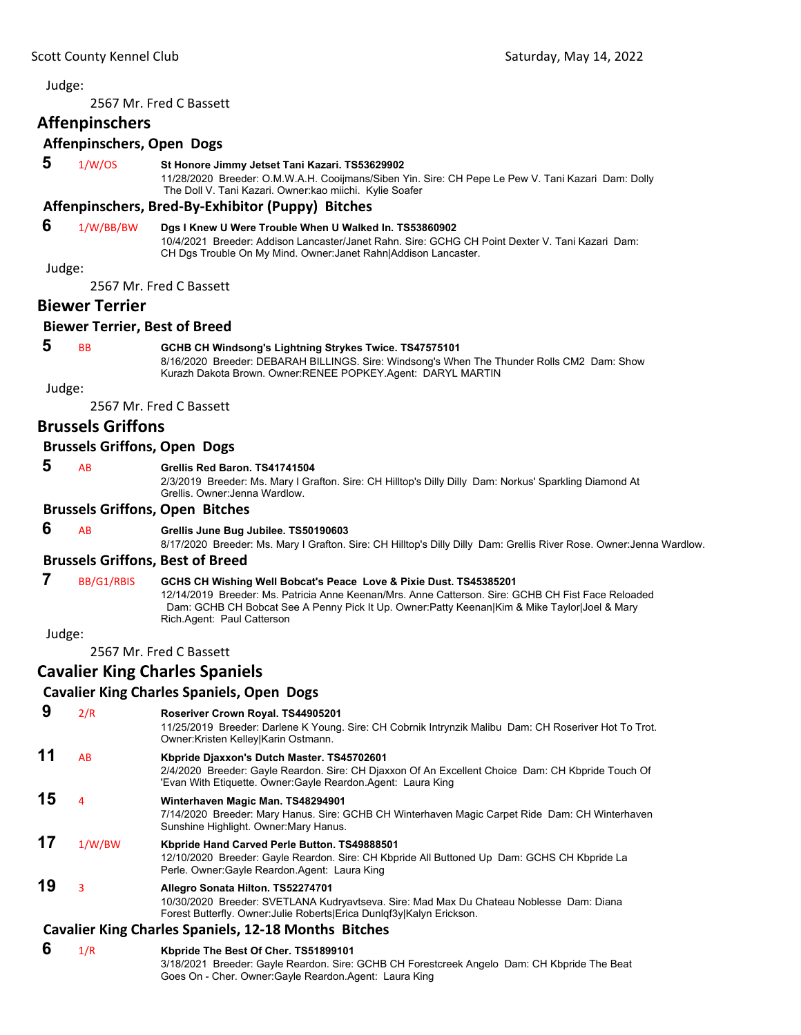<span id="page-31-0"></span>2567 Mr. Fred C Bassett

### **Affenpinschers**

#### **Affenpinschers, Open Dogs**

 **5** 1/W/OS **St Honore Jimmy Jetset Tani Kazari. TS53629902**

11/28/2020 Breeder: O.M.W.A.H. Cooijmans/Siben Yin. Sire: CH Pepe Le Pew V. Tani Kazari Dam: Dolly The Doll V. Tani Kazari. Owner:kao miichi. Kylie Soafer

#### **Affenpinschers, Bred‐By‐Exhibitor (Puppy) Bitches**

#### **6** 1/W/BB/BW **Dgs I Knew U Were Trouble When U Walked In. TS53860902**

10/4/2021 Breeder: Addison Lancaster/Janet Rahn. Sire: GCHG CH Point Dexter V. Tani Kazari Dam: CH Dgs Trouble On My Mind. Owner:Janet Rahn|Addison Lancaster.

Judge:

2567 Mr. Fred C Bassett

### **Biewer Terrier**

#### **Biewer Terrier, Best of Breed**

 **5** BB **GCHB CH Windsong's Lightning Strykes Twice. TS47575101**

8/16/2020 Breeder: DEBARAH BILLINGS. Sire: Windsong's When The Thunder Rolls CM2 Dam: Show Kurazh Dakota Brown. Owner:RENEE POPKEY.Agent: DARYL MARTIN

Judge:

2567 Mr. Fred C Bassett

### **Brussels Griffons**

#### **Brussels Griffons, Open Dogs**

 **5** AB **Grellis Red Baron. TS41741504**

2/3/2019 Breeder: Ms. Mary I Grafton. Sire: CH Hilltop's Dilly Dilly Dam: Norkus' Sparkling Diamond At Grellis. Owner:Jenna Wardlow.

#### **Brussels Griffons, Open Bitches**

#### **6** AB **Grellis June Bug Jubilee. TS50190603**

8/17/2020 Breeder: Ms. Mary I Grafton. Sire: CH Hilltop's Dilly Dilly Dam: Grellis River Rose. Owner:Jenna Wardlow.

#### **Brussels Griffons, Best of Breed**

### **7** BB/G1/RBIS **GCHS CH Wishing Well Bobcat's Peace Love & Pixie Dust. TS45385201**

12/14/2019 Breeder: Ms. Patricia Anne Keenan/Mrs. Anne Catterson. Sire: GCHB CH Fist Face Reloaded Dam: GCHB CH Bobcat See A Penny Pick It Up. Owner:Patty Keenan|Kim & Mike Taylor|Joel & Mary Rich.Agent: Paul Catterson

Judge:

2567 Mr. Fred C Bassett

### **Cavalier King Charles Spaniels**

### **Cavalier King Charles Spaniels, Open Dogs**

#### **9** 2/R **Roseriver Crown Royal. TS44905201**

11/25/2019 Breeder: Darlene K Young. Sire: CH Cobrnik Intrynzik Malibu Dam: CH Roseriver Hot To Trot. Owner:Kristen Kelley|Karin Ostmann.

### **11** AB **Kbpride Djaxxon's Dutch Master. TS45702601**

2/4/2020 Breeder: Gayle Reardon. Sire: CH Djaxxon Of An Excellent Choice Dam: CH Kbpride Touch Of 'Evan With Etiquette. Owner:Gayle Reardon.Agent: Laura King

### **15** <sup>4</sup> **Winterhaven Magic Man. TS48294901**

7/14/2020 Breeder: Mary Hanus. Sire: GCHB CH Winterhaven Magic Carpet Ride Dam: CH Winterhaven Sunshine Highlight. Owner:Mary Hanus.

#### **17** 1/W/BW **Kbpride Hand Carved Perle Button. TS49888501** 12/10/2020 Breeder: Gayle Reardon. Sire: CH Kbpride All Buttoned Up Dam: GCHS CH Kbpride La Perle. Owner:Gayle Reardon.Agent: Laura King

#### **19** <sup>3</sup> **Allegro Sonata Hilton. TS52274701** 10/30/2020 Breeder: SVETLANA Kudryavtseva. Sire: Mad Max Du Chateau Noblesse Dam: Diana Forest Butterfly. Owner:Julie Roberts|Erica Dunlqf3y|Kalyn Erickson.

#### **Cavalier King Charles Spaniels, 12‐18 Months Bitches**

 **6** 1/R **Kbpride The Best Of Cher. TS51899101** 3/18/2021 Breeder: Gayle Reardon. Sire: GCHB CH Forestcreek Angelo Dam: CH Kbpride The Beat Goes On - Cher. Owner:Gayle Reardon.Agent: Laura King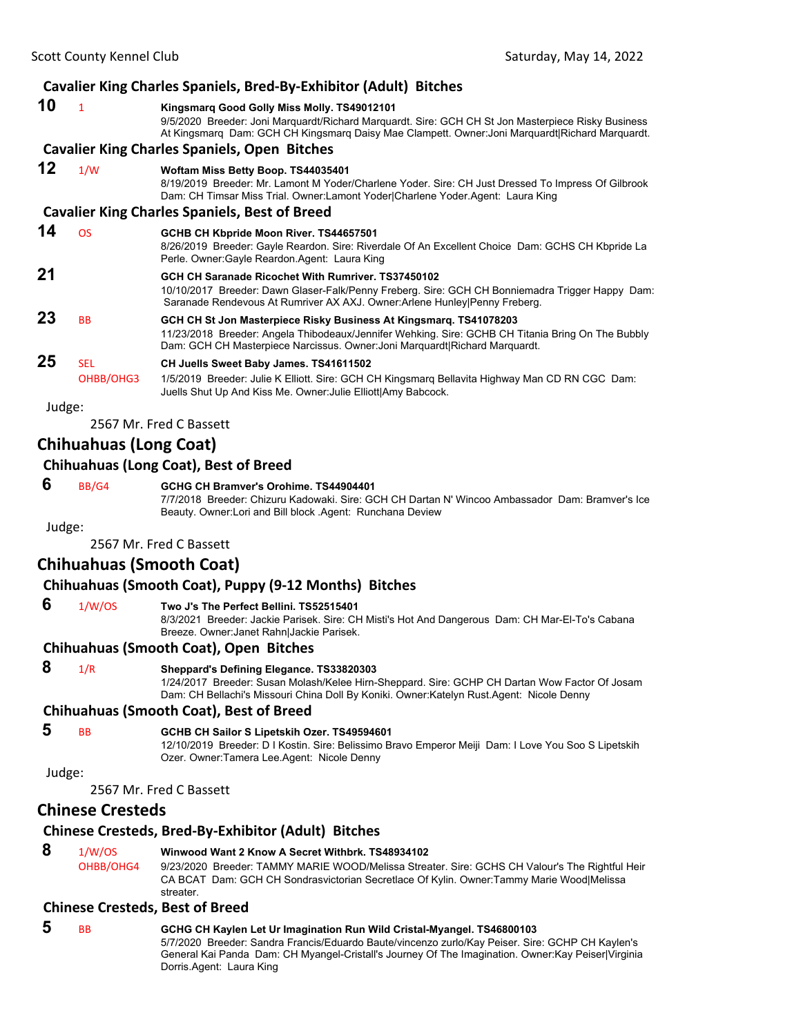### **Cavalier King Charles Spaniels, Bred‐By‐Exhibitor (Adult) Bitches**

#### **10** <sup>1</sup> **Kingsmarq Good Golly Miss Molly. TS49012101** 9/5/2020 Breeder: Joni Marquardt/Richard Marquardt. Sire: GCH CH St Jon Masterpiece Risky Business At Kingsmarq Dam: GCH CH Kingsmarq Daisy Mae Clampett. Owner:Joni Marquardt|Richard Marquardt. **Cavalier King Charles Spaniels, Open Bitches 12** 1/W **Woftam Miss Betty Boop. TS44035401** 8/19/2019 Breeder: Mr. Lamont M Yoder/Charlene Yoder. Sire: CH Just Dressed To Impress Of Gilbrook Dam: CH Timsar Miss Trial. Owner:Lamont Yoder|Charlene Yoder.Agent: Laura King **Cavalier King Charles Spaniels, Best of Breed 14** OS **GCHB CH Kbpride Moon River. TS44657501** 8/26/2019 Breeder: Gayle Reardon. Sire: Riverdale Of An Excellent Choice Dam: GCHS CH Kbpride La Perle. Owner:Gayle Reardon.Agent: Laura King **21 GCH CH Saranade Ricochet With Rumriver. TS37450102** 10/10/2017 Breeder: Dawn Glaser-Falk/Penny Freberg. Sire: GCH CH Bonniemadra Trigger Happy Dam: Saranade Rendevous At Rumriver AX AXJ. Owner:Arlene Hunley|Penny Freberg. **23** BB **GCH CH St Jon Masterpiece Risky Business At Kingsmarq. TS41078203** 11/23/2018 Breeder: Angela Thibodeaux/Jennifer Wehking. Sire: GCHB CH Titania Bring On The Bubbly Dam: GCH CH Masterpiece Narcissus. Owner: Joni Marquardt|Richard Marquardt. **25** SEL **CH Juells Sweet Baby James. TS41611502** OHBB/OHG3 1/5/2019 Breeder: Julie K Elliott. Sire: GCH CH Kingsmarq Bellavita Highway Man CD RN CGC Dam: Juells Shut Up And Kiss Me. Owner:Julie Elliott|Amy Babcock.

Judge:

2567 Mr. Fred C Bassett

### **Chihuahuas (Long Coat)**

### **Chihuahuas (Long Coat), Best of Breed**

 **6** BB/G4 **GCHG CH Bramver's Orohime. TS44904401**

7/7/2018 Breeder: Chizuru Kadowaki. Sire: GCH CH Dartan N' Wincoo Ambassador Dam: Bramver's Ice Beauty. Owner:Lori and Bill block .Agent: Runchana Deview

Judge:

2567 Mr. Fred C Bassett

### **Chihuahuas (Smooth Coat)**

### **Chihuahuas (Smooth Coat), Puppy (9‐12 Months) Bitches**

### **6** 1/W/OS **Two J's The Perfect Bellini. TS52515401**

8/3/2021 Breeder: Jackie Parisek. Sire: CH Misti's Hot And Dangerous Dam: CH Mar-El-To's Cabana Breeze. Owner:Janet Rahn|Jackie Parisek.

#### **Chihuahuas (Smooth Coat), Open Bitches**

 **8** 1/R **Sheppard's Defining Elegance. TS33820303**

1/24/2017 Breeder: Susan Molash/Kelee Hirn-Sheppard. Sire: GCHP CH Dartan Wow Factor Of Josam Dam: CH Bellachi's Missouri China Doll By Koniki. Owner:Katelyn Rust.Agent: Nicole Denny

#### **Chihuahuas (Smooth Coat), Best of Breed**

#### **5** BB **GCHB CH Sailor S Lipetskih Ozer. TS49594601**

12/10/2019 Breeder: D I Kostin. Sire: Belissimo Bravo Emperor Meiji Dam: I Love You Soo S Lipetskih Ozer. Owner:Tamera Lee.Agent: Nicole Denny

Judge:

2567 Mr. Fred C Bassett

### **Chinese Cresteds**

#### **Chinese Cresteds, Bred‐By‐Exhibitor (Adult) Bitches**

 **8** 1/W/OS **Winwood Want 2 Know A Secret Withbrk. TS48934102** OHBB/OHG4 9/23/2020 Breeder: TAMMY MARIE WOOD/Melissa Streater. Sire: GCHS CH Valour's The Rightful Heir CA BCAT Dam: GCH CH Sondrasvictorian Secretlace Of Kylin. Owner:Tammy Marie Wood|Melissa streater.

#### **Chinese Cresteds, Best of Breed**

 **5** BB **GCHG CH Kaylen Let Ur Imagination Run Wild Cristal-Myangel. TS46800103** 5/7/2020 Breeder: Sandra Francis/Eduardo Baute/vincenzo zurlo/Kay Peiser. Sire: GCHP CH Kaylen's General Kai Panda Dam: CH Myangel-Cristall's Journey Of The Imagination. Owner:Kay Peiser|Virginia Dorris.Agent: Laura King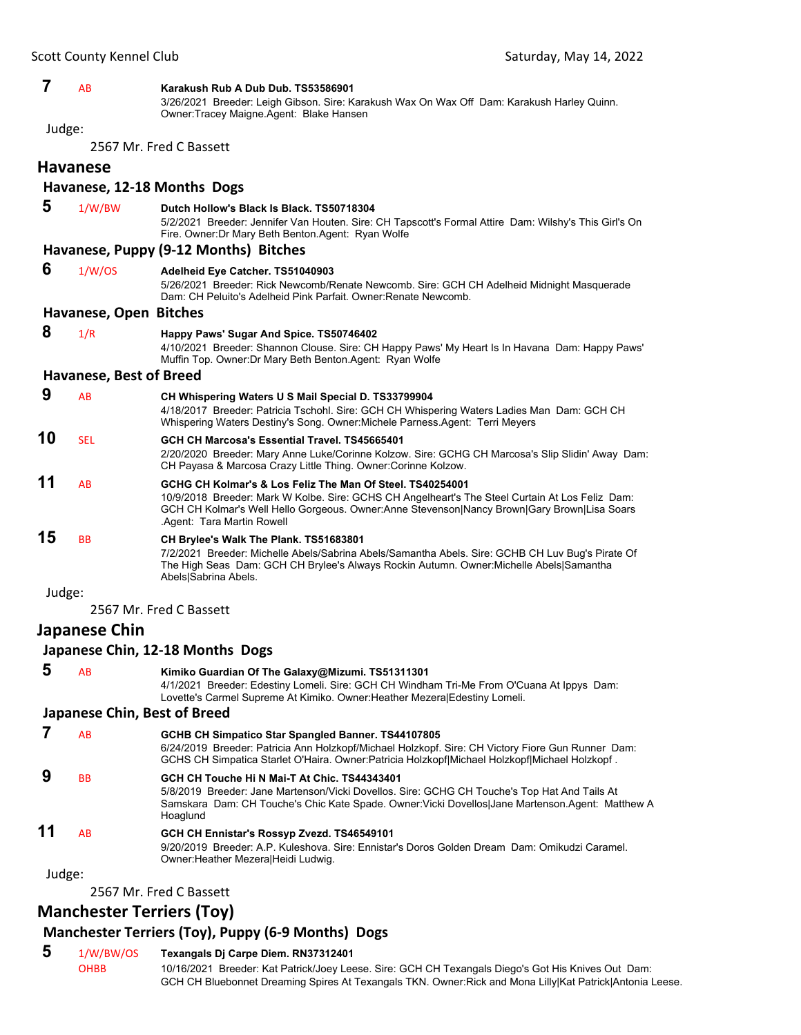#### **7** AB **Karakush Rub A Dub Dub. TS53586901**

3/26/2021 Breeder: Leigh Gibson. Sire: Karakush Wax On Wax Off Dam: Karakush Harley Quinn. Owner:Tracey Maigne.Agent: Blake Hansen

Judge:

2567 Mr. Fred C Bassett

**Havanese**

### **Havanese, 12‐18 Months Dogs**

 **5** 1/W/BW **Dutch Hollow's Black Is Black. TS50718304** 5/2/2021 Breeder: Jennifer Van Houten. Sire: CH Tapscott's Formal Attire Dam: Wilshy's This Girl's On Fire. Owner:Dr Mary Beth Benton.Agent: Ryan Wolfe **Havanese, Puppy (9‐12 Months) Bitches 6** 1/W/OS **Adelheid Eye Catcher. TS51040903** 5/26/2021 Breeder: Rick Newcomb/Renate Newcomb. Sire: GCH CH Adelheid Midnight Masquerade Dam: CH Peluito's Adelheid Pink Parfait. Owner:Renate Newcomb. **Havanese, Open Bitches 8** 1/R **Happy Paws' Sugar And Spice. TS50746402** 4/10/2021 Breeder: Shannon Clouse. Sire: CH Happy Paws' My Heart Is In Havana Dam: Happy Paws' Muffin Top. Owner:Dr Mary Beth Benton.Agent: Ryan Wolfe **Havanese, Best of Breed 9** AB **CH Whispering Waters U S Mail Special D. TS33799904** 4/18/2017 Breeder: Patricia Tschohl. Sire: GCH CH Whispering Waters Ladies Man Dam: GCH CH Whispering Waters Destiny's Song. Owner:Michele Parness.Agent: Terri Meyers **10** SEL **GCH CH Marcosa's Essential Travel. TS45665401** 2/20/2020 Breeder: Mary Anne Luke/Corinne Kolzow. Sire: GCHG CH Marcosa's Slip Slidin' Away Dam: CH Payasa & Marcosa Crazy Little Thing. Owner:Corinne Kolzow. **11** AB **GCHG CH Kolmar's & Los Feliz The Man Of Steel. TS40254001** 10/9/2018 Breeder: Mark W Kolbe. Sire: GCHS CH Angelheart's The Steel Curtain At Los Feliz Dam: GCH CH Kolmar's Well Hello Gorgeous. Owner:Anne Stevenson|Nancy Brown|Gary Brown|Lisa Soars .Agent: Tara Martin Rowell **15** BB **CH Brylee's Walk The Plank. TS51683801** 7/2/2021 Breeder: Michelle Abels/Sabrina Abels/Samantha Abels. Sire: GCHB CH Luv Bug's Pirate Of The High Seas Dam: GCH CH Brylee's Always Rockin Autumn. Owner:Michelle Abels|Samantha Abels|Sabrina Abels. Judge: 2567 Mr. Fred C Bassett **Japanese Chin**

#### **Japanese Chin, 12‐18 Months Dogs**

 **5** AB **Kimiko Guardian Of The Galaxy@Mizumi. TS51311301** 4/1/2021 Breeder: Edestiny Lomeli. Sire: GCH CH Windham Tri-Me From O'Cuana At Ippys Dam: Lovette's Carmel Supreme At Kimiko. Owner:Heather Mezera|Edestiny Lomeli.

#### **Japanese Chin, Best of Breed**

- **7** AB **GCHB CH Simpatico Star Spangled Banner. TS44107805** 6/24/2019 Breeder: Patricia Ann Holzkopf/Michael Holzkopf. Sire: CH Victory Fiore Gun Runner Dam: GCHS CH Simpatica Starlet O'Haira. Owner:Patricia Holzkopf|Michael Holzkopf|Michael Holzkopf .  **9** BB **GCH CH Touche Hi N Mai-T At Chic. TS44343401** 5/8/2019 Breeder: Jane Martenson/Vicki Dovellos. Sire: GCHG CH Touche's Top Hat And Tails At Samskara Dam: CH Touche's Chic Kate Spade. Owner:Vicki Dovellos|Jane Martenson.Agent: Matthew A Hoaglund
- **11** AB **GCH CH Ennistar's Rossyp Zvezd. TS46549101** 9/20/2019 Breeder: A.P. Kuleshova. Sire: Ennistar's Doros Golden Dream Dam: Omikudzi Caramel. Owner:Heather Mezera|Heidi Ludwig.

Judge:

2567 Mr. Fred C Bassett

### **Manchester Terriers (Toy)**

### **Manchester Terriers (Toy), Puppy (6‐9 Months) Dogs**

### **5** 1/W/BW/OS **Texangals Dj Carpe Diem. RN37312401**

OHBB 10/16/2021 Breeder: Kat Patrick/Joey Leese. Sire: GCH CH Texangals Diego's Got His Knives Out Dam: GCH CH Bluebonnet Dreaming Spires At Texangals TKN. Owner: Rick and Mona Lilly|Kat Patrick|Antonia Leese.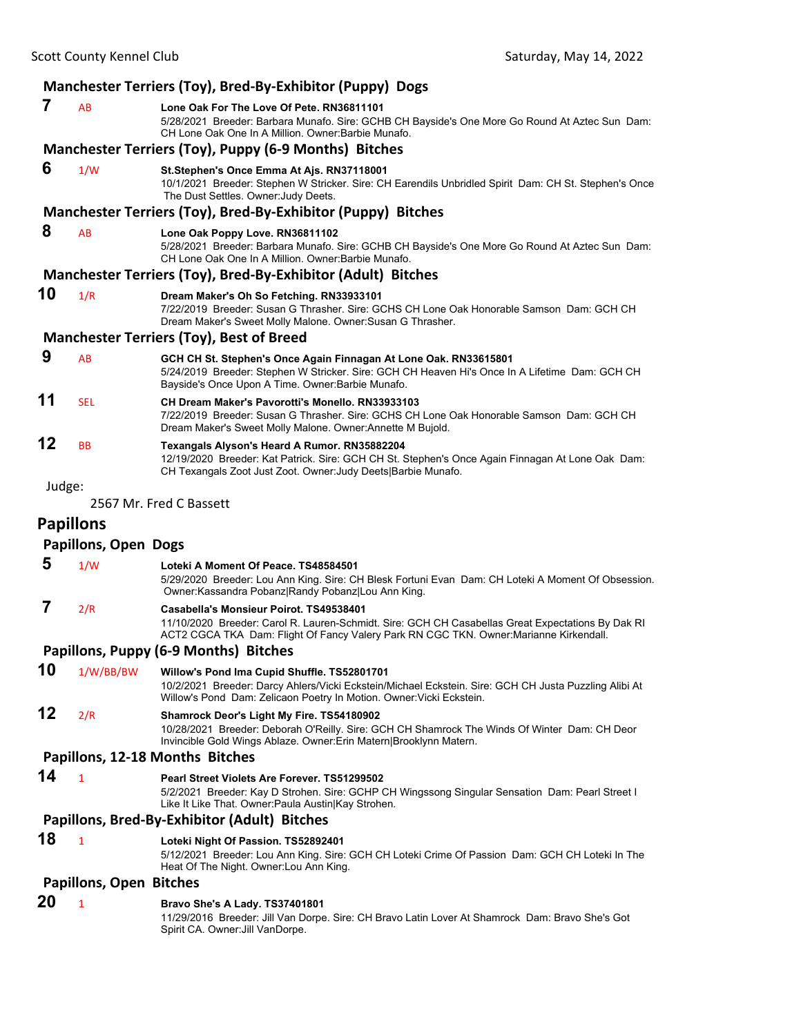| Manchester Terriers (Toy), Bred-By-Exhibitor (Puppy) Dogs |                                |                                                                                                                                                                                                                                       |  |  |
|-----------------------------------------------------------|--------------------------------|---------------------------------------------------------------------------------------------------------------------------------------------------------------------------------------------------------------------------------------|--|--|
| 7                                                         | AB                             | Lone Oak For The Love Of Pete. RN36811101<br>5/28/2021 Breeder: Barbara Munafo. Sire: GCHB CH Bayside's One More Go Round At Aztec Sun Dam:<br>CH Lone Oak One In A Million. Owner: Barbie Munafo.                                    |  |  |
|                                                           |                                | Manchester Terriers (Toy), Puppy (6-9 Months) Bitches                                                                                                                                                                                 |  |  |
| 6                                                         | 1/W                            | St.Stephen's Once Emma At Ajs. RN37118001<br>10/1/2021 Breeder: Stephen W Stricker. Sire: CH Earendils Unbridled Spirit Dam: CH St. Stephen's Once<br>The Dust Settles. Owner: Judy Deets.                                            |  |  |
|                                                           |                                | Manchester Terriers (Toy), Bred-By-Exhibitor (Puppy) Bitches                                                                                                                                                                          |  |  |
| 8                                                         | AB                             | Lone Oak Poppy Love. RN36811102<br>5/28/2021 Breeder: Barbara Munafo. Sire: GCHB CH Bayside's One More Go Round At Aztec Sun Dam:<br>CH Lone Oak One In A Million, Owner: Barbie Munafo.                                              |  |  |
|                                                           |                                | Manchester Terriers (Toy), Bred-By-Exhibitor (Adult) Bitches                                                                                                                                                                          |  |  |
| 10                                                        | 1/R                            | Dream Maker's Oh So Fetching. RN33933101<br>7/22/2019 Breeder: Susan G Thrasher. Sire: GCHS CH Lone Oak Honorable Samson Dam: GCH CH<br>Dream Maker's Sweet Molly Malone. Owner: Susan G Thrasher.                                    |  |  |
|                                                           |                                | <b>Manchester Terriers (Toy), Best of Breed</b>                                                                                                                                                                                       |  |  |
| 9                                                         | AB                             | GCH CH St. Stephen's Once Again Finnagan At Lone Oak. RN33615801<br>5/24/2019 Breeder: Stephen W Stricker. Sire: GCH CH Heaven Hi's Once In A Lifetime Dam: GCH CH<br>Bayside's Once Upon A Time. Owner: Barbie Munafo.               |  |  |
| 11                                                        | <b>SEL</b>                     | <b>CH Dream Maker's Pavorotti's Monello. RN33933103</b><br>7/22/2019 Breeder: Susan G Thrasher. Sire: GCHS CH Lone Oak Honorable Samson Dam: GCH CH<br>Dream Maker's Sweet Molly Malone. Owner: Annette M Bujold.                     |  |  |
| 12                                                        | <b>BB</b>                      | Texangals Alyson's Heard A Rumor. RN35882204<br>12/19/2020 Breeder: Kat Patrick. Sire: GCH CH St. Stephen's Once Again Finnagan At Lone Oak Dam:<br>CH Texangals Zoot Just Zoot. Owner: Judy Deets Barbie Munafo.                     |  |  |
| Judge:                                                    |                                |                                                                                                                                                                                                                                       |  |  |
|                                                           |                                | 2567 Mr. Fred C Bassett                                                                                                                                                                                                               |  |  |
|                                                           | <b>Papillons</b>               |                                                                                                                                                                                                                                       |  |  |
|                                                           | <b>Papillons, Open Dogs</b>    |                                                                                                                                                                                                                                       |  |  |
| 5                                                         | 1/W                            | Loteki A Moment Of Peace. TS48584501<br>5/29/2020 Breeder: Lou Ann King. Sire: CH Blesk Fortuni Evan Dam: CH Loteki A Moment Of Obsession.<br>Owner: Kassandra Pobanz Randy Pobanz Lou Ann King.                                      |  |  |
| 7                                                         | 2/R                            | Casabella's Monsieur Poirot. TS49538401<br>11/10/2020 Breeder: Carol R. Lauren-Schmidt. Sire: GCH CH Casabellas Great Expectations By Dak RI<br>ACT2 CGCA TKA Dam: Flight Of Fancy Valery Park RN CGC TKN. Owner:Marianne Kirkendall. |  |  |
|                                                           |                                | Papillons, Puppy (6-9 Months) Bitches                                                                                                                                                                                                 |  |  |
| 10                                                        | 1/W/BB/BW                      | Willow's Pond Ima Cupid Shuffle. TS52801701<br>10/2/2021 Breeder: Darcy Ahlers/Vicki Eckstein/Michael Eckstein. Sire: GCH CH Justa Puzzling Alibi At<br>Willow's Pond Dam: Zelicaon Poetry In Motion. Owner: Vicki Eckstein.          |  |  |
| 12                                                        | 2/R                            | Shamrock Deor's Light My Fire. TS54180902<br>10/28/2021 Breeder: Deborah O'Reilly. Sire: GCH CH Shamrock The Winds Of Winter Dam: CH Deor<br>Invincible Gold Wings Ablaze. Owner: Erin Matern Brooklynn Matern.                       |  |  |
|                                                           |                                | Papillons, 12-18 Months Bitches                                                                                                                                                                                                       |  |  |
| 14                                                        | 1                              | Pearl Street Violets Are Forever. TS51299502<br>5/2/2021 Breeder: Kay D Strohen. Sire: GCHP CH Wingssong Singular Sensation Dam: Pearl Street I<br>Like It Like That. Owner: Paula Austin Kay Strohen.                                |  |  |
|                                                           |                                | Papillons, Bred-By-Exhibitor (Adult) Bitches                                                                                                                                                                                          |  |  |
| 18                                                        | $\mathbf{1}$                   | Loteki Night Of Passion. TS52892401<br>5/12/2021 Breeder: Lou Ann King. Sire: GCH CH Loteki Crime Of Passion Dam: GCH CH Loteki In The<br>Heat Of The Night. Owner: Lou Ann King.                                                     |  |  |
|                                                           | <b>Papillons, Open Bitches</b> |                                                                                                                                                                                                                                       |  |  |
| 20                                                        | 1                              | Bravo She's A Lady. TS37401801                                                                                                                                                                                                        |  |  |
|                                                           |                                | 11/29/2016 Breeder: Jill Van Dorpe. Sire: CH Bravo Latin Lover At Shamrock Dam: Bravo She's Got<br>Spirit CA. Owner: Jill VanDorpe.                                                                                                   |  |  |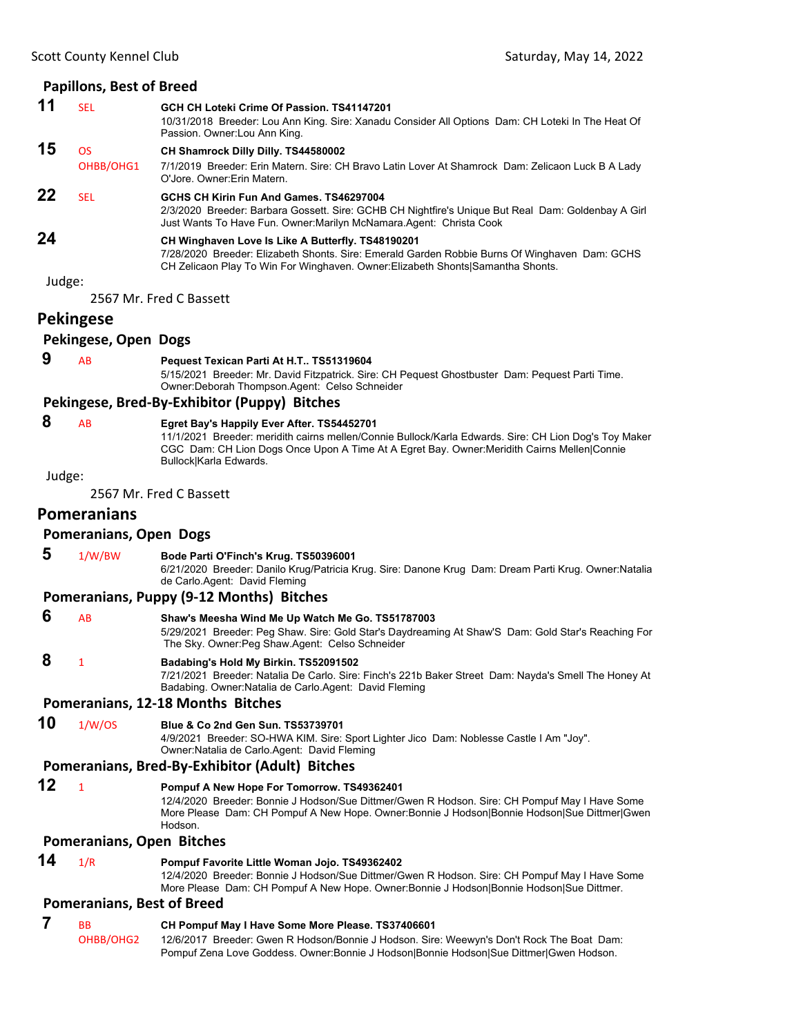|        | <b>Papillons, Best of Breed</b>   |                                                                                                                                                                                                                                                                              |
|--------|-----------------------------------|------------------------------------------------------------------------------------------------------------------------------------------------------------------------------------------------------------------------------------------------------------------------------|
| 11     | <b>SEL</b>                        | GCH CH Loteki Crime Of Passion. TS41147201<br>10/31/2018 Breeder: Lou Ann King. Sire: Xanadu Consider All Options Dam: CH Loteki In The Heat Of<br>Passion. Owner: Lou Ann King.                                                                                             |
| 15     | <b>OS</b><br>OHBB/OHG1            | CH Shamrock Dilly Dilly. TS44580002<br>7/1/2019 Breeder: Erin Matern. Sire: CH Bravo Latin Lover At Shamrock Dam: Zelicaon Luck B A Lady<br>O'Jore, Owner: Erin Matern.                                                                                                      |
| 22     | <b>SEL</b>                        | GCHS CH Kirin Fun And Games, TS46297004<br>2/3/2020 Breeder: Barbara Gossett. Sire: GCHB CH Nightfire's Unique But Real Dam: Goldenbay A Girl<br>Just Wants To Have Fun. Owner: Marilyn McNamara. Agent: Christa Cook                                                        |
| 24     |                                   | CH Winghaven Love Is Like A Butterfly. TS48190201<br>7/28/2020 Breeder: Elizabeth Shonts. Sire: Emerald Garden Robbie Burns Of Winghaven Dam: GCHS<br>CH Zelicaon Play To Win For Winghaven. Owner: Elizabeth Shonts Samantha Shonts.                                        |
| Judge: |                                   |                                                                                                                                                                                                                                                                              |
|        |                                   | 2567 Mr. Fred C Bassett                                                                                                                                                                                                                                                      |
|        | <b>Pekingese</b>                  |                                                                                                                                                                                                                                                                              |
|        | Pekingese, Open Dogs              |                                                                                                                                                                                                                                                                              |
| 9      | AB                                | Pequest Texican Parti At H.T TS51319604<br>5/15/2021 Breeder: Mr. David Fitzpatrick. Sire: CH Pequest Ghostbuster Dam: Pequest Parti Time.<br>Owner: Deborah Thompson. Agent: Celso Schneider                                                                                |
|        |                                   | Pekingese, Bred-By-Exhibitor (Puppy) Bitches                                                                                                                                                                                                                                 |
| 8      | AB                                | Egret Bay's Happily Ever After. TS54452701<br>11/1/2021 Breeder: meridith cairns mellen/Connie Bullock/Karla Edwards. Sire: CH Lion Dog's Toy Maker<br>CGC Dam: CH Lion Dogs Once Upon A Time At A Egret Bay. Owner: Meridith Cairns Mellen Connie<br>Bullock Karla Edwards. |
| Judge: |                                   |                                                                                                                                                                                                                                                                              |
|        |                                   | 2567 Mr. Fred C Bassett                                                                                                                                                                                                                                                      |
|        | <b>Pomeranians</b>                |                                                                                                                                                                                                                                                                              |
|        | <b>Pomeranians, Open Dogs</b>     |                                                                                                                                                                                                                                                                              |
| 5      | 1/W/BW                            | Bode Parti O'Finch's Krug. TS50396001<br>6/21/2020 Breeder: Danilo Krug/Patricia Krug. Sire: Danone Krug Dam: Dream Parti Krug. Owner:Natalia<br>de Carlo.Agent: David Fleming                                                                                               |
|        |                                   | Pomeranians, Puppy (9-12 Months) Bitches                                                                                                                                                                                                                                     |
| 6      | AB                                | Shaw's Meesha Wind Me Up Watch Me Go. TS51787003<br>5/29/2021 Breeder: Peg Shaw. Sire: Gold Star's Daydreaming At Shaw'S Dam: Gold Star's Reaching For<br>The Sky. Owner: Peg Shaw. Agent: Celso Schneider                                                                   |
| 8      | 1                                 | Badabing's Hold My Birkin. TS52091502<br>7/21/2021 Breeder: Natalia De Carlo. Sire: Finch's 221b Baker Street Dam: Nayda's Smell The Honey At<br>Badabing. Owner: Natalia de Carlo. Agent: David Fleming                                                                     |
|        |                                   | Pomeranians, 12-18 Months Bitches                                                                                                                                                                                                                                            |
| 10     | 1/W/OS                            | Blue & Co 2nd Gen Sun. TS53739701<br>4/9/2021 Breeder: SO-HWA KIM. Sire: Sport Lighter Jico Dam: Noblesse Castle I Am "Joy".<br>Owner: Natalia de Carlo Agent: David Fleming                                                                                                 |
|        |                                   | Pomeranians, Bred-By-Exhibitor (Adult) Bitches                                                                                                                                                                                                                               |
| 12     | $\mathbf{1}$                      | Pompuf A New Hope For Tomorrow. TS49362401<br>12/4/2020 Breeder: Bonnie J Hodson/Sue Dittmer/Gwen R Hodson. Sire: CH Pompuf May I Have Some<br>More Please Dam: CH Pompuf A New Hope. Owner: Bonnie J Hodson Bonnie Hodson Sue Dittmer Gwen<br>Hodson.                       |
|        | Pomeranians, Open Bitches         |                                                                                                                                                                                                                                                                              |
| 14     | 1/R                               | Pompuf Favorite Little Woman Jojo. TS49362402<br>12/4/2020 Breeder: Bonnie J Hodson/Sue Dittmer/Gwen R Hodson. Sire: CH Pompuf May I Have Some<br>More Please Dam: CH Pompuf A New Hope. Owner: Bonnie J Hodson Bonnie Hodson Sue Dittmer.                                   |
|        | <b>Pomeranians, Best of Breed</b> |                                                                                                                                                                                                                                                                              |
| 7      | ВB                                | CH Pompuf May I Have Some More Please. TS37406601                                                                                                                                                                                                                            |
|        | OHBB/OHG2                         | 12/6/2017 Breeder: Gwen R Hodson/Bonnie J Hodson. Sire: Weewyn's Don't Rock The Boat Dam:                                                                                                                                                                                    |

Pompuf Zena Love Goddess. Owner:Bonnie J Hodson|Bonnie Hodson|Sue Dittmer|Gwen Hodson.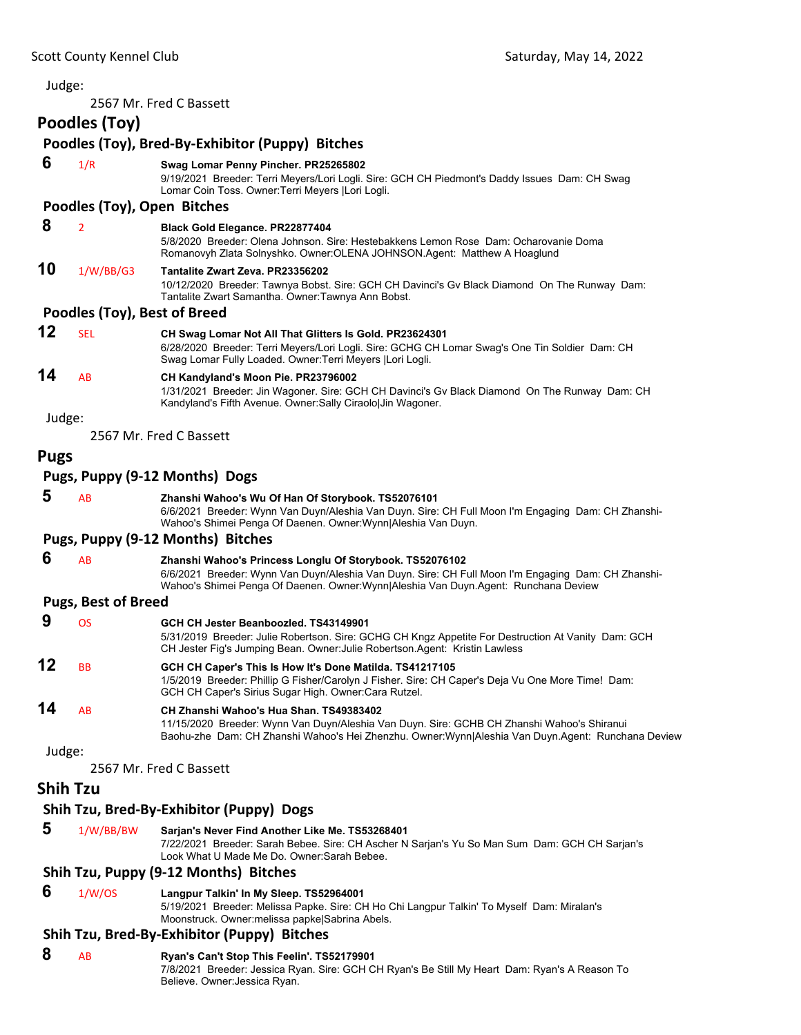| Judge:      |                              |                                                                                                                                                                                                                                                        |
|-------------|------------------------------|--------------------------------------------------------------------------------------------------------------------------------------------------------------------------------------------------------------------------------------------------------|
|             |                              | 2567 Mr. Fred C Bassett                                                                                                                                                                                                                                |
|             | Poodles (Toy)                |                                                                                                                                                                                                                                                        |
|             |                              | Poodles (Toy), Bred-By-Exhibitor (Puppy) Bitches                                                                                                                                                                                                       |
| 6           | 1/R                          | Swag Lomar Penny Pincher. PR25265802<br>9/19/2021 Breeder: Terri Meyers/Lori Logli. Sire: GCH CH Piedmont's Daddy Issues Dam: CH Swag<br>Lomar Coin Toss. Owner: Terri Meyers   Lori Logli.                                                            |
|             |                              | Poodles (Toy), Open Bitches                                                                                                                                                                                                                            |
| 8           | $\overline{2}$               | Black Gold Elegance. PR22877404<br>5/8/2020 Breeder: Olena Johnson. Sire: Hestebakkens Lemon Rose Dam: Ocharovanie Doma<br>Romanovyh Zlata Solnyshko. Owner: OLENA JOHNSON. Agent: Matthew A Hoaglund                                                  |
| 10          | 1/W/BB/G3                    | Tantalite Zwart Zeva. PR23356202<br>10/12/2020 Breeder: Tawnya Bobst. Sire: GCH CH Davinci's Gv Black Diamond On The Runway Dam:<br>Tantalite Zwart Samantha. Owner: Tawnya Ann Bobst.                                                                 |
|             | Poodles (Toy), Best of Breed |                                                                                                                                                                                                                                                        |
| 12          | <b>SEL</b>                   | CH Swag Lomar Not All That Glitters Is Gold. PR23624301<br>6/28/2020 Breeder: Terri Meyers/Lori Logli. Sire: GCHG CH Lomar Swag's One Tin Soldier Dam: CH<br>Swag Lomar Fully Loaded. Owner: Terri Meyers   Lori Logli.                                |
| 14          | AB                           | CH Kandyland's Moon Pie. PR23796002<br>1/31/2021 Breeder: Jin Wagoner. Sire: GCH CH Davinci's Gv Black Diamond On The Runway Dam: CH<br>Kandyland's Fifth Avenue. Owner:Sally Ciraolo Jin Wagoner.                                                     |
| Judge:      |                              |                                                                                                                                                                                                                                                        |
|             |                              | 2567 Mr. Fred C Bassett                                                                                                                                                                                                                                |
| <b>Pugs</b> |                              |                                                                                                                                                                                                                                                        |
|             |                              | Pugs, Puppy (9-12 Months) Dogs                                                                                                                                                                                                                         |
| 5           | AB                           | Zhanshi Wahoo's Wu Of Han Of Storybook. TS52076101<br>6/6/2021 Breeder: Wynn Van Duyn/Aleshia Van Duyn. Sire: CH Full Moon I'm Engaging Dam: CH Zhanshi-<br>Wahoo's Shimei Penga Of Daenen. Owner: Wynn Aleshia Van Duyn.                              |
|             |                              | Pugs, Puppy (9-12 Months) Bitches                                                                                                                                                                                                                      |
| 6           | AB                           | Zhanshi Wahoo's Princess Longlu Of Storybook. TS52076102<br>6/6/2021 Breeder: Wynn Van Duyn/Aleshia Van Duyn. Sire: CH Full Moon I'm Engaging Dam: CH Zhanshi-<br>Wahoo's Shimei Penga Of Daenen. Owner: Wynn Aleshia Van Duyn. Agent: Runchana Deview |
|             | <b>Pugs, Best of Breed</b>   |                                                                                                                                                                                                                                                        |
| 9           | <b>OS</b>                    | GCH CH Jester Beanboozled. TS43149901<br>5/31/2019 Breeder: Julie Robertson. Sire: GCHG CH Kngz Appetite For Destruction At Vanity Dam: GCH<br>CH Jester Fig's Jumping Bean. Owner: Julie Robertson. Agent: Kristin Lawless                            |
| 12          | BB                           | GCH CH Caper's This Is How It's Done Matilda. TS41217105<br>1/5/2019 Breeder: Phillip G Fisher/Carolyn J Fisher. Sire: CH Caper's Deja Vu One More Time! Dam:<br>GCH CH Caper's Sirius Sugar High. Owner:Cara Rutzel.                                  |
| 14          | AB                           | CH Zhanshi Wahoo's Hua Shan. TS49383402<br>11/15/2020 Breeder: Wynn Van Duyn/Aleshia Van Duyn. Sire: GCHB CH Zhanshi Wahoo's Shiranui<br>Baohu-zhe Dam: CH Zhanshi Wahoo's Hei Zhenzhu. Owner:Wynn Aleshia Van Duyn.Agent: Runchana Deview             |
| Judge:      |                              |                                                                                                                                                                                                                                                        |
|             |                              | 2567 Mr. Fred C Bassett                                                                                                                                                                                                                                |
|             | <b>Shih Tzu</b>              |                                                                                                                                                                                                                                                        |
|             |                              | Shih Tzu, Bred-By-Exhibitor (Puppy) Dogs                                                                                                                                                                                                               |
| 5           | 1/W/BB/BW                    | Sarjan's Never Find Another Like Me. TS53268401<br>7/22/2021 Breeder: Sarah Bebee. Sire: CH Ascher N Sarjan's Yu So Man Sum Dam: GCH CH Sarjan's<br>Look What U Made Me Do. Owner: Sarah Bebee.                                                        |
|             |                              | Shih Tzu, Puppy (9-12 Months) Bitches                                                                                                                                                                                                                  |
| 6           | 1/W/OS                       | Langpur Talkin' In My Sleep. TS52964001<br>5/19/2021 Breeder: Melissa Papke. Sire: CH Ho Chi Langpur Talkin' To Myself Dam: Miralan's<br>Moonstruck. Owner: melissa papke Sabrina Abels.                                                               |
|             |                              | Shih Tzu, Bred-By-Exhibitor (Puppy) Bitches                                                                                                                                                                                                            |
| 8           | AB                           | Ryan's Can't Stop This Feelin'. TS52179901                                                                                                                                                                                                             |

7/8/2021 Breeder: Jessica Ryan. Sire: GCH CH Ryan's Be Still My Heart Dam: Ryan's A Reason To Believe. Owner:Jessica Ryan.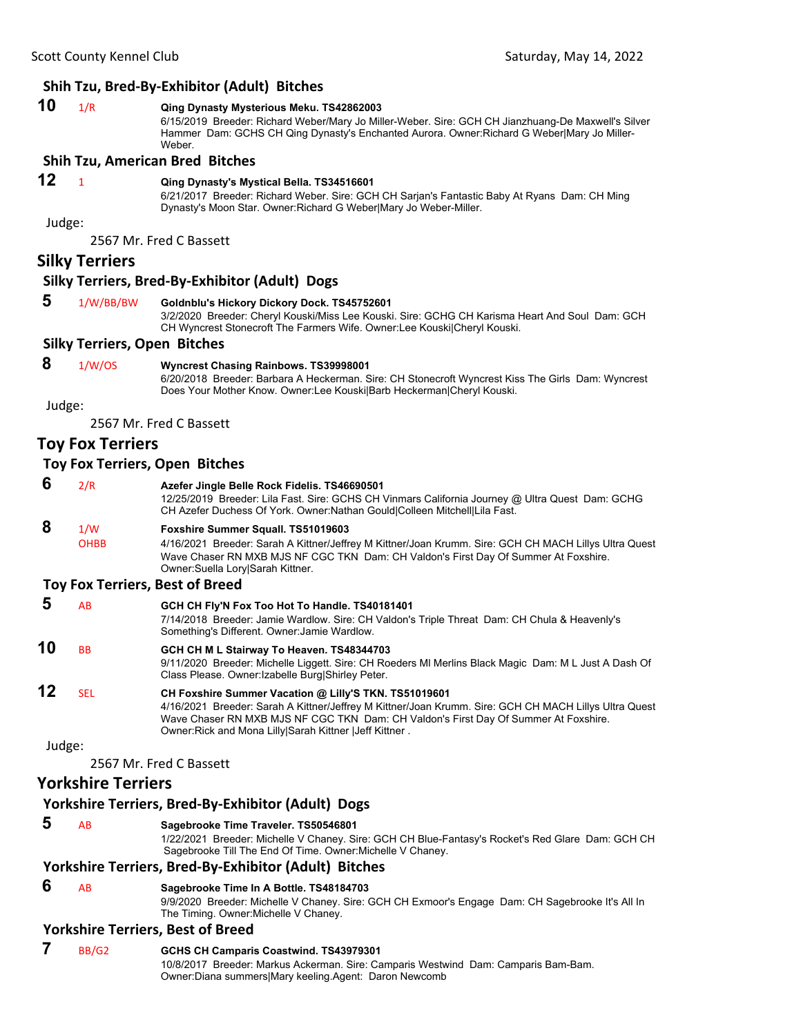### **Shih Tzu, Bred‐By‐Exhibitor (Adult) Bitches**

**10** 1/R **Qing Dynasty Mysterious Meku. TS42862003** 6/15/2019 Breeder: Richard Weber/Mary Jo Miller-Weber. Sire: GCH CH Jianzhuang-De Maxwell's Silver Hammer Dam: GCHS CH Qing Dynasty's Enchanted Aurora. Owner:Richard G Weber|Mary Jo Miller-**Weber** 

#### **Shih Tzu, American Bred Bitches**

### **12** <sup>1</sup> **Qing Dynasty's Mystical Bella. TS34516601**

6/21/2017 Breeder: Richard Weber. Sire: GCH CH Sarjan's Fantastic Baby At Ryans Dam: CH Ming Dynasty's Moon Star. Owner:Richard G Weber|Mary Jo Weber-Miller.

Judge:

2567 Mr. Fred C Bassett

### **Silky Terriers**

#### **Silky Terriers, Bred‐By‐Exhibitor (Adult) Dogs**

#### **5** 1/W/BB/BW **Goldnblu's Hickory Dickory Dock. TS45752601**

3/2/2020 Breeder: Cheryl Kouski/Miss Lee Kouski. Sire: GCHG CH Karisma Heart And Soul Dam: GCH CH Wyncrest Stonecroft The Farmers Wife. Owner:Lee Kouski|Cheryl Kouski.

#### **Silky Terriers, Open Bitches**

 **8** 1/W/OS **Wyncrest Chasing Rainbows. TS39998001**

6/20/2018 Breeder: Barbara A Heckerman. Sire: CH Stonecroft Wyncrest Kiss The Girls Dam: Wyncrest Does Your Mother Know. Owner:Lee Kouski|Barb Heckerman|Cheryl Kouski.

Judge:

2567 Mr. Fred C Bassett

### **Toy Fox Terriers**

#### **Toy Fox Terriers, Open Bitches**

 **6** 2/R **Azefer Jingle Belle Rock Fidelis. TS46690501** 12/25/2019 Breeder: Lila Fast. Sire: GCHS CH Vinmars California Journey @ Ultra Quest Dam: GCHG CH Azefer Duchess Of York. Owner:Nathan Gould|Colleen Mitchell|Lila Fast.  **8** 1/W **Foxshire Summer Squall. TS51019603** OHBB 4/16/2021 Breeder: Sarah A Kittner/Jeffrey M Kittner/Joan Krumm. Sire: GCH CH MACH Lillys Ultra Quest Wave Chaser RN MXB MJS NF CGC TKN Dam: CH Valdon's First Day Of Summer At Foxshire. Owner:Suella Lory|Sarah Kittner.

#### **Toy Fox Terriers, Best of Breed**

 **5** AB **GCH CH Fly'N Fox Too Hot To Handle. TS40181401** 7/14/2018 Breeder: Jamie Wardlow. Sire: CH Valdon's Triple Threat Dam: CH Chula & Heavenly's Something's Different. Owner:Jamie Wardlow. **10** BB **GCH CH M L Stairway To Heaven. TS48344703** 9/11/2020 Breeder: Michelle Liggett. Sire: CH Roeders Ml Merlins Black Magic Dam: M L Just A Dash Of Class Please. Owner:Izabelle Burg|Shirley Peter. **12** SEL **CH Foxshire Summer Vacation @ Lilly'S TKN. TS51019601** 4/16/2021 Breeder: Sarah A Kittner/Jeffrey M Kittner/Joan Krumm. Sire: GCH CH MACH Lillys Ultra Quest Wave Chaser RN MXB MJS NF CGC TKN Dam: CH Valdon's First Day Of Summer At Foxshire. Owner:Rick and Mona Lilly|Sarah Kittner |Jeff Kittner .

Judge:

2567 Mr. Fred C Bassett

### **Yorkshire Terriers**

### **Yorkshire Terriers, Bred‐By‐Exhibitor (Adult) Dogs**

 **5** AB **Sagebrooke Time Traveler. TS50546801**

1/22/2021 Breeder: Michelle V Chaney. Sire: GCH CH Blue-Fantasy's Rocket's Red Glare Dam: GCH CH Sagebrooke Till The End Of Time. Owner:Michelle V Chaney.

### **Yorkshire Terriers, Bred‐By‐Exhibitor (Adult) Bitches**

 **6** AB **Sagebrooke Time In A Bottle. TS48184703** 9/9/2020 Breeder: Michelle V Chaney. Sire: GCH CH Exmoor's Engage Dam: CH Sagebrooke It's All In The Timing. Owner:Michelle V Chaney.

#### **Yorkshire Terriers, Best of Breed**

### **7** BB/G2 **GCHS CH Camparis Coastwind. TS43979301**

10/8/2017 Breeder: Markus Ackerman. Sire: Camparis Westwind Dam: Camparis Bam-Bam. Owner:Diana summers|Mary keeling.Agent: Daron Newcomb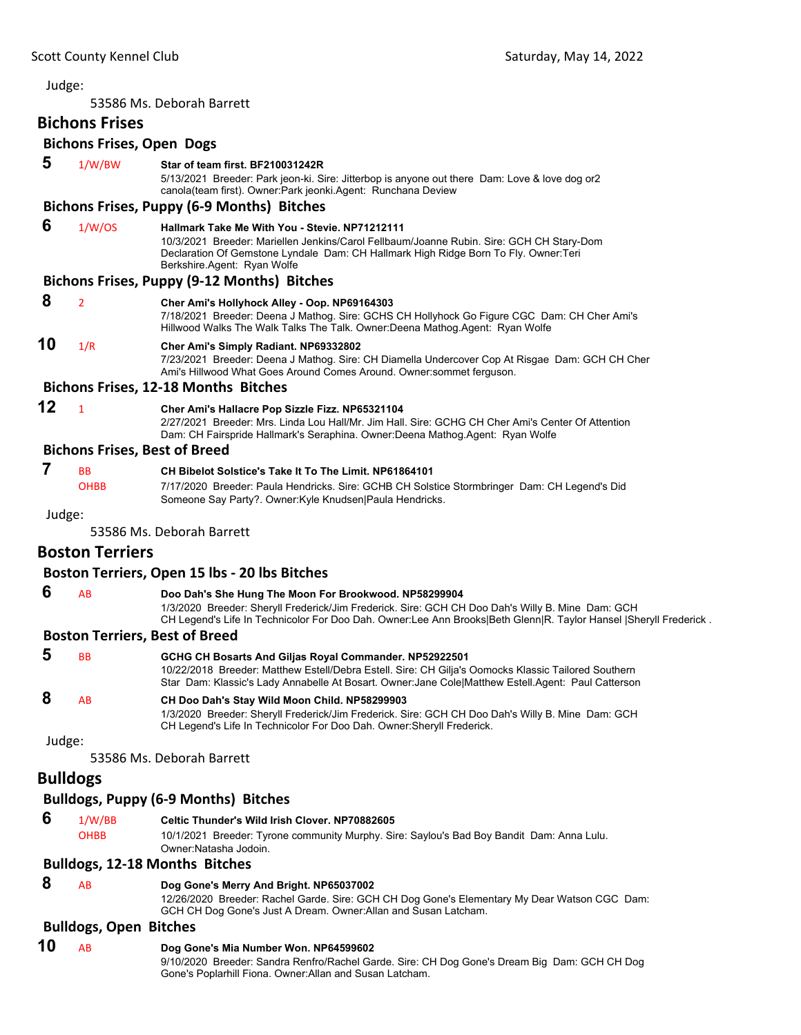<span id="page-38-0"></span>53586 Ms. Deborah Barrett

### **Bichons Frises**

|        | <b>Bichons Frises, Open Dogs</b>     |                                                                                                                                                                                                                                                                          |  |
|--------|--------------------------------------|--------------------------------------------------------------------------------------------------------------------------------------------------------------------------------------------------------------------------------------------------------------------------|--|
| 5      | 1/W/BW                               | Star of team first. BF210031242R<br>5/13/2021 Breeder: Park jeon-ki. Sire: Jitterbop is anyone out there Dam: Love & love dog or 2<br>canola(team first). Owner: Park jeonki. Agent: Runchana Deview                                                                     |  |
|        |                                      | <b>Bichons Frises, Puppy (6-9 Months) Bitches</b>                                                                                                                                                                                                                        |  |
| 6      | 1/W/OS                               | <b>Hallmark Take Me With You - Stevie, NP71212111</b><br>10/3/2021 Breeder: Mariellen Jenkins/Carol Fellbaum/Joanne Rubin. Sire: GCH CH Stary-Dom<br>Declaration Of Gemstone Lyndale Dam: CH Hallmark High Ridge Born To Fly. Owner: Teri<br>Berkshire.Agent: Ryan Wolfe |  |
|        |                                      | Bichons Frises, Puppy (9-12 Months) Bitches                                                                                                                                                                                                                              |  |
| 8      | $\overline{2}$                       | Cher Ami's Hollyhock Alley - Oop. NP69164303<br>7/18/2021 Breeder: Deena J Mathog. Sire: GCHS CH Hollyhock Go Figure CGC Dam: CH Cher Ami's<br>Hillwood Walks The Walk Talks The Talk. Owner: Deena Mathog. Agent: Ryan Wolfe                                            |  |
| 10     | 1/R                                  | Cher Ami's Simply Radiant. NP69332802<br>7/23/2021 Breeder: Deena J Mathog. Sire: CH Diamella Undercover Cop At Risgae Dam: GCH CH Cher<br>Ami's Hillwood What Goes Around Comes Around. Owner: sommet ferguson.                                                         |  |
|        |                                      | <b>Bichons Frises, 12-18 Months Bitches</b>                                                                                                                                                                                                                              |  |
| 12     | $\mathbf{1}$                         | Cher Ami's Hallacre Pop Sizzle Fizz. NP65321104<br>2/27/2021 Breeder: Mrs. Linda Lou Hall/Mr. Jim Hall, Sire: GCHG CH Cher Ami's Center Of Attention<br>Dam: CH Fairspride Hallmark's Seraphina. Owner:Deena Mathog.Agent: Ryan Wolfe                                    |  |
|        | <b>Bichons Frises, Best of Breed</b> |                                                                                                                                                                                                                                                                          |  |
| 7      | <b>B<sub>B</sub></b><br><b>OHBB</b>  | CH Bibelot Solstice's Take It To The Limit. NP61864101<br>7/17/2020 Breeder: Paula Hendricks. Sire: GCHB CH Solstice Stormbringer Dam: CH Legend's Did<br>Someone Say Party?. Owner: Kyle Knudsen Paula Hendricks.                                                       |  |
| Judge: |                                      |                                                                                                                                                                                                                                                                          |  |
|        |                                      | 53586 Ms. Deborah Barrett                                                                                                                                                                                                                                                |  |
|        | <b>Boston Terriers</b>               |                                                                                                                                                                                                                                                                          |  |

#### **Boston Terriers, Open 15 lbs ‐ 20 lbs Bitches**

 **6** AB **Doo Dah's She Hung The Moon For Brookwood. NP58299904** 1/3/2020 Breeder: Sheryll Frederick/Jim Frederick. Sire: GCH CH Doo Dah's Willy B. Mine Dam: GCH CH Legend's Life In Technicolor For Doo Dah. Owner:Lee Ann Brooks|Beth Glenn|R. Taylor Hansel |Sheryll Frederick .

### **Boston Terriers, Best of Breed**

| -5     | <b>BB</b> | GCHG CH Bosarts And Giljas Royal Commander, NP52922501<br>10/22/2018 Breeder: Matthew Estell/Debra Estell. Sire: CH Gilia's Oomocks Klassic Tailored Southern<br>Star Dam: Klassic's Lady Annabelle At Bosart. Owner: Jane Cole Matthew Estell Agent: Paul Catterson |
|--------|-----------|----------------------------------------------------------------------------------------------------------------------------------------------------------------------------------------------------------------------------------------------------------------------|
| 8      | AB        | CH Doo Dah's Stay Wild Moon Child. NP58299903<br>1/3/2020 Breeder: Sheryll Frederick/Jim Frederick. Sire: GCH CH Doo Dah's Willy B. Mine Dam: GCH<br>CH Legend's Life In Technicolor For Doo Dah. Owner: Sheryll Frederick.                                          |
| Judge: |           |                                                                                                                                                                                                                                                                      |
|        |           | 53586 Ms. Deborah Barrett                                                                                                                                                                                                                                            |

## **Bulldogs**

### **Bulldogs, Puppy (6‐9 Months) Bitches**

 **6** 1/W/BB **Celtic Thunder's Wild Irish Clover. NP70882605**

OHBB 10/1/2021 Breeder: Tyrone community Murphy. Sire: Saylou's Bad Boy Bandit Dam: Anna Lulu. Owner:Natasha Jodoin.

### **Bulldogs, 12‐18 Months Bitches**

### **8** AB **Dog Gone's Merry And Bright. NP65037002**

12/26/2020 Breeder: Rachel Garde. Sire: GCH CH Dog Gone's Elementary My Dear Watson CGC Dam: GCH CH Dog Gone's Just A Dream. Owner:Allan and Susan Latcham.

### **Bulldogs, Open Bitches**

### **10** AB **Dog Gone's Mia Number Won. NP64599602**

9/10/2020 Breeder: Sandra Renfro/Rachel Garde. Sire: CH Dog Gone's Dream Big Dam: GCH CH Dog Gone's Poplarhill Fiona. Owner:Allan and Susan Latcham.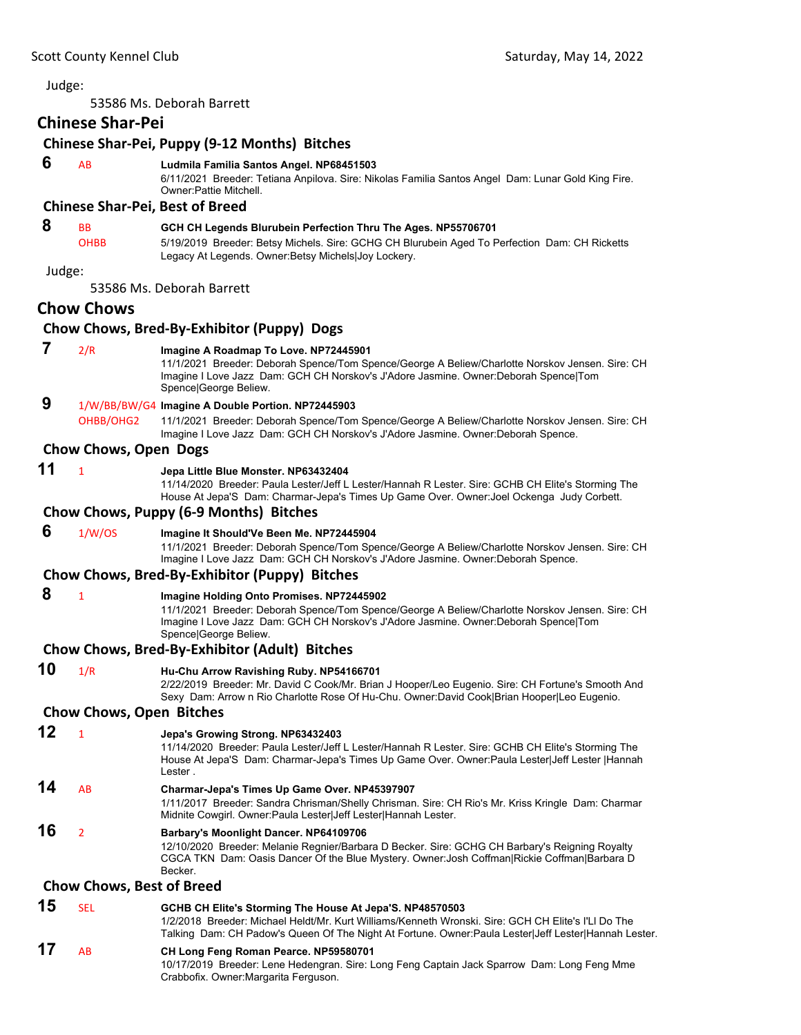53586 Ms. Deborah Barrett

Judge:

|        | <b>Chinese Shar-Pei</b>          |                                                                                                                                                                                                                                                                         |
|--------|----------------------------------|-------------------------------------------------------------------------------------------------------------------------------------------------------------------------------------------------------------------------------------------------------------------------|
|        |                                  | Chinese Shar-Pei, Puppy (9-12 Months) Bitches                                                                                                                                                                                                                           |
| 6      | AB                               | Ludmila Familia Santos Angel. NP68451503<br>6/11/2021 Breeder: Tetiana Anpilova. Sire: Nikolas Familia Santos Angel Dam: Lunar Gold King Fire.<br>Owner: Pattie Mitchell.                                                                                               |
|        |                                  | <b>Chinese Shar-Pei, Best of Breed</b>                                                                                                                                                                                                                                  |
| 8      | <b>BB</b><br><b>OHBB</b>         | GCH CH Legends Blurubein Perfection Thru The Ages. NP55706701<br>5/19/2019 Breeder: Betsy Michels. Sire: GCHG CH Blurubein Aged To Perfection Dam: CH Ricketts<br>Legacy At Legends. Owner: Betsy Michels Joy Lockery.                                                  |
| Judge: |                                  |                                                                                                                                                                                                                                                                         |
|        |                                  | 53586 Ms. Deborah Barrett                                                                                                                                                                                                                                               |
|        | <b>Chow Chows</b>                | Chow Chows, Bred-By-Exhibitor (Puppy) Dogs                                                                                                                                                                                                                              |
| 7      | 2/R                              | Imagine A Roadmap To Love. NP72445901<br>11/1/2021 Breeder: Deborah Spence/Tom Spence/George A Beliew/Charlotte Norskov Jensen. Sire: CH<br>Imagine I Love Jazz Dam: GCH CH Norskov's J'Adore Jasmine. Owner: Deborah Spence Tom<br>Spence George Beliew.               |
| 9      | OHBB/OHG2                        | 1/W/BB/BW/G4 Imagine A Double Portion. NP72445903<br>11/1/2021 Breeder: Deborah Spence/Tom Spence/George A Beliew/Charlotte Norskov Jensen. Sire: CH<br>Imagine I Love Jazz Dam: GCH CH Norskov's J'Adore Jasmine. Owner:Deborah Spence.                                |
|        | Chow Chows, Open Dogs            |                                                                                                                                                                                                                                                                         |
| 11     | $\mathbf{1}$                     | Jepa Little Blue Monster. NP63432404<br>11/14/2020 Breeder: Paula Lester/Jeff L Lester/Hannah R Lester. Sire: GCHB CH Elite's Storming The<br>House At Jepa'S Dam: Charmar-Jepa's Times Up Game Over. Owner: Joel Ockenga Judy Corbett.                                 |
|        |                                  | Chow Chows, Puppy (6-9 Months) Bitches                                                                                                                                                                                                                                  |
| 6      | 1/W/OS                           | Imagine It Should'Ve Been Me. NP72445904<br>11/1/2021 Breeder: Deborah Spence/Tom Spence/George A Beliew/Charlotte Norskov Jensen. Sire: CH<br>Imagine I Love Jazz Dam: GCH CH Norskov's J'Adore Jasmine. Owner: Deborah Spence.                                        |
|        |                                  | Chow Chows, Bred-By-Exhibitor (Puppy) Bitches                                                                                                                                                                                                                           |
| 8      | $\mathbf{1}$                     | Imagine Holding Onto Promises. NP72445902<br>11/1/2021 Breeder: Deborah Spence/Tom Spence/George A Beliew/Charlotte Norskov Jensen. Sire: CH<br>Imagine I Love Jazz Dam: GCH CH Norskov's J'Adore Jasmine. Owner: Deborah Spence Tom<br>Spence George Beliew.           |
|        |                                  | Chow Chows, Bred-By-Exhibitor (Adult) Bitches                                                                                                                                                                                                                           |
| 10     | 1/R                              | Hu-Chu Arrow Ravishing Ruby. NP54166701<br>2/22/2019 Breeder: Mr. David C Cook/Mr. Brian J Hooper/Leo Eugenio. Sire: CH Fortune's Smooth And<br>Sexy Dam: Arrow n Rio Charlotte Rose Of Hu-Chu. Owner:David Cook Brian Hooper Leo Eugenio.                              |
|        | <b>Chow Chows, Open Bitches</b>  |                                                                                                                                                                                                                                                                         |
| 12     | $\mathbf{1}$                     | Jepa's Growing Strong. NP63432403<br>11/14/2020 Breeder: Paula Lester/Jeff L Lester/Hannah R Lester. Sire: GCHB CH Elite's Storming The<br>House At Jepa'S Dam: Charmar-Jepa's Times Up Game Over. Owner: Paula Lester Jeff Lester   Hannah<br>Lester.                  |
| 14     | AB                               | Charmar-Jepa's Times Up Game Over. NP45397907<br>1/11/2017 Breeder: Sandra Chrisman/Shelly Chrisman. Sire: CH Rio's Mr. Kriss Kringle Dam: Charmar<br>Midnite Cowgirl. Owner: Paula Lester Jeff Lester Hannah Lester.                                                   |
| 16     | $\overline{2}$                   | Barbary's Moonlight Dancer. NP64109706<br>12/10/2020 Breeder: Melanie Regnier/Barbara D Becker. Sire: GCHG CH Barbary's Reigning Royalty<br>CGCA TKN Dam: Oasis Dancer Of the Blue Mystery. Owner: Josh Coffman Rickie Coffman Barbara D<br>Becker.                     |
|        | <b>Chow Chows, Best of Breed</b> |                                                                                                                                                                                                                                                                         |
| 15     | <b>SEL</b>                       | GCHB CH Elite's Storming The House At Jepa'S. NP48570503<br>1/2/2018 Breeder: Michael Heldt/Mr. Kurt Williams/Kenneth Wronski. Sire: GCH CH Elite's I'Ll Do The<br>Talking Dam: CH Padow's Queen Of The Night At Fortune. Owner:Paula Lester Jeff Lester Hannah Lester. |
| 17     | AB                               | CH Long Feng Roman Pearce. NP59580701<br>10/17/2019 Breeder: Lene Hedengran. Sire: Long Feng Captain Jack Sparrow Dam: Long Feng Mme                                                                                                                                    |

Crabbofix. Owner:Margarita Ferguson.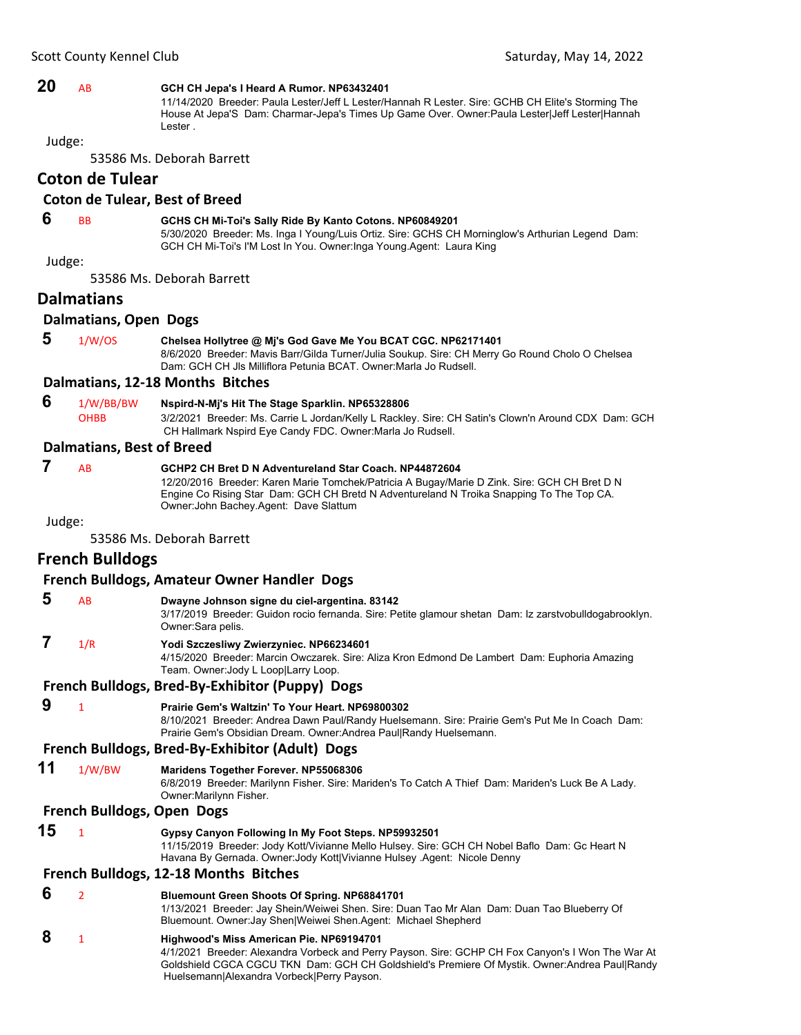### **20** AB **GCH CH Jepa's I Heard A Rumor. NP63432401**

11/14/2020 Breeder: Paula Lester/Jeff L Lester/Hannah R Lester. Sire: GCHB CH Elite's Storming The House At Jepa'S Dam: Charmar-Jepa's Times Up Game Over. Owner:Paula Lester|Jeff Lester|Hannah Lester .

#### Judge:

53586 Ms. Deborah Barrett

### **Coton de Tulear**

#### **Coton de Tulear, Best of Breed**

### **6** BB **GCHS CH Mi-Toi's Sally Ride By Kanto Cotons. NP60849201**

5/30/2020 Breeder: Ms. Inga I Young/Luis Ortiz. Sire: GCHS CH Morninglow's Arthurian Legend Dam: GCH CH Mi-Toi's I'M Lost In You. Owner:Inga Young.Agent: Laura King

#### Judge:

53586 Ms. Deborah Barrett

#### **Dalmatians**

#### **Dalmatians, Open Dogs**

- **5** 1/W/OS **Chelsea Hollytree @ Mj's God Gave Me You BCAT CGC. NP62171401**
	- 8/6/2020 Breeder: Mavis Barr/Gilda Turner/Julia Soukup. Sire: CH Merry Go Round Cholo O Chelsea Dam: GCH CH Jls Milliflora Petunia BCAT. Owner:Marla Jo Rudsell.

#### **Dalmatians, 12‐18 Months Bitches**

- **6** 1/W/BB/BW **Nspird-N-Mj's Hit The Stage Sparklin. NP65328806**
	- OHBB 3/2/2021 Breeder: Ms. Carrie L Jordan/Kelly L Rackley. Sire: CH Satin's Clown'n Around CDX Dam: GCH CH Hallmark Nspird Eye Candy FDC. Owner:Marla Jo Rudsell.

#### **Dalmatians, Best of Breed**

### **7** AB **GCHP2 CH Bret D N Adventureland Star Coach. NP44872604**

12/20/2016 Breeder: Karen Marie Tomchek/Patricia A Bugay/Marie D Zink. Sire: GCH CH Bret D N Engine Co Rising Star Dam: GCH CH Bretd N Adventureland N Troika Snapping To The Top CA. Owner:John Bachey.Agent: Dave Slattum

Judge:

53586 Ms. Deborah Barrett

### **French Bulldogs**

|   |     | French Bulldogs, Amateur Owner Handler Dogs                                                                                                                                                                              |
|---|-----|--------------------------------------------------------------------------------------------------------------------------------------------------------------------------------------------------------------------------|
| 5 | AB  | Dwayne Johnson signe du ciel-argentina. 83142<br>3/17/2019 Breeder: Guidon rocio fernanda. Sire: Petite glamour shetan Dam: Iz zarstvobulldogabrookly<br>Owner:Sara pelis.                                               |
|   | 1/R | Yodi Szczesliwy Zwierzyniec. NP66234601<br>4/15/2020 Breeder: Marcin Owczarek. Sire: Aliza Kron Edmond De Lambert Dam: Euphoria Amazing<br>Team. Owner: Jody L Loop Larry Loop.                                          |
|   |     | French Bulldogs, Bred-By-Exhibitor (Puppy) Dogs                                                                                                                                                                          |
| 9 |     | Prairie Gem's Waltzin' To Your Heart, NP69800302<br>8/10/2021 Breeder: Andrea Dawn Paul/Randy Huelsemann. Sire: Prairie Gem's Put Me In Coach Dam:<br>Prairie Gem's Obsidian Dream. Owner: Andrea Paul Randy Huelsemann. |

### **French Bulldogs, Bred‐By‐Exhibitor (Adult) Dogs**

**11** 1/W/BW **Maridens Together Forever. NP55068306**

6/8/2019 Breeder: Marilynn Fisher. Sire: Mariden's To Catch A Thief Dam: Mariden's Luck Be A Lady. Owner:Marilynn Fisher.

#### **French Bulldogs, Open Dogs**

**15** <sup>1</sup> **Gypsy Canyon Following In My Foot Steps. NP59932501** 11/15/2019 Breeder: Jody Kott/Vivianne Mello Hulsey. Sire: GCH CH Nobel Baflo Dam: Gc Heart N Havana By Gernada. Owner:Jody Kott|Vivianne Hulsey .Agent: Nicole Denny

#### **French Bulldogs, 12‐18 Months Bitches**

 **6** <sup>2</sup> **Bluemount Green Shoots Of Spring. NP68841701** 1/13/2021 Breeder: Jay Shein/Weiwei Shen. Sire: Duan Tao Mr Alan Dam: Duan Tao Blueberry Of Bluemount. Owner:Jay Shen|Weiwei Shen.Agent: Michael Shepherd  **8** <sup>1</sup> **Highwood's Miss American Pie. NP69194701**

4/1/2021 Breeder: Alexandra Vorbeck and Perry Payson. Sire: GCHP CH Fox Canyon's I Won The War At Goldshield CGCA CGCU TKN Dam: GCH CH Goldshield's Premiere Of Mystik. Owner:Andrea Paul|Randy Huelsemann|Alexandra Vorbeck|Perry Payson.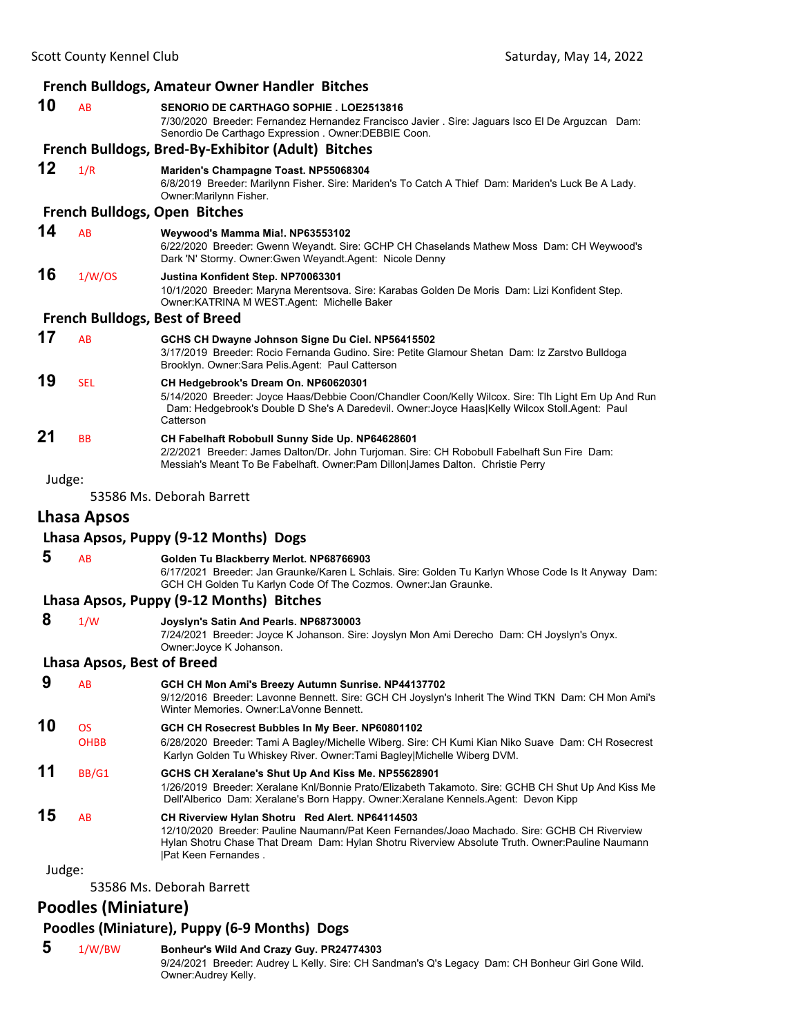| <b>French Bulldogs, Amateur Owner Handler Bitches</b> |                                                          |                                                                                                                                                                                                                                                                            |
|-------------------------------------------------------|----------------------------------------------------------|----------------------------------------------------------------------------------------------------------------------------------------------------------------------------------------------------------------------------------------------------------------------------|
| 10                                                    | <b>AB</b>                                                | <b>SENORIO DE CARTHAGO SOPHIE. LOE2513816</b><br>7/30/2020 Breeder: Fernandez Hernandez Francisco Javier . Sire: Jaguars Isco El De Arguzcan Dam:<br>Senordio De Carthago Expression . Owner: DEBBIE Coon.                                                                 |
|                                                       |                                                          | French Bulldogs, Bred-By-Exhibitor (Adult) Bitches                                                                                                                                                                                                                         |
| 12                                                    | 1/R                                                      | Mariden's Champagne Toast. NP55068304<br>6/8/2019 Breeder: Marilynn Fisher. Sire: Mariden's To Catch A Thief Dam: Mariden's Luck Be A Lady.<br>Owner: Marilynn Fisher.                                                                                                     |
|                                                       |                                                          | <b>French Bulldogs, Open Bitches</b>                                                                                                                                                                                                                                       |
| 14                                                    | <b>AB</b>                                                | Weywood's Mamma Mia!. NP63553102<br>6/22/2020 Breeder: Gwenn Weyandt. Sire: GCHP CH Chaselands Mathew Moss Dam: CH Weywood's<br>Dark 'N' Stormy. Owner: Gwen Weyandt. Agent: Nicole Denny                                                                                  |
| 16                                                    | 1/W/OS                                                   | Justina Konfident Step. NP70063301<br>10/1/2020 Breeder: Maryna Merentsova. Sire: Karabas Golden De Moris Dam: Lizi Konfident Step.<br>Owner: KATRINA M WEST. Agent: Michelle Baker                                                                                        |
|                                                       |                                                          | <b>French Bulldogs, Best of Breed</b>                                                                                                                                                                                                                                      |
| 17                                                    | AB                                                       | GCHS CH Dwayne Johnson Signe Du Ciel. NP56415502<br>3/17/2019 Breeder: Rocio Fernanda Gudino. Sire: Petite Glamour Shetan Dam: Iz Zarstvo Bulldoga<br>Brooklyn. Owner:Sara Pelis.Agent: Paul Catterson                                                                     |
| 19                                                    | <b>SEL</b>                                               | CH Hedgebrook's Dream On. NP60620301<br>5/14/2020 Breeder: Joyce Haas/Debbie Coon/Chandler Coon/Kelly Wilcox. Sire: Tlh Light Em Up And Run<br>Dam: Hedgebrook's Double D She's A Daredevil. Owner: Joyce Haas Kelly Wilcox Stoll.Agent: Paul<br>Catterson                 |
| 21                                                    | BB                                                       | CH Fabelhaft Robobull Sunny Side Up. NP64628601<br>2/2/2021 Breeder: James Dalton/Dr. John Turjoman. Sire: CH Robobull Fabelhaft Sun Fire Dam:<br>Messiah's Meant To Be Fabelhaft. Owner: Pam Dillon James Dalton. Christie Perry                                          |
| Judge:                                                |                                                          |                                                                                                                                                                                                                                                                            |
|                                                       |                                                          | 53586 Ms. Deborah Barrett                                                                                                                                                                                                                                                  |
|                                                       | <b>Lhasa Apsos</b>                                       |                                                                                                                                                                                                                                                                            |
|                                                       |                                                          | Lhasa Apsos, Puppy (9-12 Months) Dogs                                                                                                                                                                                                                                      |
| 5                                                     | AB                                                       | Golden Tu Blackberry Merlot. NP68766903<br>6/17/2021 Breeder: Jan Graunke/Karen L Schlais. Sire: Golden Tu Karlyn Whose Code Is It Anyway Dam:<br>GCH CH Golden Tu Karlyn Code Of The Cozmos. Owner: Jan Graunke.                                                          |
|                                                       |                                                          | Lhasa Apsos, Puppy (9-12 Months) Bitches                                                                                                                                                                                                                                   |
| 8                                                     | 1/W                                                      | Joyslyn's Satin And Pearls. NP68730003<br>7/24/2021 Breeder: Joyce K Johanson. Sire: Joyslyn Mon Ami Derecho Dam: CH Joyslyn's Onyx.<br>Owner: Joyce K Johanson.                                                                                                           |
|                                                       | Lhasa Apsos, Best of Breed                               |                                                                                                                                                                                                                                                                            |
| 9                                                     | AB                                                       | GCH CH Mon Ami's Breezy Autumn Sunrise. NP44137702<br>9/12/2016 Breeder: Lavonne Bennett. Sire: GCH CH Joyslyn's Inherit The Wind TKN Dam: CH Mon Ami's<br>Winter Memories, Owner:LaVonne Bennett,                                                                         |
| 10                                                    | OS<br><b>OHBB</b>                                        | GCH CH Rosecrest Bubbles In My Beer. NP60801102<br>6/28/2020 Breeder: Tami A Bagley/Michelle Wiberg. Sire: CH Kumi Kian Niko Suave Dam: CH Rosecrest<br>Karlyn Golden Tu Whiskey River. Owner:Tami Bagley Michelle Wiberg DVM.                                             |
| 11                                                    | BB/G1                                                    | GCHS CH Xeralane's Shut Up And Kiss Me. NP55628901<br>1/26/2019 Breeder: Xeralane Knl/Bonnie Prato/Elizabeth Takamoto. Sire: GCHB CH Shut Up And Kiss Me<br>Dell'Alberico Dam: Xeralane's Born Happy. Owner: Xeralane Kennels. Agent: Devon Kipp                           |
| 15                                                    | AB                                                       | CH Riverview Hylan Shotru Red Alert. NP64114503<br>12/10/2020 Breeder: Pauline Naumann/Pat Keen Fernandes/Joao Machado. Sire: GCHB CH Riverview<br>Hylan Shotru Chase That Dream Dam: Hylan Shotru Riverview Absolute Truth. Owner:Pauline Naumann<br> Pat Keen Fernandes. |
| Judge:                                                |                                                          |                                                                                                                                                                                                                                                                            |
|                                                       | $\Gamma$ $\cap$ $\Gamma$ $\cap$ $\Gamma$ $\cap$ $\Gamma$ | Dahasah Dassa                                                                                                                                                                                                                                                              |

53586 Ms. Deborah Barrett

# **Poodles (Miniature)**

### **Poodles (Miniature), Puppy (6‐9 Months) Dogs**

 **5** 1/W/BW **Bonheur's Wild And Crazy Guy. PR24774303**

9/24/2021 Breeder: Audrey L Kelly. Sire: CH Sandman's Q's Legacy Dam: CH Bonheur Girl Gone Wild. Owner:Audrey Kelly.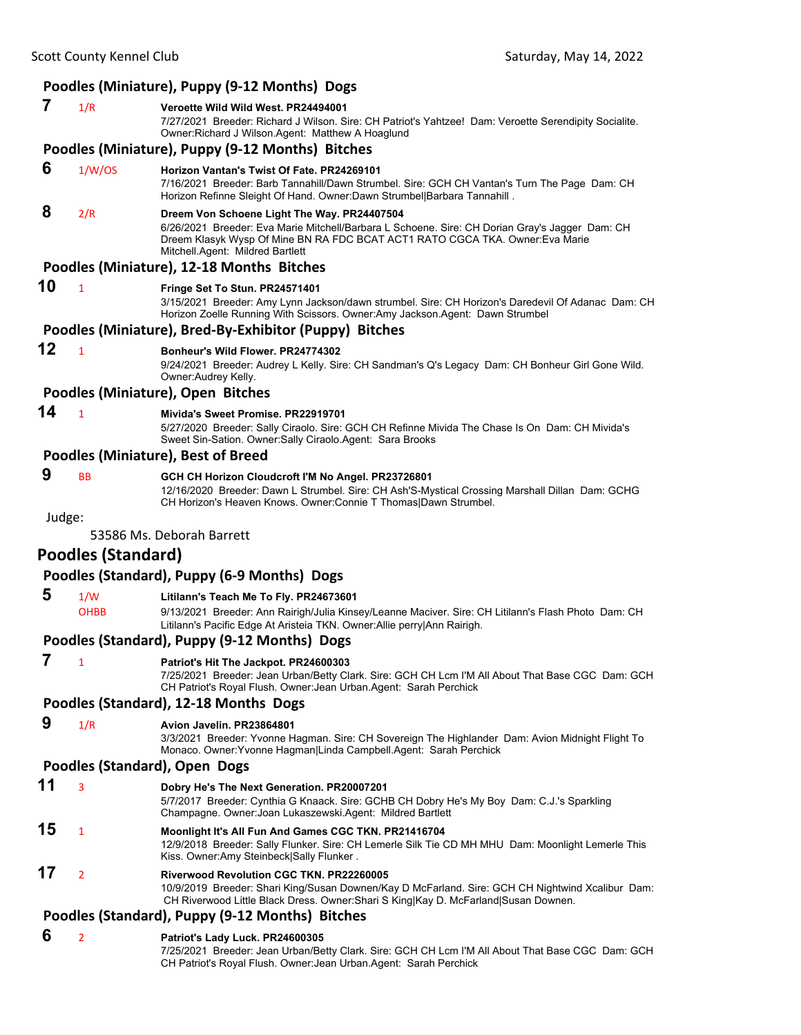### **Poodles (Miniature), Puppy (9‐12 Months) Dogs 7** 1/R **Veroette Wild Wild West. PR24494001** 7/27/2021 Breeder: Richard J Wilson. Sire: CH Patriot's Yahtzee! Dam: Veroette Serendipity Socialite. Owner:Richard J Wilson.Agent: Matthew A Hoaglund **Poodles (Miniature), Puppy (9‐12 Months) Bitches 6** 1/W/OS **Horizon Vantan's Twist Of Fate. PR24269101** 7/16/2021 Breeder: Barb Tannahill/Dawn Strumbel. Sire: GCH CH Vantan's Turn The Page Dam: CH Horizon Refinne Sleight Of Hand. Owner:Dawn Strumbel|Barbara Tannahill .  **8** 2/R **Dreem Von Schoene Light The Way. PR24407504** 6/26/2021 Breeder: Eva Marie Mitchell/Barbara L Schoene. Sire: CH Dorian Gray's Jagger Dam: CH Dreem Klasyk Wysp Of Mine BN RA FDC BCAT ACT1 RATO CGCA TKA. Owner:Eva Marie Mitchell.Agent: Mildred Bartlett **Poodles (Miniature), 12‐18 Months Bitches 10** <sup>1</sup> **Fringe Set To Stun. PR24571401** 3/15/2021 Breeder: Amy Lynn Jackson/dawn strumbel. Sire: CH Horizon's Daredevil Of Adanac Dam: CH Horizon Zoelle Running With Scissors. Owner:Amy Jackson.Agent: Dawn Strumbel **Poodles (Miniature), Bred‐By‐Exhibitor (Puppy) Bitches 12** <sup>1</sup> **Bonheur's Wild Flower. PR24774302** 9/24/2021 Breeder: Audrey L Kelly. Sire: CH Sandman's Q's Legacy Dam: CH Bonheur Girl Gone Wild. Owner:Audrey Kelly. **Poodles (Miniature), Open Bitches 14** <sup>1</sup> **Mivida's Sweet Promise. PR22919701** 5/27/2020 Breeder: Sally Ciraolo. Sire: GCH CH Refinne Mivida The Chase Is On Dam: CH Mivida's Sweet Sin-Sation. Owner:Sally Ciraolo.Agent: Sara Brooks **Poodles (Miniature), Best of Breed 9** BB **GCH CH Horizon Cloudcroft I'M No Angel. PR23726801** 12/16/2020 Breeder: Dawn L Strumbel. Sire: CH Ash'S-Mystical Crossing Marshall Dillan Dam: GCHG CH Horizon's Heaven Knows. Owner:Connie T Thomas|Dawn Strumbel. Judge: 53586 Ms. Deborah Barrett **Poodles (Standard) Poodles (Standard), Puppy (6‐9 Months) Dogs 5** 1/W **Litilann's Teach Me To Fly. PR24673601** OHBB 9/13/2021 Breeder: Ann Rairigh/Julia Kinsey/Leanne Maciver. Sire: CH Litilann's Flash Photo Dam: CH Litilann's Pacific Edge At Aristeia TKN. Owner:Allie perry|Ann Rairigh. **Poodles (Standard), Puppy (9‐12 Months) Dogs 7** <sup>1</sup> **Patriot's Hit The Jackpot. PR24600303** 7/25/2021 Breeder: Jean Urban/Betty Clark. Sire: GCH CH Lcm I'M All About That Base CGC Dam: GCH CH Patriot's Royal Flush. Owner:Jean Urban.Agent: Sarah Perchick **Poodles (Standard), 12‐18 Months Dogs 9** 1/R **Avion Javelin. PR23864801** 3/3/2021 Breeder: Yvonne Hagman. Sire: CH Sovereign The Highlander Dam: Avion Midnight Flight To Monaco. Owner:Yvonne Hagman|Linda Campbell.Agent: Sarah Perchick **Poodles (Standard), Open Dogs 11** <sup>3</sup> **Dobry He's The Next Generation. PR20007201** 5/7/2017 Breeder: Cynthia G Knaack. Sire: GCHB CH Dobry He's My Boy Dam: C.J.'s Sparkling Champagne. Owner:Joan Lukaszewski.Agent: Mildred Bartlett **15** <sup>1</sup> **Moonlight It's All Fun And Games CGC TKN. PR21416704** 12/9/2018 Breeder: Sally Flunker. Sire: CH Lemerle Silk Tie CD MH MHU Dam: Moonlight Lemerle This Kiss. Owner:Amy Steinbeck|Sally Flunker . **17** <sup>2</sup> **Riverwood Revolution CGC TKN. PR22260005** 10/9/2019 Breeder: Shari King/Susan Downen/Kay D McFarland. Sire: GCH CH Nightwind Xcalibur Dam: CH Riverwood Little Black Dress. Owner:Shari S King|Kay D. McFarland|Susan Downen. **Poodles (Standard), Puppy (9‐12 Months) Bitches 6** <sup>2</sup> **Patriot's Lady Luck. PR24600305**

7/25/2021 Breeder: Jean Urban/Betty Clark. Sire: GCH CH Lcm I'M All About That Base CGC Dam: GCH CH Patriot's Royal Flush. Owner:Jean Urban.Agent: Sarah Perchick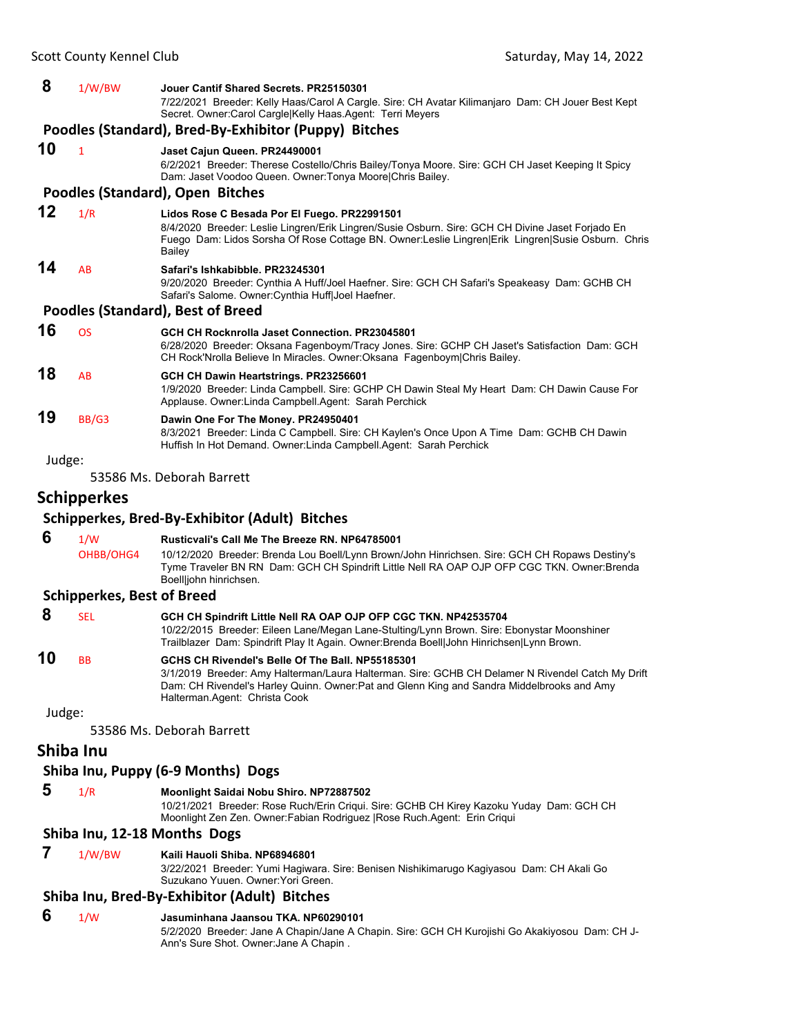#### **8** 1/W/BW **Jouer Cantif Shared Secrets. PR25150301**

7/22/2021 Breeder: Kelly Haas/Carol A Cargle. Sire: CH Avatar Kilimanjaro Dam: CH Jouer Best Kept Secret. Owner:Carol Cargle|Kelly Haas.Agent: Terri Meyers

#### **Poodles (Standard), Bred‐By‐Exhibitor (Puppy) Bitches**

#### **10** <sup>1</sup> **Jaset Cajun Queen. PR24490001**

6/2/2021 Breeder: Therese Costello/Chris Bailey/Tonya Moore. Sire: GCH CH Jaset Keeping It Spicy Dam: Jaset Voodoo Queen. Owner:Tonya Moore|Chris Bailey.

#### **Poodles (Standard), Open Bitches**

**12** 1/R **Lidos Rose C Besada Por El Fuego. PR22991501** 8/4/2020 Breeder: Leslie Lingren/Erik Lingren/Susie Osburn. Sire: GCH CH Divine Jaset Forjado En Fuego Dam: Lidos Sorsha Of Rose Cottage BN. Owner:Leslie Lingren|Erik Lingren|Susie Osburn. Chris **Bailey 14** AB **Safari's Ishkabibble. PR23245301** 9/20/2020 Breeder: Cynthia A Huff/Joel Haefner. Sire: GCH CH Safari's Speakeasy Dam: GCHB CH Safari's Salome. Owner:Cynthia Huff|Joel Haefner.

#### **Poodles (Standard), Best of Breed**

| 19 | BB/G3 | Dawin One For The Money. PR24950401                                                                                                                                                                                        |
|----|-------|----------------------------------------------------------------------------------------------------------------------------------------------------------------------------------------------------------------------------|
| 18 | AB    | GCH CH Dawin Heartstrings. PR23256601<br>1/9/2020 Breeder: Linda Campbell. Sire: GCHP CH Dawin Steal My Heart Dam: CH Dawin Cause For<br>Applause. Owner: Linda Campbell. Agent: Sarah Perchick                            |
| 16 | OS.   | GCH CH Rocknrolla Jaset Connection, PR23045801<br>6/28/2020 Breeder: Oksana Fagenboym/Tracy Jones. Sire: GCHP CH Jaset's Satisfaction Dam: GCH<br>CH Rock'Nrolla Believe In Miracles. Owner:Oksana Fagenboym Chris Bailey. |
|    |       |                                                                                                                                                                                                                            |

8/3/2021 Breeder: Linda C Campbell. Sire: CH Kaylen's Once Upon A Time Dam: GCHB CH Dawin Huffish In Hot Demand. Owner:Linda Campbell.Agent: Sarah Perchick

Judge:

53586 Ms. Deborah Barrett

#### **Schipperkes**

#### **Schipperkes, Bred‐By‐Exhibitor (Adult) Bitches**

 **6** 1/W **Rusticvali's Call Me The Breeze RN. NP64785001** OHBB/OHG4 10/12/2020 Breeder: Brenda Lou Boell/Lynn Brown/John Hinrichsen. Sire: GCH CH Ropaws Destiny's Tyme Traveler BN RN Dam: GCH CH Spindrift Little Nell RA OAP OJP OFP CGC TKN. Owner:Brenda Boell|john hinrichsen.

#### **Schipperkes, Best of Breed**

#### **8** SEL **GCH CH Spindrift Little Nell RA OAP OJP OFP CGC TKN. NP42535704**

10/22/2015 Breeder: Eileen Lane/Megan Lane-Stulting/Lynn Brown. Sire: Ebonystar Moonshiner Trailblazer Dam: Spindrift Play It Again. Owner:Brenda Boell|John Hinrichsen|Lynn Brown.

#### **10** BB **GCHS CH Rivendel's Belle Of The Ball. NP55185301** 3/1/2019 Breeder: Amy Halterman/Laura Halterman. Sire: GCHB CH Delamer N Rivendel Catch My Drift

Dam: CH Rivendel's Harley Quinn. Owner:Pat and Glenn King and Sandra Middelbrooks and Amy Halterman.Agent: Christa Cook

Judge:

53586 Ms. Deborah Barrett

### **Shiba Inu**

#### **Shiba Inu, Puppy (6‐9 Months) Dogs**

 **5** 1/R **Moonlight Saidai Nobu Shiro. NP72887502**

10/21/2021 Breeder: Rose Ruch/Erin Criqui. Sire: GCHB CH Kirey Kazoku Yuday Dam: GCH CH Moonlight Zen Zen. Owner:Fabian Rodriguez |Rose Ruch.Agent: Erin Criqui

#### **Shiba Inu, 12‐18 Months Dogs**

 **7** 1/W/BW **Kaili Hauoli Shiba. NP68946801**

3/22/2021 Breeder: Yumi Hagiwara. Sire: Benisen Nishikimarugo Kagiyasou Dam: CH Akali Go Suzukano Yuuen. Owner:Yori Green.

#### **Shiba Inu, Bred‐By‐Exhibitor (Adult) Bitches**

#### **6** 1/W **Jasuminhana Jaansou TKA. NP60290101**

5/2/2020 Breeder: Jane A Chapin/Jane A Chapin. Sire: GCH CH Kurojishi Go Akakiyosou Dam: CH J-Ann's Sure Shot. Owner:Jane A Chapin .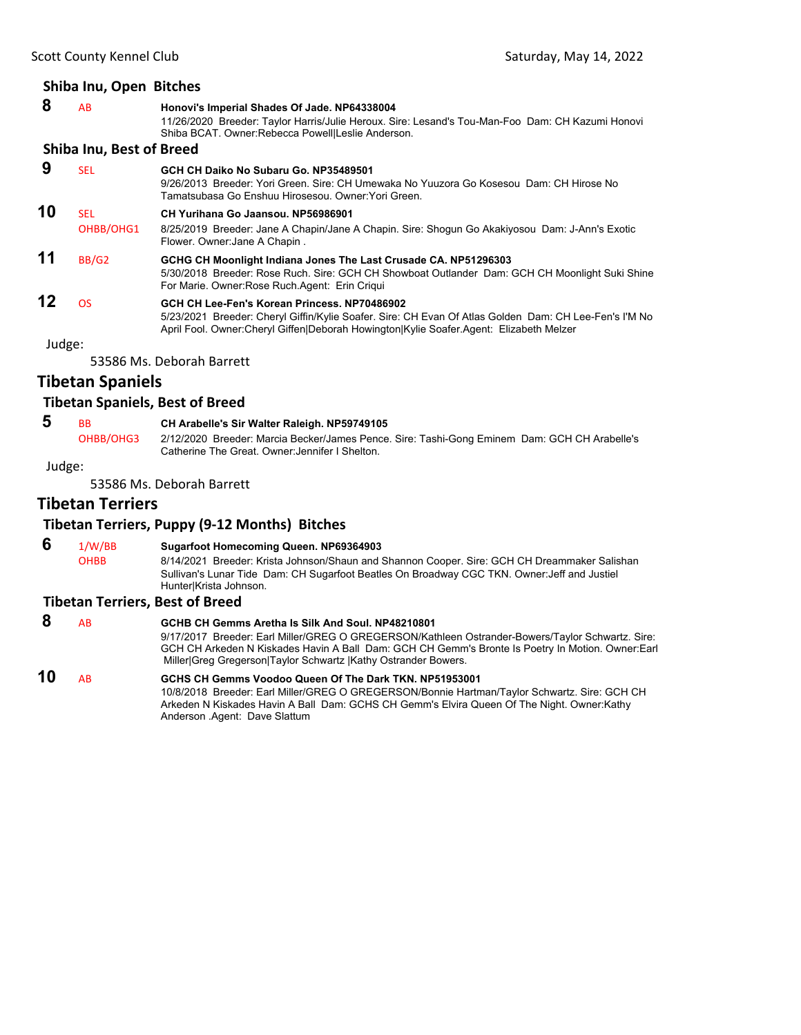|    | Shiba Inu, Open Bitches         |                                                                                                                                                                                                                    |
|----|---------------------------------|--------------------------------------------------------------------------------------------------------------------------------------------------------------------------------------------------------------------|
| 8  | AB                              | Honovi's Imperial Shades Of Jade. NP64338004<br>11/26/2020 Breeder: Taylor Harris/Julie Heroux. Sire: Lesand's Tou-Man-Foo Dam: CH Kazumi Honovi<br>Shiba BCAT. Owner: Rebecca Powell Leslie Anderson.             |
|    | <b>Shiba Inu, Best of Breed</b> |                                                                                                                                                                                                                    |
| 9  | <b>SEL</b>                      | GCH CH Daiko No Subaru Go. NP35489501<br>9/26/2013 Breeder: Yori Green, Sire: CH Umewaka No Yuuzora Go Kosesou, Dam: CH Hirose No<br>Tamatsubasa Go Enshuu Hirosesou. Owner:Yori Green.                            |
| 10 | <b>SEL</b><br>OHBB/OHG1         | CH Yurihana Go Jaansou, NP56986901<br>8/25/2019 Breeder: Jane A Chapin/Jane A Chapin. Sire: Shogun Go Akakiyosou Dam: J-Ann's Exotic<br>Flower. Owner: Jane A Chapin.                                              |
| 11 | BB/G2                           | GCHG CH Moonlight Indiana Jones The Last Crusade CA. NP51296303<br>5/30/2018 Breeder: Rose Ruch. Sire: GCH CH Showboat Outlander Dam: GCH CH Moonlight Suki Shine<br>For Marie. Owner Rose Ruch Agent: Erin Criqui |

**12** OS **GCH CH Lee-Fen's Korean Princess. NP70486902** 5/23/2021 Breeder: Cheryl Giffin/Kylie Soafer. Sire: CH Evan Of Atlas Golden Dam: CH Lee-Fen's I'M No April Fool. Owner:Cheryl Giffen|Deborah Howington|Kylie Soafer.Agent: Elizabeth Melzer

Judge:

53586 Ms. Deborah Barrett

### **Tibetan Spaniels**

#### **Tibetan Spaniels, Best of Breed**

 **5** BB **CH Arabelle's Sir Walter Raleigh. NP59749105**

OHBB/OHG3 2/12/2020 Breeder: Marcia Becker/James Pence. Sire: Tashi-Gong Eminem Dam: GCH CH Arabelle's Catherine The Great. Owner:Jennifer I Shelton.

Judge:

53586 Ms. Deborah Barrett

### **Tibetan Terriers**

### **Tibetan Terriers, Puppy (9‐12 Months) Bitches**

**6** 1/W/BB **Sugarfoot Homecoming Queen. NP69364903**<br>OHBB 8/14/2021 Breeder: Krista Johnson/Shaun and 9

8/14/2021 Breeder: Krista Johnson/Shaun and Shannon Cooper. Sire: GCH CH Dreammaker Salishan Sullivan's Lunar Tide Dam: CH Sugarfoot Beatles On Broadway CGC TKN. Owner:Jeff and Justiel Hunter|Krista Johnson.

#### **Tibetan Terriers, Best of Breed**

 **8** AB **GCHB CH Gemms Aretha Is Silk And Soul. NP48210801** 9/17/2017 Breeder: Earl Miller/GREG O GREGERSON/Kathleen Ostrander-Bowers/Taylor Schwartz. Sire: GCH CH Arkeden N Kiskades Havin A Ball Dam: GCH CH Gemm's Bronte Is Poetry In Motion. Owner:Earl Miller|Greg Gregerson|Taylor Schwartz |Kathy Ostrander Bowers.

**10** AB **GCHS CH Gemms Voodoo Queen Of The Dark TKN. NP51953001** 10/8/2018 Breeder: Earl Miller/GREG O GREGERSON/Bonnie Hartman/Taylor Schwartz. Sire: GCH CH Arkeden N Kiskades Havin A Ball Dam: GCHS CH Gemm's Elvira Queen Of The Night. Owner:Kathy Anderson .Agent: Dave Slattum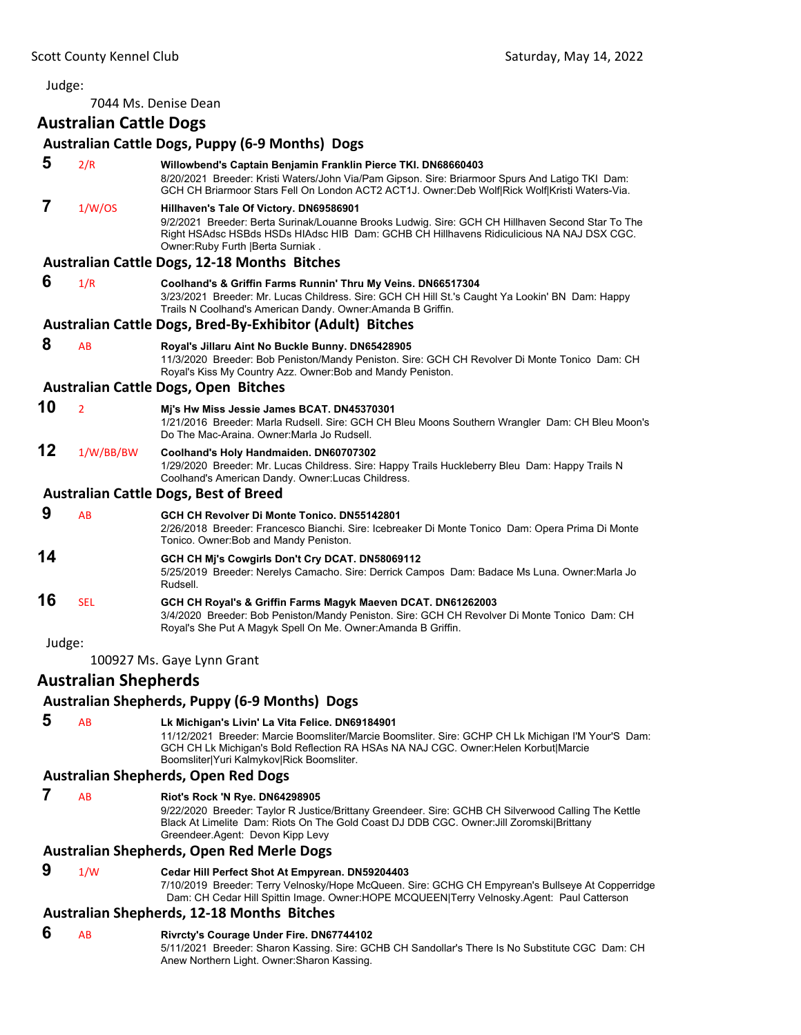<span id="page-45-0"></span>7044 Ms. Denise Dean

### **Australian Cattle Dogs**

|        |                             | <b>Australian Cattle Dogs, Puppy (6-9 Months) Dogs</b>                                                                                                                                                                                                                                    |
|--------|-----------------------------|-------------------------------------------------------------------------------------------------------------------------------------------------------------------------------------------------------------------------------------------------------------------------------------------|
| 5      | 2/R                         | Willowbend's Captain Benjamin Franklin Pierce TKI. DN68660403<br>8/20/2021 Breeder: Kristi Waters/John Via/Pam Gipson. Sire: Briarmoor Spurs And Latigo TKI Dam:<br>GCH CH Briarmoor Stars Fell On London ACT2 ACT1J. Owner:Deb Wolf Rick Wolf Kristi Waters-Via.                         |
| 7      | 1/W/OS                      | Hillhaven's Tale Of Victory. DN69586901<br>9/2/2021 Breeder: Berta Surinak/Louanne Brooks Ludwig. Sire: GCH CH Hillhaven Second Star To The<br>Right HSAdsc HSBds HSDs HIAdsc HIB Dam: GCHB CH Hillhavens Ridiculicious NA NAJ DSX CGC.<br>Owner: Ruby Furth   Berta Surniak.             |
|        |                             | <b>Australian Cattle Dogs, 12-18 Months Bitches</b>                                                                                                                                                                                                                                       |
| 6      | 1/R                         | Coolhand's & Griffin Farms Runnin' Thru My Veins. DN66517304<br>3/23/2021 Breeder: Mr. Lucas Childress. Sire: GCH CH Hill St.'s Caught Ya Lookin' BN Dam: Happy<br>Trails N Coolhand's American Dandy. Owner:Amanda B Griffin.                                                            |
|        |                             | Australian Cattle Dogs, Bred-By-Exhibitor (Adult) Bitches                                                                                                                                                                                                                                 |
| 8      | AB                          | Royal's Jillaru Aint No Buckle Bunny. DN65428905<br>11/3/2020 Breeder: Bob Peniston/Mandy Peniston. Sire: GCH CH Revolver Di Monte Tonico Dam: CH<br>Royal's Kiss My Country Azz. Owner: Bob and Mandy Peniston.                                                                          |
|        |                             | <b>Australian Cattle Dogs, Open Bitches</b>                                                                                                                                                                                                                                               |
| 10     | $\overline{2}$              | Mi's Hw Miss Jessie James BCAT. DN45370301<br>1/21/2016 Breeder: Marla Rudsell. Sire: GCH CH Bleu Moons Southern Wrangler Dam: CH Bleu Moon's<br>Do The Mac-Araina. Owner: Marla Jo Rudsell.                                                                                              |
| 12     | 1/W/BB/BW                   | Coolhand's Holy Handmaiden. DN60707302<br>1/29/2020 Breeder: Mr. Lucas Childress. Sire: Happy Trails Huckleberry Bleu Dam: Happy Trails N<br>Coolhand's American Dandy. Owner:Lucas Childress.                                                                                            |
|        |                             | <b>Australian Cattle Dogs, Best of Breed</b>                                                                                                                                                                                                                                              |
| 9      | AB                          | GCH CH Revolver Di Monte Tonico, DN55142801<br>2/26/2018 Breeder: Francesco Bianchi. Sire: Icebreaker Di Monte Tonico Dam: Opera Prima Di Monte<br>Tonico. Owner: Bob and Mandy Peniston.                                                                                                 |
| 14     |                             | GCH CH Mj's Cowgirls Don't Cry DCAT. DN58069112<br>5/25/2019 Breeder: Nerelys Camacho. Sire: Derrick Campos Dam: Badace Ms Luna. Owner: Marla Jo<br>Rudsell.                                                                                                                              |
| 16     | <b>SEL</b>                  | GCH CH Royal's & Griffin Farms Magyk Maeven DCAT. DN61262003<br>3/4/2020 Breeder: Bob Peniston/Mandy Peniston. Sire: GCH CH Revolver Di Monte Tonico Dam: CH<br>Royal's She Put A Magyk Spell On Me. Owner: Amanda B Griffin.                                                             |
| Judge: |                             |                                                                                                                                                                                                                                                                                           |
|        |                             | 100927 Ms. Gaye Lynn Grant                                                                                                                                                                                                                                                                |
|        | <b>Australian Shepherds</b> |                                                                                                                                                                                                                                                                                           |
|        |                             | <b>Australian Shepherds, Puppy (6-9 Months) Dogs</b>                                                                                                                                                                                                                                      |
| 5      | AB                          | Lk Michigan's Livin' La Vita Felice. DN69184901<br>11/12/2021 Breeder: Marcie Boomsliter/Marcie Boomsliter. Sire: GCHP CH Lk Michigan I'M Your'S Dam:<br>GCH CH Lk Michigan's Bold Reflection RA HSAs NA NAJ CGC. Owner: Helen Korbut Marcie<br>Boomsliter Yuri Kalmykov Rick Boomsliter. |
|        |                             | <b>Australian Shepherds, Open Red Dogs</b>                                                                                                                                                                                                                                                |
| 7      | AB                          | <b>Riot's Rock 'N Rye. DN64298905</b><br>9/22/2020 Breeder: Taylor R Justice/Brittany Greendeer. Sire: GCHB CH Silverwood Calling The Kettle<br>Black At Limelite Dam: Riots On The Gold Coast DJ DDB CGC. Owner: Jill Zoromski Brittany<br>Greendeer.Agent: Devon Kipp Levy              |
|        |                             | Australian Shepherds, Open Red Merle Dogs                                                                                                                                                                                                                                                 |
| 9      | 1/W                         | Cedar Hill Perfect Shot At Empyrean. DN59204403<br>7/10/2019 Breeder: Terry Velnosky/Hope McQueen. Sire: GCHG CH Empyrean's Bullseye At Copperridge<br>Dam: CH Cedar Hill Spittin Image. Owner: HOPE MCQUEEN Terry Velnosky. Agent: Paul Catterson                                        |
|        |                             | <b>Australian Shepherds, 12-18 Months Bitches</b>                                                                                                                                                                                                                                         |

- **6** AB **Rivrcty's Courage Under Fire. DN67744102**
	- 5/11/2021 Breeder: Sharon Kassing. Sire: GCHB CH Sandollar's There Is No Substitute CGC Dam: CH Anew Northern Light. Owner:Sharon Kassing.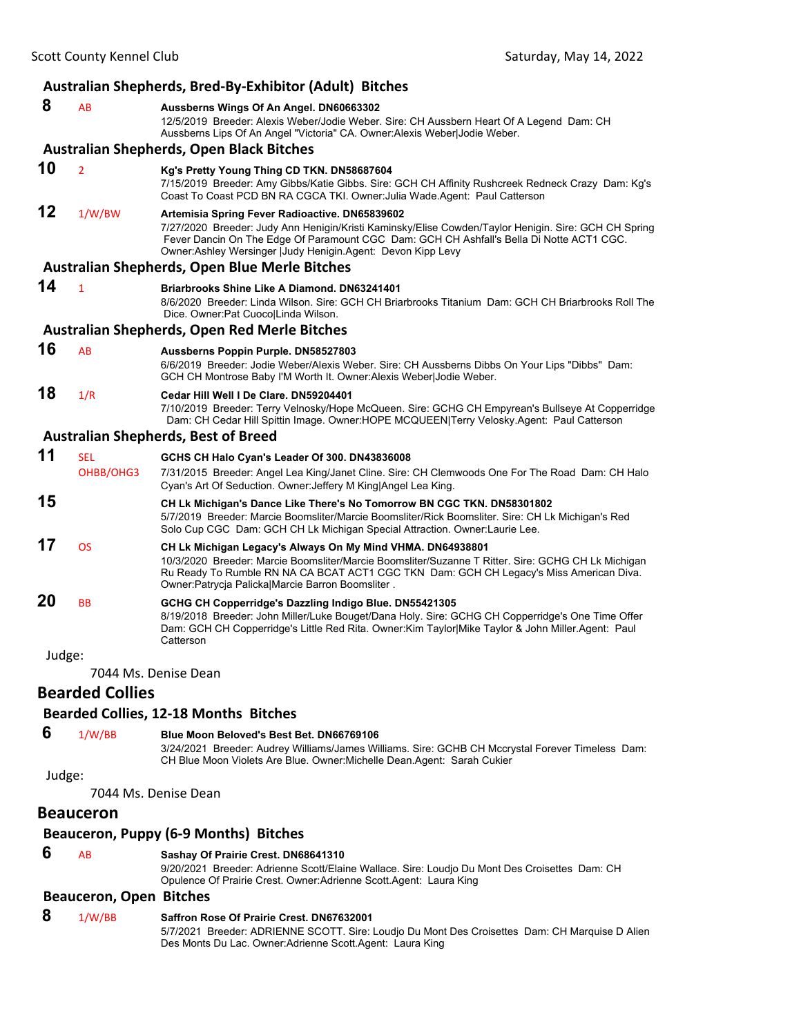|        |                                | Australian Shepherds, Bred-By-Exhibitor (Adult) Bitches                                                                                                                                                                                                                                                              |
|--------|--------------------------------|----------------------------------------------------------------------------------------------------------------------------------------------------------------------------------------------------------------------------------------------------------------------------------------------------------------------|
| 8      | AB                             | Aussberns Wings Of An Angel. DN60663302<br>12/5/2019 Breeder: Alexis Weber/Jodie Weber. Sire: CH Aussbern Heart Of A Legend Dam: CH<br>Aussberns Lips Of An Angel "Victoria" CA. Owner: Alexis Weber Jodie Weber.                                                                                                    |
|        |                                | <b>Australian Shepherds, Open Black Bitches</b>                                                                                                                                                                                                                                                                      |
| 10     | $\overline{2}$                 | Kg's Pretty Young Thing CD TKN. DN58687604<br>7/15/2019 Breeder: Amy Gibbs/Katie Gibbs. Sire: GCH CH Affinity Rushcreek Redneck Crazy Dam: Kg's<br>Coast To Coast PCD BN RA CGCA TKI. Owner: Julia Wade. Agent: Paul Catterson                                                                                       |
| 12     | 1/W/BW                         | Artemisia Spring Fever Radioactive. DN65839602<br>7/27/2020 Breeder: Judy Ann Henigin/Kristi Kaminsky/Elise Cowden/Taylor Henigin. Sire: GCH CH Spring<br>Fever Dancin On The Edge Of Paramount CGC Dam: GCH CH Ashfall's Bella Di Notte ACT1 CGC.<br>Owner: Ashley Wersinger   Judy Henigin. Agent: Devon Kipp Levy |
|        |                                | Australian Shepherds, Open Blue Merle Bitches                                                                                                                                                                                                                                                                        |
| 14     | $\mathbf{1}$                   | <b>Briarbrooks Shine Like A Diamond. DN63241401</b><br>8/6/2020 Breeder: Linda Wilson. Sire: GCH CH Briarbrooks Titanium Dam: GCH CH Briarbrooks Roll The<br>Dice. Owner: Pat CuocolLinda Wilson.                                                                                                                    |
|        |                                | Australian Shepherds, Open Red Merle Bitches                                                                                                                                                                                                                                                                         |
| 16     | <b>AB</b>                      | Aussberns Poppin Purple. DN58527803<br>6/6/2019 Breeder: Jodie Weber/Alexis Weber. Sire: CH Aussberns Dibbs On Your Lips "Dibbs" Dam:<br>GCH CH Montrose Baby I'M Worth It. Owner: Alexis Weber Jodie Weber.                                                                                                         |
| 18     | 1/R                            | Cedar Hill Well I De Clare, DN59204401<br>7/10/2019 Breeder: Terry Velnosky/Hope McQueen. Sire: GCHG CH Empyrean's Bullseye At Copperridge<br>Dam: CH Cedar Hill Spittin Image. Owner:HOPE MCQUEEN Terry Velosky.Agent: Paul Catterson                                                                               |
|        |                                | <b>Australian Shepherds, Best of Breed</b>                                                                                                                                                                                                                                                                           |
| 11     | <b>SEL</b><br>OHBB/OHG3        | GCHS CH Halo Cyan's Leader Of 300. DN43836008<br>7/31/2015 Breeder: Angel Lea King/Janet Cline. Sire: CH Clemwoods One For The Road Dam: CH Halo<br>Cyan's Art Of Seduction. Owner: Jeffery M King Angel Lea King.                                                                                                   |
| 15     |                                | CH Lk Michigan's Dance Like There's No Tomorrow BN CGC TKN. DN58301802<br>5/7/2019 Breeder: Marcie Boomsliter/Marcie Boomsliter/Rick Boomsliter. Sire: CH Lk Michigan's Red<br>Solo Cup CGC Dam: GCH CH Lk Michigan Special Attraction. Owner: Laurie Lee.                                                           |
| 17     | <b>OS</b>                      | CH Lk Michigan Legacy's Always On My Mind VHMA. DN64938801<br>10/3/2020 Breeder: Marcie Boomsliter/Marcie Boomsliter/Suzanne T Ritter. Sire: GCHG CH Lk Michigan<br>Ru Ready To Rumble RN NA CA BCAT ACT1 CGC TKN Dam: GCH CH Legacy's Miss American Diva.<br>Owner: Patrycja PalickalMarcie Barron Boomsliter.      |
| 20     | <b>BB</b>                      | GCHG CH Copperridge's Dazzling Indigo Blue. DN55421305<br>8/19/2018 Breeder: John Miller/Luke Bouget/Dana Holy. Sire: GCHG CH Copperridge's One Time Offer<br>Dam: GCH CH Copperridge's Little Red Rita. Owner: Kim Taylor Mike Taylor & John Miller. Agent: Paul<br>Catterson                                       |
| Judge: |                                |                                                                                                                                                                                                                                                                                                                      |
|        |                                | 7044 Ms. Denise Dean                                                                                                                                                                                                                                                                                                 |
|        | <b>Bearded Collies</b>         |                                                                                                                                                                                                                                                                                                                      |
|        |                                | <b>Bearded Collies, 12-18 Months Bitches</b>                                                                                                                                                                                                                                                                         |
| 6      | 1/W/BB                         | Blue Moon Beloved's Best Bet. DN66769106<br>3/24/2021 Breeder: Audrey Williams/James Williams. Sire: GCHB CH Mccrystal Forever Timeless Dam:<br>CH Blue Moon Violets Are Blue. Owner: Michelle Dean. Agent: Sarah Cukier                                                                                             |
| Judge: |                                |                                                                                                                                                                                                                                                                                                                      |
|        |                                | 7044 Ms. Denise Dean                                                                                                                                                                                                                                                                                                 |
|        | <b>Beauceron</b>               |                                                                                                                                                                                                                                                                                                                      |
|        |                                | Beauceron, Puppy (6-9 Months) Bitches                                                                                                                                                                                                                                                                                |
| 6      | AB                             | Sashay Of Prairie Crest. DN68641310<br>9/20/2021 Breeder: Adrienne Scott/Elaine Wallace. Sire: Loudjo Du Mont Des Croisettes Dam: CH<br>Opulence Of Prairie Crest. Owner: Adrienne Scott. Agent: Laura King                                                                                                          |
|        | <b>Beauceron, Open Bitches</b> |                                                                                                                                                                                                                                                                                                                      |
| 8      | 1/W/BB                         | Saffron Rose Of Prairie Crest. DN67632001<br>5/7/2021 Breeder: ADRIENNE SCOTT. Sire: Loudjo Du Mont Des Croisettes Dam: CH Marquise D Alien<br>Des Monts Du Lac. Owner: Adrienne Scott. Agent: Laura King                                                                                                            |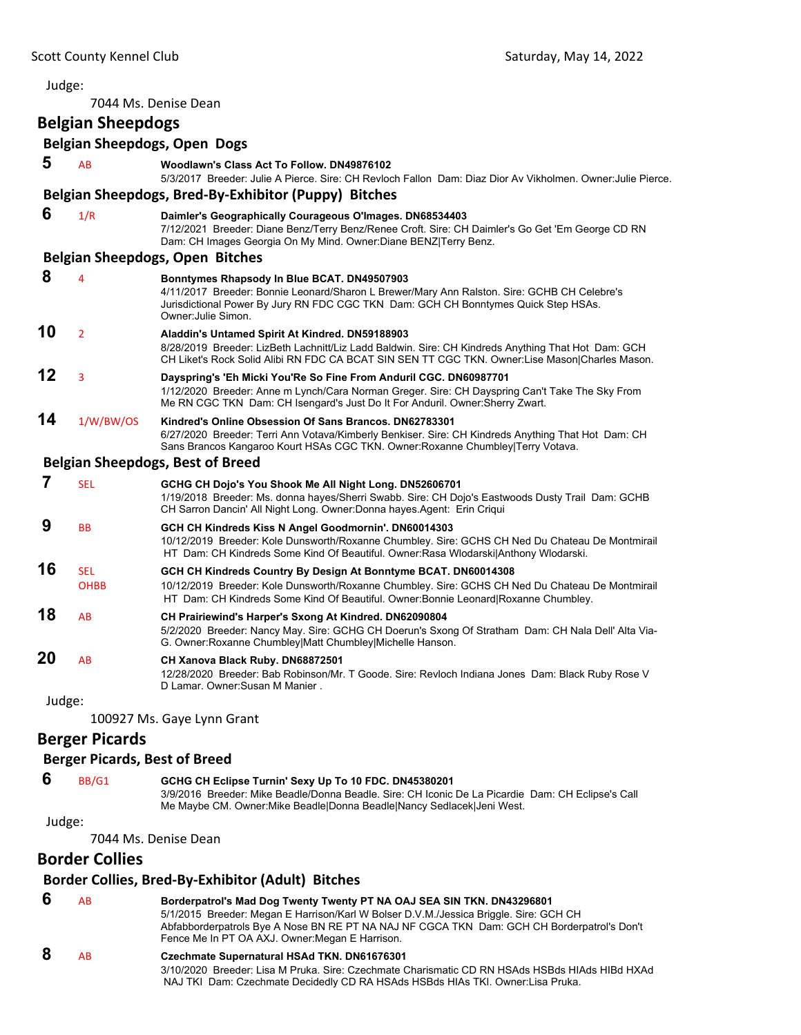| Judge: |                                      |                                                                                                                                                                                                                                                         |
|--------|--------------------------------------|---------------------------------------------------------------------------------------------------------------------------------------------------------------------------------------------------------------------------------------------------------|
|        |                                      | 7044 Ms. Denise Dean                                                                                                                                                                                                                                    |
|        | <b>Belgian Sheepdogs</b>             |                                                                                                                                                                                                                                                         |
|        |                                      | <b>Belgian Sheepdogs, Open Dogs</b>                                                                                                                                                                                                                     |
| 5      | AB                                   | Woodlawn's Class Act To Follow, DN49876102<br>5/3/2017 Breeder: Julie A Pierce. Sire: CH Revloch Fallon Dam: Diaz Dior Av Vikholmen. Owner: Julie Pierce.                                                                                               |
|        |                                      | Belgian Sheepdogs, Bred-By-Exhibitor (Puppy) Bitches                                                                                                                                                                                                    |
| 6      | 1/R                                  | Daimler's Geographically Courageous O'Images. DN68534403<br>7/12/2021 Breeder: Diane Benz/Terry Benz/Renee Croft. Sire: CH Daimler's Go Get 'Em George CD RN<br>Dam: CH Images Georgia On My Mind. Owner: Diane BENZ Terry Benz.                        |
|        |                                      | <b>Belgian Sheepdogs, Open Bitches</b>                                                                                                                                                                                                                  |
| 8      | 4                                    | Bonntymes Rhapsody In Blue BCAT. DN49507903<br>4/11/2017 Breeder: Bonnie Leonard/Sharon L Brewer/Mary Ann Ralston. Sire: GCHB CH Celebre's<br>Jurisdictional Power By Jury RN FDC CGC TKN Dam: GCH CH Bonntymes Quick Step HSAs.<br>Owner: Julie Simon. |
| 10     | $\overline{2}$                       | Aladdin's Untamed Spirit At Kindred. DN59188903<br>8/28/2019 Breeder: LizBeth Lachnitt/Liz Ladd Baldwin. Sire: CH Kindreds Anything That Hot Dam: GCH<br>CH Liket's Rock Solid Alibi RN FDC CA BCAT SIN SEN TT CGC TKN. Owner:Lise Mason Charles Mason. |
| 12     | 3                                    | Dayspring's 'Eh Micki You'Re So Fine From Anduril CGC. DN60987701<br>1/12/2020 Breeder: Anne m Lynch/Cara Norman Greger. Sire: CH Dayspring Can't Take The Sky From<br>Me RN CGC TKN Dam: CH Isengard's Just Do It For Anduril. Owner: Sherry Zwart.    |
| 14     | 1/W/BW/OS                            | Kindred's Online Obsession Of Sans Brancos, DN62783301<br>6/27/2020 Breeder: Terri Ann Votava/Kimberly Benkiser. Sire: CH Kindreds Anything That Hot Dam: CH<br>Sans Brancos Kangaroo Kourt HSAs CGC TKN. Owner: Roxanne Chumbley Terry Votava.         |
|        |                                      | <b>Belgian Sheepdogs, Best of Breed</b>                                                                                                                                                                                                                 |
| 7      | <b>SEL</b>                           | GCHG CH Dojo's You Shook Me All Night Long. DN52606701<br>1/19/2018 Breeder: Ms. donna hayes/Sherri Swabb. Sire: CH Dojo's Eastwoods Dusty Trail Dam: GCHB<br>CH Sarron Dancin' All Night Long. Owner:Donna hayes.Agent: Erin Criqui                    |
| 9      | BB                                   | GCH CH Kindreds Kiss N Angel Goodmornin'. DN60014303<br>10/12/2019 Breeder: Kole Dunsworth/Roxanne Chumbley. Sire: GCHS CH Ned Du Chateau De Montmirail<br>HT Dam: CH Kindreds Some Kind Of Beautiful. Owner: Rasa Wlodarski Anthony Wlodarski.         |
| 16     | <b>SEL</b>                           | GCH CH Kindreds Country By Design At Bonntyme BCAT. DN60014308                                                                                                                                                                                          |
|        | <b>OHBB</b>                          | 10/12/2019 Breeder: Kole Dunsworth/Roxanne Chumbley. Sire: GCHS CH Ned Du Chateau De Montmirail<br>HT Dam: CH Kindreds Some Kind Of Beautiful. Owner: Bonnie Leonard Roxanne Chumbley.                                                                  |
| 18     | AB                                   | CH Prairiewind's Harper's Sxong At Kindred. DN62090804<br>5/2/2020 Breeder: Nancy May. Sire: GCHG CH Doerun's Sxong Of Stratham Dam: CH Nala Dell' Alta Via-<br>G. Owner: Roxanne Chumbley Matt Chumbley Michelle Hanson.                               |
| 20     | AB                                   | CH Xanova Black Ruby. DN68872501<br>12/28/2020 Breeder: Bab Robinson/Mr. T Goode. Sire: Revloch Indiana Jones Dam: Black Ruby Rose V<br>D Lamar. Owner: Susan M Manier.                                                                                 |
| Judge: |                                      |                                                                                                                                                                                                                                                         |
|        |                                      | 100927 Ms. Gaye Lynn Grant                                                                                                                                                                                                                              |
|        | <b>Berger Picards</b>                |                                                                                                                                                                                                                                                         |
|        | <b>Berger Picards, Best of Breed</b> |                                                                                                                                                                                                                                                         |
| 6      | BB/G1                                | GCHG CH Eclipse Turnin' Sexy Up To 10 FDC. DN45380201<br>3/9/2016 Breeder: Mike Beadle/Donna Beadle. Sire: CH Iconic De La Picardie Dam: CH Eclipse's Call<br>Me Maybe CM. Owner: Mike Beadle Donna Beadle Nancy Sedlacek Jeni West.                    |
| Judge: |                                      |                                                                                                                                                                                                                                                         |
|        |                                      | 7044 Ms. Denise Dean                                                                                                                                                                                                                                    |
|        | <b>Border Collies</b>                |                                                                                                                                                                                                                                                         |

# **Border Collies, Bred‐By‐Exhibitor (Adult) Bitches**

| 6 | <b>AB</b> | Borderpatrol's Mad Dog Twenty Twenty PT NA OAJ SEA SIN TKN. DN43296801                                                                                                                                                                 |
|---|-----------|----------------------------------------------------------------------------------------------------------------------------------------------------------------------------------------------------------------------------------------|
|   |           | 5/1/2015 Breeder: Megan E Harrison/Karl W Bolser D.V.M./Jessica Briggle. Sire: GCH CH<br>Abfabborderpatrols Bye A Nose BN RE PT NA NAJ NF CGCA TKN Dam: GCH CH Borderpatrol's Don't<br>Fence Me In PT OA AXJ. Owner: Megan E Harrison. |
| 8 | <b>AB</b> | Czechmate Supernatural HSAd TKN. DN61676301<br>3/10/2020 Breeder: Lisa M Pruka. Sire: Czechmate Charismatic CD RN HSAds HSBds HIAds HIBd HXAd<br>NAJ TKI Dam: Czechmate Decidedly CD RA HSAds HSBds HIAs TKI. Owner: Lisa Pruka.       |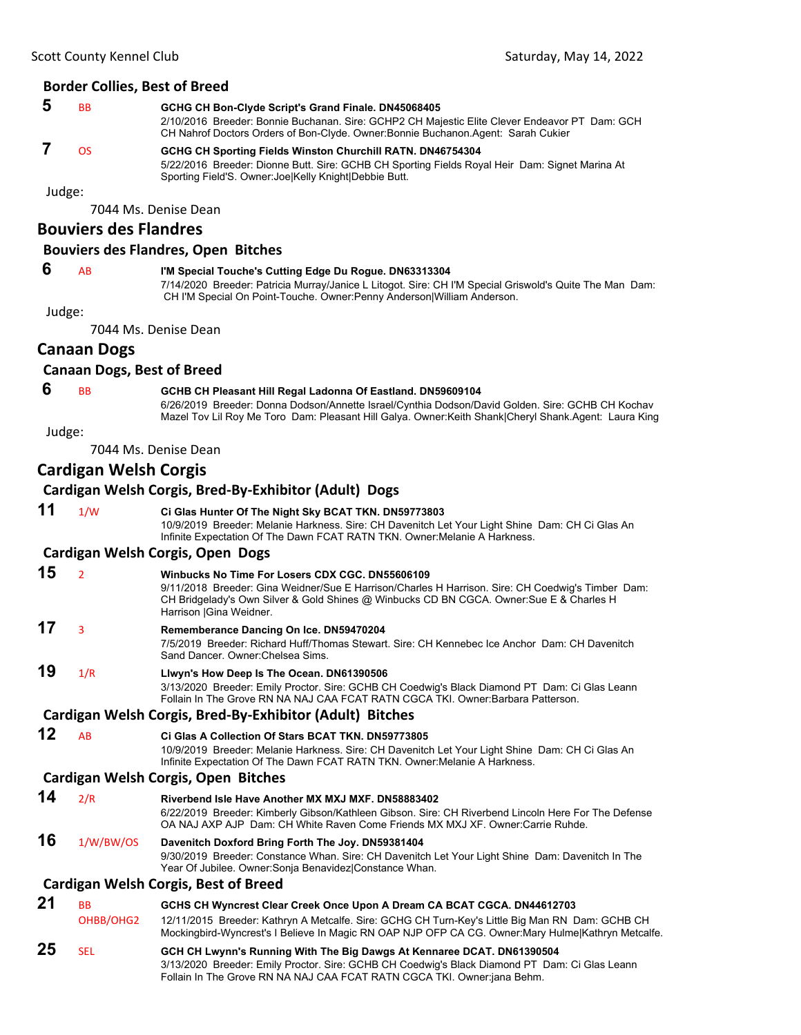#### **Border Collies, Best of Breed**

 **5** BB **GCHG CH Bon-Clyde Script's Grand Finale. DN45068405** 2/10/2016 Breeder: Bonnie Buchanan. Sire: GCHP2 CH Majestic Elite Clever Endeavor PT Dam: GCH CH Nahrof Doctors Orders of Bon-Clyde. Owner:Bonnie Buchanon.Agent: Sarah Cukier  **7** OS **GCHG CH Sporting Fields Winston Churchill RATN. DN46754304** 5/22/2016 Breeder: Dionne Butt. Sire: GCHB CH Sporting Fields Royal Heir Dam: Signet Marina At

Judge:

7044 Ms. Denise Dean

### **Bouviers des Flandres**

#### **Bouviers des Flandres, Open Bitches**

### **6** AB **I'M Special Touche's Cutting Edge Du Rogue. DN63313304**

Sporting Field'S. Owner:Joe|Kelly Knight|Debbie Butt.

7/14/2020 Breeder: Patricia Murray/Janice L Litogot. Sire: CH I'M Special Griswold's Quite The Man Dam: CH I'M Special On Point-Touche. Owner:Penny Anderson|William Anderson.

Judge:

7044 Ms. Denise Dean

### **Canaan Dogs**

#### **Canaan Dogs, Best of Breed**

### **6** BB **GCHB CH Pleasant Hill Regal Ladonna Of Eastland. DN59609104**

6/26/2019 Breeder: Donna Dodson/Annette Israel/Cynthia Dodson/David Golden. Sire: GCHB CH Kochav Mazel Tov Lil Roy Me Toro Dam: Pleasant Hill Galya. Owner:Keith Shank|Cheryl Shank.Agent: Laura King

#### Judge:

7044 Ms. Denise Dean

### **Cardigan Welsh Corgis**

### **Cardigan Welsh Corgis, Bred‐By‐Exhibitor (Adult) Dogs**

- **11** 1/W **Ci Glas Hunter Of The Night Sky BCAT TKN. DN59773803** 10/9/2019 Breeder: Melanie Harkness. Sire: CH Davenitch Let Your Light Shine Dam: CH Ci Glas An Infinite Expectation Of The Dawn FCAT RATN TKN. Owner:Melanie A Harkness. **Cardigan Welsh Corgis, Open Dogs 15** <sup>2</sup> **Winbucks No Time For Losers CDX CGC. DN55606109**
	- 9/11/2018 Breeder: Gina Weidner/Sue E Harrison/Charles H Harrison. Sire: CH Coedwig's Timber Dam: CH Bridgelady's Own Silver & Gold Shines @ Winbucks CD BN CGCA. Owner:Sue E & Charles H Harrison |Gina Weidner.
	- **17** <sup>3</sup> **Rememberance Dancing On Ice. DN59470204** 7/5/2019 Breeder: Richard Huff/Thomas Stewart. Sire: CH Kennebec Ice Anchor Dam: CH Davenitch
		- Sand Dancer. Owner:Chelsea Sims.
	- **19** 1/R **Llwyn's How Deep Is The Ocean. DN61390506** 3/13/2020 Breeder: Emily Proctor. Sire: GCHB CH Coedwig's Black Diamond PT Dam: Ci Glas Leann Follain In The Grove RN NA NAJ CAA FCAT RATN CGCA TKI. Owner:Barbara Patterson.

### **Cardigan Welsh Corgis, Bred‐By‐Exhibitor (Adult) Bitches**

### **12** AB **Ci Glas A Collection Of Stars BCAT TKN. DN59773805**

10/9/2019 Breeder: Melanie Harkness. Sire: CH Davenitch Let Your Light Shine Dam: CH Ci Glas An Infinite Expectation Of The Dawn FCAT RATN TKN. Owner:Melanie A Harkness.

### **Cardigan Welsh Corgis, Open Bitches**

- **14** 2/R **Riverbend Isle Have Another MX MXJ MXF. DN58883402** 6/22/2019 Breeder: Kimberly Gibson/Kathleen Gibson. Sire: CH Riverbend Lincoln Here For The Defense OA NAJ AXP AJP Dam: CH White Raven Come Friends MX MXJ XF. Owner:Carrie Ruhde.
- **16** 1/W/BW/OS **Davenitch Doxford Bring Forth The Joy. DN59381404** 9/30/2019 Breeder: Constance Whan. Sire: CH Davenitch Let Your Light Shine Dam: Davenitch In The Year Of Jubilee. Owner:Sonja Benavidez|Constance Whan.

### **Cardigan Welsh Corgis, Best of Breed**

- **21** BB **GCHS CH Wyncrest Clear Creek Once Upon A Dream CA BCAT CGCA. DN44612703**
- OHBB/OHG2 12/11/2015 Breeder: Kathryn A Metcalfe. Sire: GCHG CH Turn-Key's Little Big Man RN Dam: GCHB CH Mockingbird-Wyncrest's I Believe In Magic RN OAP NJP OFP CA CG. Owner:Mary Hulme|Kathryn Metcalfe.
- **25** SEL **GCH CH Lwynn's Running With The Big Dawgs At Kennaree DCAT. DN61390504** 3/13/2020 Breeder: Emily Proctor. Sire: GCHB CH Coedwig's Black Diamond PT Dam: Ci Glas Leann Follain In The Grove RN NA NAJ CAA FCAT RATN CGCA TKI. Owner:jana Behm.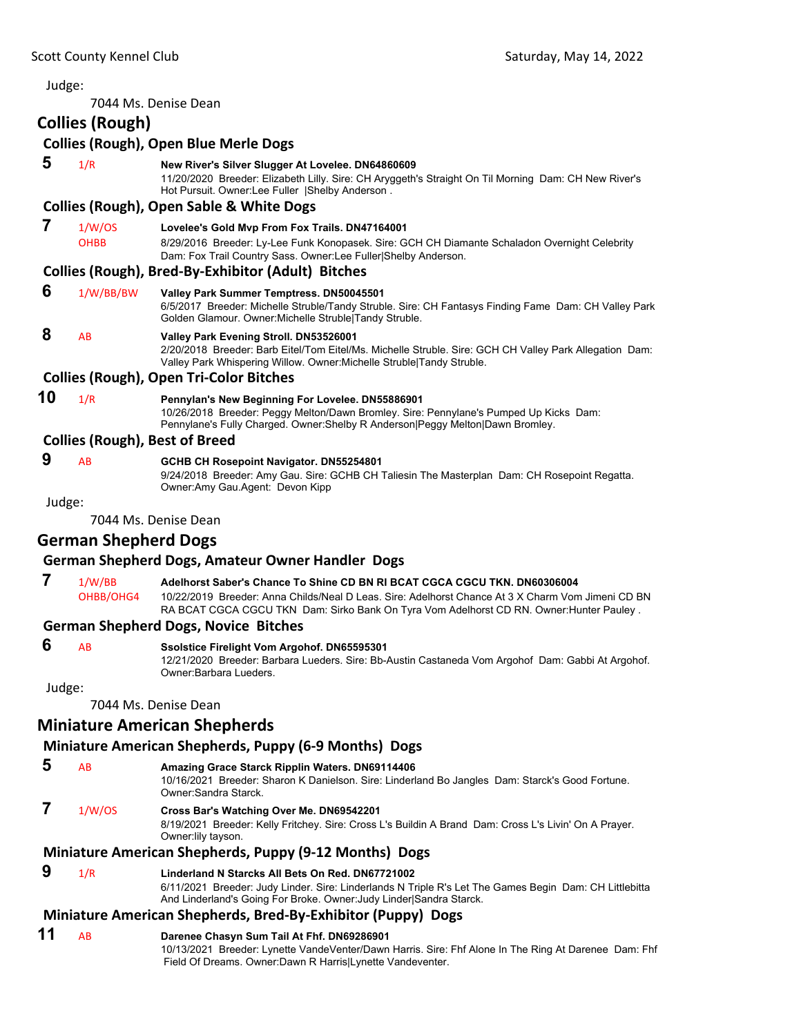### Judge: 7044 Ms. Denise Dean **Collies (Rough) Collies (Rough), Open Blue Merle Dogs 5** 1/R **New River's Silver Slugger At Lovelee. DN64860609** 11/20/2020 Breeder: Elizabeth Lilly. Sire: CH Aryggeth's Straight On Til Morning Dam: CH New River's Hot Pursuit. Owner:Lee Fuller |Shelby Anderson . **Collies (Rough), Open Sable & White Dogs 7** 1/W/OS **Lovelee's Gold Mvp From Fox Trails. DN47164001** OHBB 8/29/2016 Breeder: Ly-Lee Funk Konopasek. Sire: GCH CH Diamante Schaladon Overnight Celebrity Dam: Fox Trail Country Sass. Owner:Lee Fuller|Shelby Anderson. **Collies (Rough), Bred‐By‐Exhibitor (Adult) Bitches 6** 1/W/BB/BW **Valley Park Summer Temptress. DN50045501** 6/5/2017 Breeder: Michelle Struble/Tandy Struble. Sire: CH Fantasys Finding Fame Dam: CH Valley Park Golden Glamour. Owner:Michelle Struble|Tandy Struble.  **8** AB **Valley Park Evening Stroll. DN53526001** 2/20/2018 Breeder: Barb Eitel/Tom Eitel/Ms. Michelle Struble. Sire: GCH CH Valley Park Allegation Dam: Valley Park Whispering Willow. Owner:Michelle Struble|Tandy Struble. **Collies (Rough), Open Tri‐Color Bitches 10** 1/R **Pennylan's New Beginning For Lovelee. DN55886901** 10/26/2018 Breeder: Peggy Melton/Dawn Bromley. Sire: Pennylane's Pumped Up Kicks Dam: Pennylane's Fully Charged. Owner: Shelby R Anderson|Peggy Melton|Dawn Bromley. **Collies (Rough), Best of Breed 9** AB **GCHB CH Rosepoint Navigator. DN55254801** 9/24/2018 Breeder: Amy Gau. Sire: GCHB CH Taliesin The Masterplan Dam: CH Rosepoint Regatta. Owner:Amy Gau.Agent: Devon Kipp Judge: 7044 Ms. Denise Dean **German Shepherd Dogs German Shepherd Dogs, Amateur Owner Handler Dogs**

 **7** 1/W/BB **Adelhorst Saber's Chance To Shine CD BN RI BCAT CGCA CGCU TKN. DN60306004** OHBB/OHG4 10/22/2019 Breeder: Anna Childs/Neal D Leas. Sire: Adelhorst Chance At 3 X Charm Vom Jimeni CD BN RA BCAT CGCA CGCU TKN Dam: Sirko Bank On Tyra Vom Adelhorst CD RN. Owner:Hunter Pauley .

### **German Shepherd Dogs, Novice Bitches**

### **6** AB **Ssolstice Firelight Vom Argohof. DN65595301**

12/21/2020 Breeder: Barbara Lueders. Sire: Bb-Austin Castaneda Vom Argohof Dam: Gabbi At Argohof. Owner:Barbara Lueders.

Judge:

7044 Ms. Denise Dean

## **Miniature American Shepherds**

### **Miniature American Shepherds, Puppy (6‐9 Months) Dogs**

- **5** AB **Amazing Grace Starck Ripplin Waters. DN69114406** 10/16/2021 Breeder: Sharon K Danielson. Sire: Linderland Bo Jangles Dam: Starck's Good Fortune.
- Owner:Sandra Starck.
- **7** 1/W/OS **Cross Bar's Watching Over Me. DN69542201**

8/19/2021 Breeder: Kelly Fritchey. Sire: Cross L's Buildin A Brand Dam: Cross L's Livin' On A Prayer. Owner:lily tayson.

# **Miniature American Shepherds, Puppy (9‐12 Months) Dogs**

 **9** 1/R **Linderland N Starcks All Bets On Red. DN67721002**

6/11/2021 Breeder: Judy Linder. Sire: Linderlands N Triple R's Let The Games Begin Dam: CH Littlebitta And Linderland's Going For Broke. Owner:Judy Linder|Sandra Starck.

## **Miniature American Shepherds, Bred‐By‐Exhibitor (Puppy) Dogs**

### **11** AB **Darenee Chasyn Sum Tail At Fhf. DN69286901**

10/13/2021 Breeder: Lynette VandeVenter/Dawn Harris. Sire: Fhf Alone In The Ring At Darenee Dam: Fhf Field Of Dreams. Owner:Dawn R Harris|Lynette Vandeventer.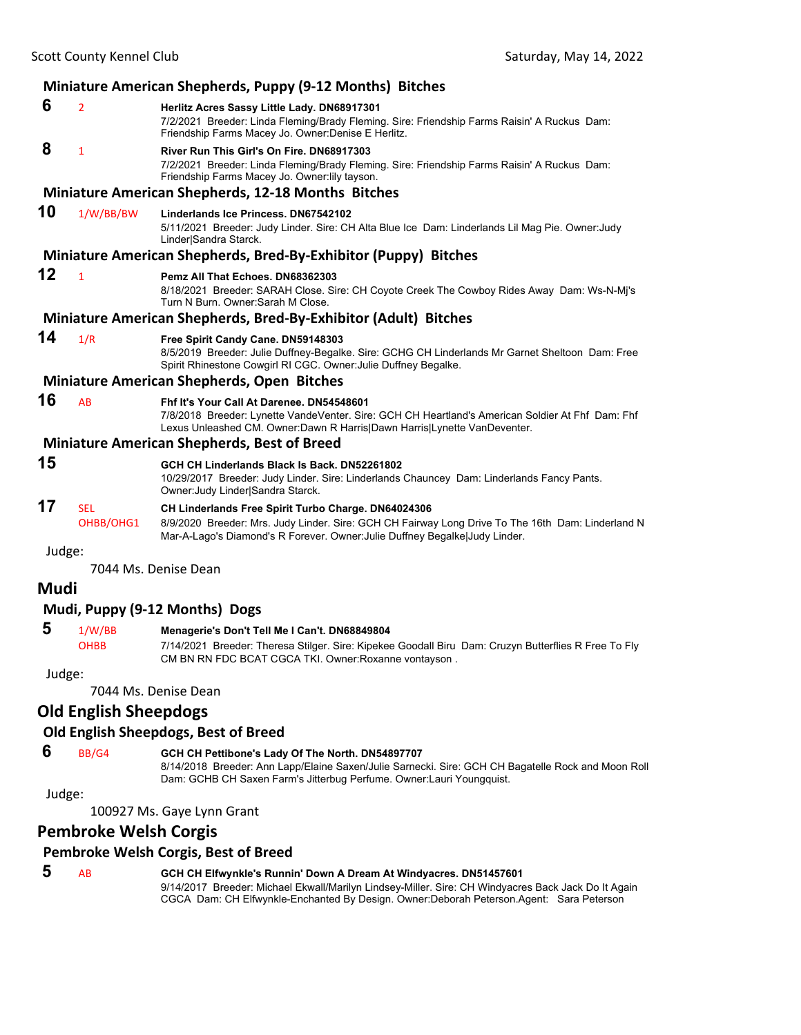| Miniature American Shepherds, Puppy (9-12 Months) Bitches |                              |                                                                                                                                                                                                                                         |  |
|-----------------------------------------------------------|------------------------------|-----------------------------------------------------------------------------------------------------------------------------------------------------------------------------------------------------------------------------------------|--|
| 6                                                         | $\overline{2}$               | Herlitz Acres Sassy Little Lady. DN68917301<br>7/2/2021 Breeder: Linda Fleming/Brady Fleming. Sire: Friendship Farms Raisin' A Ruckus Dam:<br>Friendship Farms Macey Jo. Owner: Denise E Herlitz.                                       |  |
| 8                                                         | 1                            | River Run This Girl's On Fire. DN68917303<br>7/2/2021 Breeder: Linda Fleming/Brady Fleming. Sire: Friendship Farms Raisin' A Ruckus Dam:<br>Friendship Farms Macey Jo. Owner: lily tayson.                                              |  |
|                                                           |                              | <b>Miniature American Shepherds, 12-18 Months Bitches</b>                                                                                                                                                                               |  |
| 10                                                        | 1/W/BB/BW                    | Linderlands Ice Princess, DN67542102<br>5/11/2021 Breeder: Judy Linder. Sire: CH Alta Blue Ice Dam: Linderlands Lil Mag Pie. Owner: Judy<br>Linder Sandra Starck.                                                                       |  |
|                                                           |                              | Miniature American Shepherds, Bred-By-Exhibitor (Puppy) Bitches                                                                                                                                                                         |  |
| 12                                                        | $\mathbf{1}$                 | Pemz All That Echoes, DN68362303<br>8/18/2021 Breeder: SARAH Close. Sire: CH Coyote Creek The Cowboy Rides Away Dam: Ws-N-Mj's<br>Turn N Burn, Owner: Sarah M Close,                                                                    |  |
|                                                           |                              | Miniature American Shepherds, Bred-By-Exhibitor (Adult) Bitches                                                                                                                                                                         |  |
| 14                                                        | 1/R                          | Free Spirit Candy Cane. DN59148303<br>8/5/2019 Breeder: Julie Duffney-Begalke. Sire: GCHG CH Linderlands Mr Garnet Sheltoon Dam: Free<br>Spirit Rhinestone Cowgirl RI CGC. Owner: Julie Duffney Begalke.                                |  |
|                                                           |                              | <b>Miniature American Shepherds, Open Bitches</b>                                                                                                                                                                                       |  |
| 16                                                        | AB                           | Fhf It's Your Call At Darenee. DN54548601<br>7/8/2018 Breeder: Lynette VandeVenter. Sire: GCH CH Heartland's American Soldier At Fhf Dam: Fhf<br>Lexus Unleashed CM. Owner: Dawn R Harris   Dawn Harris   Lynette Van Deventer.         |  |
|                                                           |                              | <b>Miniature American Shepherds, Best of Breed</b>                                                                                                                                                                                      |  |
| 15                                                        |                              | GCH CH Linderlands Black Is Back. DN52261802<br>10/29/2017 Breeder: Judy Linder. Sire: Linderlands Chauncey Dam: Linderlands Fancy Pants.<br>Owner: Judy Linder Sandra Starck.                                                          |  |
| 17                                                        | <b>SEL</b><br>OHBB/OHG1      | CH Linderlands Free Spirit Turbo Charge. DN64024306<br>8/9/2020 Breeder: Mrs. Judy Linder. Sire: GCH CH Fairway Long Drive To The 16th Dam: Linderland N<br>Mar-A-Lago's Diamond's R Forever. Owner: Julie Duffney Begalke Judy Linder. |  |
| Judge:                                                    |                              |                                                                                                                                                                                                                                         |  |
|                                                           |                              | 7044 Ms. Denise Dean                                                                                                                                                                                                                    |  |
| Mudi                                                      |                              |                                                                                                                                                                                                                                         |  |
|                                                           |                              | Mudi, Puppy (9-12 Months) Dogs                                                                                                                                                                                                          |  |
| 5                                                         | 1/W/BB<br><b>OHBB</b>        | Menagerie's Don't Tell Me I Can't. DN68849804<br>7/14/2021 Breeder: Theresa Stilger. Sire: Kipekee Goodall Biru Dam: Cruzyn Butterflies R Free To Fly<br>CM BN RN FDC BCAT CGCA TKI. Owner:Roxanne vontayson.                           |  |
| Judge:                                                    |                              |                                                                                                                                                                                                                                         |  |
|                                                           |                              | 7044 Ms. Denise Dean                                                                                                                                                                                                                    |  |
|                                                           | <b>Old English Sheepdogs</b> |                                                                                                                                                                                                                                         |  |
| Old English Sheepdogs, Best of Breed                      |                              |                                                                                                                                                                                                                                         |  |
| 6                                                         | BB/G4                        | GCH CH Pettibone's Lady Of The North. DN54897707                                                                                                                                                                                        |  |

8/14/2018 Breeder: Ann Lapp/Elaine Saxen/Julie Sarnecki. Sire: GCH CH Bagatelle Rock and Moon Roll Dam: GCHB CH Saxen Farm's Jitterbug Perfume. Owner:Lauri Youngquist.

Judge:

100927 Ms. Gaye Lynn Grant

### **Pembroke Welsh Corgis**

### **Pembroke Welsh Corgis, Best of Breed**

| э | AB |  |
|---|----|--|
|   |    |  |
|   |    |  |
|   |    |  |

 **5** AB **GCH CH Elfwynkle's Runnin' Down A Dream At Windyacres. DN51457601** 9/14/2017 Breeder: Michael Ekwall/Marilyn Lindsey-Miller. Sire: CH Windyacres Back Jack Do It Again CGCA Dam: CH Elfwynkle-Enchanted By Design. Owner:Deborah Peterson.Agent: Sara Peterson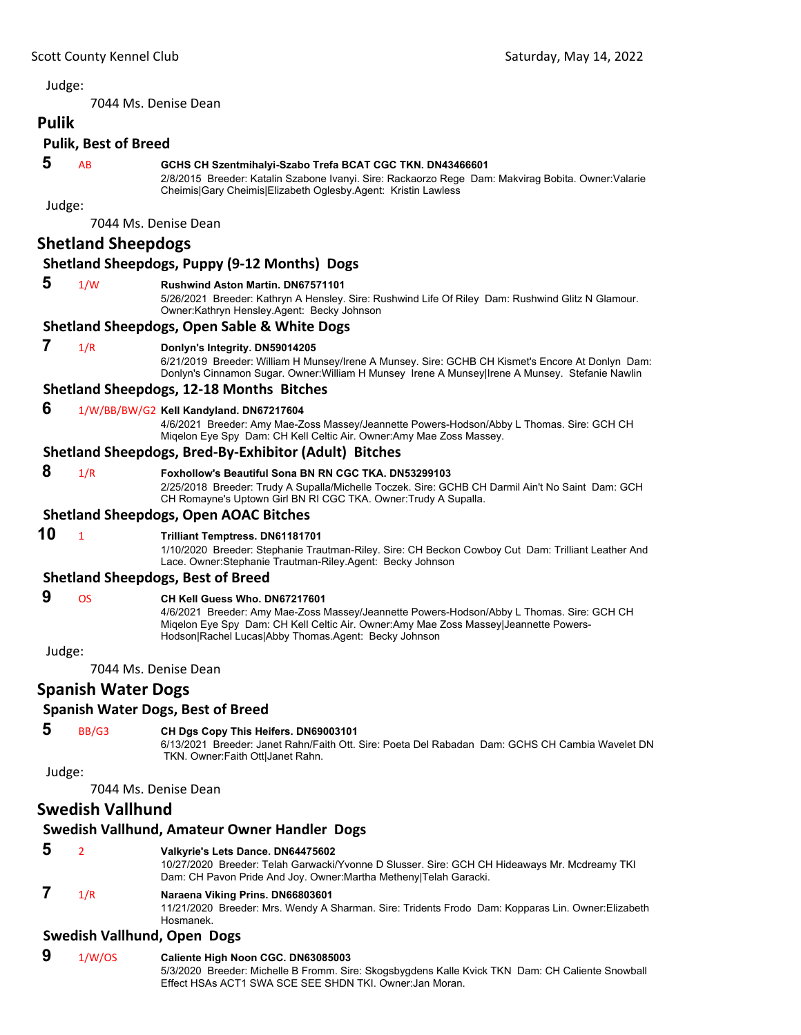7044 Ms. Denise Dean

### **Pulik Pulik, Best of Breed**

### **5** AB **GCHS CH Szentmihalyi-Szabo Trefa BCAT CGC TKN. DN43466601**

2/8/2015 Breeder: Katalin Szabone Ivanyi. Sire: Rackaorzo Rege Dam: Makvirag Bobita. Owner:Valarie Cheimis|Gary Cheimis|Elizabeth Oglesby.Agent: Kristin Lawless

Judge:

7044 Ms. Denise Dean

### **Shetland Sheepdogs**

### **Shetland Sheepdogs, Puppy (9‐12 Months) Dogs**

#### **5** 1/W **Rushwind Aston Martin. DN67571101**

5/26/2021 Breeder: Kathryn A Hensley. Sire: Rushwind Life Of Riley Dam: Rushwind Glitz N Glamour. Owner:Kathryn Hensley.Agent: Becky Johnson

### **Shetland Sheepdogs, Open Sable & White Dogs**

#### **7** 1/R **Donlyn's Integrity. DN59014205**

6/21/2019 Breeder: William H Munsey/Irene A Munsey. Sire: GCHB CH Kismet's Encore At Donlyn Dam: Donlyn's Cinnamon Sugar. Owner:William H Munsey Irene A Munsey|Irene A Munsey. Stefanie Nawlin

#### **Shetland Sheepdogs, 12‐18 Months Bitches**

#### **6** 1/W/BB/BW/G2 **Kell Kandyland. DN67217604**

4/6/2021 Breeder: Amy Mae-Zoss Massey/Jeannette Powers-Hodson/Abby L Thomas. Sire: GCH CH Miqelon Eye Spy Dam: CH Kell Celtic Air. Owner:Amy Mae Zoss Massey.

### **Shetland Sheepdogs, Bred‐By‐Exhibitor (Adult) Bitches**

 **8** 1/R **Foxhollow's Beautiful Sona BN RN CGC TKA. DN53299103**

2/25/2018 Breeder: Trudy A Supalla/Michelle Toczek. Sire: GCHB CH Darmil Ain't No Saint Dam: GCH CH Romayne's Uptown Girl BN RI CGC TKA. Owner:Trudy A Supalla.

#### **Shetland Sheepdogs, Open AOAC Bitches**

### **10** <sup>1</sup> **Trilliant Temptress. DN61181701**

1/10/2020 Breeder: Stephanie Trautman-Riley. Sire: CH Beckon Cowboy Cut Dam: Trilliant Leather And Lace. Owner:Stephanie Trautman-Riley.Agent: Becky Johnson

#### **Shetland Sheepdogs, Best of Breed**

#### **9** OS **CH Kell Guess Who. DN67217601**

4/6/2021 Breeder: Amy Mae-Zoss Massey/Jeannette Powers-Hodson/Abby L Thomas. Sire: GCH CH Miqelon Eye Spy Dam: CH Kell Celtic Air. Owner:Amy Mae Zoss Massey|Jeannette Powers-Hodson|Rachel Lucas|Abby Thomas.Agent: Becky Johnson

Judge:

7044 Ms. Denise Dean

### **Spanish Water Dogs**

### **Spanish Water Dogs, Best of Breed**

### **5** BB/G3 **CH Dgs Copy This Heifers. DN69003101**

6/13/2021 Breeder: Janet Rahn/Faith Ott. Sire: Poeta Del Rabadan Dam: GCHS CH Cambia Wavelet DN TKN. Owner:Faith Ott|Janet Rahn.

Judge:

### 7044 Ms. Denise Dean

### **Swedish Vallhund**

### **Swedish Vallhund, Amateur Owner Handler Dogs**

### **5** <sup>2</sup> **Valkyrie's Lets Dance. DN64475602**

10/27/2020 Breeder: Telah Garwacki/Yvonne D Slusser. Sire: GCH CH Hideaways Mr. Mcdreamy TKI Dam: CH Pavon Pride And Joy. Owner:Martha Metheny|Telah Garacki.

### **7** 1/R **Naraena Viking Prins. DN66803601**

11/21/2020 Breeder: Mrs. Wendy A Sharman. Sire: Tridents Frodo Dam: Kopparas Lin. Owner:Elizabeth Hosmanek.

### **Swedish Vallhund, Open Dogs**

| 9 | 1/W/OS | Caliente High Noon CGC. DN63085003                                                               |
|---|--------|--------------------------------------------------------------------------------------------------|
|   |        | 5/3/2020 Breeder: Michelle B Fromm. Sire: Skogsbygdens Kalle Kvick TKN Dam: CH Caliente Snowball |
|   |        | Effect HSAs ACT1 SWA SCE SEE SHDN TKI. Owner: Jan Moran.                                         |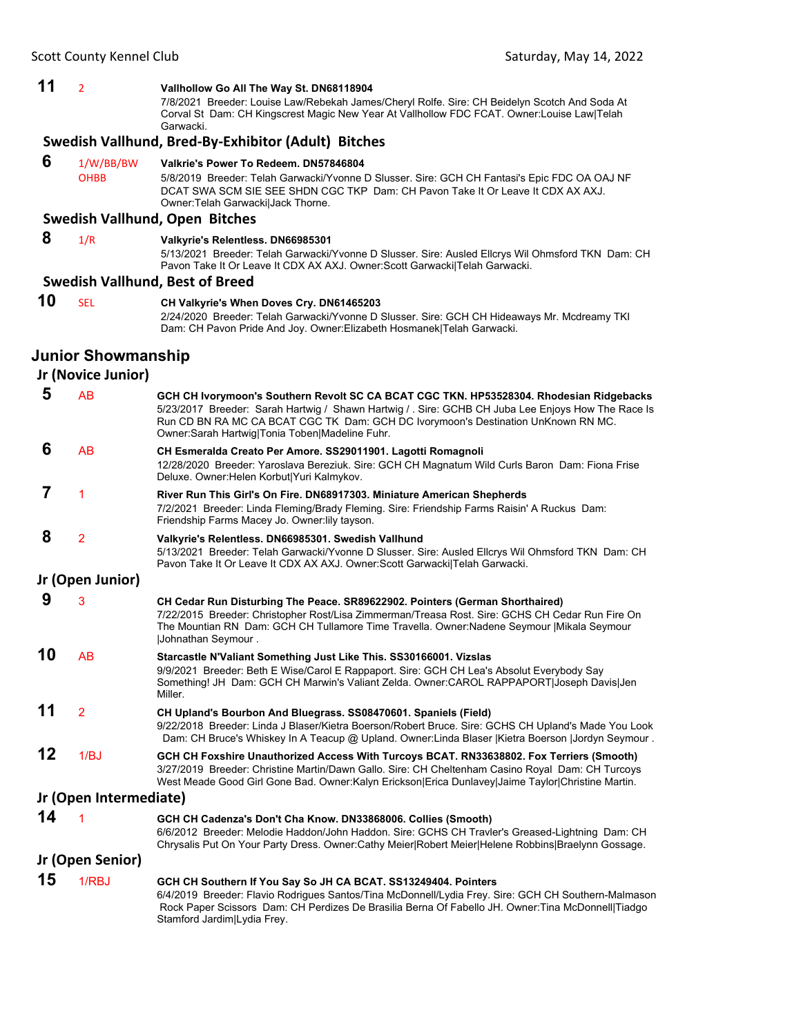### **11** <sup>2</sup> **Vallhollow Go All The Way St. DN68118904**

7/8/2021 Breeder: Louise Law/Rebekah James/Cheryl Rolfe. Sire: CH Beidelyn Scotch And Soda At Corval St Dam: CH Kingscrest Magic New Year At Vallhollow FDC FCAT. Owner:Louise Law|Telah Garwacki.

#### **Swedish Vallhund, Bred‐By‐Exhibitor (Adult) Bitches**

#### **6** 1/W/BB/BW **Valkrie's Power To Redeem. DN57846804** OHBB 5/8/2019 Breeder: Telah Garwacki/Yvonne D Slusser. Sire: GCH CH Fantasi's Epic FDC OA OAJ NF DCAT SWA SCM SIE SEE SHDN CGC TKP Dam: CH Pavon Take It Or Leave It CDX AX AXJ. Owner:Telah Garwacki|Jack Thorne.

### **Swedish Vallhund, Open Bitches**

#### **8** 1/R **Valkyrie's Relentless. DN66985301**

5/13/2021 Breeder: Telah Garwacki/Yvonne D Slusser. Sire: Ausled Ellcrys Wil Ohmsford TKN Dam: CH Pavon Take It Or Leave It CDX AX AXJ. Owner:Scott Garwacki|Telah Garwacki.

#### **Swedish Vallhund, Best of Breed**

**10** SEL **CH Valkyrie's When Doves Cry. DN61465203** 2/24/2020 Breeder: Telah Garwacki/Yvonne D Slusser. Sire: GCH CH Hideaways Mr. Mcdreamy TKI Dam: CH Pavon Pride And Joy. Owner:Elizabeth Hosmanek|Telah Garwacki.

### **Junior Showmanship**

### **Jr (Novice Junior)**

| 5                      | AB               | GCH CH Ivorymoon's Southern Revolt SC CA BCAT CGC TKN. HP53528304. Rhodesian Ridgebacks<br>5/23/2017 Breeder: Sarah Hartwig / Shawn Hartwig / . Sire: GCHB CH Juba Lee Enjoys How The Race Is<br>Run CD BN RA MC CA BCAT CGC TK Dam: GCH DC Ivorymoon's Destination UnKnown RN MC.<br>Owner:Sarah Hartwig Tonia Toben Madeline Fuhr. |  |
|------------------------|------------------|--------------------------------------------------------------------------------------------------------------------------------------------------------------------------------------------------------------------------------------------------------------------------------------------------------------------------------------|--|
| 6                      | <b>AB</b>        | CH Esmeralda Creato Per Amore. SS29011901. Lagotti Romagnoli<br>12/28/2020 Breeder: Yaroslava Bereziuk. Sire: GCH CH Magnatum Wild Curls Baron Dam: Fiona Frise<br>Deluxe. Owner: Helen Korbut Yuri Kalmykov.                                                                                                                        |  |
| 7                      | 1                | River Run This Girl's On Fire. DN68917303. Miniature American Shepherds<br>7/2/2021 Breeder: Linda Fleming/Brady Fleming. Sire: Friendship Farms Raisin' A Ruckus Dam:<br>Friendship Farms Macey Jo. Owner: lily tayson.                                                                                                             |  |
| 8                      | $\overline{2}$   | Valkyrie's Relentless. DN66985301. Swedish Vallhund<br>5/13/2021 Breeder: Telah Garwacki/Yvonne D Slusser. Sire: Ausled Ellcrys Wil Ohmsford TKN Dam: CH<br>Pavon Take It Or Leave It CDX AX AXJ. Owner: Scott Garwacki   Telah Garwacki.                                                                                            |  |
|                        | Jr (Open Junior) |                                                                                                                                                                                                                                                                                                                                      |  |
| 9                      | 3                | CH Cedar Run Disturbing The Peace. SR89622902. Pointers (German Shorthaired)<br>7/22/2015 Breeder: Christopher Rost/Lisa Zimmerman/Treasa Rost. Sire: GCHS CH Cedar Run Fire On<br>The Mountian RN Dam: GCH CH Tullamore Time Travella. Owner:Nadene Seymour   Mikala Seymour<br><b>Johnathan Seymour.</b>                           |  |
| 10                     | AB               | Starcastle N'Valiant Something Just Like This. SS30166001. Vizslas<br>9/9/2021 Breeder: Beth E Wise/Carol E Rappaport. Sire: GCH CH Lea's Absolut Everybody Say<br>Something! JH Dam: GCH CH Marwin's Valiant Zelda. Owner:CAROL RAPPAPORT Joseph Davis Jen<br>Miller.                                                               |  |
| 11                     | $\overline{2}$   | CH Upland's Bourbon And Bluegrass. SS08470601. Spaniels (Field)<br>9/22/2018 Breeder: Linda J Blaser/Kietra Boerson/Robert Bruce. Sire: GCHS CH Upland's Made You Look<br>Dam: CH Bruce's Whiskey In A Teacup @ Upland. Owner:Linda Blaser  Kietra Boerson  Jordyn Seymour.                                                          |  |
| 12                     | 1/BJ             | GCH CH Foxshire Unauthorized Access With Turcoys BCAT. RN33638802. Fox Terriers (Smooth)<br>3/27/2019 Breeder: Christine Martin/Dawn Gallo. Sire: CH Cheltenham Casino Royal Dam: CH Turcoys<br>West Meade Good Girl Gone Bad. Owner: Kalyn Erickson Erica Dunlavey Jaime Taylor Christine Martin.                                   |  |
| Jr (Open Intermediate) |                  |                                                                                                                                                                                                                                                                                                                                      |  |
| 14                     |                  | GCH CH Cadenza's Don't Cha Know. DN33868006. Collies (Smooth)<br>6/6/2012 Breeder: Melodie Haddon/John Haddon. Sire: GCHS CH Travler's Greased-Lightning Dam: CH<br>Chrysalis Put On Your Party Dress. Owner:Cathy Meier Robert Meier Helene Robbins Braelynn Gossage.                                                               |  |
|                        | Jr (Open Senior) |                                                                                                                                                                                                                                                                                                                                      |  |
| 15                     | 1/RBJ            | GCH CH Southern If You Say So JH CA BCAT. SS13249404. Pointers<br>6/4/2019 Breeder: Flavio Rodrigues Santos/Tina McDonnell/Lydia Frey. Sire: GCH CH Southern-Malmason<br>Rock Paper Scissors Dam: CH Perdizes De Brasilia Berna Of Fabello JH. Owner: Tina McDonnell Tiadgo<br>Stamford Jardim Lydia Frey.                           |  |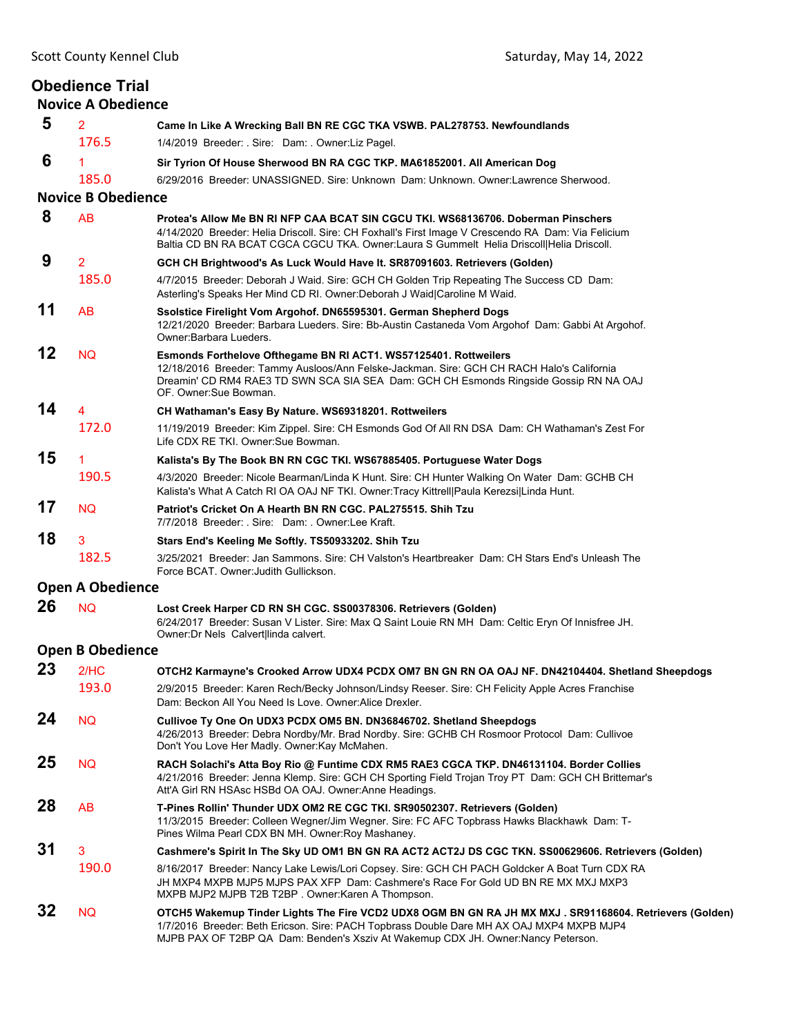|    | <b>Obedience Trial</b><br><b>Novice A Obedience</b> |                                                                                                                                                                                                                                                                                          |
|----|-----------------------------------------------------|------------------------------------------------------------------------------------------------------------------------------------------------------------------------------------------------------------------------------------------------------------------------------------------|
| 5  | $\overline{2}$                                      | Came In Like A Wrecking Ball BN RE CGC TKA VSWB. PAL278753. Newfoundlands                                                                                                                                                                                                                |
|    | 176.5                                               | 1/4/2019 Breeder: . Sire: Dam: . Owner: Liz Pagel.                                                                                                                                                                                                                                       |
| 6  | 1                                                   | Sir Tyrion Of House Sherwood BN RA CGC TKP. MA61852001. All American Dog                                                                                                                                                                                                                 |
|    | 185.0                                               | 6/29/2016 Breeder: UNASSIGNED, Sire: Unknown Dam: Unknown, Owner:Lawrence Sherwood,                                                                                                                                                                                                      |
|    | <b>Novice B Obedience</b>                           |                                                                                                                                                                                                                                                                                          |
| 8  | <b>AB</b>                                           | Protea's Allow Me BN RI NFP CAA BCAT SIN CGCU TKI. WS68136706. Doberman Pinschers<br>4/14/2020 Breeder: Helia Driscoll. Sire: CH Foxhall's First Image V Crescendo RA Dam: Via Felicium<br>Baltia CD BN RA BCAT CGCA CGCU TKA. Owner:Laura S Gummelt Helia Driscoll Helia Driscoll.      |
| 9  | $\overline{2}$                                      | GCH CH Brightwood's As Luck Would Have It. SR87091603. Retrievers (Golden)                                                                                                                                                                                                               |
|    | 185.0                                               | 4/7/2015 Breeder: Deborah J Waid. Sire: GCH CH Golden Trip Repeating The Success CD Dam:<br>Asterling's Speaks Her Mind CD RI. Owner:Deborah J Waid Caroline M Waid.                                                                                                                     |
| 11 | AB                                                  | Ssolstice Firelight Vom Argohof. DN65595301. German Shepherd Dogs<br>12/21/2020 Breeder: Barbara Lueders. Sire: Bb-Austin Castaneda Vom Argohof Dam: Gabbi At Argohof.<br>Owner: Barbara Lueders.                                                                                        |
| 12 | <b>NQ</b>                                           | <b>Esmonds Forthelove Ofthegame BN RI ACT1. WS57125401. Rottweilers</b><br>12/18/2016 Breeder: Tammy Ausloos/Ann Felske-Jackman. Sire: GCH CH RACH Halo's California<br>Dreamin' CD RM4 RAE3 TD SWN SCA SIA SEA Dam: GCH CH Esmonds Ringside Gossip RN NA OAJ<br>OF. Owner:Sue Bowman.   |
| 14 | $\overline{4}$                                      | CH Wathaman's Easy By Nature. WS69318201. Rottweilers                                                                                                                                                                                                                                    |
|    | 172.0                                               | 11/19/2019 Breeder: Kim Zippel. Sire: CH Esmonds God Of All RN DSA Dam: CH Wathaman's Zest For<br>Life CDX RE TKI, Owner: Sue Bowman,                                                                                                                                                    |
| 15 | 1                                                   | Kalista's By The Book BN RN CGC TKI. WS67885405. Portuguese Water Dogs                                                                                                                                                                                                                   |
|    | 190.5                                               | 4/3/2020 Breeder: Nicole Bearman/Linda K Hunt. Sire: CH Hunter Walking On Water Dam: GCHB CH<br>Kalista's What A Catch RI OA OAJ NF TKI. Owner: Tracy Kittrell Paula Kerezsi Linda Hunt.                                                                                                 |
| 17 | <b>NQ</b>                                           | Patriot's Cricket On A Hearth BN RN CGC, PAL275515, Shih Tzu<br>7/7/2018 Breeder: Sire: Dam: Owner:Lee Kraft.                                                                                                                                                                            |
| 18 | 3                                                   | Stars End's Keeling Me Softly. TS50933202. Shih Tzu                                                                                                                                                                                                                                      |
|    | 182.5                                               | 3/25/2021 Breeder: Jan Sammons. Sire: CH Valston's Heartbreaker Dam: CH Stars End's Unleash The<br>Force BCAT. Owner Judith Gullickson.                                                                                                                                                  |
|    | <b>Open A Obedience</b>                             |                                                                                                                                                                                                                                                                                          |
| 26 | <b>NQ</b>                                           | Lost Creek Harper CD RN SH CGC. SS00378306. Retrievers (Golden)<br>6/24/2017 Breeder: Susan V Lister. Sire: Max Q Saint Louie RN MH Dam: Celtic Eryn Of Innisfree JH.<br>Owner: Dr Nels Calvert linda calvert.                                                                           |
|    | <b>Open B Obedience</b>                             |                                                                                                                                                                                                                                                                                          |
| 23 | 2/HC                                                | OTCH2 Karmayne's Crooked Arrow UDX4 PCDX OM7 BN GN RN OA OAJ NF. DN42104404. Shetland Sheepdogs                                                                                                                                                                                          |
|    | 193.0                                               | 2/9/2015 Breeder: Karen Rech/Becky Johnson/Lindsy Reeser. Sire: CH Felicity Apple Acres Franchise<br>Dam: Beckon All You Need Is Love, Owner: Alice Drexler,                                                                                                                             |
| 24 | <b>NQ</b>                                           | Cullivoe Ty One On UDX3 PCDX OM5 BN. DN36846702. Shetland Sheepdogs<br>4/26/2013 Breeder: Debra Nordby/Mr. Brad Nordby. Sire: GCHB CH Rosmoor Protocol Dam: Cullivoe<br>Don't You Love Her Madly. Owner: Kay McMahen.                                                                    |
| 25 | <b>NQ</b>                                           | RACH Solachi's Atta Boy Rio @ Funtime CDX RM5 RAE3 CGCA TKP. DN46131104. Border Collies<br>4/21/2016 Breeder: Jenna Klemp. Sire: GCH CH Sporting Field Trojan Troy PT Dam: GCH CH Brittemar's<br>Att'A Girl RN HSAsc HSBd OA OAJ. Owner:Anne Headings.                                   |
| 28 | AB                                                  | T-Pines Rollin' Thunder UDX OM2 RE CGC TKI. SR90502307. Retrievers (Golden)<br>11/3/2015 Breeder: Colleen Wegner/Jim Wegner. Sire: FC AFC Topbrass Hawks Blackhawk Dam: T-<br>Pines Wilma Pearl CDX BN MH. Owner: Roy Mashaney.                                                          |
| 31 | 3                                                   | Cashmere's Spirit In The Sky UD OM1 BN GN RA ACT2 ACT2J DS CGC TKN. SS00629606. Retrievers (Golden)                                                                                                                                                                                      |
|    | 190.0                                               | 8/16/2017 Breeder: Nancy Lake Lewis/Lori Copsey. Sire: GCH CH PACH Goldcker A Boat Turn CDX RA<br>JH MXP4 MXPB MJP5 MJPS PAX XFP Dam: Cashmere's Race For Gold UD BN RE MX MXJ MXP3<br>MXPB MJP2 MJPB T2B T2BP. Owner: Karen A Thompson.                                                 |
| 32 | <b>NQ</b>                                           | OTCH5 Wakemup Tinder Lights The Fire VCD2 UDX8 OGM BN GN RA JH MX MXJ . SR91168604. Retrievers (Golden)<br>1/7/2016 Breeder: Beth Ericson. Sire: PACH Topbrass Double Dare MH AX OAJ MXP4 MXPB MJP4<br>MJPB PAX OF T2BP QA Dam: Benden's Xsziv At Wakemup CDX JH. Owner: Nancy Peterson. |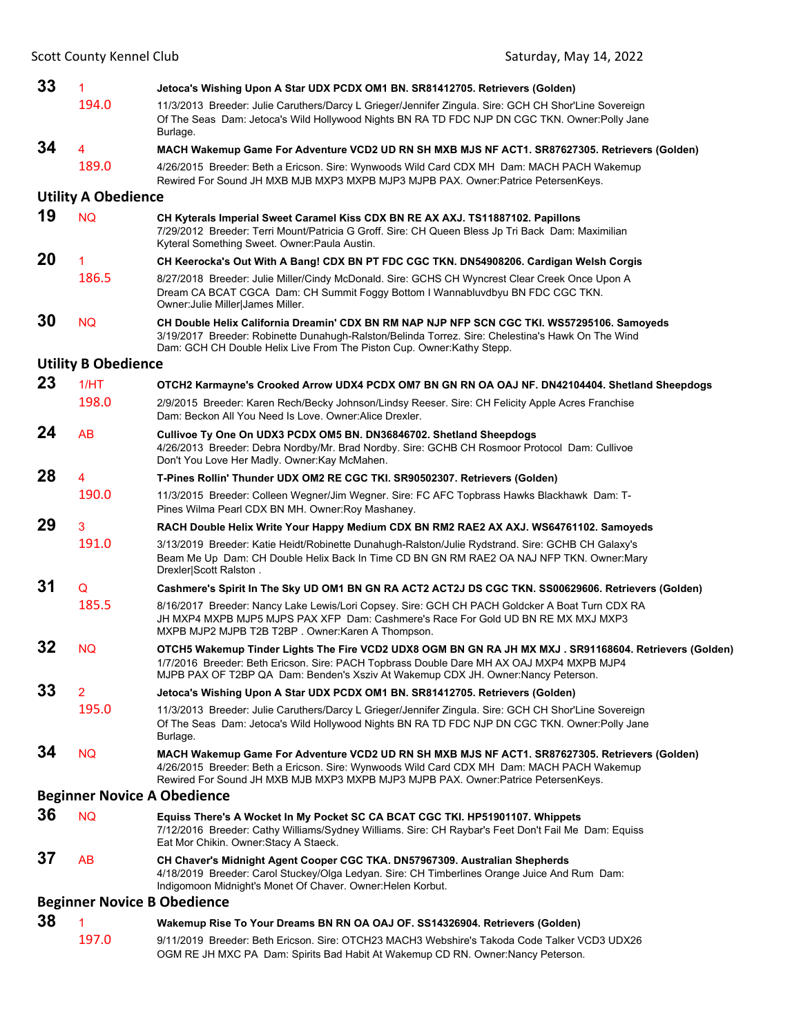| 33 | 1                          | Jetoca's Wishing Upon A Star UDX PCDX OM1 BN. SR81412705. Retrievers (Golden)                                                                                                                                                                                                            |
|----|----------------------------|------------------------------------------------------------------------------------------------------------------------------------------------------------------------------------------------------------------------------------------------------------------------------------------|
|    | 194.0                      | 11/3/2013 Breeder: Julie Caruthers/Darcy L Grieger/Jennifer Zingula. Sire: GCH CH Shor'Line Sovereign<br>Of The Seas Dam: Jetoca's Wild Hollywood Nights BN RA TD FDC NJP DN CGC TKN. Owner: Polly Jane<br>Burlage.                                                                      |
| 34 | 4                          | MACH Wakemup Game For Adventure VCD2 UD RN SH MXB MJS NF ACT1. SR87627305. Retrievers (Golden)                                                                                                                                                                                           |
|    | 189.0                      | 4/26/2015 Breeder: Beth a Ericson. Sire: Wynwoods Wild Card CDX MH Dam: MACH PACH Wakemup<br>Rewired For Sound JH MXB MJB MXP3 MXPB MJP3 MJPB PAX. Owner:Patrice PetersenKeys.                                                                                                           |
|    | <b>Utility A Obedience</b> |                                                                                                                                                                                                                                                                                          |
| 19 | <b>NQ</b>                  | CH Kyterals Imperial Sweet Caramel Kiss CDX BN RE AX AXJ. TS11887102. Papillons<br>7/29/2012 Breeder: Terri Mount/Patricia G Groff. Sire: CH Queen Bless Jp Tri Back Dam: Maximilian<br>Kyteral Something Sweet. Owner: Paula Austin.                                                    |
| 20 | 1                          | CH Keerocka's Out With A Bang! CDX BN PT FDC CGC TKN. DN54908206. Cardigan Welsh Corgis                                                                                                                                                                                                  |
|    | 186.5                      | 8/27/2018 Breeder: Julie Miller/Cindy McDonald. Sire: GCHS CH Wyncrest Clear Creek Once Upon A<br>Dream CA BCAT CGCA Dam: CH Summit Foggy Bottom I Wannabluvdbyu BN FDC CGC TKN.<br>Owner: Julie Miller James Miller.                                                                    |
| 30 | <b>NQ</b>                  | CH Double Helix California Dreamin' CDX BN RM NAP NJP NFP SCN CGC TKI. WS57295106. Samoyeds<br>3/19/2017 Breeder: Robinette Dunahugh-Ralston/Belinda Torrez. Sire: Chelestina's Hawk On The Wind<br>Dam: GCH CH Double Helix Live From The Piston Cup. Owner: Kathy Stepp.               |
|    | <b>Utility B Obedience</b> |                                                                                                                                                                                                                                                                                          |
| 23 | 1/HT                       | OTCH2 Karmayne's Crooked Arrow UDX4 PCDX OM7 BN GN RN OA OAJ NF. DN42104404. Shetland Sheepdogs                                                                                                                                                                                          |
|    | 198.0                      | 2/9/2015 Breeder: Karen Rech/Becky Johnson/Lindsy Reeser. Sire: CH Felicity Apple Acres Franchise<br>Dam: Beckon All You Need Is Love, Owner: Alice Drexler,                                                                                                                             |
| 24 | AB                         | Cullivoe Ty One On UDX3 PCDX OM5 BN. DN36846702. Shetland Sheepdogs<br>4/26/2013 Breeder: Debra Nordby/Mr. Brad Nordby. Sire: GCHB CH Rosmoor Protocol Dam: Cullivoe<br>Don't You Love Her Madly. Owner: Kay McMahen.                                                                    |
| 28 | 4                          | T-Pines Rollin' Thunder UDX OM2 RE CGC TKI. SR90502307. Retrievers (Golden)                                                                                                                                                                                                              |
|    | 190.0                      | 11/3/2015 Breeder: Colleen Wegner/Jim Wegner. Sire: FC AFC Topbrass Hawks Blackhawk Dam: T-<br>Pines Wilma Pearl CDX BN MH. Owner: Roy Mashaney.                                                                                                                                         |
| 29 | 3                          | RACH Double Helix Write Your Happy Medium CDX BN RM2 RAE2 AX AXJ. WS64761102. Samoyeds                                                                                                                                                                                                   |
|    | 191.0                      | 3/13/2019 Breeder: Katie Heidt/Robinette Dunahugh-Ralston/Julie Rydstrand. Sire: GCHB CH Galaxy's<br>Beam Me Up Dam: CH Double Helix Back In Time CD BN GN RM RAE2 OA NAJ NFP TKN. Owner: Mary<br>Drexler Scott Ralston.                                                                 |
| 31 | Q                          | Cashmere's Spirit In The Sky UD OM1 BN GN RA ACT2 ACT2J DS CGC TKN. SS00629606. Retrievers (Golden)                                                                                                                                                                                      |
|    | 185.5                      | 8/16/2017 Breeder: Nancy Lake Lewis/Lori Copsey. Sire: GCH CH PACH Goldcker A Boat Turn CDX RA<br>JH MXP4 MXPB MJP5 MJPS PAX XFP Dam: Cashmere's Race For Gold UD BN RE MX MXJ MXP3<br>MXPB MJP2 MJPB T2B T2BP. Owner: Karen A Thompson.                                                 |
| 32 | <b>NQ</b>                  | OTCH5 Wakemup Tinder Lights The Fire VCD2 UDX8 OGM BN GN RA JH MX MXJ . SR91168604. Retrievers (Golden)<br>1/7/2016 Breeder: Beth Ericson. Sire: PACH Topbrass Double Dare MH AX OAJ MXP4 MXPB MJP4<br>MJPB PAX OF T2BP QA Dam: Benden's Xsziv At Wakemup CDX JH. Owner: Nancy Peterson. |
| 33 | 2                          | Jetoca's Wishing Upon A Star UDX PCDX OM1 BN. SR81412705. Retrievers (Golden)                                                                                                                                                                                                            |
|    | 195.0                      | 11/3/2013 Breeder: Julie Caruthers/Darcy L Grieger/Jennifer Zingula. Sire: GCH CH Shor'Line Sovereign<br>Of The Seas Dam: Jetoca's Wild Hollywood Nights BN RA TD FDC NJP DN CGC TKN. Owner: Polly Jane<br>Burlage.                                                                      |
| 34 | <b>NQ</b>                  | MACH Wakemup Game For Adventure VCD2 UD RN SH MXB MJS NF ACT1. SR87627305. Retrievers (Golden)<br>4/26/2015 Breeder: Beth a Ericson. Sire: Wynwoods Wild Card CDX MH Dam: MACH PACH Wakemup<br>Rewired For Sound JH MXB MJB MXP3 MXPB MJP3 MJPB PAX. Owner:Patrice PetersenKeys.         |
|    |                            | <b>Beginner Novice A Obedience</b>                                                                                                                                                                                                                                                       |
| 36 | <b>NQ</b>                  | Equiss There's A Wocket In My Pocket SC CA BCAT CGC TKI. HP51901107. Whippets<br>7/12/2016 Breeder: Cathy Williams/Sydney Williams. Sire: CH Raybar's Feet Don't Fail Me Dam: Equiss<br>Eat Mor Chikin. Owner: Stacy A Staeck.                                                           |
| 37 | <b>AB</b>                  | CH Chaver's Midnight Agent Cooper CGC TKA. DN57967309. Australian Shepherds<br>4/18/2019 Breeder: Carol Stuckey/Olga Ledyan. Sire: CH Timberlines Orange Juice And Rum Dam:<br>Indigomoon Midnight's Monet Of Chaver. Owner: Helen Korbut.                                               |
|    |                            | <b>Beginner Novice B Obedience</b>                                                                                                                                                                                                                                                       |
| 38 | 1                          | Wakemup Rise To Your Dreams BN RN OA OAJ OF. SS14326904. Retrievers (Golden)                                                                                                                                                                                                             |
|    | 197.0                      | 9/11/2019 Breeder: Beth Ericson. Sire: OTCH23 MACH3 Webshire's Takoda Code Talker VCD3 UDX26<br>OGM RE JH MXC PA Dam: Spirits Bad Habit At Wakemup CD RN. Owner:Nancy Peterson.                                                                                                          |